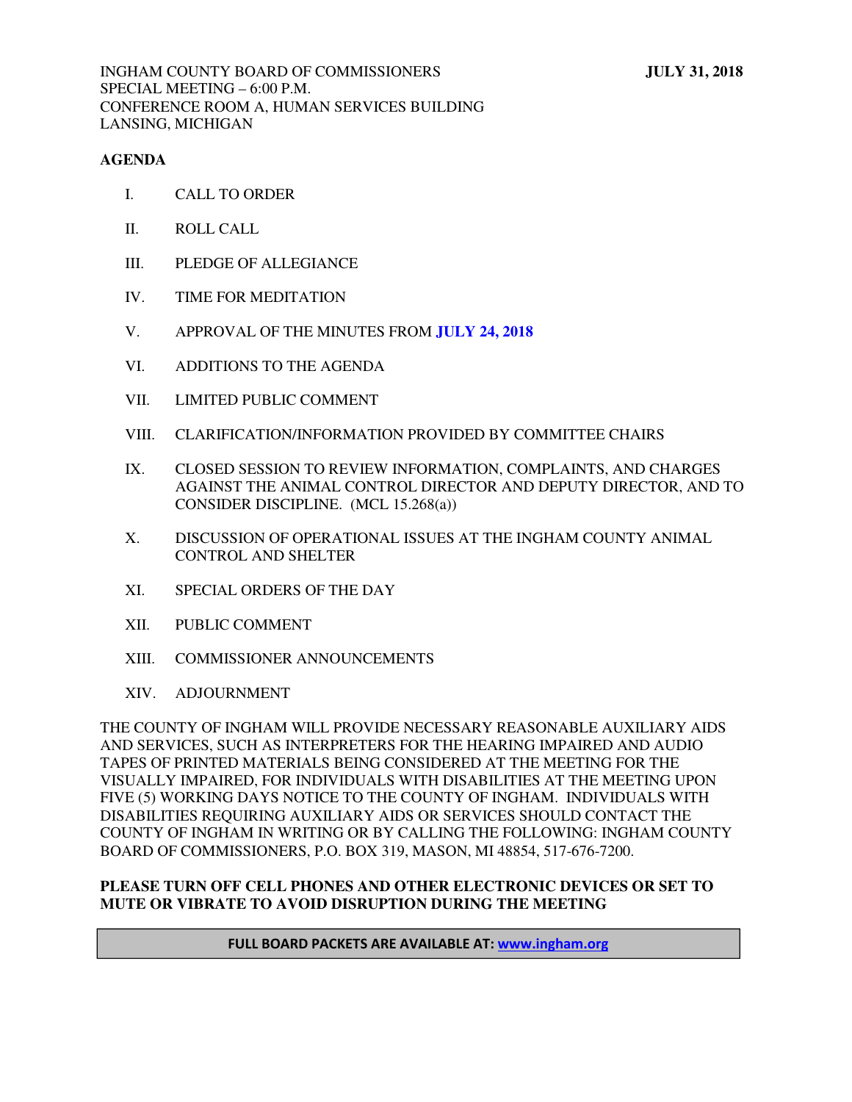#### **AGENDA**

- I. CALL TO ORDER
- II. ROLL CALL
- III. PLEDGE OF ALLEGIANCE
- IV. TIME FOR MEDITATION
- V. APPROVAL OF THE MINUTES FROM **[JULY 24, 2018](#page-1-0)**
- VI. ADDITIONS TO THE AGENDA
- VII. LIMITED PUBLIC COMMENT
- VIII. CLARIFICATION/INFORMATION PROVIDED BY COMMITTEE CHAIRS
- IX. CLOSED SESSION TO REVIEW INFORMATION, COMPLAINTS, AND CHARGES AGAINST THE ANIMAL CONTROL DIRECTOR AND DEPUTY DIRECTOR, AND TO CONSIDER DISCIPLINE. (MCL 15.268(a))
- X. DISCUSSION OF OPERATIONAL ISSUES AT THE INGHAM COUNTY ANIMAL CONTROL AND SHELTER
- XI. SPECIAL ORDERS OF THE DAY
- XII. PUBLIC COMMENT
- XIII. COMMISSIONER ANNOUNCEMENTS
- XIV. ADJOURNMENT

THE COUNTY OF INGHAM WILL PROVIDE NECESSARY REASONABLE AUXILIARY AIDS AND SERVICES, SUCH AS INTERPRETERS FOR THE HEARING IMPAIRED AND AUDIO TAPES OF PRINTED MATERIALS BEING CONSIDERED AT THE MEETING FOR THE VISUALLY IMPAIRED, FOR INDIVIDUALS WITH DISABILITIES AT THE MEETING UPON FIVE (5) WORKING DAYS NOTICE TO THE COUNTY OF INGHAM. INDIVIDUALS WITH DISABILITIES REQUIRING AUXILIARY AIDS OR SERVICES SHOULD CONTACT THE COUNTY OF INGHAM IN WRITING OR BY CALLING THE FOLLOWING: INGHAM COUNTY BOARD OF COMMISSIONERS, P.O. BOX 319, MASON, MI 48854, 517-676-7200.

#### **PLEASE TURN OFF CELL PHONES AND OTHER ELECTRONIC DEVICES OR SET TO MUTE OR VIBRATE TO AVOID DISRUPTION DURING THE MEETING**

#### **FULL BOARD PACKETS ARE AVAILABLE AT: www.ingham.org**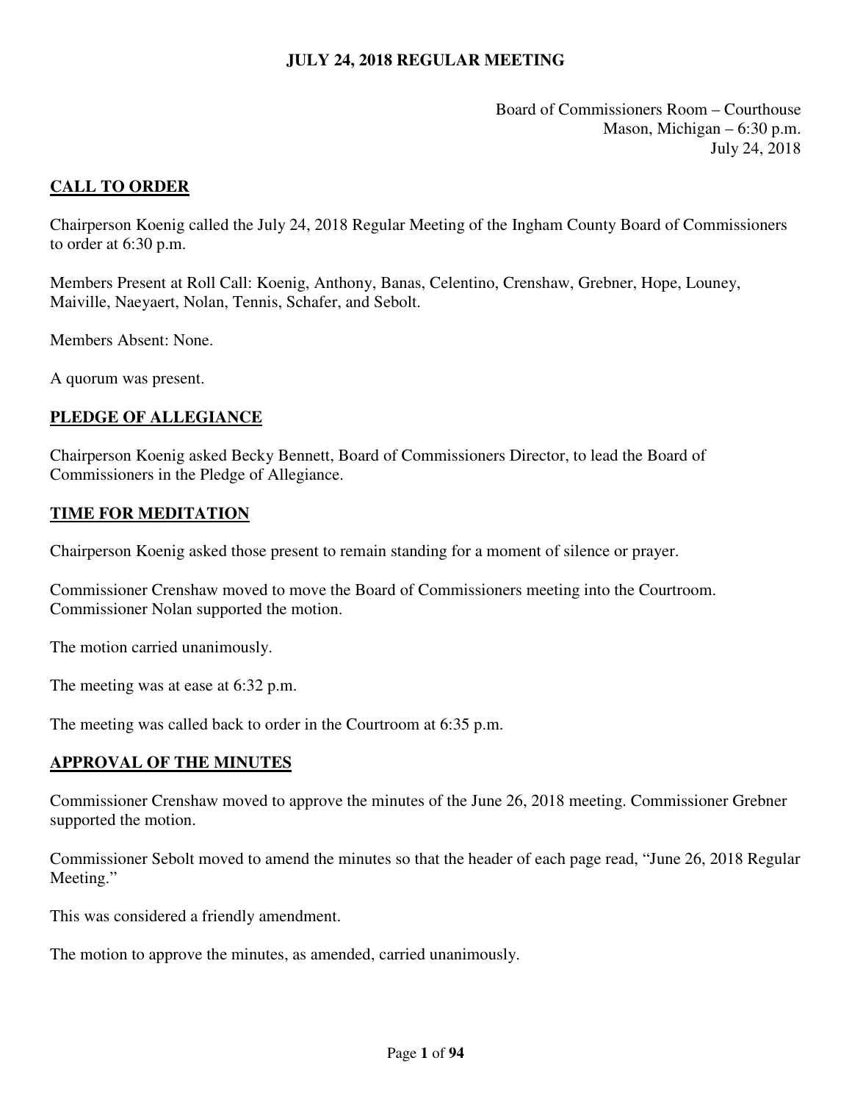Board of Commissioners Room – Courthouse Mason, Michigan – 6:30 p.m. July 24, 2018

### <span id="page-1-0"></span>**CALL TO ORDER**

Chairperson Koenig called the July 24, 2018 Regular Meeting of the Ingham County Board of Commissioners to order at 6:30 p.m.

Members Present at Roll Call: Koenig, Anthony, Banas, Celentino, Crenshaw, Grebner, Hope, Louney, Maiville, Naeyaert, Nolan, Tennis, Schafer, and Sebolt.

Members Absent: None.

A quorum was present.

## **PLEDGE OF ALLEGIANCE**

Chairperson Koenig asked Becky Bennett, Board of Commissioners Director, to lead the Board of Commissioners in the Pledge of Allegiance.

#### **TIME FOR MEDITATION**

Chairperson Koenig asked those present to remain standing for a moment of silence or prayer.

Commissioner Crenshaw moved to move the Board of Commissioners meeting into the Courtroom. Commissioner Nolan supported the motion.

The motion carried unanimously.

The meeting was at ease at 6:32 p.m.

The meeting was called back to order in the Courtroom at 6:35 p.m.

#### **APPROVAL OF THE MINUTES**

Commissioner Crenshaw moved to approve the minutes of the June 26, 2018 meeting. Commissioner Grebner supported the motion.

Commissioner Sebolt moved to amend the minutes so that the header of each page read, "June 26, 2018 Regular Meeting."

This was considered a friendly amendment.

The motion to approve the minutes, as amended, carried unanimously.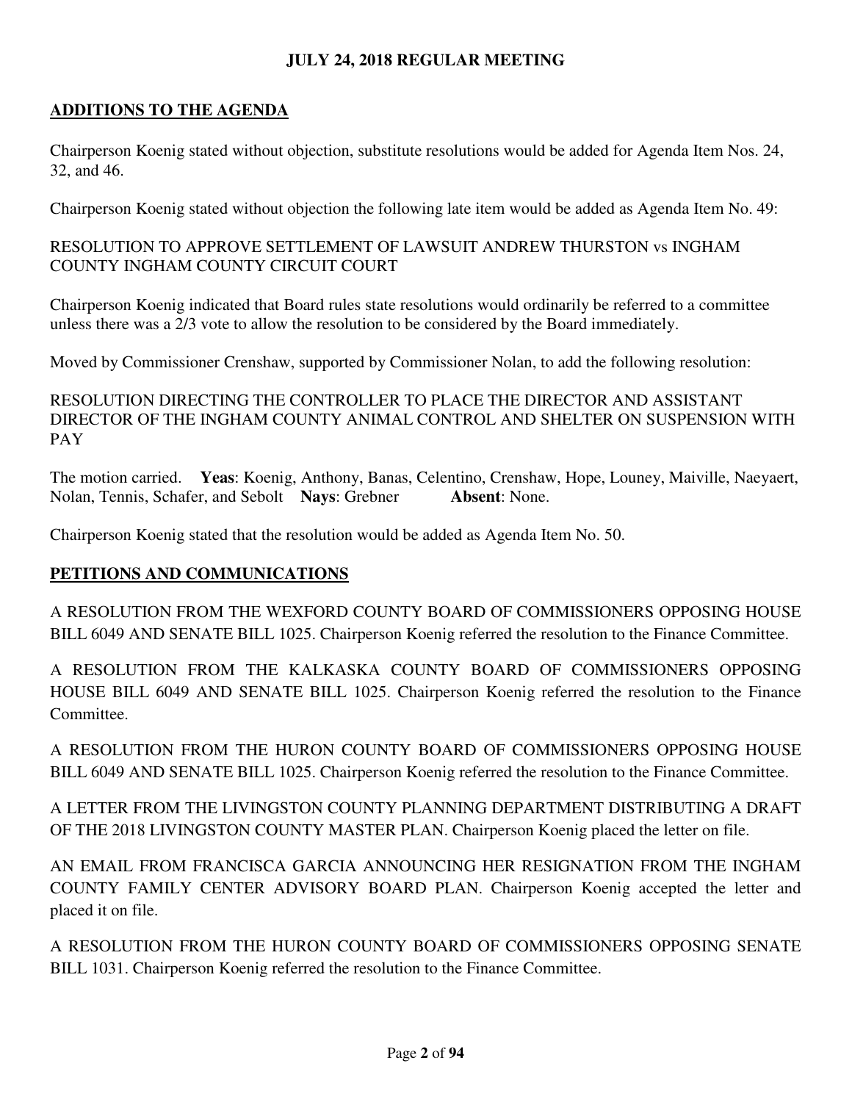# **ADDITIONS TO THE AGENDA**

Chairperson Koenig stated without objection, substitute resolutions would be added for Agenda Item Nos. 24, 32, and 46.

Chairperson Koenig stated without objection the following late item would be added as Agenda Item No. 49:

# RESOLUTION TO APPROVE SETTLEMENT OF LAWSUIT ANDREW THURSTON vs INGHAM COUNTY INGHAM COUNTY CIRCUIT COURT

Chairperson Koenig indicated that Board rules state resolutions would ordinarily be referred to a committee unless there was a 2/3 vote to allow the resolution to be considered by the Board immediately.

Moved by Commissioner Crenshaw, supported by Commissioner Nolan, to add the following resolution:

RESOLUTION DIRECTING THE CONTROLLER TO PLACE THE DIRECTOR AND ASSISTANT DIRECTOR OF THE INGHAM COUNTY ANIMAL CONTROL AND SHELTER ON SUSPENSION WITH PAY

The motion carried. **Yeas**: Koenig, Anthony, Banas, Celentino, Crenshaw, Hope, Louney, Maiville, Naeyaert, Nolan, Tennis, Schafer, and Sebolt **Nays**: Grebner **Absent**: None.

Chairperson Koenig stated that the resolution would be added as Agenda Item No. 50.

# **PETITIONS AND COMMUNICATIONS**

A RESOLUTION FROM THE WEXFORD COUNTY BOARD OF COMMISSIONERS OPPOSING HOUSE BILL 6049 AND SENATE BILL 1025. Chairperson Koenig referred the resolution to the Finance Committee.

A RESOLUTION FROM THE KALKASKA COUNTY BOARD OF COMMISSIONERS OPPOSING HOUSE BILL 6049 AND SENATE BILL 1025. Chairperson Koenig referred the resolution to the Finance Committee.

A RESOLUTION FROM THE HURON COUNTY BOARD OF COMMISSIONERS OPPOSING HOUSE BILL 6049 AND SENATE BILL 1025. Chairperson Koenig referred the resolution to the Finance Committee.

A LETTER FROM THE LIVINGSTON COUNTY PLANNING DEPARTMENT DISTRIBUTING A DRAFT OF THE 2018 LIVINGSTON COUNTY MASTER PLAN. Chairperson Koenig placed the letter on file.

AN EMAIL FROM FRANCISCA GARCIA ANNOUNCING HER RESIGNATION FROM THE INGHAM COUNTY FAMILY CENTER ADVISORY BOARD PLAN. Chairperson Koenig accepted the letter and placed it on file.

A RESOLUTION FROM THE HURON COUNTY BOARD OF COMMISSIONERS OPPOSING SENATE BILL 1031. Chairperson Koenig referred the resolution to the Finance Committee.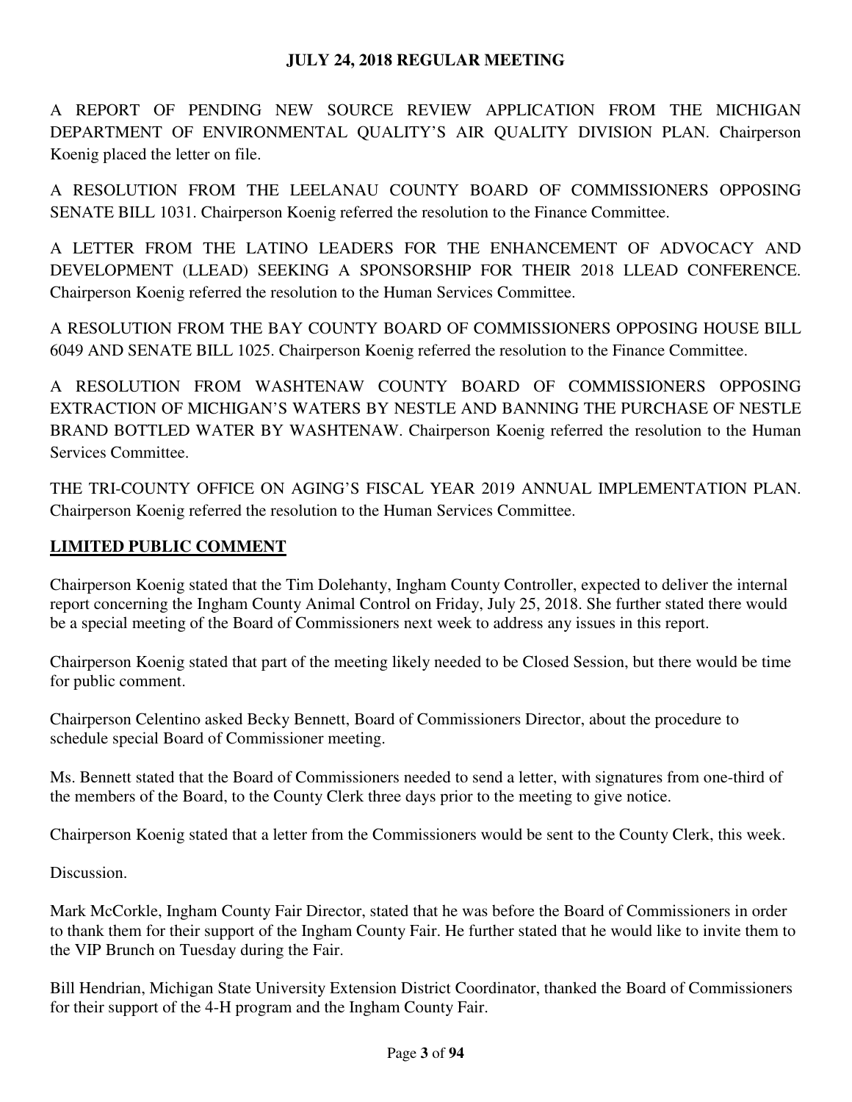A REPORT OF PENDING NEW SOURCE REVIEW APPLICATION FROM THE MICHIGAN DEPARTMENT OF ENVIRONMENTAL QUALITY'S AIR QUALITY DIVISION PLAN. Chairperson Koenig placed the letter on file.

A RESOLUTION FROM THE LEELANAU COUNTY BOARD OF COMMISSIONERS OPPOSING SENATE BILL 1031. Chairperson Koenig referred the resolution to the Finance Committee.

A LETTER FROM THE LATINO LEADERS FOR THE ENHANCEMENT OF ADVOCACY AND DEVELOPMENT (LLEAD) SEEKING A SPONSORSHIP FOR THEIR 2018 LLEAD CONFERENCE. Chairperson Koenig referred the resolution to the Human Services Committee.

A RESOLUTION FROM THE BAY COUNTY BOARD OF COMMISSIONERS OPPOSING HOUSE BILL 6049 AND SENATE BILL 1025. Chairperson Koenig referred the resolution to the Finance Committee.

A RESOLUTION FROM WASHTENAW COUNTY BOARD OF COMMISSIONERS OPPOSING EXTRACTION OF MICHIGAN'S WATERS BY NESTLE AND BANNING THE PURCHASE OF NESTLE BRAND BOTTLED WATER BY WASHTENAW. Chairperson Koenig referred the resolution to the Human Services Committee.

THE TRI-COUNTY OFFICE ON AGING'S FISCAL YEAR 2019 ANNUAL IMPLEMENTATION PLAN. Chairperson Koenig referred the resolution to the Human Services Committee.

# **LIMITED PUBLIC COMMENT**

Chairperson Koenig stated that the Tim Dolehanty, Ingham County Controller, expected to deliver the internal report concerning the Ingham County Animal Control on Friday, July 25, 2018. She further stated there would be a special meeting of the Board of Commissioners next week to address any issues in this report.

Chairperson Koenig stated that part of the meeting likely needed to be Closed Session, but there would be time for public comment.

Chairperson Celentino asked Becky Bennett, Board of Commissioners Director, about the procedure to schedule special Board of Commissioner meeting.

Ms. Bennett stated that the Board of Commissioners needed to send a letter, with signatures from one-third of the members of the Board, to the County Clerk three days prior to the meeting to give notice.

Chairperson Koenig stated that a letter from the Commissioners would be sent to the County Clerk, this week.

Discussion.

Mark McCorkle, Ingham County Fair Director, stated that he was before the Board of Commissioners in order to thank them for their support of the Ingham County Fair. He further stated that he would like to invite them to the VIP Brunch on Tuesday during the Fair.

Bill Hendrian, Michigan State University Extension District Coordinator, thanked the Board of Commissioners for their support of the 4-H program and the Ingham County Fair.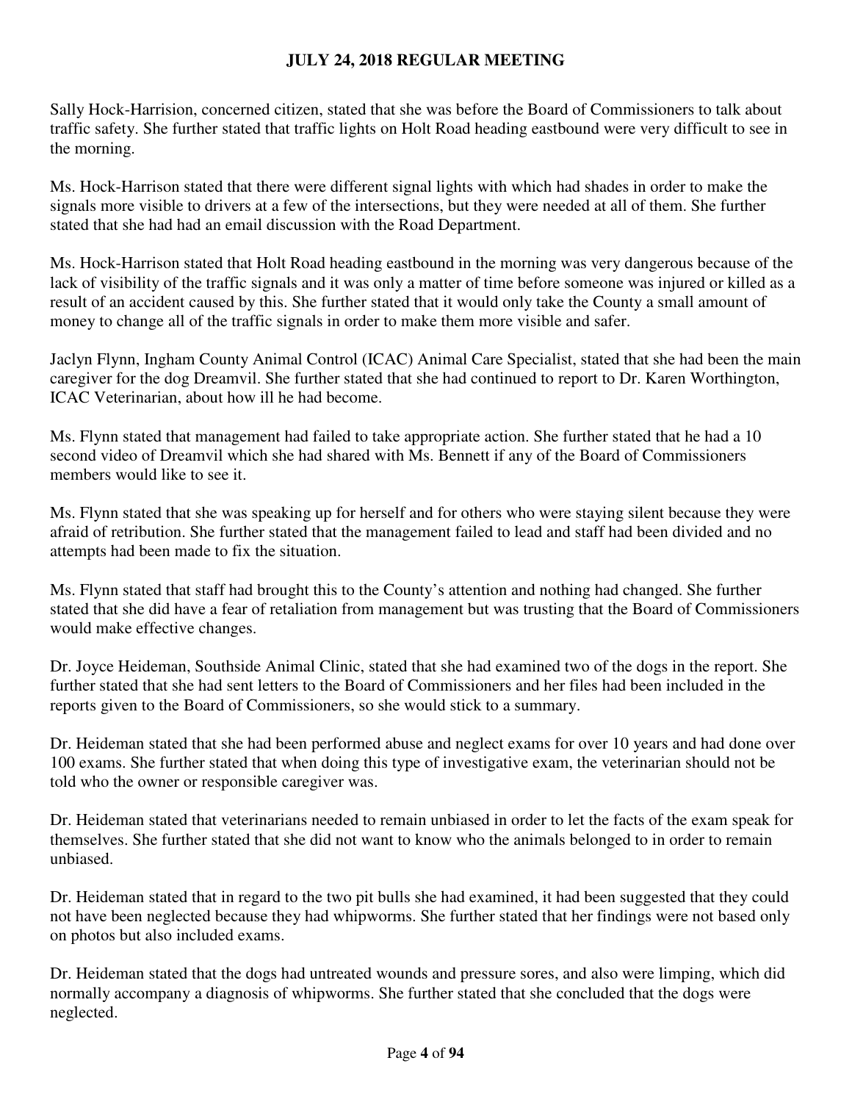Sally Hock-Harrision, concerned citizen, stated that she was before the Board of Commissioners to talk about traffic safety. She further stated that traffic lights on Holt Road heading eastbound were very difficult to see in the morning.

Ms. Hock-Harrison stated that there were different signal lights with which had shades in order to make the signals more visible to drivers at a few of the intersections, but they were needed at all of them. She further stated that she had had an email discussion with the Road Department.

Ms. Hock-Harrison stated that Holt Road heading eastbound in the morning was very dangerous because of the lack of visibility of the traffic signals and it was only a matter of time before someone was injured or killed as a result of an accident caused by this. She further stated that it would only take the County a small amount of money to change all of the traffic signals in order to make them more visible and safer.

Jaclyn Flynn, Ingham County Animal Control (ICAC) Animal Care Specialist, stated that she had been the main caregiver for the dog Dreamvil. She further stated that she had continued to report to Dr. Karen Worthington, ICAC Veterinarian, about how ill he had become.

Ms. Flynn stated that management had failed to take appropriate action. She further stated that he had a 10 second video of Dreamvil which she had shared with Ms. Bennett if any of the Board of Commissioners members would like to see it.

Ms. Flynn stated that she was speaking up for herself and for others who were staying silent because they were afraid of retribution. She further stated that the management failed to lead and staff had been divided and no attempts had been made to fix the situation.

Ms. Flynn stated that staff had brought this to the County's attention and nothing had changed. She further stated that she did have a fear of retaliation from management but was trusting that the Board of Commissioners would make effective changes.

Dr. Joyce Heideman, Southside Animal Clinic, stated that she had examined two of the dogs in the report. She further stated that she had sent letters to the Board of Commissioners and her files had been included in the reports given to the Board of Commissioners, so she would stick to a summary.

Dr. Heideman stated that she had been performed abuse and neglect exams for over 10 years and had done over 100 exams. She further stated that when doing this type of investigative exam, the veterinarian should not be told who the owner or responsible caregiver was.

Dr. Heideman stated that veterinarians needed to remain unbiased in order to let the facts of the exam speak for themselves. She further stated that she did not want to know who the animals belonged to in order to remain unbiased.

Dr. Heideman stated that in regard to the two pit bulls she had examined, it had been suggested that they could not have been neglected because they had whipworms. She further stated that her findings were not based only on photos but also included exams.

Dr. Heideman stated that the dogs had untreated wounds and pressure sores, and also were limping, which did normally accompany a diagnosis of whipworms. She further stated that she concluded that the dogs were neglected.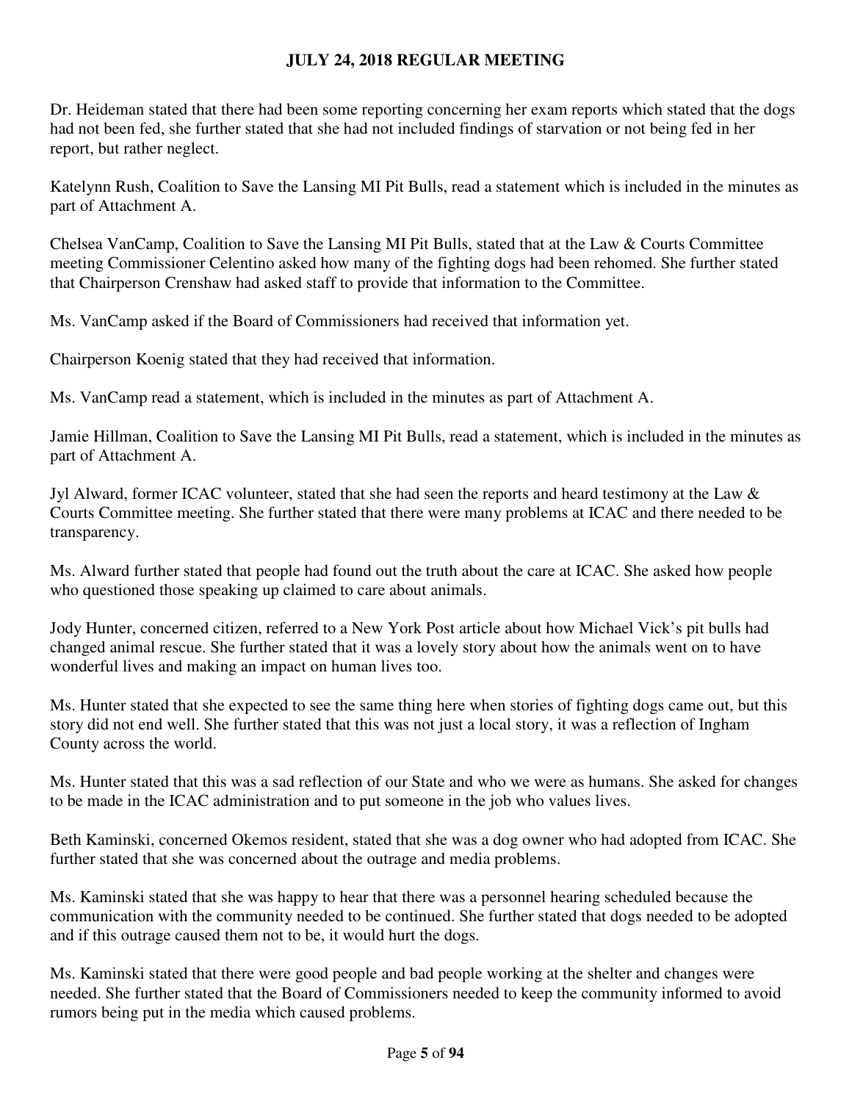Dr. Heideman stated that there had been some reporting concerning her exam reports which stated that the dogs had not been fed, she further stated that she had not included findings of starvation or not being fed in her report, but rather neglect.

Katelynn Rush, Coalition to Save the Lansing MI Pit Bulls, read a statement which is included in the minutes as part of Attachment A.

Chelsea VanCamp, Coalition to Save the Lansing MI Pit Bulls, stated that at the Law & Courts Committee meeting Commissioner Celentino asked how many of the fighting dogs had been rehomed. She further stated that Chairperson Crenshaw had asked staff to provide that information to the Committee.

Ms. VanCamp asked if the Board of Commissioners had received that information yet.

Chairperson Koenig stated that they had received that information.

Ms. VanCamp read a statement, which is included in the minutes as part of Attachment A.

Jamie Hillman, Coalition to Save the Lansing MI Pit Bulls, read a statement, which is included in the minutes as part of Attachment A.

Jyl Alward, former ICAC volunteer, stated that she had seen the reports and heard testimony at the Law & Courts Committee meeting. She further stated that there were many problems at ICAC and there needed to be transparency.

Ms. Alward further stated that people had found out the truth about the care at ICAC. She asked how people who questioned those speaking up claimed to care about animals.

Jody Hunter, concerned citizen, referred to a New York Post article about how Michael Vick's pit bulls had changed animal rescue. She further stated that it was a lovely story about how the animals went on to have wonderful lives and making an impact on human lives too.

Ms. Hunter stated that she expected to see the same thing here when stories of fighting dogs came out, but this story did not end well. She further stated that this was not just a local story, it was a reflection of Ingham County across the world.

Ms. Hunter stated that this was a sad reflection of our State and who we were as humans. She asked for changes to be made in the ICAC administration and to put someone in the job who values lives.

Beth Kaminski, concerned Okemos resident, stated that she was a dog owner who had adopted from ICAC. She further stated that she was concerned about the outrage and media problems.

Ms. Kaminski stated that she was happy to hear that there was a personnel hearing scheduled because the communication with the community needed to be continued. She further stated that dogs needed to be adopted and if this outrage caused them not to be, it would hurt the dogs.

Ms. Kaminski stated that there were good people and bad people working at the shelter and changes were needed. She further stated that the Board of Commissioners needed to keep the community informed to avoid rumors being put in the media which caused problems.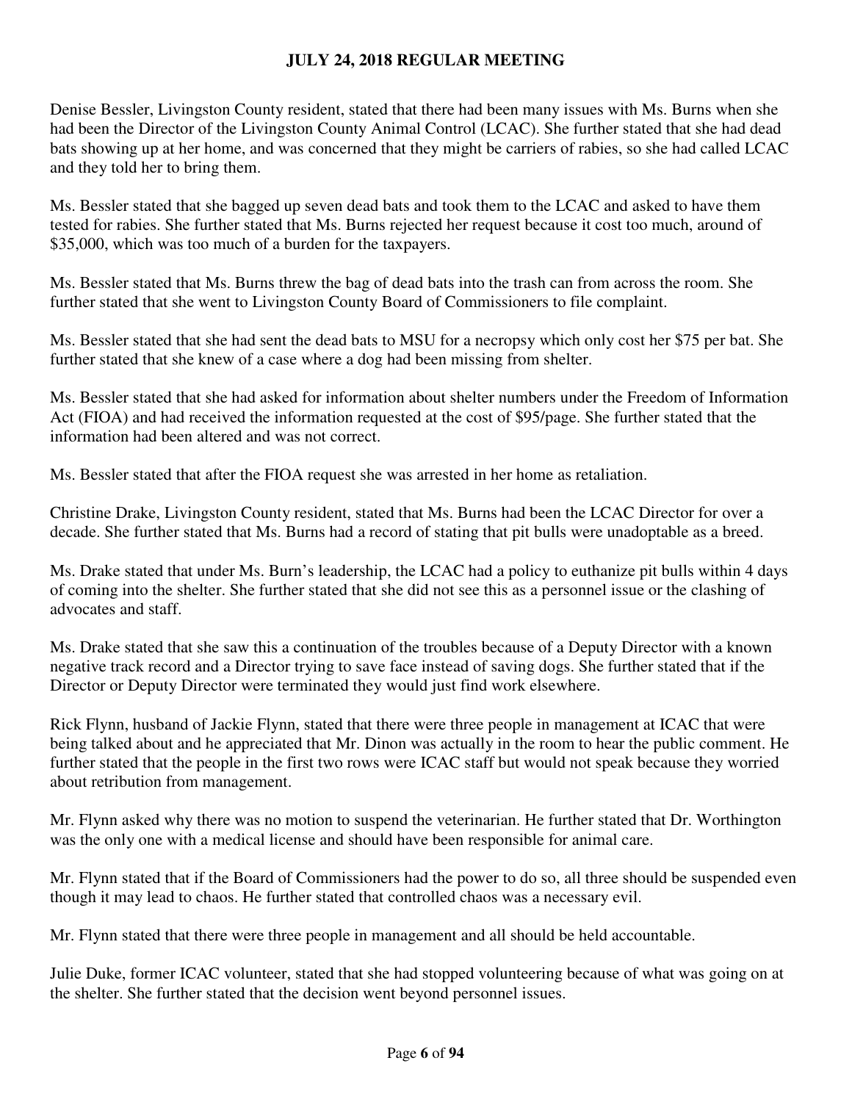Denise Bessler, Livingston County resident, stated that there had been many issues with Ms. Burns when she had been the Director of the Livingston County Animal Control (LCAC). She further stated that she had dead bats showing up at her home, and was concerned that they might be carriers of rabies, so she had called LCAC and they told her to bring them.

Ms. Bessler stated that she bagged up seven dead bats and took them to the LCAC and asked to have them tested for rabies. She further stated that Ms. Burns rejected her request because it cost too much, around of \$35,000, which was too much of a burden for the taxpayers.

Ms. Bessler stated that Ms. Burns threw the bag of dead bats into the trash can from across the room. She further stated that she went to Livingston County Board of Commissioners to file complaint.

Ms. Bessler stated that she had sent the dead bats to MSU for a necropsy which only cost her \$75 per bat. She further stated that she knew of a case where a dog had been missing from shelter.

Ms. Bessler stated that she had asked for information about shelter numbers under the Freedom of Information Act (FIOA) and had received the information requested at the cost of \$95/page. She further stated that the information had been altered and was not correct.

Ms. Bessler stated that after the FIOA request she was arrested in her home as retaliation.

Christine Drake, Livingston County resident, stated that Ms. Burns had been the LCAC Director for over a decade. She further stated that Ms. Burns had a record of stating that pit bulls were unadoptable as a breed.

Ms. Drake stated that under Ms. Burn's leadership, the LCAC had a policy to euthanize pit bulls within 4 days of coming into the shelter. She further stated that she did not see this as a personnel issue or the clashing of advocates and staff.

Ms. Drake stated that she saw this a continuation of the troubles because of a Deputy Director with a known negative track record and a Director trying to save face instead of saving dogs. She further stated that if the Director or Deputy Director were terminated they would just find work elsewhere.

Rick Flynn, husband of Jackie Flynn, stated that there were three people in management at ICAC that were being talked about and he appreciated that Mr. Dinon was actually in the room to hear the public comment. He further stated that the people in the first two rows were ICAC staff but would not speak because they worried about retribution from management.

Mr. Flynn asked why there was no motion to suspend the veterinarian. He further stated that Dr. Worthington was the only one with a medical license and should have been responsible for animal care.

Mr. Flynn stated that if the Board of Commissioners had the power to do so, all three should be suspended even though it may lead to chaos. He further stated that controlled chaos was a necessary evil.

Mr. Flynn stated that there were three people in management and all should be held accountable.

Julie Duke, former ICAC volunteer, stated that she had stopped volunteering because of what was going on at the shelter. She further stated that the decision went beyond personnel issues.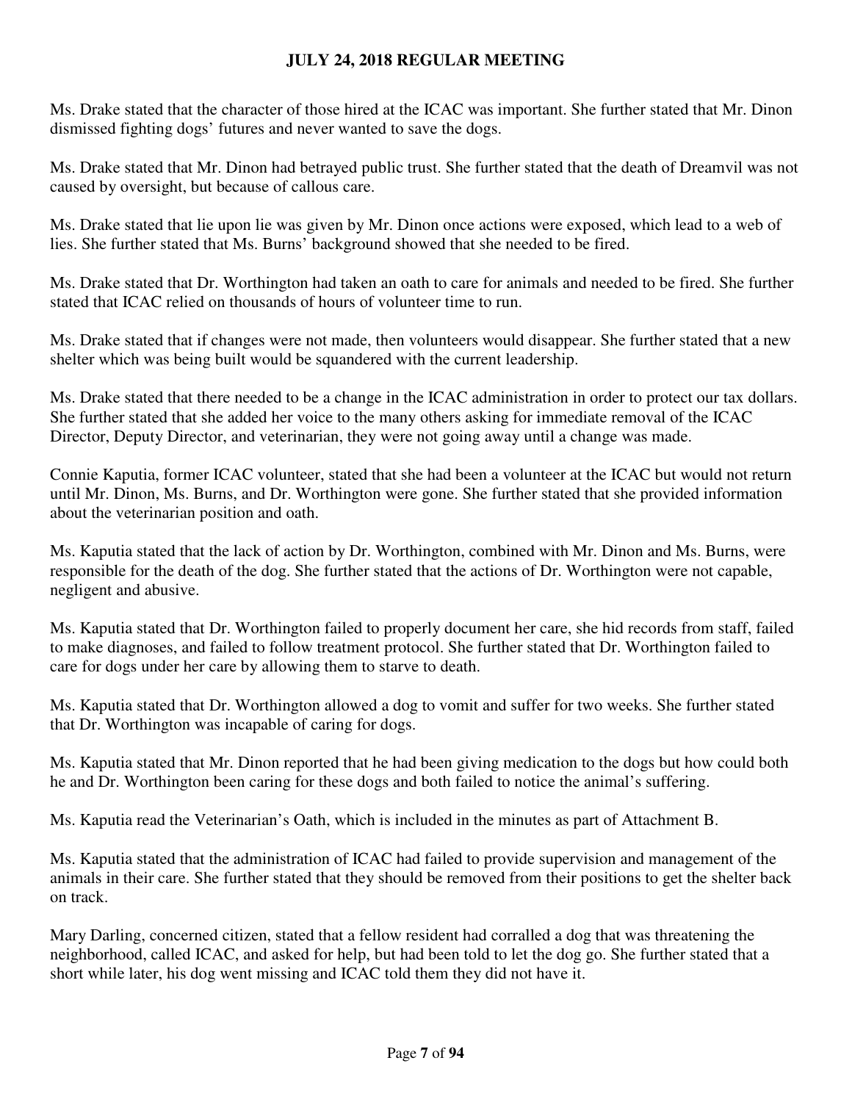Ms. Drake stated that the character of those hired at the ICAC was important. She further stated that Mr. Dinon dismissed fighting dogs' futures and never wanted to save the dogs.

Ms. Drake stated that Mr. Dinon had betrayed public trust. She further stated that the death of Dreamvil was not caused by oversight, but because of callous care.

Ms. Drake stated that lie upon lie was given by Mr. Dinon once actions were exposed, which lead to a web of lies. She further stated that Ms. Burns' background showed that she needed to be fired.

Ms. Drake stated that Dr. Worthington had taken an oath to care for animals and needed to be fired. She further stated that ICAC relied on thousands of hours of volunteer time to run.

Ms. Drake stated that if changes were not made, then volunteers would disappear. She further stated that a new shelter which was being built would be squandered with the current leadership.

Ms. Drake stated that there needed to be a change in the ICAC administration in order to protect our tax dollars. She further stated that she added her voice to the many others asking for immediate removal of the ICAC Director, Deputy Director, and veterinarian, they were not going away until a change was made.

Connie Kaputia, former ICAC volunteer, stated that she had been a volunteer at the ICAC but would not return until Mr. Dinon, Ms. Burns, and Dr. Worthington were gone. She further stated that she provided information about the veterinarian position and oath.

Ms. Kaputia stated that the lack of action by Dr. Worthington, combined with Mr. Dinon and Ms. Burns, were responsible for the death of the dog. She further stated that the actions of Dr. Worthington were not capable, negligent and abusive.

Ms. Kaputia stated that Dr. Worthington failed to properly document her care, she hid records from staff, failed to make diagnoses, and failed to follow treatment protocol. She further stated that Dr. Worthington failed to care for dogs under her care by allowing them to starve to death.

Ms. Kaputia stated that Dr. Worthington allowed a dog to vomit and suffer for two weeks. She further stated that Dr. Worthington was incapable of caring for dogs.

Ms. Kaputia stated that Mr. Dinon reported that he had been giving medication to the dogs but how could both he and Dr. Worthington been caring for these dogs and both failed to notice the animal's suffering.

Ms. Kaputia read the Veterinarian's Oath, which is included in the minutes as part of Attachment B.

Ms. Kaputia stated that the administration of ICAC had failed to provide supervision and management of the animals in their care. She further stated that they should be removed from their positions to get the shelter back on track.

Mary Darling, concerned citizen, stated that a fellow resident had corralled a dog that was threatening the neighborhood, called ICAC, and asked for help, but had been told to let the dog go. She further stated that a short while later, his dog went missing and ICAC told them they did not have it.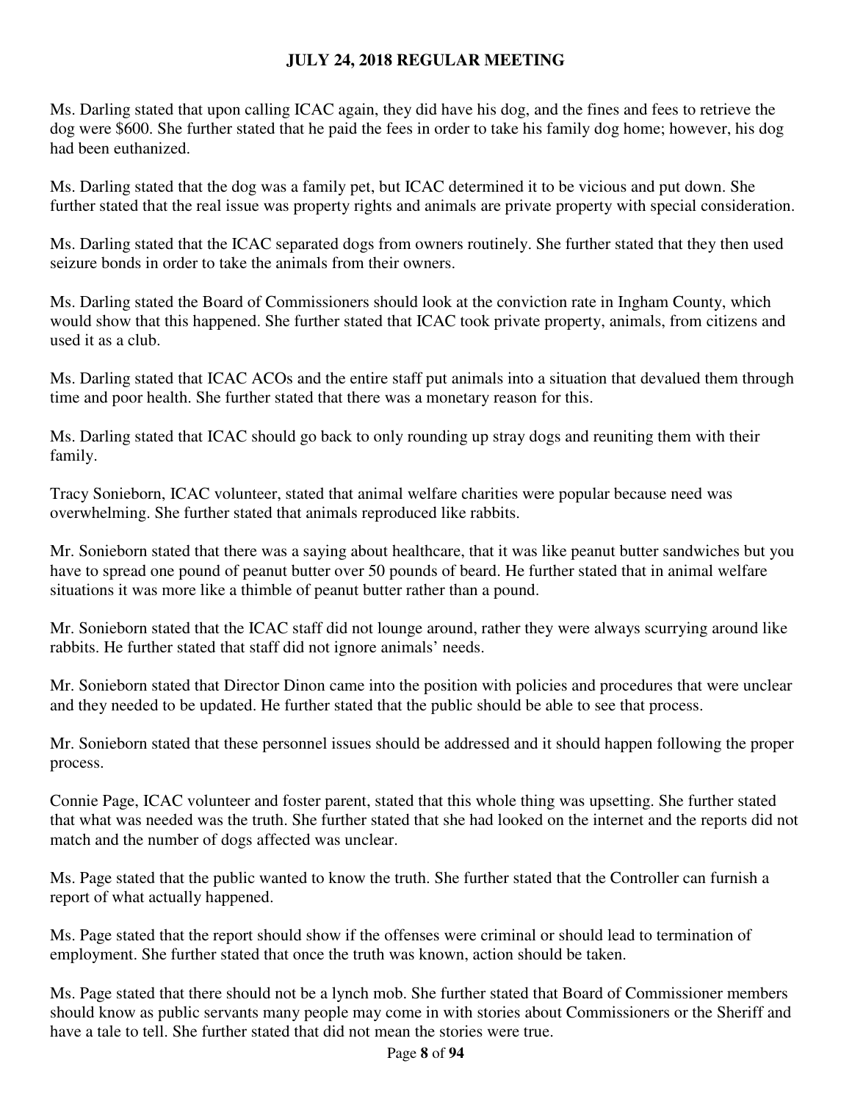Ms. Darling stated that upon calling ICAC again, they did have his dog, and the fines and fees to retrieve the dog were \$600. She further stated that he paid the fees in order to take his family dog home; however, his dog had been euthanized.

Ms. Darling stated that the dog was a family pet, but ICAC determined it to be vicious and put down. She further stated that the real issue was property rights and animals are private property with special consideration.

Ms. Darling stated that the ICAC separated dogs from owners routinely. She further stated that they then used seizure bonds in order to take the animals from their owners.

Ms. Darling stated the Board of Commissioners should look at the conviction rate in Ingham County, which would show that this happened. She further stated that ICAC took private property, animals, from citizens and used it as a club.

Ms. Darling stated that ICAC ACOs and the entire staff put animals into a situation that devalued them through time and poor health. She further stated that there was a monetary reason for this.

Ms. Darling stated that ICAC should go back to only rounding up stray dogs and reuniting them with their family.

Tracy Sonieborn, ICAC volunteer, stated that animal welfare charities were popular because need was overwhelming. She further stated that animals reproduced like rabbits.

Mr. Sonieborn stated that there was a saying about healthcare, that it was like peanut butter sandwiches but you have to spread one pound of peanut butter over 50 pounds of beard. He further stated that in animal welfare situations it was more like a thimble of peanut butter rather than a pound.

Mr. Sonieborn stated that the ICAC staff did not lounge around, rather they were always scurrying around like rabbits. He further stated that staff did not ignore animals' needs.

Mr. Sonieborn stated that Director Dinon came into the position with policies and procedures that were unclear and they needed to be updated. He further stated that the public should be able to see that process.

Mr. Sonieborn stated that these personnel issues should be addressed and it should happen following the proper process.

Connie Page, ICAC volunteer and foster parent, stated that this whole thing was upsetting. She further stated that what was needed was the truth. She further stated that she had looked on the internet and the reports did not match and the number of dogs affected was unclear.

Ms. Page stated that the public wanted to know the truth. She further stated that the Controller can furnish a report of what actually happened.

Ms. Page stated that the report should show if the offenses were criminal or should lead to termination of employment. She further stated that once the truth was known, action should be taken.

Ms. Page stated that there should not be a lynch mob. She further stated that Board of Commissioner members should know as public servants many people may come in with stories about Commissioners or the Sheriff and have a tale to tell. She further stated that did not mean the stories were true.

Page **8** of **94**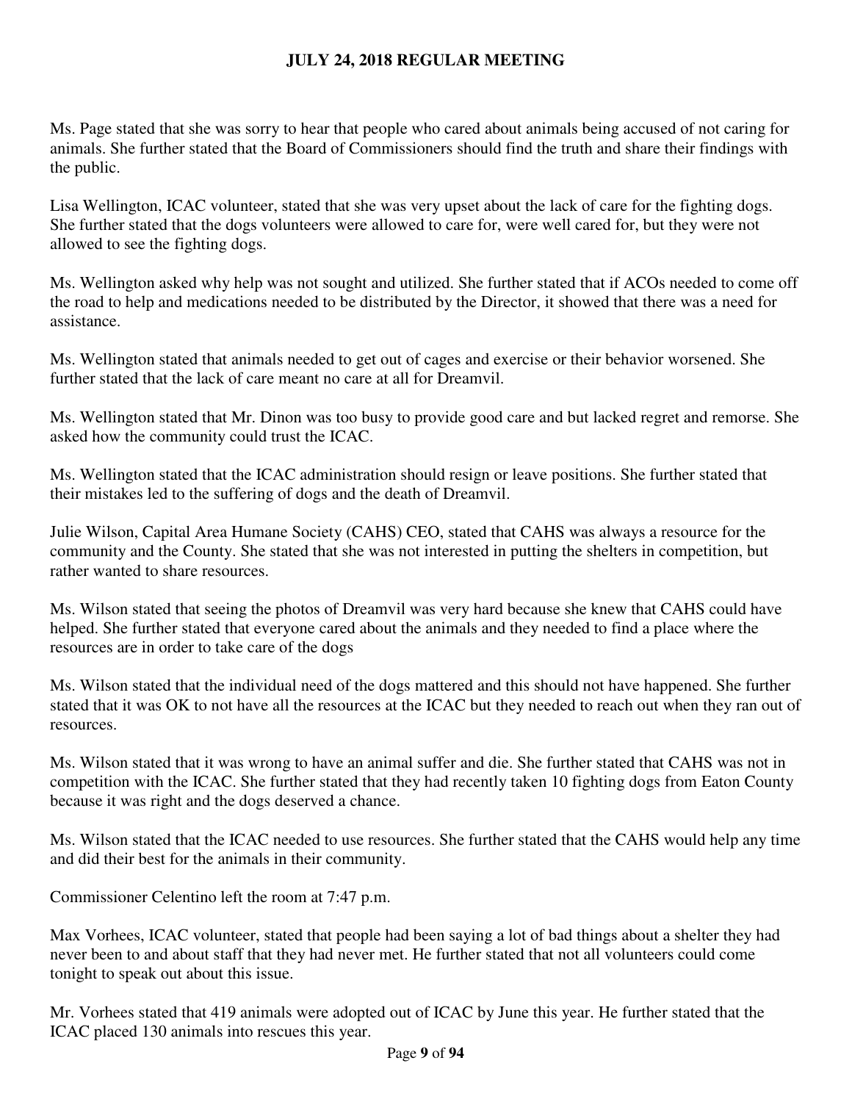Ms. Page stated that she was sorry to hear that people who cared about animals being accused of not caring for animals. She further stated that the Board of Commissioners should find the truth and share their findings with the public.

Lisa Wellington, ICAC volunteer, stated that she was very upset about the lack of care for the fighting dogs. She further stated that the dogs volunteers were allowed to care for, were well cared for, but they were not allowed to see the fighting dogs.

Ms. Wellington asked why help was not sought and utilized. She further stated that if ACOs needed to come off the road to help and medications needed to be distributed by the Director, it showed that there was a need for assistance.

Ms. Wellington stated that animals needed to get out of cages and exercise or their behavior worsened. She further stated that the lack of care meant no care at all for Dreamvil.

Ms. Wellington stated that Mr. Dinon was too busy to provide good care and but lacked regret and remorse. She asked how the community could trust the ICAC.

Ms. Wellington stated that the ICAC administration should resign or leave positions. She further stated that their mistakes led to the suffering of dogs and the death of Dreamvil.

Julie Wilson, Capital Area Humane Society (CAHS) CEO, stated that CAHS was always a resource for the community and the County. She stated that she was not interested in putting the shelters in competition, but rather wanted to share resources.

Ms. Wilson stated that seeing the photos of Dreamvil was very hard because she knew that CAHS could have helped. She further stated that everyone cared about the animals and they needed to find a place where the resources are in order to take care of the dogs

Ms. Wilson stated that the individual need of the dogs mattered and this should not have happened. She further stated that it was OK to not have all the resources at the ICAC but they needed to reach out when they ran out of resources.

Ms. Wilson stated that it was wrong to have an animal suffer and die. She further stated that CAHS was not in competition with the ICAC. She further stated that they had recently taken 10 fighting dogs from Eaton County because it was right and the dogs deserved a chance.

Ms. Wilson stated that the ICAC needed to use resources. She further stated that the CAHS would help any time and did their best for the animals in their community.

Commissioner Celentino left the room at 7:47 p.m.

Max Vorhees, ICAC volunteer, stated that people had been saying a lot of bad things about a shelter they had never been to and about staff that they had never met. He further stated that not all volunteers could come tonight to speak out about this issue.

Mr. Vorhees stated that 419 animals were adopted out of ICAC by June this year. He further stated that the ICAC placed 130 animals into rescues this year.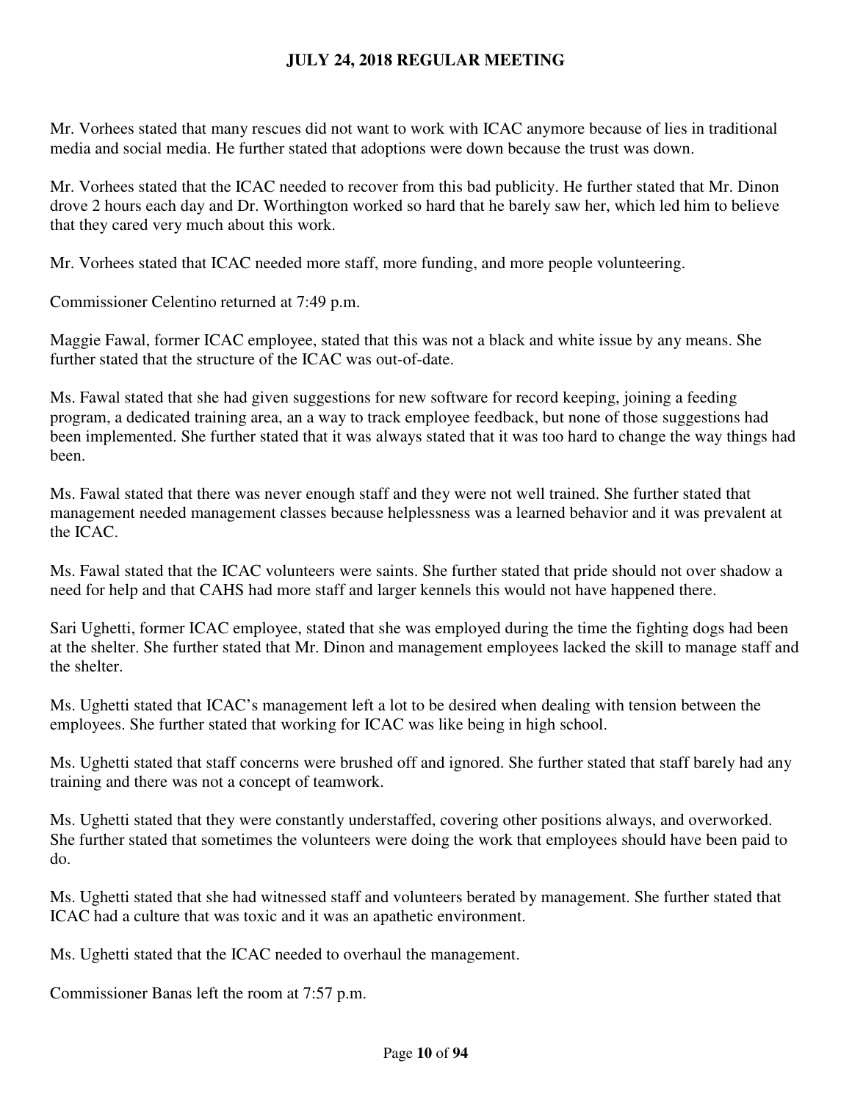Mr. Vorhees stated that many rescues did not want to work with ICAC anymore because of lies in traditional media and social media. He further stated that adoptions were down because the trust was down.

Mr. Vorhees stated that the ICAC needed to recover from this bad publicity. He further stated that Mr. Dinon drove 2 hours each day and Dr. Worthington worked so hard that he barely saw her, which led him to believe that they cared very much about this work.

Mr. Vorhees stated that ICAC needed more staff, more funding, and more people volunteering.

Commissioner Celentino returned at 7:49 p.m.

Maggie Fawal, former ICAC employee, stated that this was not a black and white issue by any means. She further stated that the structure of the ICAC was out-of-date.

Ms. Fawal stated that she had given suggestions for new software for record keeping, joining a feeding program, a dedicated training area, an a way to track employee feedback, but none of those suggestions had been implemented. She further stated that it was always stated that it was too hard to change the way things had been.

Ms. Fawal stated that there was never enough staff and they were not well trained. She further stated that management needed management classes because helplessness was a learned behavior and it was prevalent at the ICAC.

Ms. Fawal stated that the ICAC volunteers were saints. She further stated that pride should not over shadow a need for help and that CAHS had more staff and larger kennels this would not have happened there.

Sari Ughetti, former ICAC employee, stated that she was employed during the time the fighting dogs had been at the shelter. She further stated that Mr. Dinon and management employees lacked the skill to manage staff and the shelter.

Ms. Ughetti stated that ICAC's management left a lot to be desired when dealing with tension between the employees. She further stated that working for ICAC was like being in high school.

Ms. Ughetti stated that staff concerns were brushed off and ignored. She further stated that staff barely had any training and there was not a concept of teamwork.

Ms. Ughetti stated that they were constantly understaffed, covering other positions always, and overworked. She further stated that sometimes the volunteers were doing the work that employees should have been paid to do.

Ms. Ughetti stated that she had witnessed staff and volunteers berated by management. She further stated that ICAC had a culture that was toxic and it was an apathetic environment.

Ms. Ughetti stated that the ICAC needed to overhaul the management.

Commissioner Banas left the room at 7:57 p.m.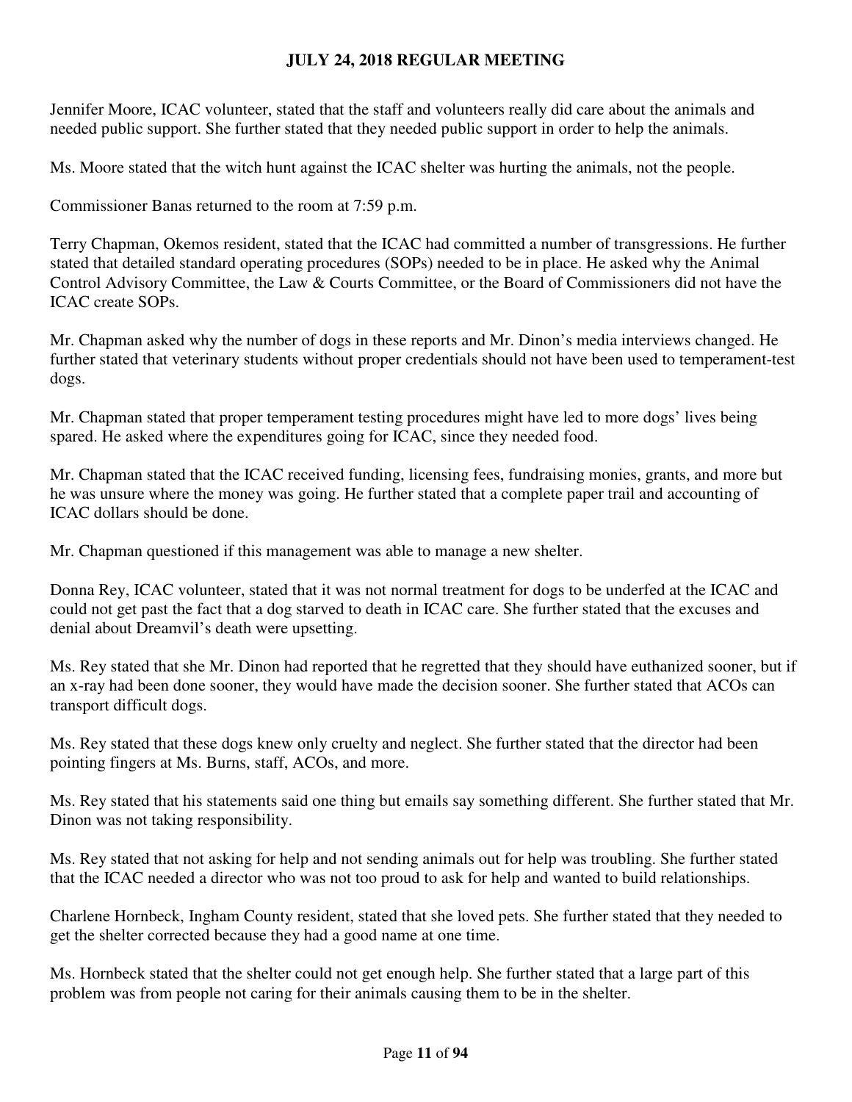Jennifer Moore, ICAC volunteer, stated that the staff and volunteers really did care about the animals and needed public support. She further stated that they needed public support in order to help the animals.

Ms. Moore stated that the witch hunt against the ICAC shelter was hurting the animals, not the people.

Commissioner Banas returned to the room at 7:59 p.m.

Terry Chapman, Okemos resident, stated that the ICAC had committed a number of transgressions. He further stated that detailed standard operating procedures (SOPs) needed to be in place. He asked why the Animal Control Advisory Committee, the Law & Courts Committee, or the Board of Commissioners did not have the ICAC create SOPs.

Mr. Chapman asked why the number of dogs in these reports and Mr. Dinon's media interviews changed. He further stated that veterinary students without proper credentials should not have been used to temperament-test dogs.

Mr. Chapman stated that proper temperament testing procedures might have led to more dogs' lives being spared. He asked where the expenditures going for ICAC, since they needed food.

Mr. Chapman stated that the ICAC received funding, licensing fees, fundraising monies, grants, and more but he was unsure where the money was going. He further stated that a complete paper trail and accounting of ICAC dollars should be done.

Mr. Chapman questioned if this management was able to manage a new shelter.

Donna Rey, ICAC volunteer, stated that it was not normal treatment for dogs to be underfed at the ICAC and could not get past the fact that a dog starved to death in ICAC care. She further stated that the excuses and denial about Dreamvil's death were upsetting.

Ms. Rey stated that she Mr. Dinon had reported that he regretted that they should have euthanized sooner, but if an x-ray had been done sooner, they would have made the decision sooner. She further stated that ACOs can transport difficult dogs.

Ms. Rey stated that these dogs knew only cruelty and neglect. She further stated that the director had been pointing fingers at Ms. Burns, staff, ACOs, and more.

Ms. Rey stated that his statements said one thing but emails say something different. She further stated that Mr. Dinon was not taking responsibility.

Ms. Rey stated that not asking for help and not sending animals out for help was troubling. She further stated that the ICAC needed a director who was not too proud to ask for help and wanted to build relationships.

Charlene Hornbeck, Ingham County resident, stated that she loved pets. She further stated that they needed to get the shelter corrected because they had a good name at one time.

Ms. Hornbeck stated that the shelter could not get enough help. She further stated that a large part of this problem was from people not caring for their animals causing them to be in the shelter.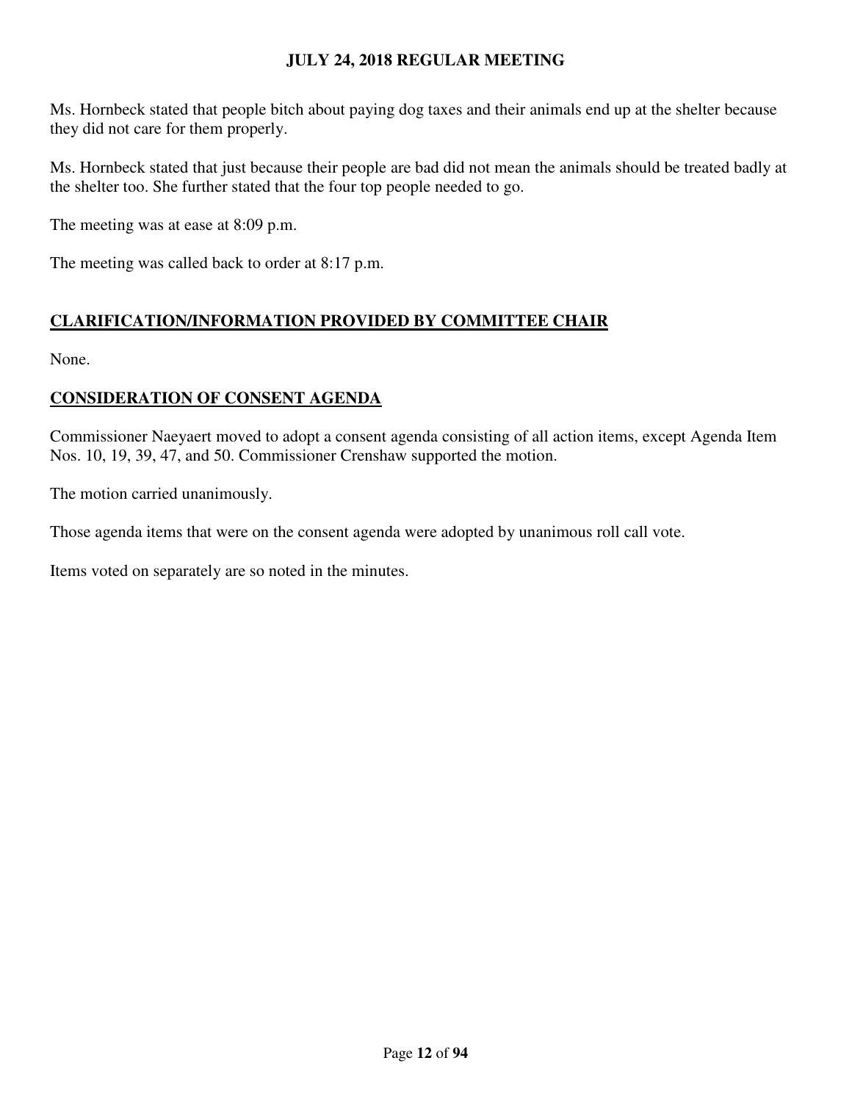Ms. Hornbeck stated that people bitch about paying dog taxes and their animals end up at the shelter because they did not care for them properly.

Ms. Hornbeck stated that just because their people are bad did not mean the animals should be treated badly at the shelter too. She further stated that the four top people needed to go.

The meeting was at ease at 8:09 p.m.

The meeting was called back to order at 8:17 p.m.

# **CLARIFICATION/INFORMATION PROVIDED BY COMMITTEE CHAIR**

None.

## **CONSIDERATION OF CONSENT AGENDA**

Commissioner Naeyaert moved to adopt a consent agenda consisting of all action items, except Agenda Item Nos. 10, 19, 39, 47, and 50. Commissioner Crenshaw supported the motion.

The motion carried unanimously.

Those agenda items that were on the consent agenda were adopted by unanimous roll call vote.

Items voted on separately are so noted in the minutes.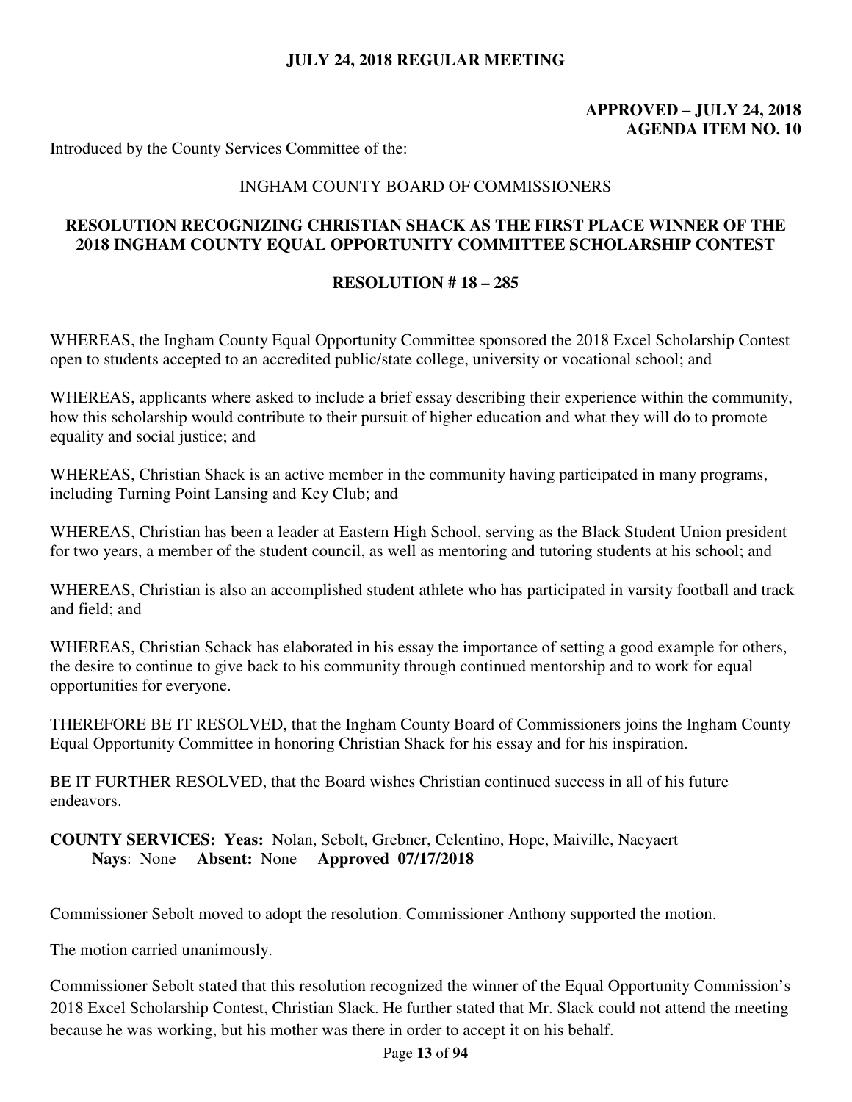# **APPROVED – JULY 24, 2018 AGENDA ITEM NO. 10**

Introduced by the County Services Committee of the:

#### INGHAM COUNTY BOARD OF COMMISSIONERS

### **RESOLUTION RECOGNIZING CHRISTIAN SHACK AS THE FIRST PLACE WINNER OF THE 2018 INGHAM COUNTY EQUAL OPPORTUNITY COMMITTEE SCHOLARSHIP CONTEST**

#### **RESOLUTION # 18 – 285**

WHEREAS, the Ingham County Equal Opportunity Committee sponsored the 2018 Excel Scholarship Contest open to students accepted to an accredited public/state college, university or vocational school; and

WHEREAS, applicants where asked to include a brief essay describing their experience within the community, how this scholarship would contribute to their pursuit of higher education and what they will do to promote equality and social justice; and

WHEREAS, Christian Shack is an active member in the community having participated in many programs, including Turning Point Lansing and Key Club; and

WHEREAS, Christian has been a leader at Eastern High School, serving as the Black Student Union president for two years, a member of the student council, as well as mentoring and tutoring students at his school; and

WHEREAS, Christian is also an accomplished student athlete who has participated in varsity football and track and field; and

WHEREAS, Christian Schack has elaborated in his essay the importance of setting a good example for others, the desire to continue to give back to his community through continued mentorship and to work for equal opportunities for everyone.

THEREFORE BE IT RESOLVED, that the Ingham County Board of Commissioners joins the Ingham County Equal Opportunity Committee in honoring Christian Shack for his essay and for his inspiration.

BE IT FURTHER RESOLVED, that the Board wishes Christian continued success in all of his future endeavors.

**COUNTY SERVICES: Yeas:** Nolan, Sebolt, Grebner, Celentino, Hope, Maiville, Naeyaert **Nays**: None **Absent:** None **Approved 07/17/2018** 

Commissioner Sebolt moved to adopt the resolution. Commissioner Anthony supported the motion.

The motion carried unanimously.

Commissioner Sebolt stated that this resolution recognized the winner of the Equal Opportunity Commission's 2018 Excel Scholarship Contest, Christian Slack. He further stated that Mr. Slack could not attend the meeting because he was working, but his mother was there in order to accept it on his behalf.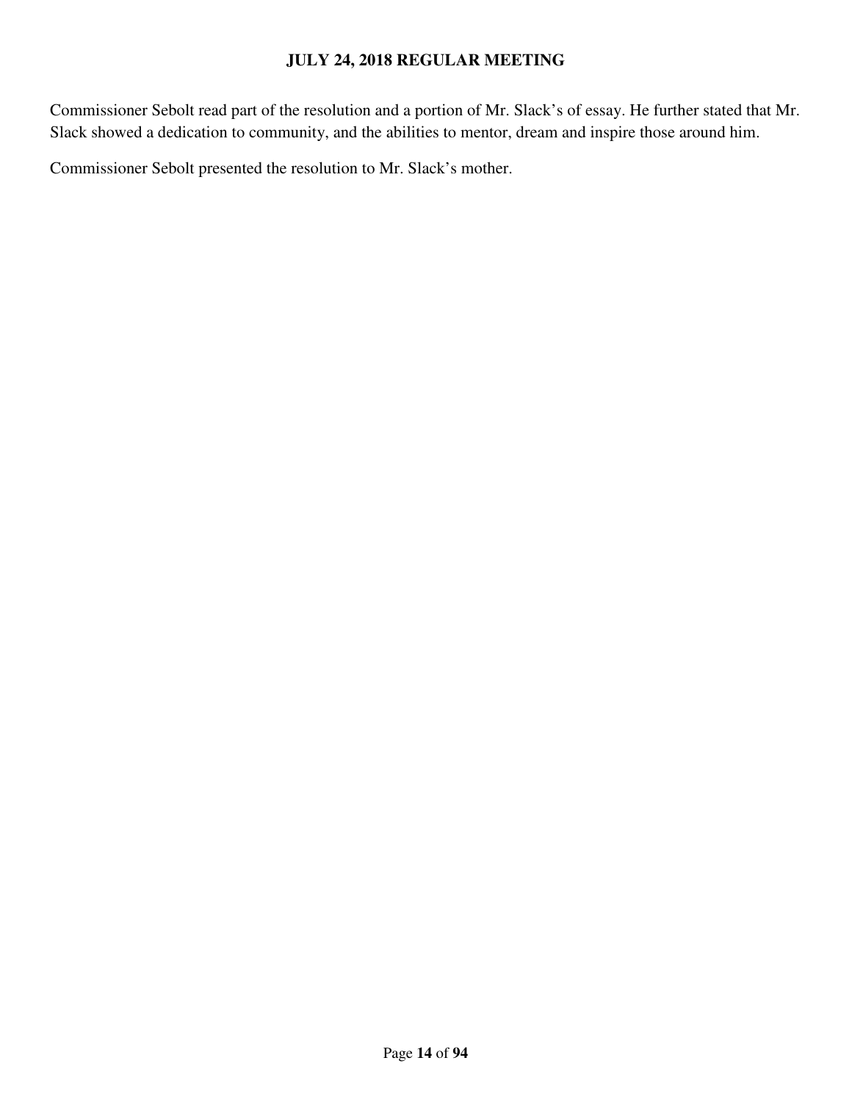Commissioner Sebolt read part of the resolution and a portion of Mr. Slack's of essay. He further stated that Mr. Slack showed a dedication to community, and the abilities to mentor, dream and inspire those around him.

Commissioner Sebolt presented the resolution to Mr. Slack's mother.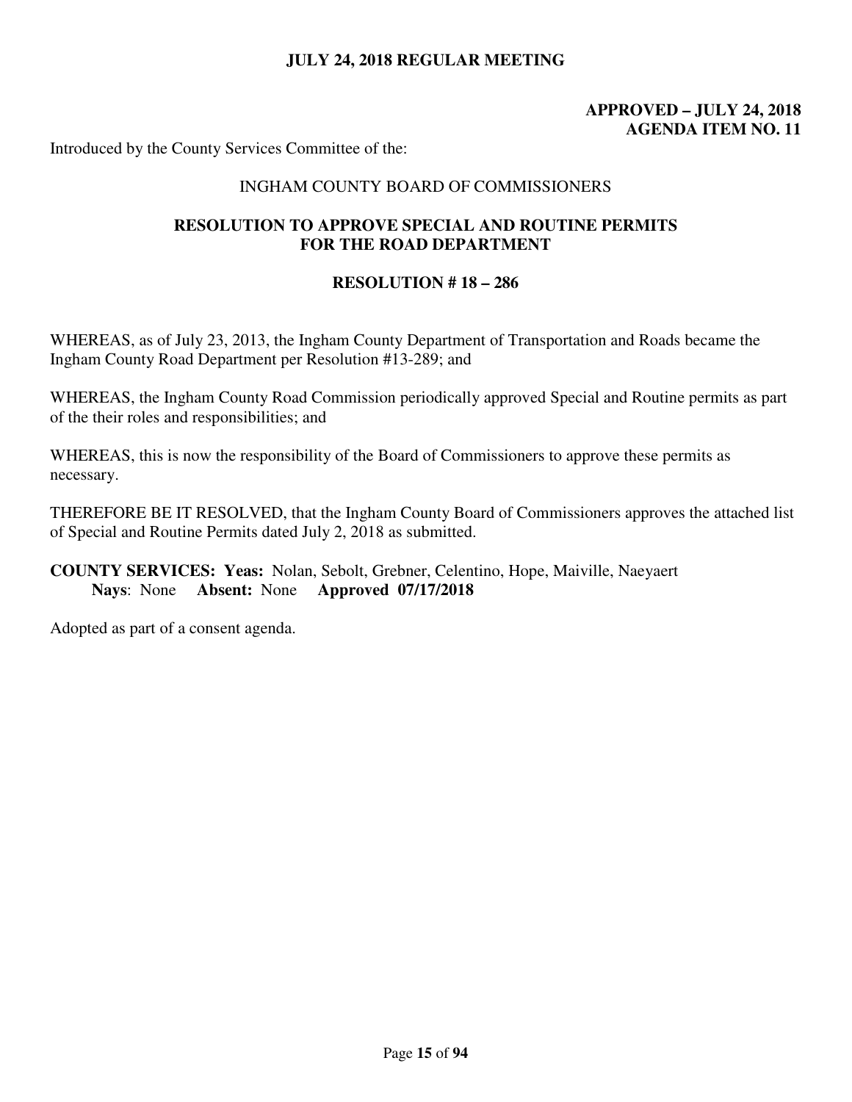# **APPROVED – JULY 24, 2018 AGENDA ITEM NO. 11**

Introduced by the County Services Committee of the:

#### INGHAM COUNTY BOARD OF COMMISSIONERS

## **RESOLUTION TO APPROVE SPECIAL AND ROUTINE PERMITS FOR THE ROAD DEPARTMENT**

#### **RESOLUTION # 18 – 286**

WHEREAS, as of July 23, 2013, the Ingham County Department of Transportation and Roads became the Ingham County Road Department per Resolution #13-289; and

WHEREAS, the Ingham County Road Commission periodically approved Special and Routine permits as part of the their roles and responsibilities; and

WHEREAS, this is now the responsibility of the Board of Commissioners to approve these permits as necessary.

THEREFORE BE IT RESOLVED, that the Ingham County Board of Commissioners approves the attached list of Special and Routine Permits dated July 2, 2018 as submitted.

## **COUNTY SERVICES: Yeas:** Nolan, Sebolt, Grebner, Celentino, Hope, Maiville, Naeyaert **Nays**: None **Absent:** None **Approved 07/17/2018**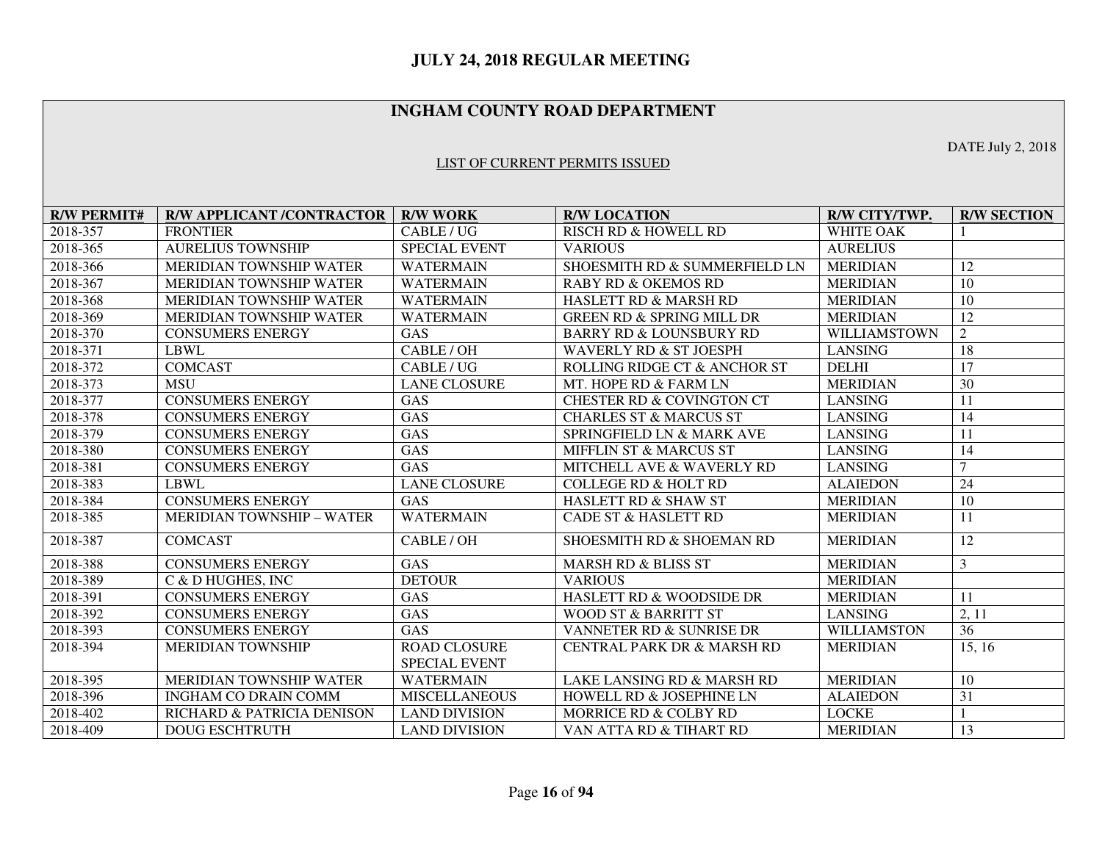## **INGHAM COUNTY ROAD DEPARTMENT**

#### LIST OF CURRENT PERMITS ISSUED

**R/W PERMIT# R/W APPLICANT /CONTRACTOR R/W WORK R/W LOCATION R/W CITY/TWP. R/W SECTION** 2018-357 FRONTIER CABLE/UG RISCH RD & HOWELL RD WHITE OAK 1 2018-365 AURELIUS TOWNSHIP SPECIAL EVENT VARIOUS AURELIUS **MERIDIAN** 2018-366 MERIDIAN TOWNSHIP WATER WATERMAIN SHOESMITH RD & SUMMERFIELD LN MERIDIAN 12  $\overline{10}$ 2018-367 MERIDIAN TOWNSHIP WATER WATERMAIN RABY RD & OKEMOS RD MERIDIAN  $\overline{10}$ 2018-368 MERIDIAN TOWNSHIP WATER WATERMAIN HASLETT RD & MARSH RD MERIDIAN  $\overline{12}$ 2018-369 MERIDIAN TOWNSHIP WATER WATERMAIN GREEN RD & SPRING MILL DR MERIDIAN 2018-370 CONSUMERS ENERGY GAS BARRY RD & LOUNSBURY RD WILLIAMSTOWN 2  $\overline{18}$ 2018-371 LBWL CABLE/OH WAVERLY RD & ST JOESPH LANSING 2018-372 COMCAST CABLE / UG ROLLING RIDGE CT & ANCHOR ST DELHI 17  $\overline{30}$ 2018-373 MSU LANE CLOSURE MT. HOPE RD & FARM LN MERIDIAN 2018-377 CONSUMERS ENERGY GAS CHESTER RD & COVINGTON CT LANSING 11  $\overline{14}$ 2018-378 CONSUMERS ENERGY GAS CHARLES ST & MARCUS ST LANSING 2018-379 CONSUMERS ENERGY GAS SPRINGFIELD LN & MARK AVE LANSING 11  $\overline{14}$ 2018-380 CONSUMERS ENERGY GAS MIFFLIN ST & MARCUS ST LANSING 2018-381 CONSUMERS ENERGY GAS MITCHELL AVE & WAVERLY RD LANSING 7  $\overline{24}$ 2018-383 LBWL LANE CLOSURE COLLEGE RD & HOLT RD ALAIEDON  $\overline{10}$ 2018-384 CONSUMERS ENERGY GAS HASLETT RD & SHAW ST MERIDIAN  $\overline{11}$ 2018-385 MERIDIAN TOWNSHIP – WATER WATERMAIN CADE ST & HASLETT RD MERIDIAN 2018-387 COMCAST CABLE / OH SHOESMITH RD & SHOEMAN RD MERIDIAN 12 2018-388 CONSUMERS ENERGY GAS MARSH RD & BLISS ST MERIDIAN 3 2018-389 C & D HUGHES, INC DETOUR VARIOUS MERIDIAN 2018-391 CONSUMERS ENERGY GAS HASLETT RD & WOODSIDE DR MERIDIAN 11 2, 11 2018-392 CONSUMERS ENERGY GAS WOOD ST & BARRITT ST LANSING 2018-393 CONSUMERS ENERGY GAS VANNETER RD & SUNRISE DR WILLIAMSTON 36 15.16 2018-394 MERIDIAN TOWNSHIP ROAD CLOSURE SPECIAL EVENT CENTRAL PARK DR & MARSH RD MERIDIAN 2018-395 MERIDIAN TOWNSHIP WATER WATERMAIN LAKE LANSING RD & MARSH RD MERIDIAN 10 2018-396 INGHAM CO DRAIN COMM MISCELLANEOUS HOWELL RD & JOSEPHINE LN ALAIEDON 31 2018-402 RICHARD & PATRICIA DENISON LAND DIVISION MORRICE RD & COLBY RD LOCKE 1 2018-409 DOUG ESCHTRUTH LAND DIVISION VAN ATTA RD & TIHART RD MERIDIAN 13

DATE July 2, 2018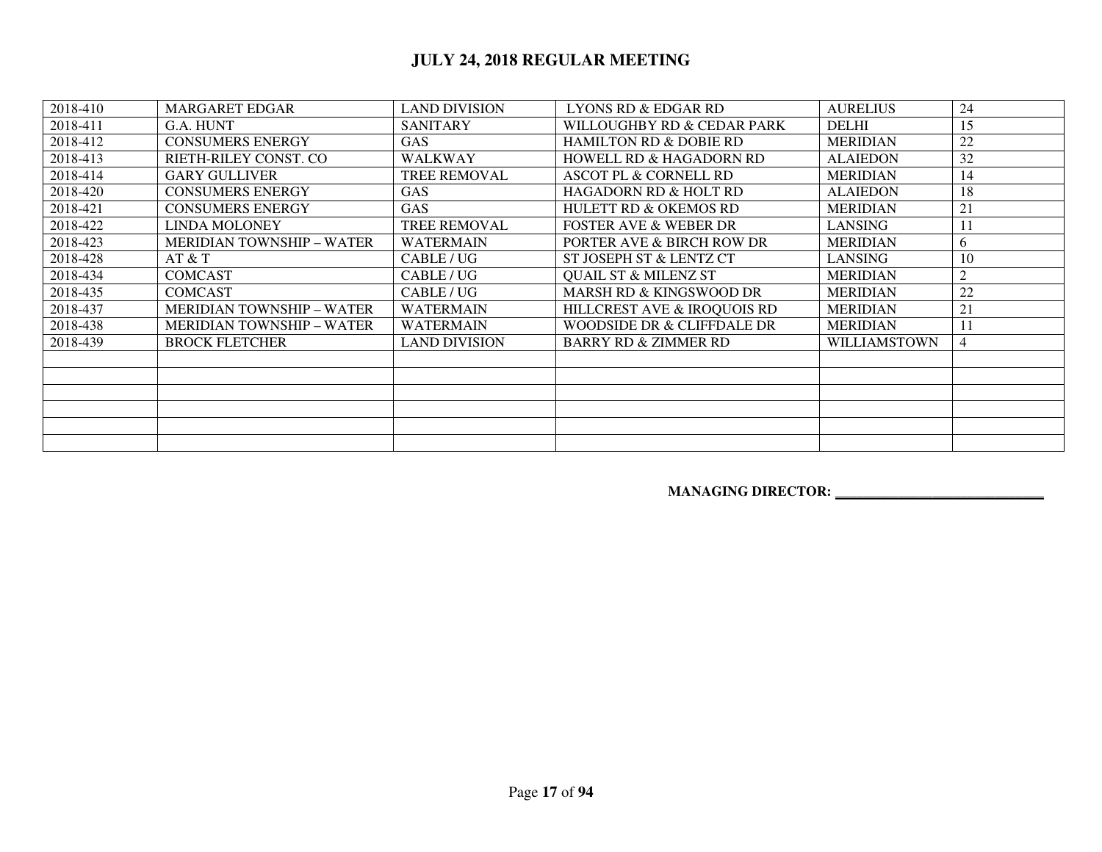| 2018-410 | <b>MARGARET EDGAR</b>            | <b>LAND DIVISION</b> | <b>LYONS RD &amp; EDGAR RD</b>     | <b>AURELIUS</b>     | 24             |
|----------|----------------------------------|----------------------|------------------------------------|---------------------|----------------|
| 2018-411 | G.A. HUNT                        | <b>SANITARY</b>      | WILLOUGHBY RD & CEDAR PARK         | <b>DELHI</b>        | 15             |
| 2018-412 | <b>CONSUMERS ENERGY</b>          | <b>GAS</b>           | <b>HAMILTON RD &amp; DOBIE RD</b>  | <b>MERIDIAN</b>     | 22             |
| 2018-413 | RIETH-RILEY CONST. CO            | <b>WALKWAY</b>       | <b>HOWELL RD &amp; HAGADORN RD</b> | <b>ALAIEDON</b>     | 32             |
| 2018-414 | <b>GARY GULLIVER</b>             | TREE REMOVAL         | ASCOT PL & CORNELL RD              | <b>MERIDIAN</b>     | 14             |
| 2018-420 | <b>CONSUMERS ENERGY</b>          | <b>GAS</b>           | <b>HAGADORN RD &amp; HOLT RD</b>   | <b>ALAIEDON</b>     | 18             |
| 2018-421 | <b>CONSUMERS ENERGY</b>          | <b>GAS</b>           | <b>HULETT RD &amp; OKEMOS RD</b>   | <b>MERIDIAN</b>     | 21             |
| 2018-422 | <b>LINDA MOLONEY</b>             | <b>TREE REMOVAL</b>  | <b>FOSTER AVE &amp; WEBER DR</b>   | <b>LANSING</b>      | 11             |
| 2018-423 | <b>MERIDIAN TOWNSHIP – WATER</b> | <b>WATERMAIN</b>     | PORTER AVE & BIRCH ROW DR          | <b>MERIDIAN</b>     | 6              |
| 2018-428 | AT & T                           | CABLE/UG             | ST JOSEPH ST & LENTZ CT            | <b>LANSING</b>      | 10             |
| 2018-434 | <b>COMCAST</b>                   | CABLE/UG             | <b>QUAIL ST &amp; MILENZ ST</b>    | <b>MERIDIAN</b>     | $\overline{2}$ |
| 2018-435 | <b>COMCAST</b>                   | CABLE/UG             | <b>MARSH RD &amp; KINGSWOOD DR</b> | <b>MERIDIAN</b>     | 22             |
| 2018-437 | <b>MERIDIAN TOWNSHIP - WATER</b> | <b>WATERMAIN</b>     | HILLCREST AVE & IROQUOIS RD        | <b>MERIDIAN</b>     | 21             |
| 2018-438 | <b>MERIDIAN TOWNSHIP – WATER</b> | <b>WATERMAIN</b>     | WOODSIDE DR & CLIFFDALE DR         | <b>MERIDIAN</b>     | 11             |
| 2018-439 | <b>BROCK FLETCHER</b>            | <b>LAND DIVISION</b> | <b>BARRY RD &amp; ZIMMER RD</b>    | <b>WILLIAMSTOWN</b> | 4              |
|          |                                  |                      |                                    |                     |                |
|          |                                  |                      |                                    |                     |                |
|          |                                  |                      |                                    |                     |                |
|          |                                  |                      |                                    |                     |                |
|          |                                  |                      |                                    |                     |                |
|          |                                  |                      |                                    |                     |                |

 **MANAGING DIRECTOR: \_\_\_\_\_\_\_\_\_\_\_\_\_\_\_\_\_\_\_\_\_\_\_\_\_\_\_\_\_\_**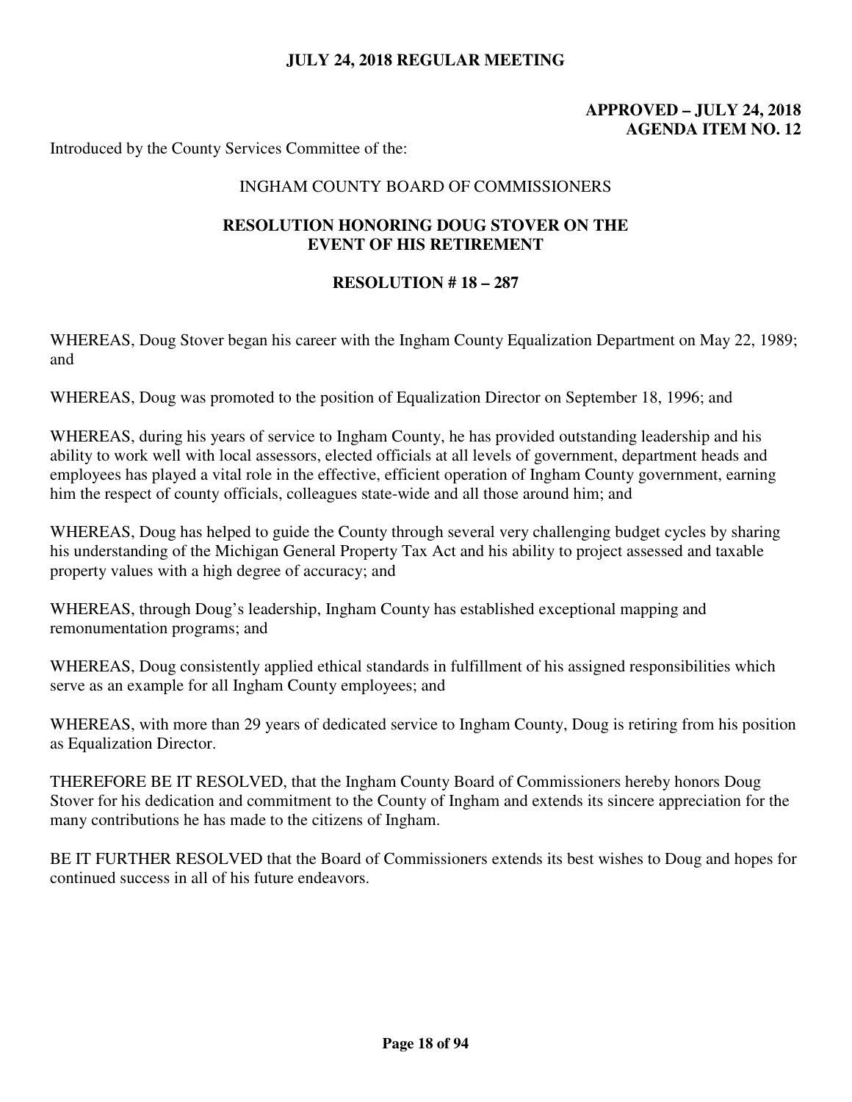# **APPROVED – JULY 24, 2018 AGENDA ITEM NO. 12**

Introduced by the County Services Committee of the:

#### INGHAM COUNTY BOARD OF COMMISSIONERS

## **RESOLUTION HONORING DOUG STOVER ON THE EVENT OF HIS RETIREMENT**

#### **RESOLUTION # 18 – 287**

WHEREAS, Doug Stover began his career with the Ingham County Equalization Department on May 22, 1989; and

WHEREAS, Doug was promoted to the position of Equalization Director on September 18, 1996; and

WHEREAS, during his years of service to Ingham County, he has provided outstanding leadership and his ability to work well with local assessors, elected officials at all levels of government, department heads and employees has played a vital role in the effective, efficient operation of Ingham County government, earning him the respect of county officials, colleagues state-wide and all those around him; and

WHEREAS, Doug has helped to guide the County through several very challenging budget cycles by sharing his understanding of the Michigan General Property Tax Act and his ability to project assessed and taxable property values with a high degree of accuracy; and

WHEREAS, through Doug's leadership, Ingham County has established exceptional mapping and remonumentation programs; and

WHEREAS, Doug consistently applied ethical standards in fulfillment of his assigned responsibilities which serve as an example for all Ingham County employees; and

WHEREAS, with more than 29 years of dedicated service to Ingham County, Doug is retiring from his position as Equalization Director.

THEREFORE BE IT RESOLVED, that the Ingham County Board of Commissioners hereby honors Doug Stover for his dedication and commitment to the County of Ingham and extends its sincere appreciation for the many contributions he has made to the citizens of Ingham.

BE IT FURTHER RESOLVED that the Board of Commissioners extends its best wishes to Doug and hopes for continued success in all of his future endeavors.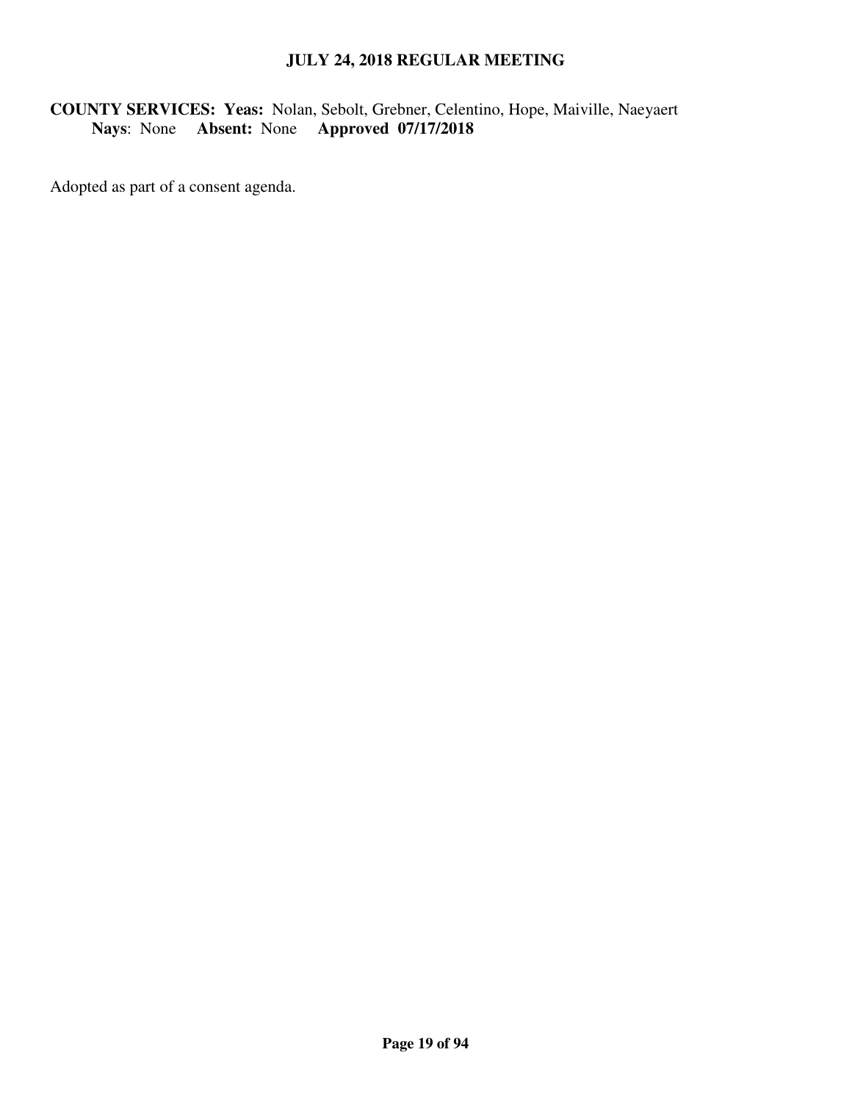# **COUNTY SERVICES: Yeas:** Nolan, Sebolt, Grebner, Celentino, Hope, Maiville, Naeyaert **Nays**: None **Absent:** None **Approved 07/17/2018**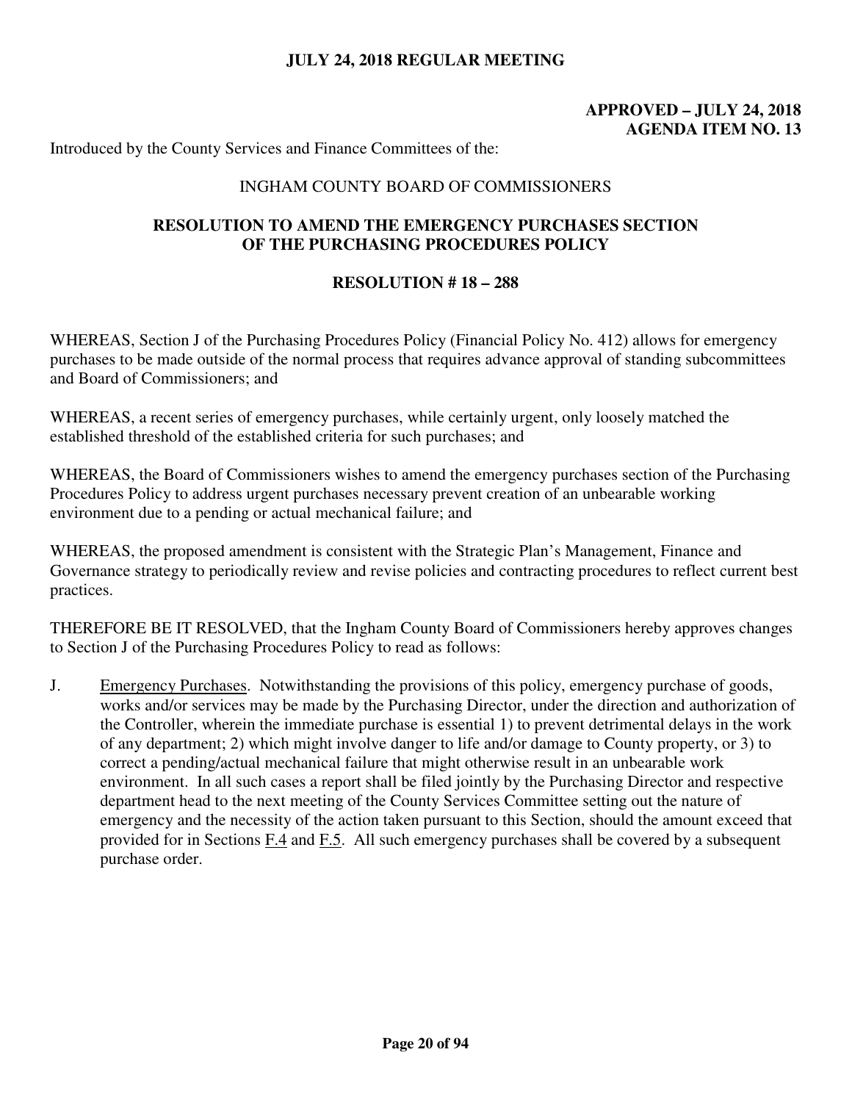# **APPROVED – JULY 24, 2018 AGENDA ITEM NO. 13**

Introduced by the County Services and Finance Committees of the:

#### INGHAM COUNTY BOARD OF COMMISSIONERS

### **RESOLUTION TO AMEND THE EMERGENCY PURCHASES SECTION OF THE PURCHASING PROCEDURES POLICY**

#### **RESOLUTION # 18 – 288**

WHEREAS, Section J of the Purchasing Procedures Policy (Financial Policy No. 412) allows for emergency purchases to be made outside of the normal process that requires advance approval of standing subcommittees and Board of Commissioners; and

WHEREAS, a recent series of emergency purchases, while certainly urgent, only loosely matched the established threshold of the established criteria for such purchases; and

WHEREAS, the Board of Commissioners wishes to amend the emergency purchases section of the Purchasing Procedures Policy to address urgent purchases necessary prevent creation of an unbearable working environment due to a pending or actual mechanical failure; and

WHEREAS, the proposed amendment is consistent with the Strategic Plan's Management, Finance and Governance strategy to periodically review and revise policies and contracting procedures to reflect current best practices.

THEREFORE BE IT RESOLVED, that the Ingham County Board of Commissioners hereby approves changes to Section J of the Purchasing Procedures Policy to read as follows:

J. Emergency Purchases. Notwithstanding the provisions of this policy, emergency purchase of goods, works and/or services may be made by the Purchasing Director, under the direction and authorization of the Controller, wherein the immediate purchase is essential 1) to prevent detrimental delays in the work of any department; 2) which might involve danger to life and/or damage to County property, or 3) to correct a pending/actual mechanical failure that might otherwise result in an unbearable work environment. In all such cases a report shall be filed jointly by the Purchasing Director and respective department head to the next meeting of the County Services Committee setting out the nature of emergency and the necessity of the action taken pursuant to this Section, should the amount exceed that provided for in Sections F.4 and F.5. All such emergency purchases shall be covered by a subsequent purchase order.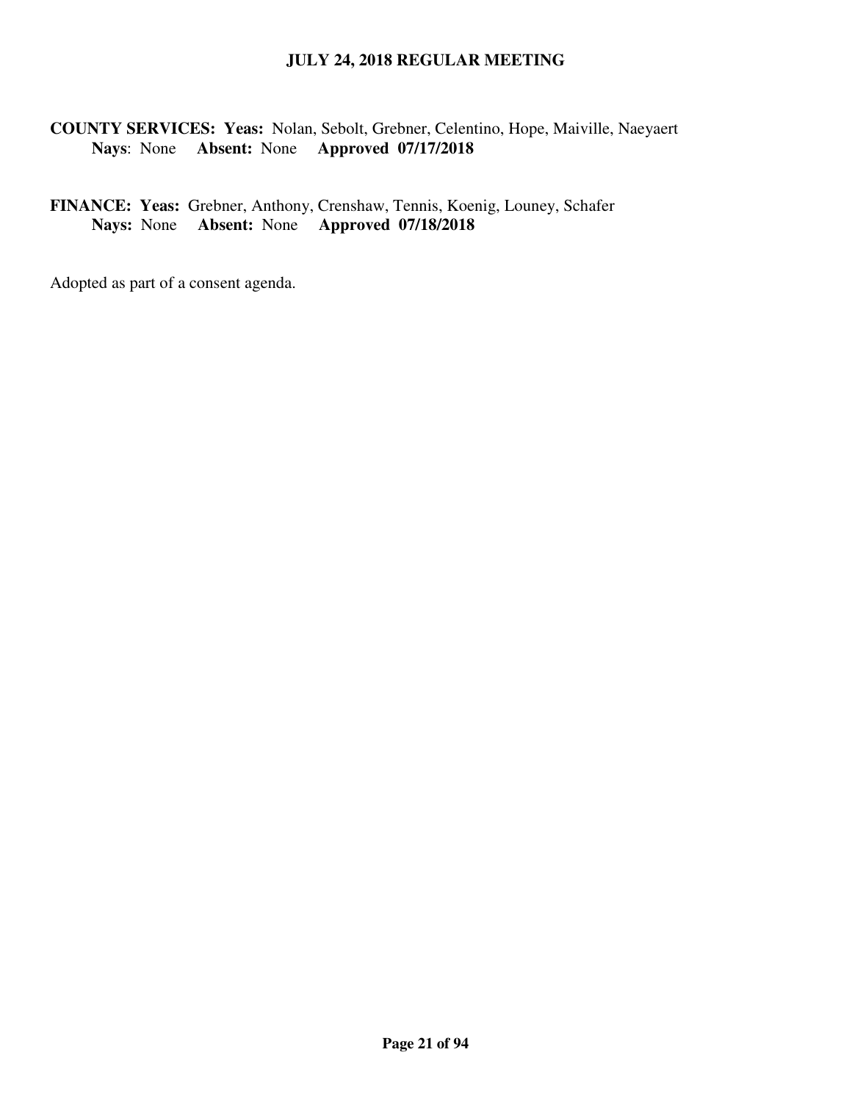## **COUNTY SERVICES: Yeas:** Nolan, Sebolt, Grebner, Celentino, Hope, Maiville, Naeyaert **Nays**: None **Absent:** None **Approved 07/17/2018**

# **FINANCE: Yeas:** Grebner, Anthony, Crenshaw, Tennis, Koenig, Louney, Schafer **Nays:** None **Absent:** None **Approved 07/18/2018**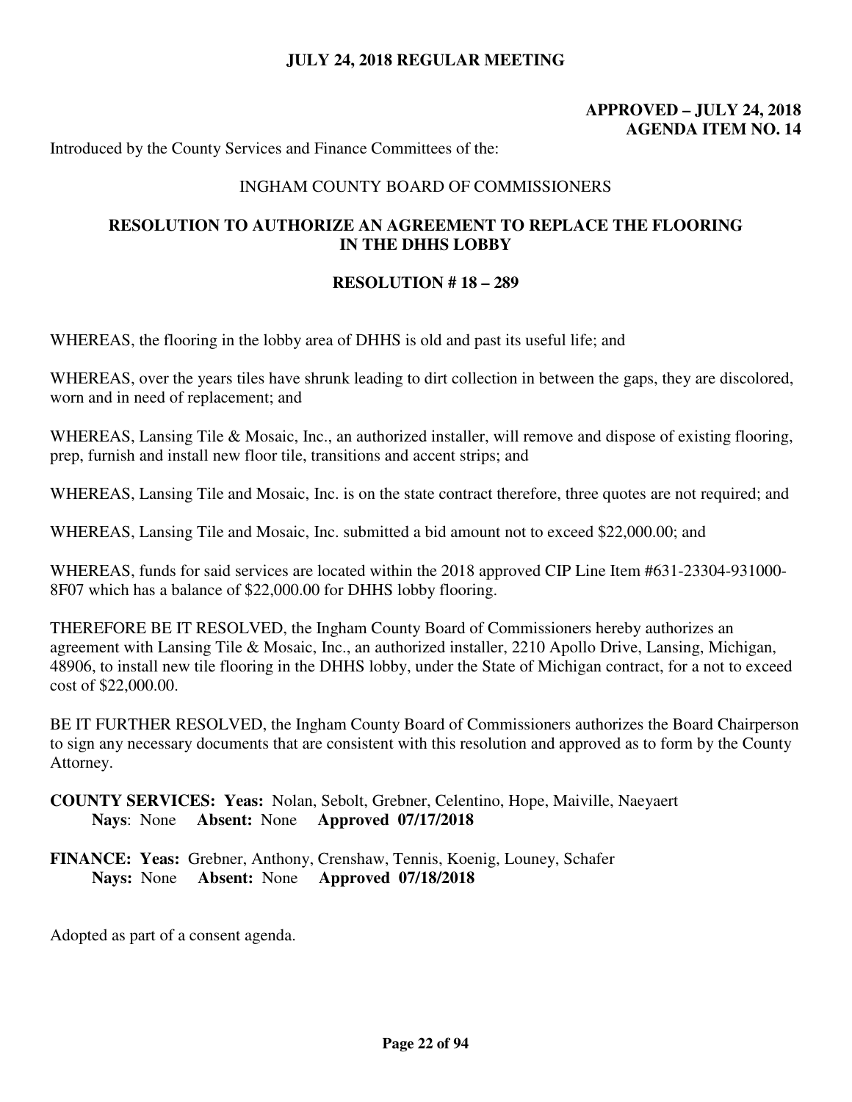# **APPROVED – JULY 24, 2018 AGENDA ITEM NO. 14**

Introduced by the County Services and Finance Committees of the:

#### INGHAM COUNTY BOARD OF COMMISSIONERS

### **RESOLUTION TO AUTHORIZE AN AGREEMENT TO REPLACE THE FLOORING IN THE DHHS LOBBY**

#### **RESOLUTION # 18 – 289**

WHEREAS, the flooring in the lobby area of DHHS is old and past its useful life; and

WHEREAS, over the years tiles have shrunk leading to dirt collection in between the gaps, they are discolored, worn and in need of replacement; and

WHEREAS, Lansing Tile & Mosaic, Inc., an authorized installer, will remove and dispose of existing flooring, prep, furnish and install new floor tile, transitions and accent strips; and

WHEREAS, Lansing Tile and Mosaic, Inc. is on the state contract therefore, three quotes are not required; and

WHEREAS, Lansing Tile and Mosaic, Inc. submitted a bid amount not to exceed \$22,000.00; and

WHEREAS, funds for said services are located within the 2018 approved CIP Line Item #631-23304-931000- 8F07 which has a balance of \$22,000.00 for DHHS lobby flooring.

THEREFORE BE IT RESOLVED, the Ingham County Board of Commissioners hereby authorizes an agreement with Lansing Tile & Mosaic, Inc., an authorized installer, 2210 Apollo Drive, Lansing, Michigan, 48906, to install new tile flooring in the DHHS lobby, under the State of Michigan contract, for a not to exceed cost of \$22,000.00.

BE IT FURTHER RESOLVED, the Ingham County Board of Commissioners authorizes the Board Chairperson to sign any necessary documents that are consistent with this resolution and approved as to form by the County Attorney.

**COUNTY SERVICES: Yeas:** Nolan, Sebolt, Grebner, Celentino, Hope, Maiville, Naeyaert **Nays**: None **Absent:** None **Approved 07/17/2018** 

**FINANCE: Yeas:** Grebner, Anthony, Crenshaw, Tennis, Koenig, Louney, Schafer **Nays:** None **Absent:** None **Approved 07/18/2018**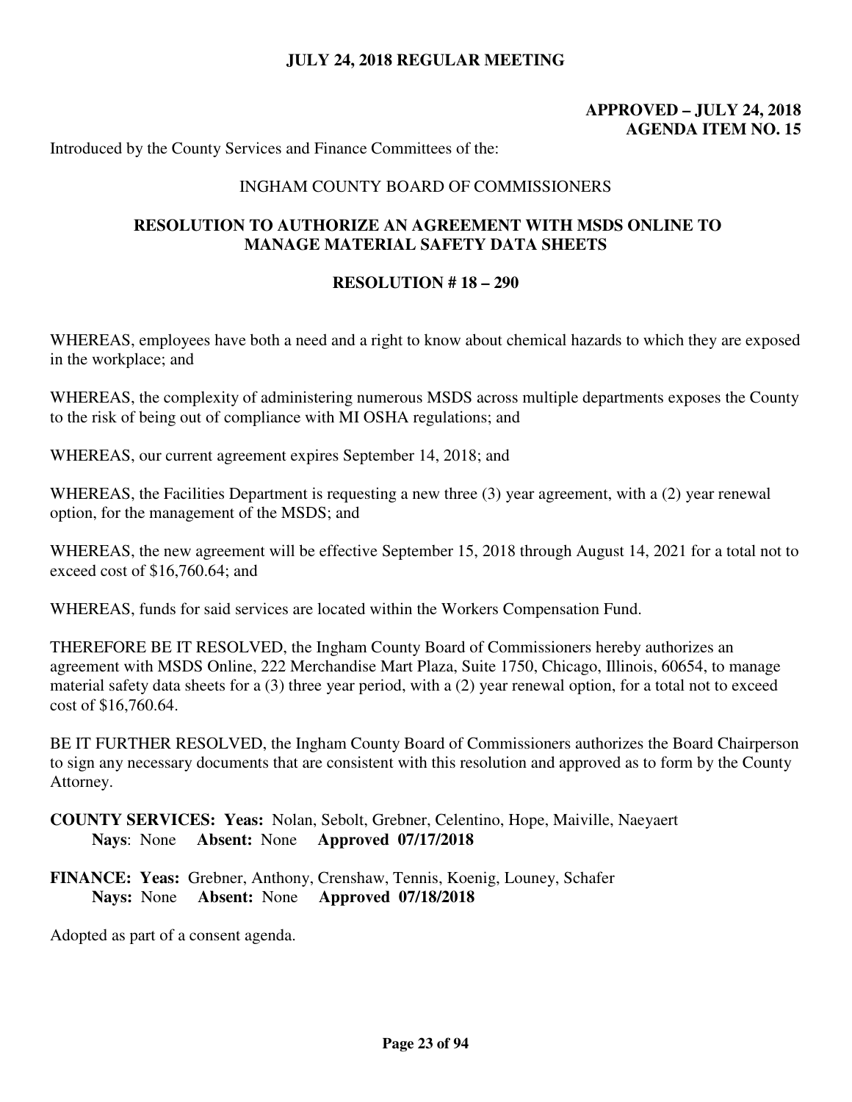# **APPROVED – JULY 24, 2018 AGENDA ITEM NO. 15**

Introduced by the County Services and Finance Committees of the:

#### INGHAM COUNTY BOARD OF COMMISSIONERS

### **RESOLUTION TO AUTHORIZE AN AGREEMENT WITH MSDS ONLINE TO MANAGE MATERIAL SAFETY DATA SHEETS**

#### **RESOLUTION # 18 – 290**

WHEREAS, employees have both a need and a right to know about chemical hazards to which they are exposed in the workplace; and

WHEREAS, the complexity of administering numerous MSDS across multiple departments exposes the County to the risk of being out of compliance with MI OSHA regulations; and

WHEREAS, our current agreement expires September 14, 2018; and

WHEREAS, the Facilities Department is requesting a new three (3) year agreement, with a (2) year renewal option, for the management of the MSDS; and

WHEREAS, the new agreement will be effective September 15, 2018 through August 14, 2021 for a total not to exceed cost of \$16,760.64; and

WHEREAS, funds for said services are located within the Workers Compensation Fund.

THEREFORE BE IT RESOLVED, the Ingham County Board of Commissioners hereby authorizes an agreement with MSDS Online, 222 Merchandise Mart Plaza, Suite 1750, Chicago, Illinois, 60654, to manage material safety data sheets for a (3) three year period, with a (2) year renewal option, for a total not to exceed cost of \$16,760.64.

BE IT FURTHER RESOLVED, the Ingham County Board of Commissioners authorizes the Board Chairperson to sign any necessary documents that are consistent with this resolution and approved as to form by the County Attorney.

## **COUNTY SERVICES: Yeas:** Nolan, Sebolt, Grebner, Celentino, Hope, Maiville, Naeyaert **Nays**: None **Absent:** None **Approved 07/17/2018**

**FINANCE: Yeas:** Grebner, Anthony, Crenshaw, Tennis, Koenig, Louney, Schafer **Nays:** None **Absent:** None **Approved 07/18/2018**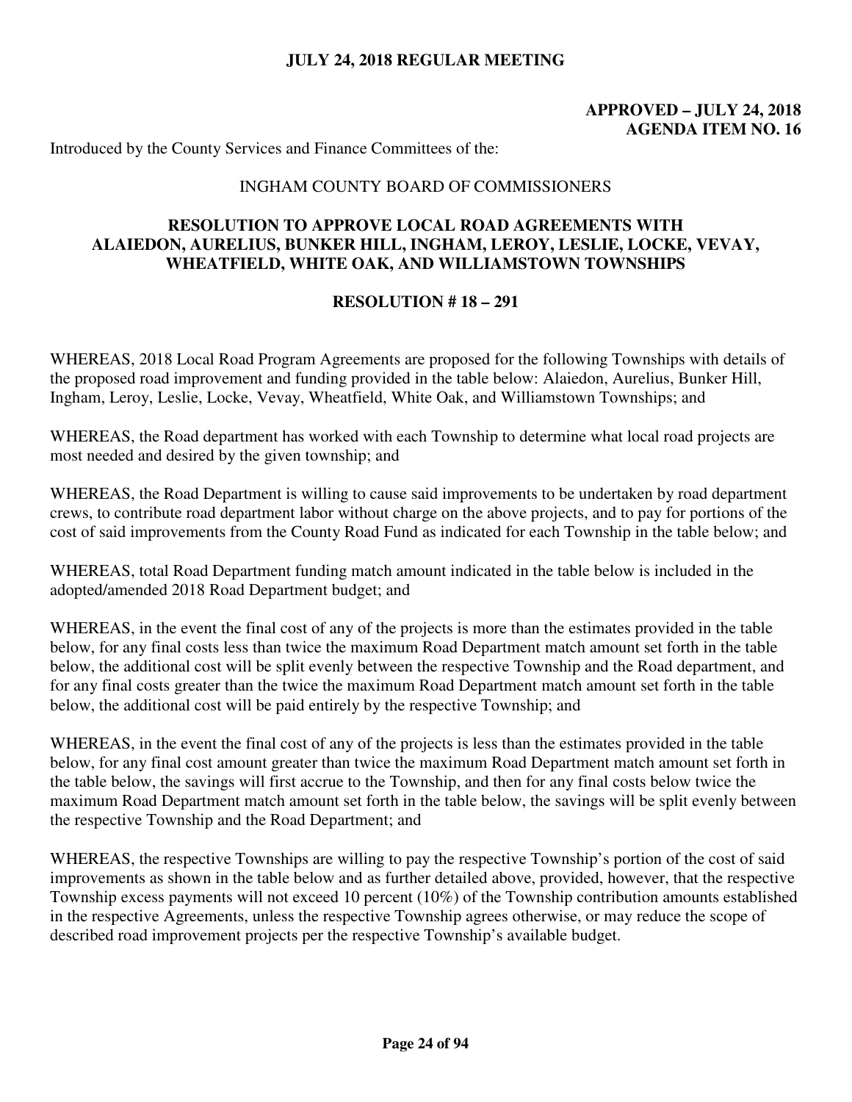# **APPROVED – JULY 24, 2018 AGENDA ITEM NO. 16**

Introduced by the County Services and Finance Committees of the:

#### INGHAM COUNTY BOARD OF COMMISSIONERS

### **RESOLUTION TO APPROVE LOCAL ROAD AGREEMENTS WITH ALAIEDON, AURELIUS, BUNKER HILL, INGHAM, LEROY, LESLIE, LOCKE, VEVAY, WHEATFIELD, WHITE OAK, AND WILLIAMSTOWN TOWNSHIPS**

#### **RESOLUTION # 18 – 291**

WHEREAS, 2018 Local Road Program Agreements are proposed for the following Townships with details of the proposed road improvement and funding provided in the table below: Alaiedon, Aurelius, Bunker Hill, Ingham, Leroy, Leslie, Locke, Vevay, Wheatfield, White Oak, and Williamstown Townships; and

WHEREAS, the Road department has worked with each Township to determine what local road projects are most needed and desired by the given township; and

WHEREAS, the Road Department is willing to cause said improvements to be undertaken by road department crews, to contribute road department labor without charge on the above projects, and to pay for portions of the cost of said improvements from the County Road Fund as indicated for each Township in the table below; and

WHEREAS, total Road Department funding match amount indicated in the table below is included in the adopted/amended 2018 Road Department budget; and

WHEREAS, in the event the final cost of any of the projects is more than the estimates provided in the table below, for any final costs less than twice the maximum Road Department match amount set forth in the table below, the additional cost will be split evenly between the respective Township and the Road department, and for any final costs greater than the twice the maximum Road Department match amount set forth in the table below, the additional cost will be paid entirely by the respective Township; and

WHEREAS, in the event the final cost of any of the projects is less than the estimates provided in the table below, for any final cost amount greater than twice the maximum Road Department match amount set forth in the table below, the savings will first accrue to the Township, and then for any final costs below twice the maximum Road Department match amount set forth in the table below, the savings will be split evenly between the respective Township and the Road Department; and

WHEREAS, the respective Townships are willing to pay the respective Township's portion of the cost of said improvements as shown in the table below and as further detailed above, provided, however, that the respective Township excess payments will not exceed 10 percent (10%) of the Township contribution amounts established in the respective Agreements, unless the respective Township agrees otherwise, or may reduce the scope of described road improvement projects per the respective Township's available budget.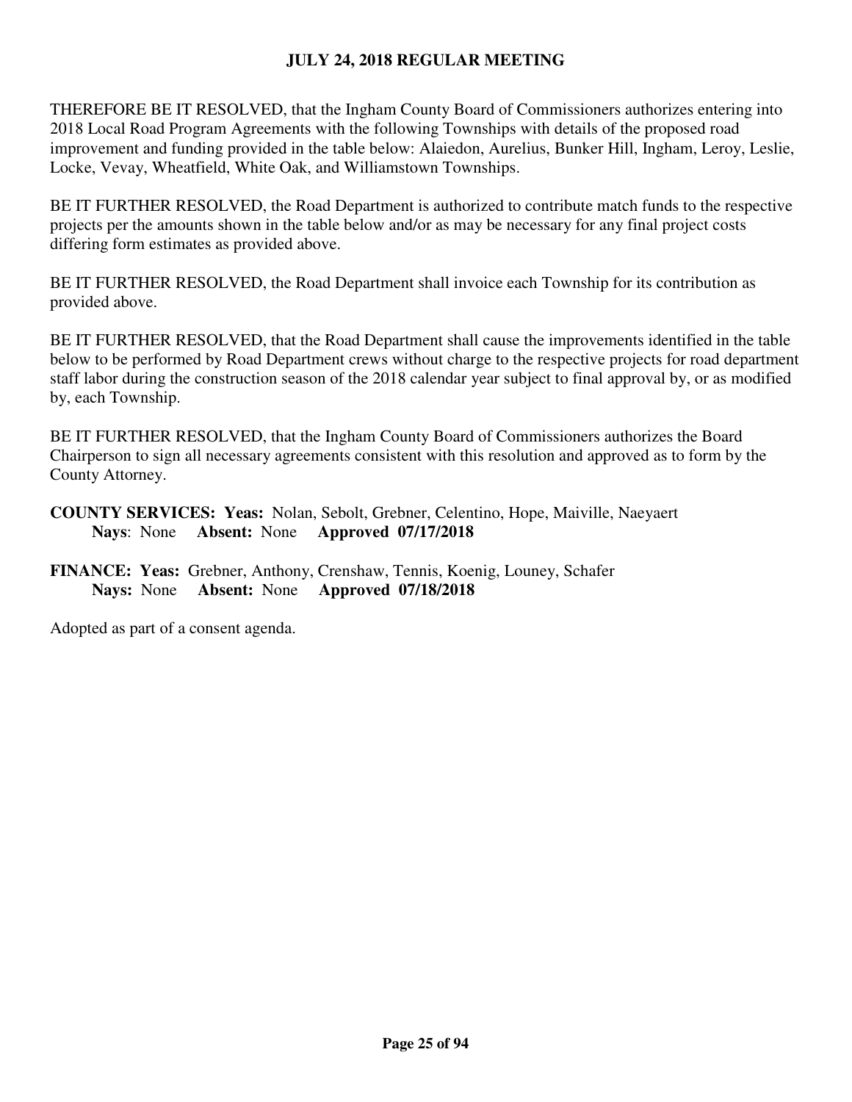THEREFORE BE IT RESOLVED, that the Ingham County Board of Commissioners authorizes entering into 2018 Local Road Program Agreements with the following Townships with details of the proposed road improvement and funding provided in the table below: Alaiedon, Aurelius, Bunker Hill, Ingham, Leroy, Leslie, Locke, Vevay, Wheatfield, White Oak, and Williamstown Townships.

BE IT FURTHER RESOLVED, the Road Department is authorized to contribute match funds to the respective projects per the amounts shown in the table below and/or as may be necessary for any final project costs differing form estimates as provided above.

BE IT FURTHER RESOLVED, the Road Department shall invoice each Township for its contribution as provided above.

BE IT FURTHER RESOLVED, that the Road Department shall cause the improvements identified in the table below to be performed by Road Department crews without charge to the respective projects for road department staff labor during the construction season of the 2018 calendar year subject to final approval by, or as modified by, each Township.

BE IT FURTHER RESOLVED, that the Ingham County Board of Commissioners authorizes the Board Chairperson to sign all necessary agreements consistent with this resolution and approved as to form by the County Attorney.

- **COUNTY SERVICES: Yeas:** Nolan, Sebolt, Grebner, Celentino, Hope, Maiville, Naeyaert **Nays**: None **Absent:** None **Approved 07/17/2018**
- **FINANCE: Yeas:** Grebner, Anthony, Crenshaw, Tennis, Koenig, Louney, Schafer **Nays:** None **Absent:** None **Approved 07/18/2018**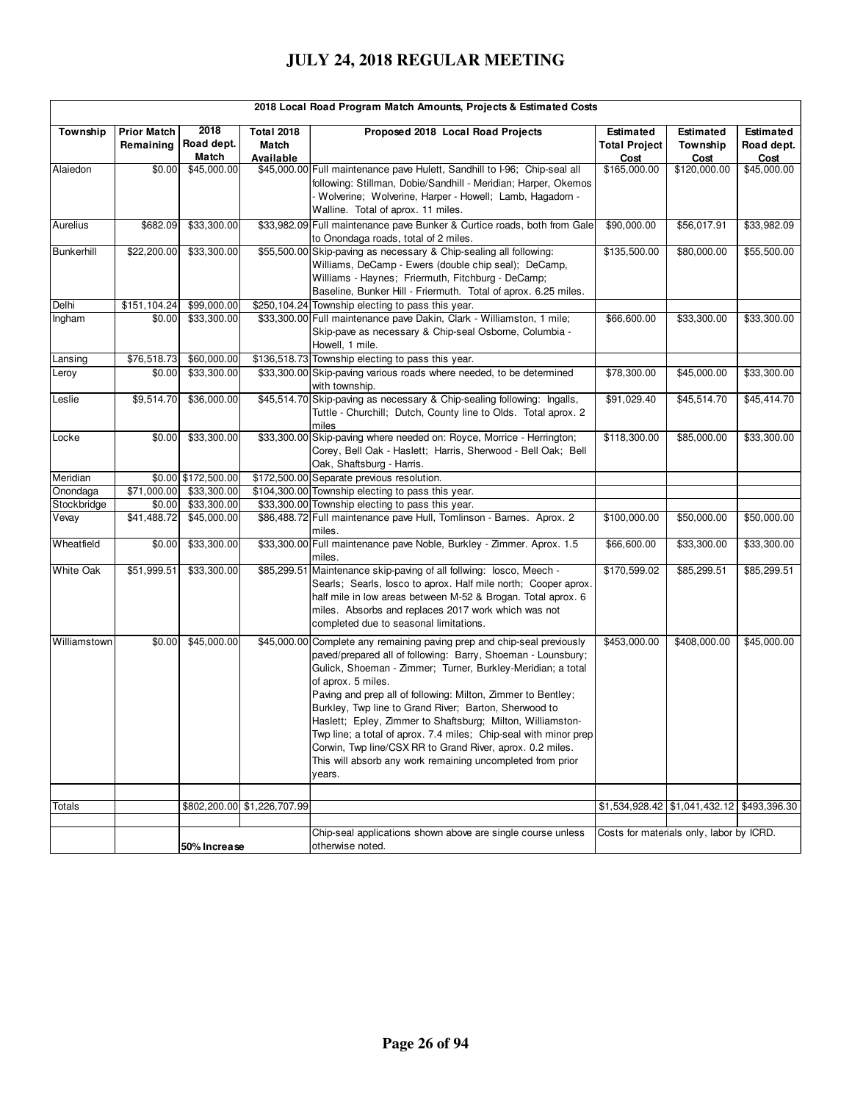| 2018 Local Road Program Match Amounts, Projects & Estimated Costs |                        |                                         |                                         |                                                                                                                                                                                                                                                                                                                                                                                                                                                                                                                                                                                                                              |                                           |                                               |                                 |  |  |  |
|-------------------------------------------------------------------|------------------------|-----------------------------------------|-----------------------------------------|------------------------------------------------------------------------------------------------------------------------------------------------------------------------------------------------------------------------------------------------------------------------------------------------------------------------------------------------------------------------------------------------------------------------------------------------------------------------------------------------------------------------------------------------------------------------------------------------------------------------------|-------------------------------------------|-----------------------------------------------|---------------------------------|--|--|--|
| Township                                                          | <b>Prior Match</b>     | 2018<br>Remaining   Road dept.<br>Match | <b>Total 2018</b><br>Match<br>Available | Proposed 2018 Local Road Projects                                                                                                                                                                                                                                                                                                                                                                                                                                                                                                                                                                                            | Estimated<br><b>Total Project</b><br>Cost | Estimated<br>Township<br>Cost                 | Estimated<br>Road dept.<br>Cost |  |  |  |
| Alaiedon                                                          | \$0.00                 | \$45,000.00                             |                                         | \$45,000.00 Full maintenance pave Hulett, Sandhill to I-96; Chip-seal all<br>following: Stillman, Dobie/Sandhill - Meridian; Harper, Okemos<br>- Wolverine; Wolverine, Harper - Howell; Lamb, Hagadorn -<br>Walline. Total of aprox. 11 miles.                                                                                                                                                                                                                                                                                                                                                                               | \$165,000.00                              | \$120,000.00                                  | $\sqrt{$45,000.00}$             |  |  |  |
| Aurelius                                                          | \$682.09               | \$33,300.00                             |                                         | \$33,982.09 Full maintenance pave Bunker & Curtice roads, both from Gale<br>to Onondaga roads, total of 2 miles.                                                                                                                                                                                                                                                                                                                                                                                                                                                                                                             | \$90,000.00                               | \$56,017.91                                   | \$33,982.09                     |  |  |  |
| Bunkerhill                                                        | \$22,200.00            | \$33,300.00                             |                                         | \$55,500.00 Skip-paving as necessary & Chip-sealing all following:<br>Williams, DeCamp - Ewers (double chip seal); DeCamp,<br>Williams - Haynes: Friermuth, Fitchburg - DeCamp;<br>Baseline, Bunker Hill - Friermuth. Total of aprox. 6.25 miles.                                                                                                                                                                                                                                                                                                                                                                            | \$135,500.00                              | \$80,000.00                                   | \$55,500.00                     |  |  |  |
| Delhi<br>Ingham                                                   | \$151,104.24<br>\$0.00 | \$99,000.00<br>\$33,300.00              |                                         | \$250,104.24 Township electing to pass this year.<br>\$33,300.00 Full maintenance pave Dakin, Clark - Williamston, 1 mile;<br>Skip-pave as necessary & Chip-seal Osborne, Columbia -<br>Howell, 1 mile.                                                                                                                                                                                                                                                                                                                                                                                                                      | \$66,600.00                               | \$33,300.00                                   | \$33,300.00                     |  |  |  |
| Lansing                                                           | \$76,518.73            | \$60,000.00                             |                                         | \$136,518.73 Township electing to pass this year.                                                                                                                                                                                                                                                                                                                                                                                                                                                                                                                                                                            |                                           |                                               |                                 |  |  |  |
| Leroy                                                             | \$0.00                 | \$33,300.00                             |                                         | \$33,300.00 Skip-paving various roads where needed, to be determined<br>with township.                                                                                                                                                                                                                                                                                                                                                                                                                                                                                                                                       | \$78,300.00                               | \$45,000.00                                   | \$33,300.00                     |  |  |  |
| Leslie                                                            | \$9,514.70             | \$36,000.00                             |                                         | \$45,514.70 Skip-paving as necessary & Chip-sealing following: Ingalls,<br>Tuttle - Churchill; Dutch, County line to Olds. Total aprox. 2<br>miles                                                                                                                                                                                                                                                                                                                                                                                                                                                                           | \$91,029.40                               | \$45,514.70                                   | \$45,414.70                     |  |  |  |
| Locke                                                             | \$0.00                 | \$33,300.00                             |                                         | \$33,300.00 Skip-paving where needed on: Royce, Morrice - Herrington;<br>Corey, Bell Oak - Haslett; Harris, Sherwood - Bell Oak; Bell<br>Oak, Shaftsburg - Harris.                                                                                                                                                                                                                                                                                                                                                                                                                                                           | \$118,300.00                              | \$85,000.00                                   | \$33,300.00                     |  |  |  |
| Meridian                                                          |                        | \$0.00 \$172,500.00                     |                                         | \$172,500.00 Separate previous resolution.                                                                                                                                                                                                                                                                                                                                                                                                                                                                                                                                                                                   |                                           |                                               |                                 |  |  |  |
| Onondaga                                                          | \$71,000.00            | \$33,300.00                             |                                         | \$104,300.00 Township electing to pass this year.                                                                                                                                                                                                                                                                                                                                                                                                                                                                                                                                                                            |                                           |                                               |                                 |  |  |  |
| Stockbridge                                                       | \$0.00                 | \$33,300.00                             |                                         | \$33,300.00 Township electing to pass this year.                                                                                                                                                                                                                                                                                                                                                                                                                                                                                                                                                                             |                                           |                                               |                                 |  |  |  |
| Vevay                                                             | \$41,488.72            | \$45,000.00                             |                                         | \$86,488.72 Full maintenance pave Hull, Tomlinson - Barnes. Aprox. 2<br>miles.                                                                                                                                                                                                                                                                                                                                                                                                                                                                                                                                               | \$100,000.00                              | \$50,000.00                                   | \$50,000.00                     |  |  |  |
| Wheatfield                                                        | \$0.00                 | \$33,300.00                             |                                         | \$33,300.00 Full maintenance pave Noble, Burkley - Zimmer. Aprox. 1.5<br>miles.                                                                                                                                                                                                                                                                                                                                                                                                                                                                                                                                              | \$66,600.00                               | \$33,300.00                                   | \$33,300.00                     |  |  |  |
| <b>White Oak</b>                                                  | \$51,999.51            | \$33,300.00                             | \$85,299.51                             | Maintenance skip-paving of all follwing: losco, Meech -<br>Searls; Searls, losco to aprox. Half mile north; Cooper aprox.<br>half mile in low areas between M-52 & Brogan. Total aprox. 6<br>miles. Absorbs and replaces 2017 work which was not<br>completed due to seasonal limitations.                                                                                                                                                                                                                                                                                                                                   | \$170,599.02                              | \$85,299.51                                   | \$85,299.51                     |  |  |  |
| Williamstown                                                      | \$0.00                 | \$45,000.00                             |                                         | \$45,000.00 Complete any remaining paving prep and chip-seal previously<br>paved/prepared all of following: Barry, Shoeman - Lounsbury;<br>Gulick, Shoeman - Zimmer; Turner, Burkley-Meridian; a total<br>of aprox. 5 miles.<br>Paving and prep all of following: Milton, Zimmer to Bentley;<br>Burkley, Twp line to Grand River; Barton, Sherwood to<br>Haslett; Epley, Zimmer to Shaftsburg; Milton, Williamston-<br>Twp line; a total of aprox. 7.4 miles; Chip-seal with minor prep<br>Corwin, Twp line/CSX RR to Grand River, aprox. 0.2 miles.<br>This will absorb any work remaining uncompleted from prior<br>years. | \$453,000.00                              | \$408,000.00                                  | \$45,000.00                     |  |  |  |
| Totals                                                            |                        |                                         | \$802,200.00 \$1,226,707.99             |                                                                                                                                                                                                                                                                                                                                                                                                                                                                                                                                                                                                                              |                                           | $$1,534,928.42$ $$1,041,432.12$ $$493,396.30$ |                                 |  |  |  |
|                                                                   |                        |                                         |                                         |                                                                                                                                                                                                                                                                                                                                                                                                                                                                                                                                                                                                                              |                                           |                                               |                                 |  |  |  |
|                                                                   |                        | 50% Increase                            |                                         | Chip-seal applications shown above are single course unless<br>otherwise noted.                                                                                                                                                                                                                                                                                                                                                                                                                                                                                                                                              | Costs for materials only, labor by ICRD.  |                                               |                                 |  |  |  |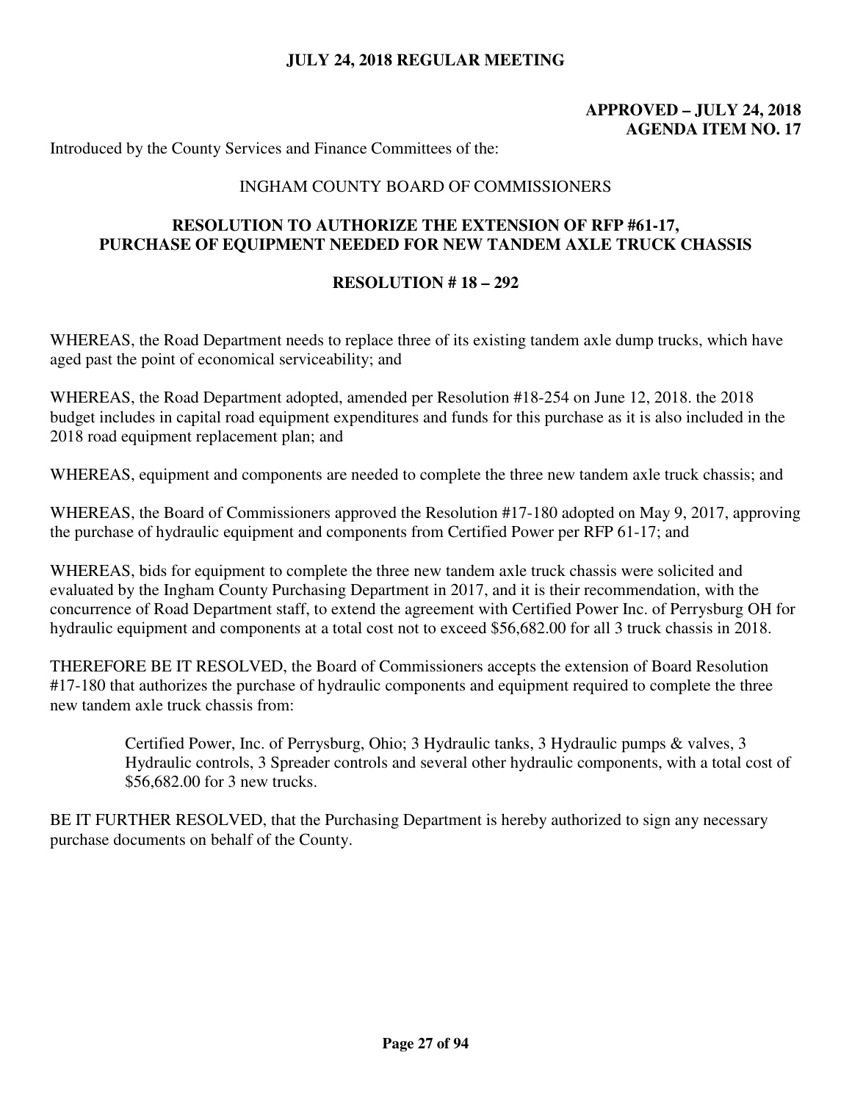# **APPROVED – JULY 24, 2018 AGENDA ITEM NO. 17**

Introduced by the County Services and Finance Committees of the:

#### INGHAM COUNTY BOARD OF COMMISSIONERS

## **RESOLUTION TO AUTHORIZE THE EXTENSION OF RFP #61-17, PURCHASE OF EQUIPMENT NEEDED FOR NEW TANDEM AXLE TRUCK CHASSIS**

#### **RESOLUTION # 18 – 292**

WHEREAS, the Road Department needs to replace three of its existing tandem axle dump trucks, which have aged past the point of economical serviceability; and

WHEREAS, the Road Department adopted, amended per Resolution #18-254 on June 12, 2018. the 2018 budget includes in capital road equipment expenditures and funds for this purchase as it is also included in the 2018 road equipment replacement plan; and

WHEREAS, equipment and components are needed to complete the three new tandem axle truck chassis; and

WHEREAS, the Board of Commissioners approved the Resolution #17-180 adopted on May 9, 2017, approving the purchase of hydraulic equipment and components from Certified Power per RFP 61-17; and

WHEREAS, bids for equipment to complete the three new tandem axle truck chassis were solicited and evaluated by the Ingham County Purchasing Department in 2017, and it is their recommendation, with the concurrence of Road Department staff, to extend the agreement with Certified Power Inc. of Perrysburg OH for hydraulic equipment and components at a total cost not to exceed \$56,682.00 for all 3 truck chassis in 2018.

THEREFORE BE IT RESOLVED, the Board of Commissioners accepts the extension of Board Resolution #17-180 that authorizes the purchase of hydraulic components and equipment required to complete the three new tandem axle truck chassis from:

> Certified Power, Inc. of Perrysburg, Ohio; 3 Hydraulic tanks, 3 Hydraulic pumps & valves, 3 Hydraulic controls, 3 Spreader controls and several other hydraulic components, with a total cost of \$56,682.00 for 3 new trucks.

BE IT FURTHER RESOLVED, that the Purchasing Department is hereby authorized to sign any necessary purchase documents on behalf of the County.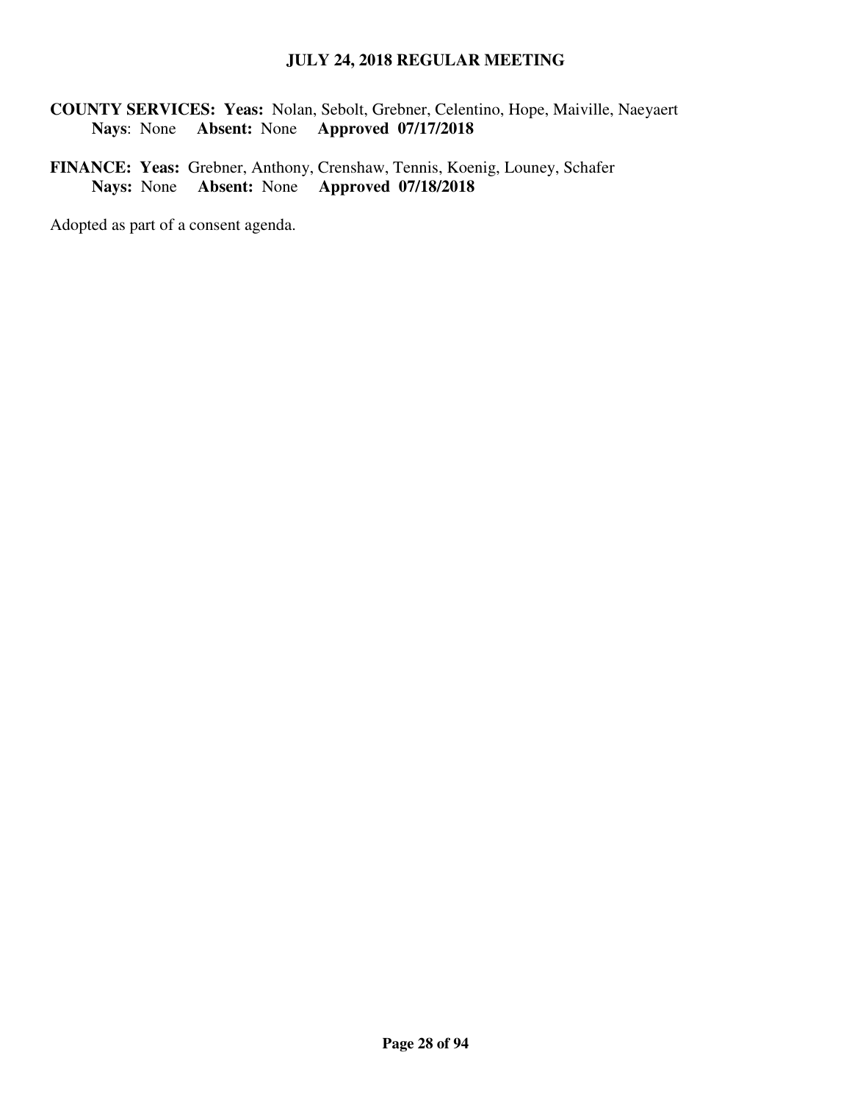**COUNTY SERVICES: Yeas:** Nolan, Sebolt, Grebner, Celentino, Hope, Maiville, Naeyaert **Nays**: None **Absent:** None **Approved 07/17/2018** 

**FINANCE: Yeas:** Grebner, Anthony, Crenshaw, Tennis, Koenig, Louney, Schafer **Nays:** None **Absent:** None **Approved 07/18/2018**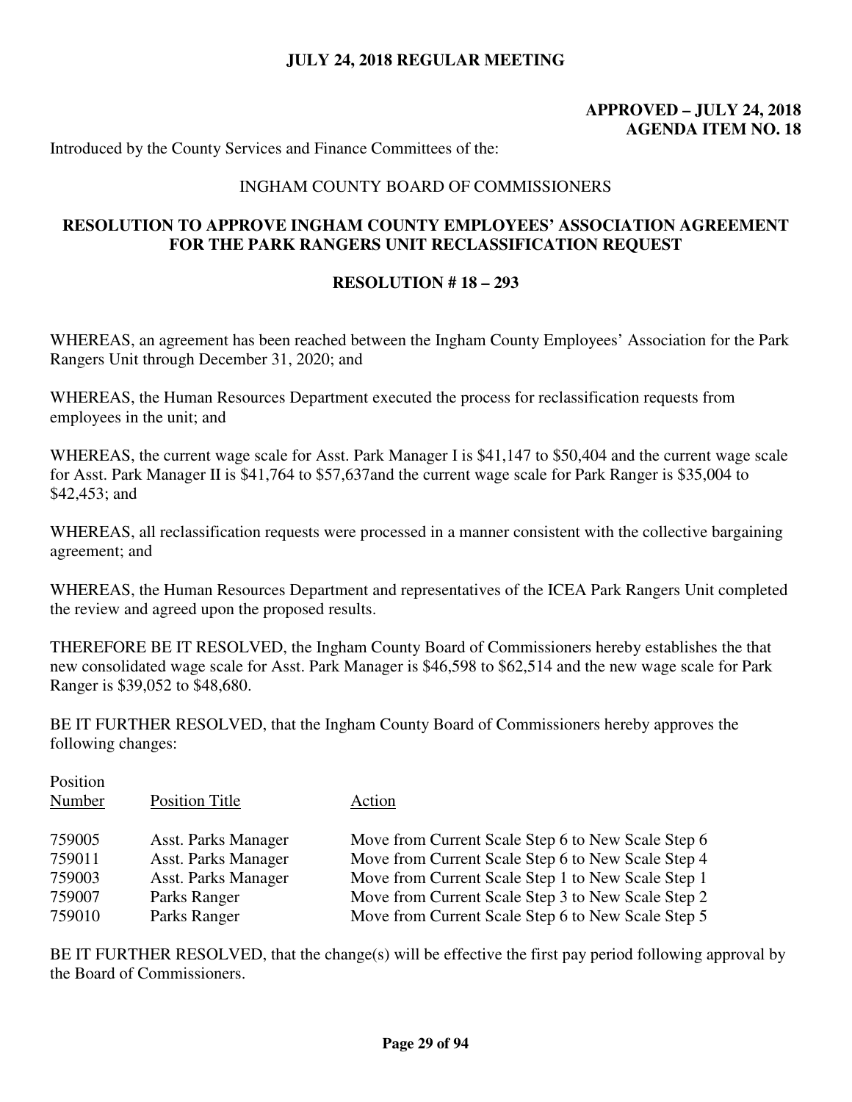# **APPROVED – JULY 24, 2018 AGENDA ITEM NO. 18**

Introduced by the County Services and Finance Committees of the:

#### INGHAM COUNTY BOARD OF COMMISSIONERS

## **RESOLUTION TO APPROVE INGHAM COUNTY EMPLOYEES' ASSOCIATION AGREEMENT FOR THE PARK RANGERS UNIT RECLASSIFICATION REQUEST**

#### **RESOLUTION # 18 – 293**

WHEREAS, an agreement has been reached between the Ingham County Employees' Association for the Park Rangers Unit through December 31, 2020; and

WHEREAS, the Human Resources Department executed the process for reclassification requests from employees in the unit; and

WHEREAS, the current wage scale for Asst. Park Manager I is \$41,147 to \$50,404 and the current wage scale for Asst. Park Manager II is \$41,764 to \$57,637and the current wage scale for Park Ranger is \$35,004 to \$42,453; and

WHEREAS, all reclassification requests were processed in a manner consistent with the collective bargaining agreement; and

WHEREAS, the Human Resources Department and representatives of the ICEA Park Rangers Unit completed the review and agreed upon the proposed results.

THEREFORE BE IT RESOLVED, the Ingham County Board of Commissioners hereby establishes the that new consolidated wage scale for Asst. Park Manager is \$46,598 to \$62,514 and the new wage scale for Park Ranger is \$39,052 to \$48,680.

BE IT FURTHER RESOLVED, that the Ingham County Board of Commissioners hereby approves the following changes:

| 759005<br>Move from Current Scale Step 6 to New Scale Step 6<br><b>Asst. Parks Manager</b> |  |
|--------------------------------------------------------------------------------------------|--|
|                                                                                            |  |
| <b>Asst. Parks Manager</b><br>Move from Current Scale Step 6 to New Scale Step 4<br>759011 |  |
| Move from Current Scale Step 1 to New Scale Step 1<br>759003<br><b>Asst. Parks Manager</b> |  |
| Move from Current Scale Step 3 to New Scale Step 2<br>759007<br>Parks Ranger               |  |
| 759010<br>Move from Current Scale Step 6 to New Scale Step 5<br>Parks Ranger               |  |

 $P^{\text{max}}$ 

BE IT FURTHER RESOLVED, that the change(s) will be effective the first pay period following approval by the Board of Commissioners.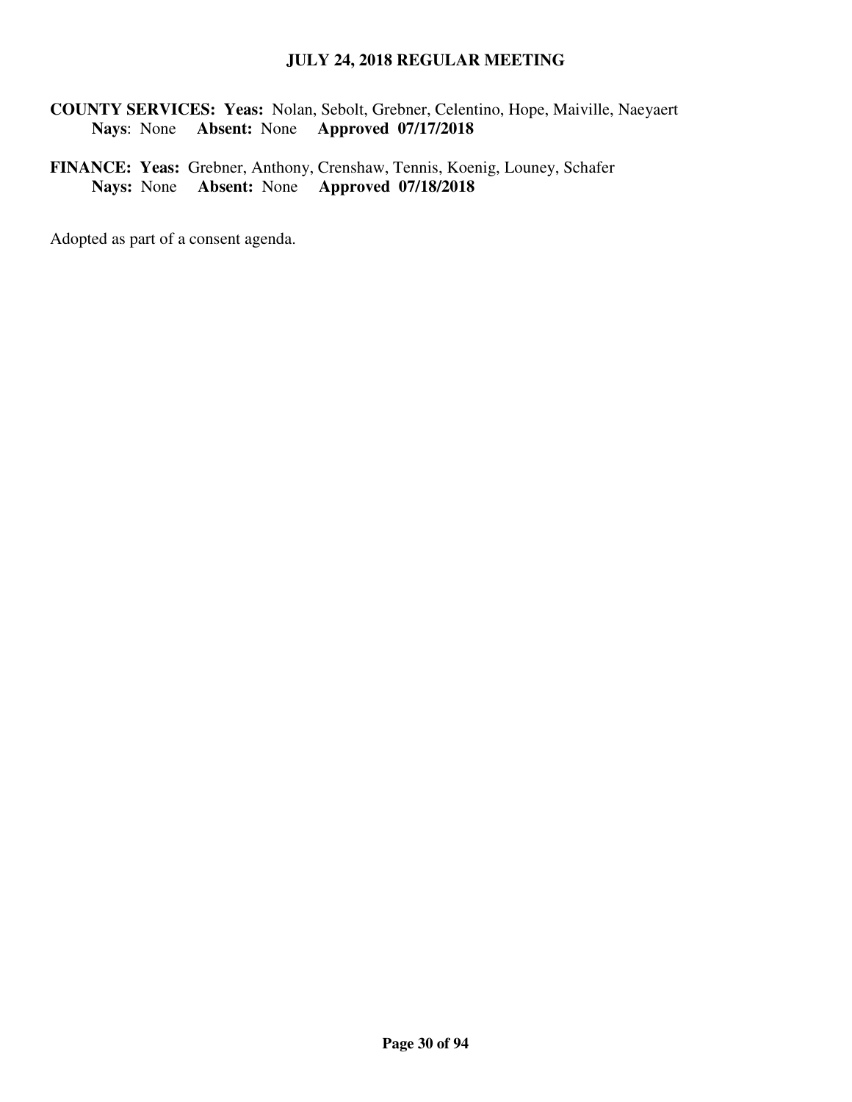**COUNTY SERVICES: Yeas:** Nolan, Sebolt, Grebner, Celentino, Hope, Maiville, Naeyaert **Nays**: None **Absent:** None **Approved 07/17/2018** 

**FINANCE: Yeas:** Grebner, Anthony, Crenshaw, Tennis, Koenig, Louney, Schafer **Nays:** None **Absent:** None **Approved 07/18/2018**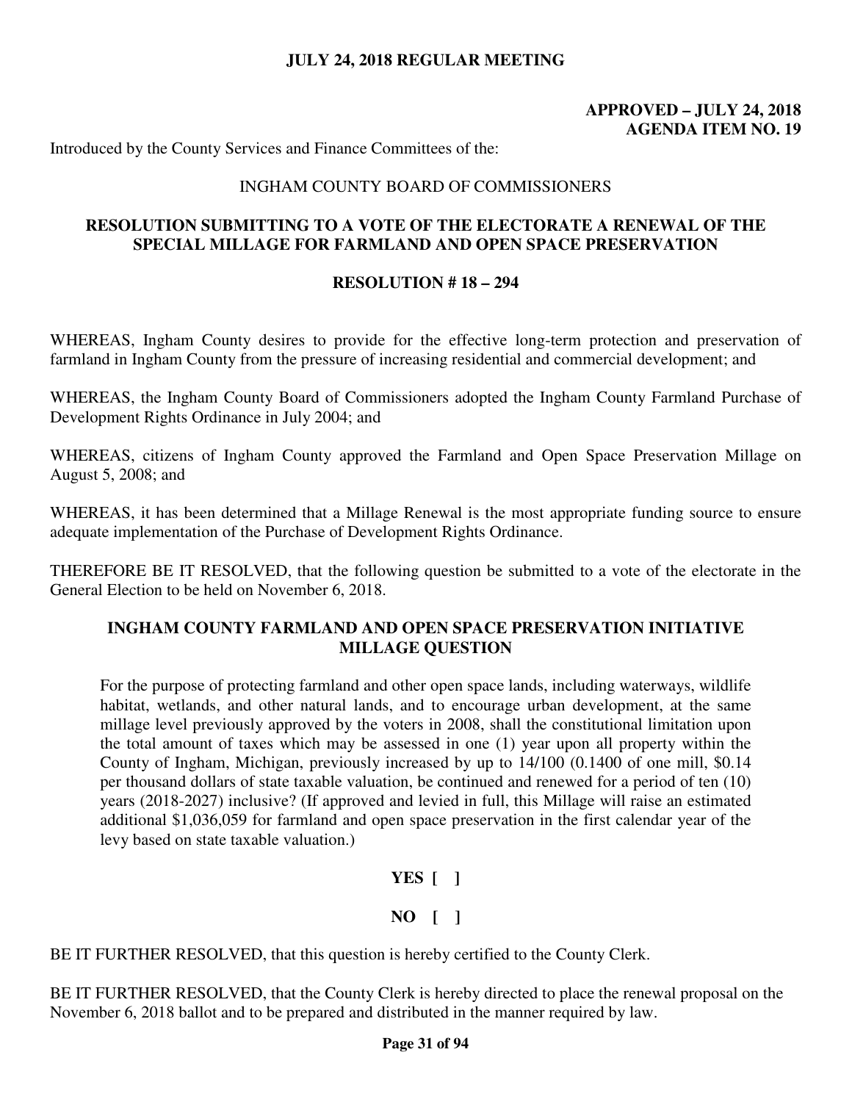# **APPROVED – JULY 24, 2018 AGENDA ITEM NO. 19**

Introduced by the County Services and Finance Committees of the:

#### INGHAM COUNTY BOARD OF COMMISSIONERS

### **RESOLUTION SUBMITTING TO A VOTE OF THE ELECTORATE A RENEWAL OF THE SPECIAL MILLAGE FOR FARMLAND AND OPEN SPACE PRESERVATION**

#### **RESOLUTION # 18 – 294**

WHEREAS, Ingham County desires to provide for the effective long-term protection and preservation of farmland in Ingham County from the pressure of increasing residential and commercial development; and

WHEREAS, the Ingham County Board of Commissioners adopted the Ingham County Farmland Purchase of Development Rights Ordinance in July 2004; and

WHEREAS, citizens of Ingham County approved the Farmland and Open Space Preservation Millage on August 5, 2008; and

WHEREAS, it has been determined that a Millage Renewal is the most appropriate funding source to ensure adequate implementation of the Purchase of Development Rights Ordinance.

THEREFORE BE IT RESOLVED, that the following question be submitted to a vote of the electorate in the General Election to be held on November 6, 2018.

## **INGHAM COUNTY FARMLAND AND OPEN SPACE PRESERVATION INITIATIVE MILLAGE QUESTION**

For the purpose of protecting farmland and other open space lands, including waterways, wildlife habitat, wetlands, and other natural lands, and to encourage urban development, at the same millage level previously approved by the voters in 2008, shall the constitutional limitation upon the total amount of taxes which may be assessed in one (1) year upon all property within the County of Ingham, Michigan, previously increased by up to 14/100 (0.1400 of one mill, \$0.14 per thousand dollars of state taxable valuation, be continued and renewed for a period of ten (10) years (2018-2027) inclusive? (If approved and levied in full, this Millage will raise an estimated additional \$1,036,059 for farmland and open space preservation in the first calendar year of the levy based on state taxable valuation.)

#### **YES [ ]**

#### **NO [ ]**

BE IT FURTHER RESOLVED, that this question is hereby certified to the County Clerk.

BE IT FURTHER RESOLVED, that the County Clerk is hereby directed to place the renewal proposal on the November 6, 2018 ballot and to be prepared and distributed in the manner required by law.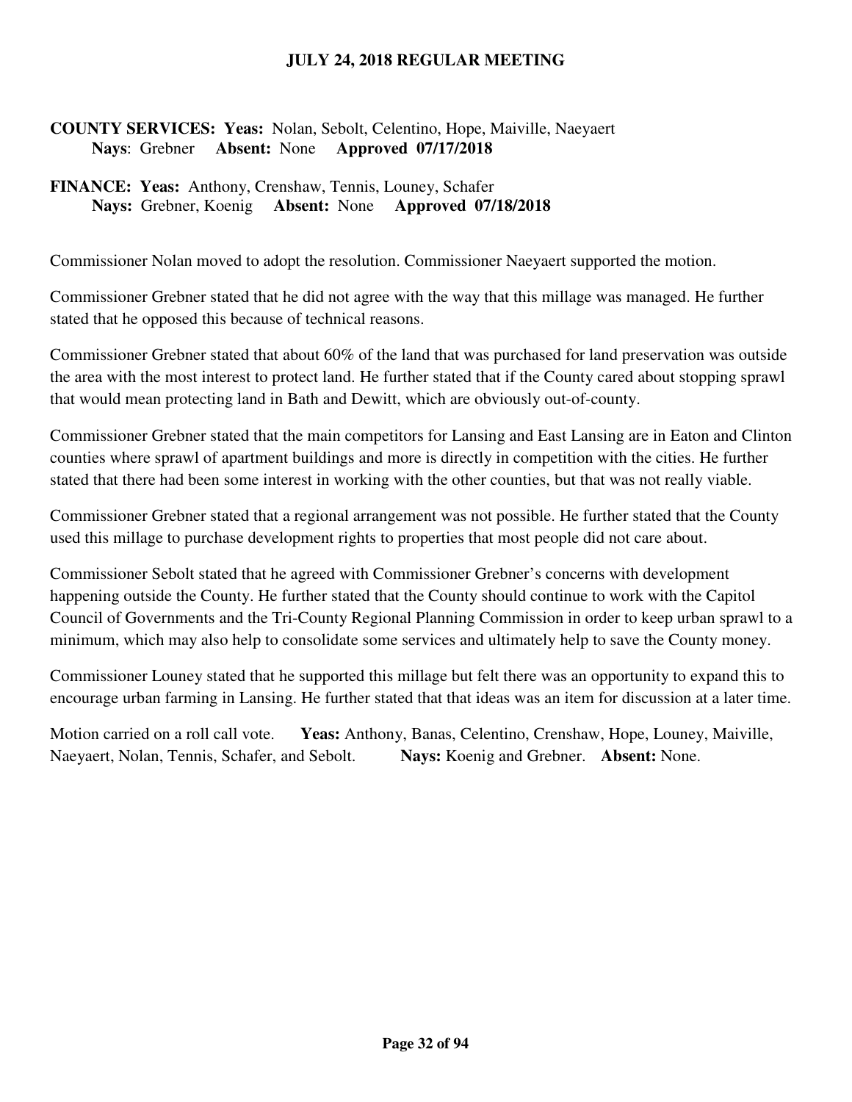## **COUNTY SERVICES: Yeas:** Nolan, Sebolt, Celentino, Hope, Maiville, Naeyaert **Nays**: Grebner **Absent:** None **Approved 07/17/2018**

## **FINANCE: Yeas:** Anthony, Crenshaw, Tennis, Louney, Schafer **Nays:** Grebner, Koenig **Absent:** None **Approved 07/18/2018**

Commissioner Nolan moved to adopt the resolution. Commissioner Naeyaert supported the motion.

Commissioner Grebner stated that he did not agree with the way that this millage was managed. He further stated that he opposed this because of technical reasons.

Commissioner Grebner stated that about 60% of the land that was purchased for land preservation was outside the area with the most interest to protect land. He further stated that if the County cared about stopping sprawl that would mean protecting land in Bath and Dewitt, which are obviously out-of-county.

Commissioner Grebner stated that the main competitors for Lansing and East Lansing are in Eaton and Clinton counties where sprawl of apartment buildings and more is directly in competition with the cities. He further stated that there had been some interest in working with the other counties, but that was not really viable.

Commissioner Grebner stated that a regional arrangement was not possible. He further stated that the County used this millage to purchase development rights to properties that most people did not care about.

Commissioner Sebolt stated that he agreed with Commissioner Grebner's concerns with development happening outside the County. He further stated that the County should continue to work with the Capitol Council of Governments and the Tri-County Regional Planning Commission in order to keep urban sprawl to a minimum, which may also help to consolidate some services and ultimately help to save the County money.

Commissioner Louney stated that he supported this millage but felt there was an opportunity to expand this to encourage urban farming in Lansing. He further stated that that ideas was an item for discussion at a later time.

Motion carried on a roll call vote. **Yeas:** Anthony, Banas, Celentino, Crenshaw, Hope, Louney, Maiville, Naeyaert, Nolan, Tennis, Schafer, and Sebolt. **Nays:** Koenig and Grebner. **Absent:** None.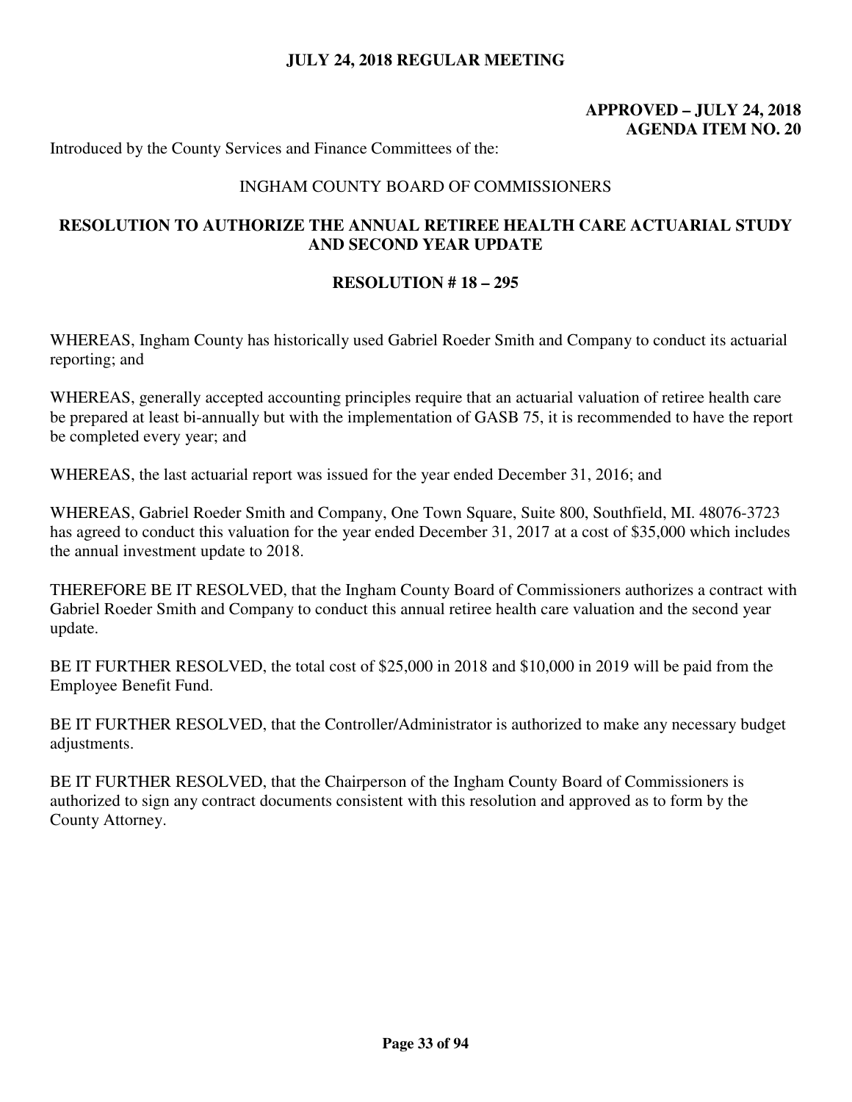# **APPROVED – JULY 24, 2018 AGENDA ITEM NO. 20**

Introduced by the County Services and Finance Committees of the:

#### INGHAM COUNTY BOARD OF COMMISSIONERS

## **RESOLUTION TO AUTHORIZE THE ANNUAL RETIREE HEALTH CARE ACTUARIAL STUDY AND SECOND YEAR UPDATE**

#### **RESOLUTION # 18 – 295**

WHEREAS, Ingham County has historically used Gabriel Roeder Smith and Company to conduct its actuarial reporting; and

WHEREAS, generally accepted accounting principles require that an actuarial valuation of retiree health care be prepared at least bi-annually but with the implementation of GASB 75, it is recommended to have the report be completed every year; and

WHEREAS, the last actuarial report was issued for the year ended December 31, 2016; and

WHEREAS, Gabriel Roeder Smith and Company, One Town Square, Suite 800, Southfield, MI. 48076-3723 has agreed to conduct this valuation for the year ended December 31, 2017 at a cost of \$35,000 which includes the annual investment update to 2018.

THEREFORE BE IT RESOLVED, that the Ingham County Board of Commissioners authorizes a contract with Gabriel Roeder Smith and Company to conduct this annual retiree health care valuation and the second year update.

BE IT FURTHER RESOLVED, the total cost of \$25,000 in 2018 and \$10,000 in 2019 will be paid from the Employee Benefit Fund.

BE IT FURTHER RESOLVED, that the Controller/Administrator is authorized to make any necessary budget adjustments.

BE IT FURTHER RESOLVED, that the Chairperson of the Ingham County Board of Commissioners is authorized to sign any contract documents consistent with this resolution and approved as to form by the County Attorney.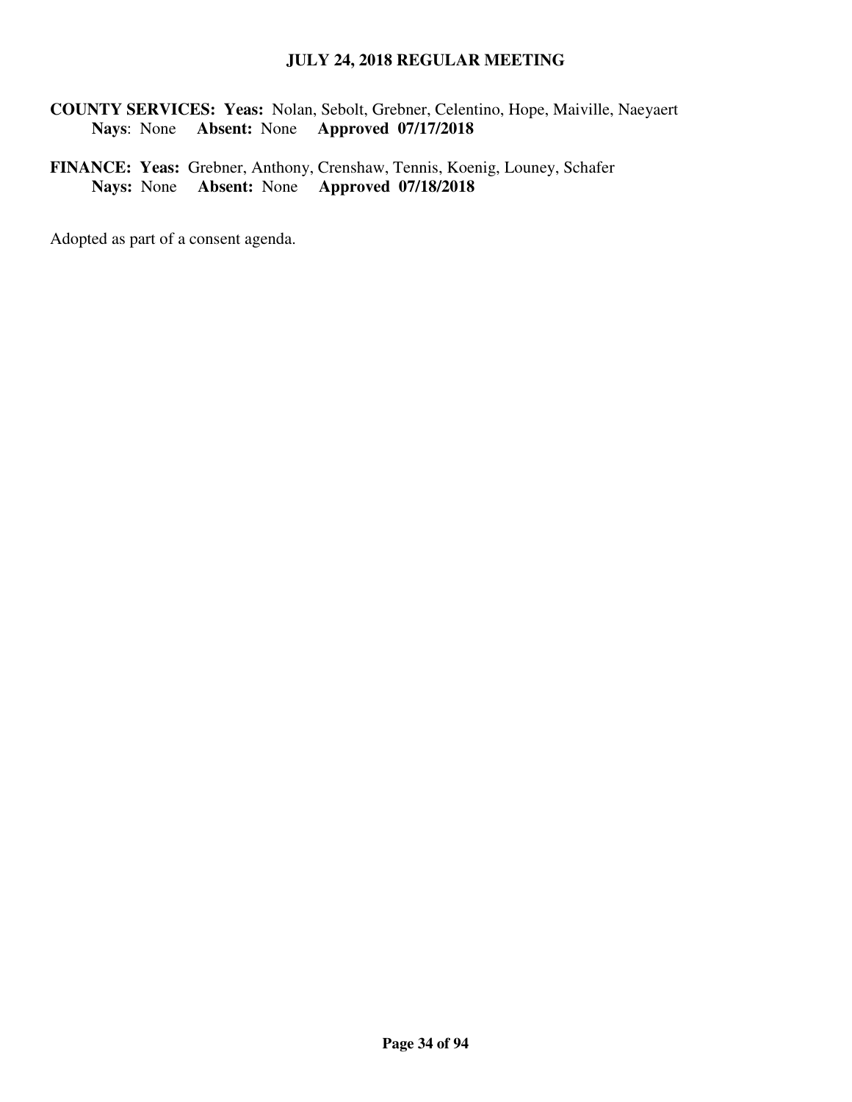**COUNTY SERVICES: Yeas:** Nolan, Sebolt, Grebner, Celentino, Hope, Maiville, Naeyaert **Nays**: None **Absent:** None **Approved 07/17/2018** 

**FINANCE: Yeas:** Grebner, Anthony, Crenshaw, Tennis, Koenig, Louney, Schafer **Nays:** None **Absent:** None **Approved 07/18/2018**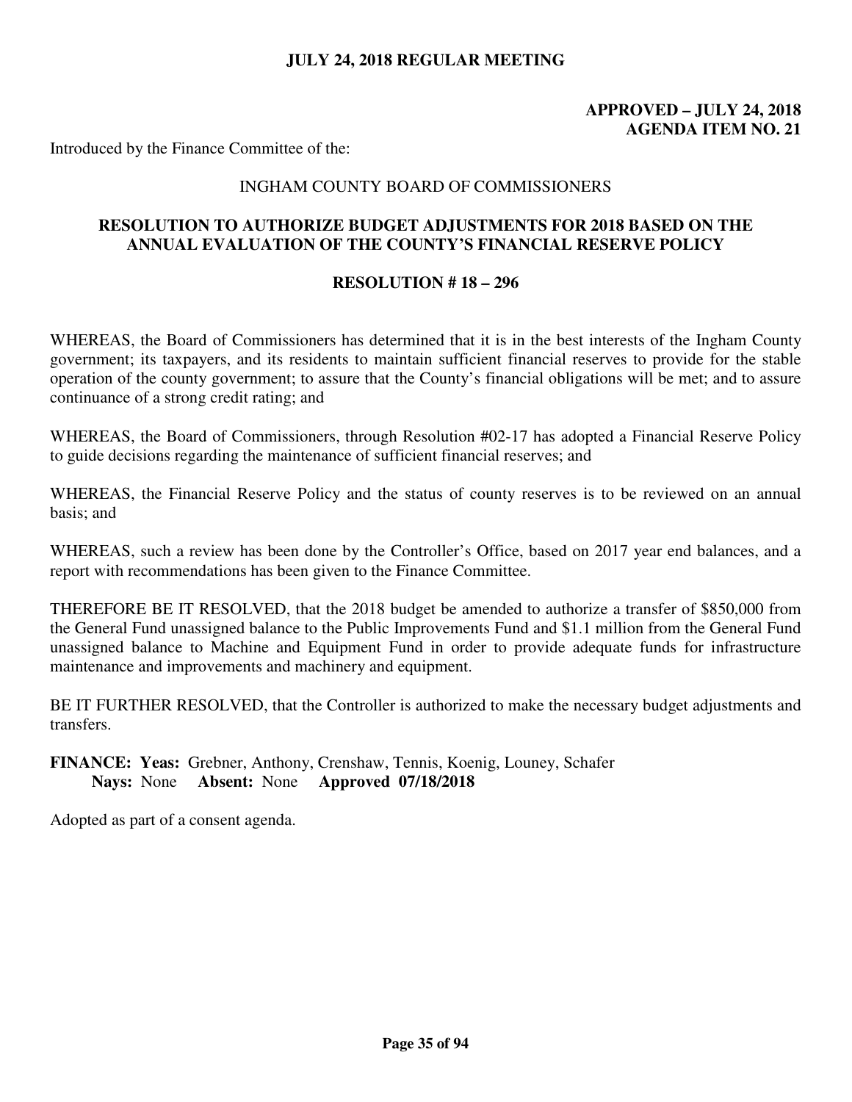## **APPROVED – JULY 24, 2018 AGENDA ITEM NO. 21**

Introduced by the Finance Committee of the:

#### INGHAM COUNTY BOARD OF COMMISSIONERS

#### **RESOLUTION TO AUTHORIZE BUDGET ADJUSTMENTS FOR 2018 BASED ON THE ANNUAL EVALUATION OF THE COUNTY'S FINANCIAL RESERVE POLICY**

#### **RESOLUTION # 18 – 296**

WHEREAS, the Board of Commissioners has determined that it is in the best interests of the Ingham County government; its taxpayers, and its residents to maintain sufficient financial reserves to provide for the stable operation of the county government; to assure that the County's financial obligations will be met; and to assure continuance of a strong credit rating; and

WHEREAS, the Board of Commissioners, through Resolution #02-17 has adopted a Financial Reserve Policy to guide decisions regarding the maintenance of sufficient financial reserves; and

WHEREAS, the Financial Reserve Policy and the status of county reserves is to be reviewed on an annual basis; and

WHEREAS, such a review has been done by the Controller's Office, based on 2017 year end balances, and a report with recommendations has been given to the Finance Committee.

THEREFORE BE IT RESOLVED, that the 2018 budget be amended to authorize a transfer of \$850,000 from the General Fund unassigned balance to the Public Improvements Fund and \$1.1 million from the General Fund unassigned balance to Machine and Equipment Fund in order to provide adequate funds for infrastructure maintenance and improvements and machinery and equipment.

BE IT FURTHER RESOLVED, that the Controller is authorized to make the necessary budget adjustments and transfers.

**FINANCE: Yeas:** Grebner, Anthony, Crenshaw, Tennis, Koenig, Louney, Schafer **Nays:** None **Absent:** None **Approved 07/18/2018**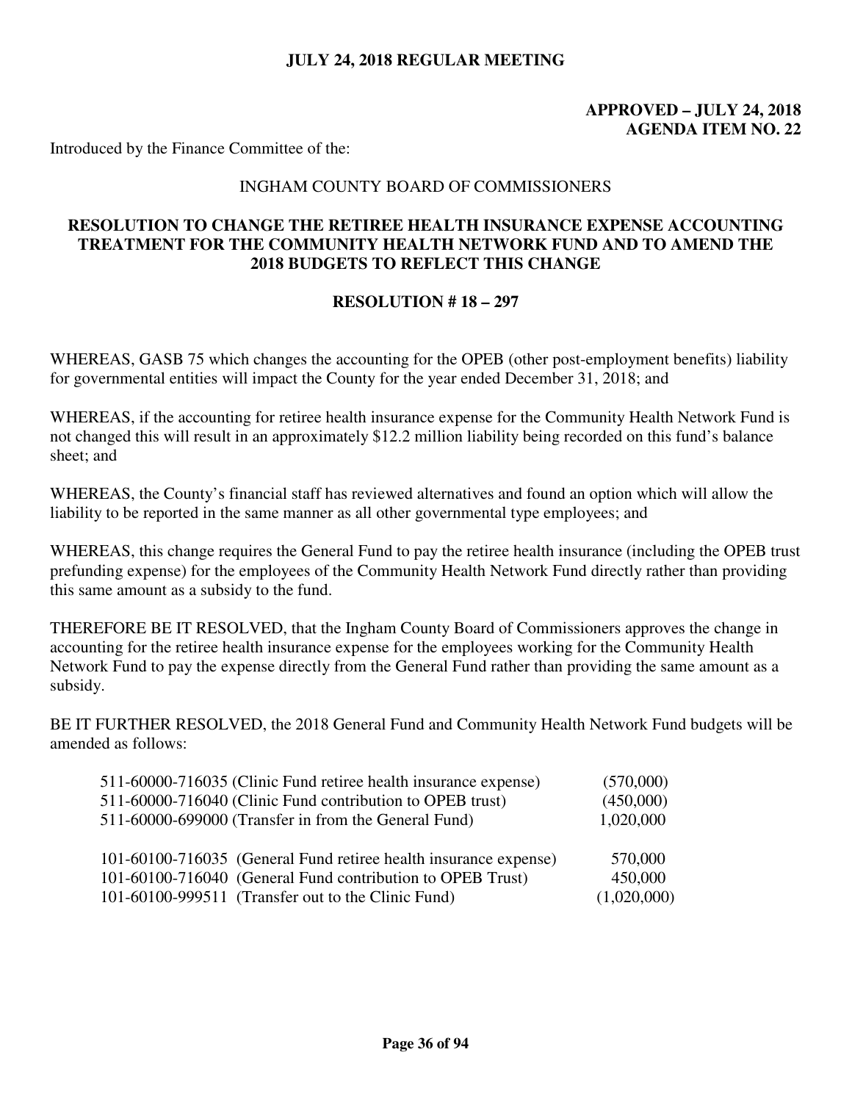# **APPROVED – JULY 24, 2018 AGENDA ITEM NO. 22**

Introduced by the Finance Committee of the:

### INGHAM COUNTY BOARD OF COMMISSIONERS

## **RESOLUTION TO CHANGE THE RETIREE HEALTH INSURANCE EXPENSE ACCOUNTING TREATMENT FOR THE COMMUNITY HEALTH NETWORK FUND AND TO AMEND THE 2018 BUDGETS TO REFLECT THIS CHANGE**

### **RESOLUTION # 18 – 297**

WHEREAS, GASB 75 which changes the accounting for the OPEB (other post-employment benefits) liability for governmental entities will impact the County for the year ended December 31, 2018; and

WHEREAS, if the accounting for retiree health insurance expense for the Community Health Network Fund is not changed this will result in an approximately \$12.2 million liability being recorded on this fund's balance sheet; and

WHEREAS, the County's financial staff has reviewed alternatives and found an option which will allow the liability to be reported in the same manner as all other governmental type employees; and

WHEREAS, this change requires the General Fund to pay the retiree health insurance (including the OPEB trust prefunding expense) for the employees of the Community Health Network Fund directly rather than providing this same amount as a subsidy to the fund.

THEREFORE BE IT RESOLVED, that the Ingham County Board of Commissioners approves the change in accounting for the retiree health insurance expense for the employees working for the Community Health Network Fund to pay the expense directly from the General Fund rather than providing the same amount as a subsidy.

BE IT FURTHER RESOLVED, the 2018 General Fund and Community Health Network Fund budgets will be amended as follows:

| 511-60000-716035 (Clinic Fund retiree health insurance expense)  | (570,000)   |
|------------------------------------------------------------------|-------------|
| 511-60000-716040 (Clinic Fund contribution to OPEB trust)        | (450,000)   |
| 511-60000-699000 (Transfer in from the General Fund)             | 1,020,000   |
|                                                                  |             |
| 101-60100-716035 (General Fund retiree health insurance expense) | 570,000     |
| 101-60100-716040 (General Fund contribution to OPEB Trust)       | 450,000     |
| 101-60100-999511 (Transfer out to the Clinic Fund)               | (1,020,000) |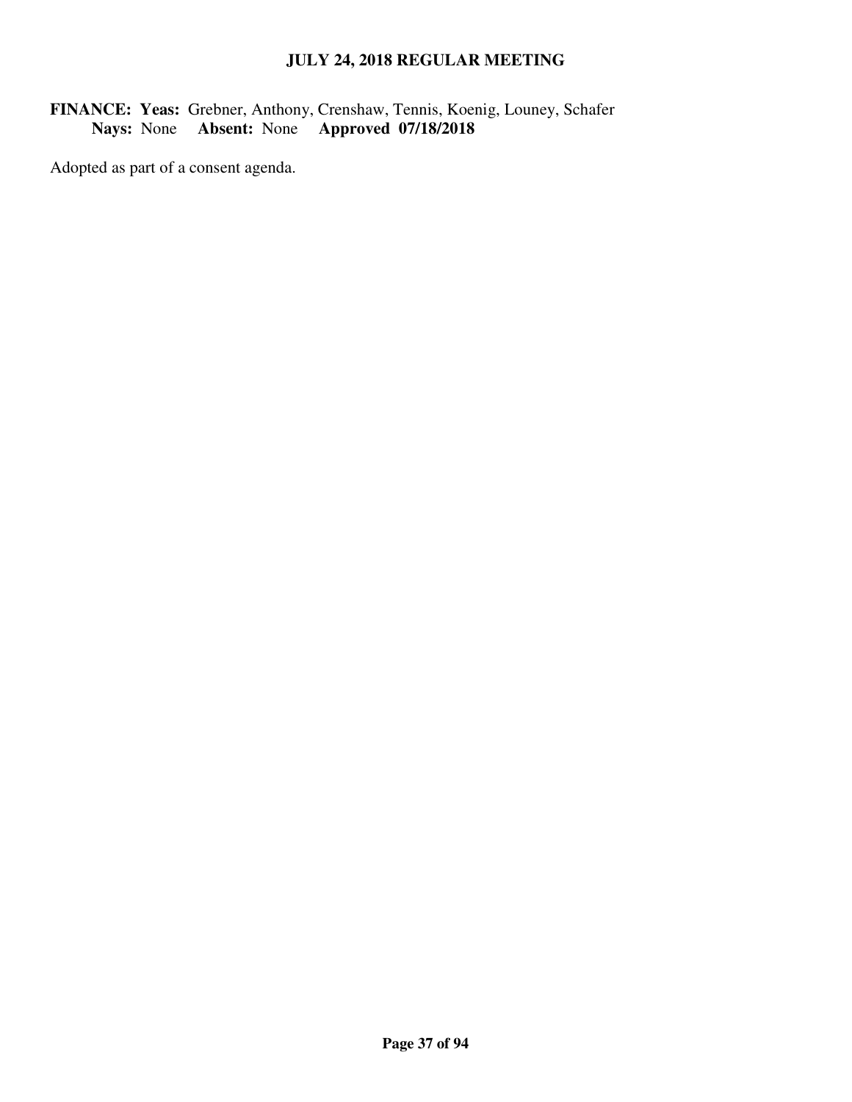# **FINANCE: Yeas:** Grebner, Anthony, Crenshaw, Tennis, Koenig, Louney, Schafer **Nays:** None **Absent:** None **Approved 07/18/2018**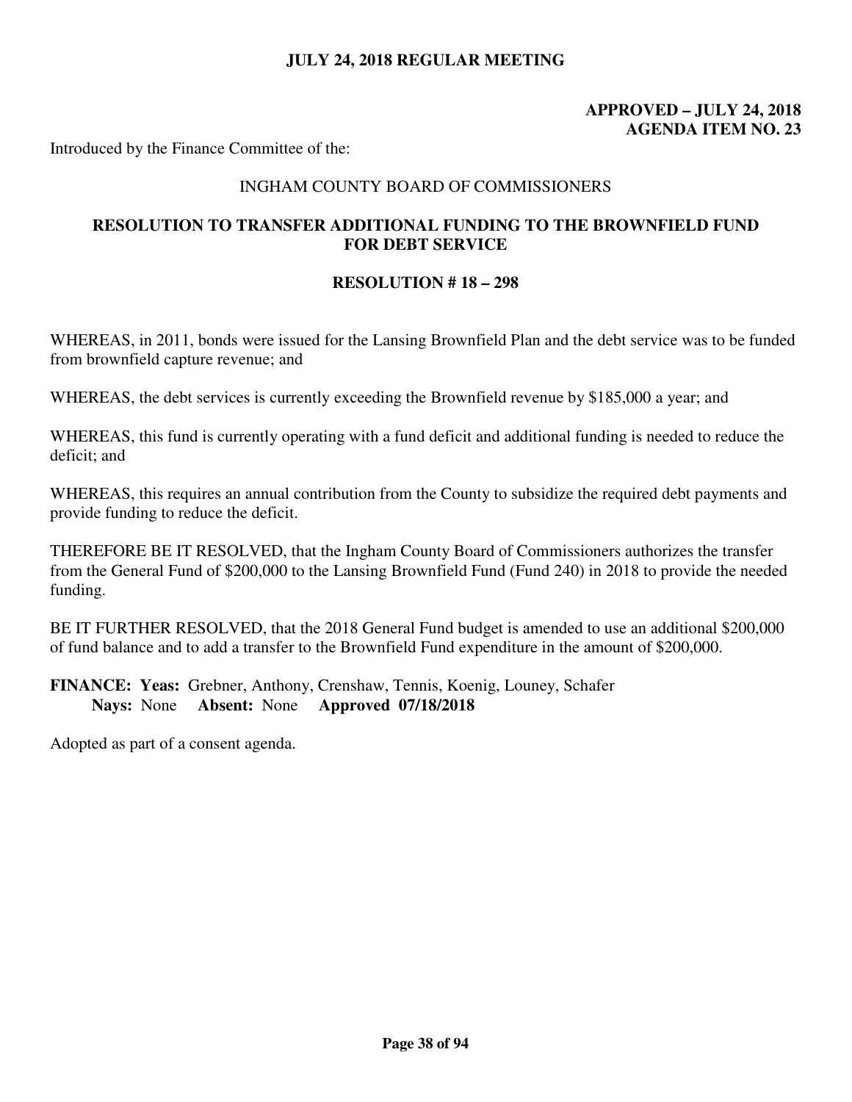# **APPROVED – JULY 24, 2018 AGENDA ITEM NO. 23**

Introduced by the Finance Committee of the:

### INGHAM COUNTY BOARD OF COMMISSIONERS

## **RESOLUTION TO TRANSFER ADDITIONAL FUNDING TO THE BROWNFIELD FUND FOR DEBT SERVICE**

#### **RESOLUTION # 18 – 298**

WHEREAS, in 2011, bonds were issued for the Lansing Brownfield Plan and the debt service was to be funded from brownfield capture revenue; and

WHEREAS, the debt services is currently exceeding the Brownfield revenue by \$185,000 a year; and

WHEREAS, this fund is currently operating with a fund deficit and additional funding is needed to reduce the deficit; and

WHEREAS, this requires an annual contribution from the County to subsidize the required debt payments and provide funding to reduce the deficit.

THEREFORE BE IT RESOLVED, that the Ingham County Board of Commissioners authorizes the transfer from the General Fund of \$200,000 to the Lansing Brownfield Fund (Fund 240) in 2018 to provide the needed funding.

BE IT FURTHER RESOLVED, that the 2018 General Fund budget is amended to use an additional \$200,000 of fund balance and to add a transfer to the Brownfield Fund expenditure in the amount of \$200,000.

**FINANCE: Yeas:** Grebner, Anthony, Crenshaw, Tennis, Koenig, Louney, Schafer **Nays:** None **Absent:** None **Approved 07/18/2018**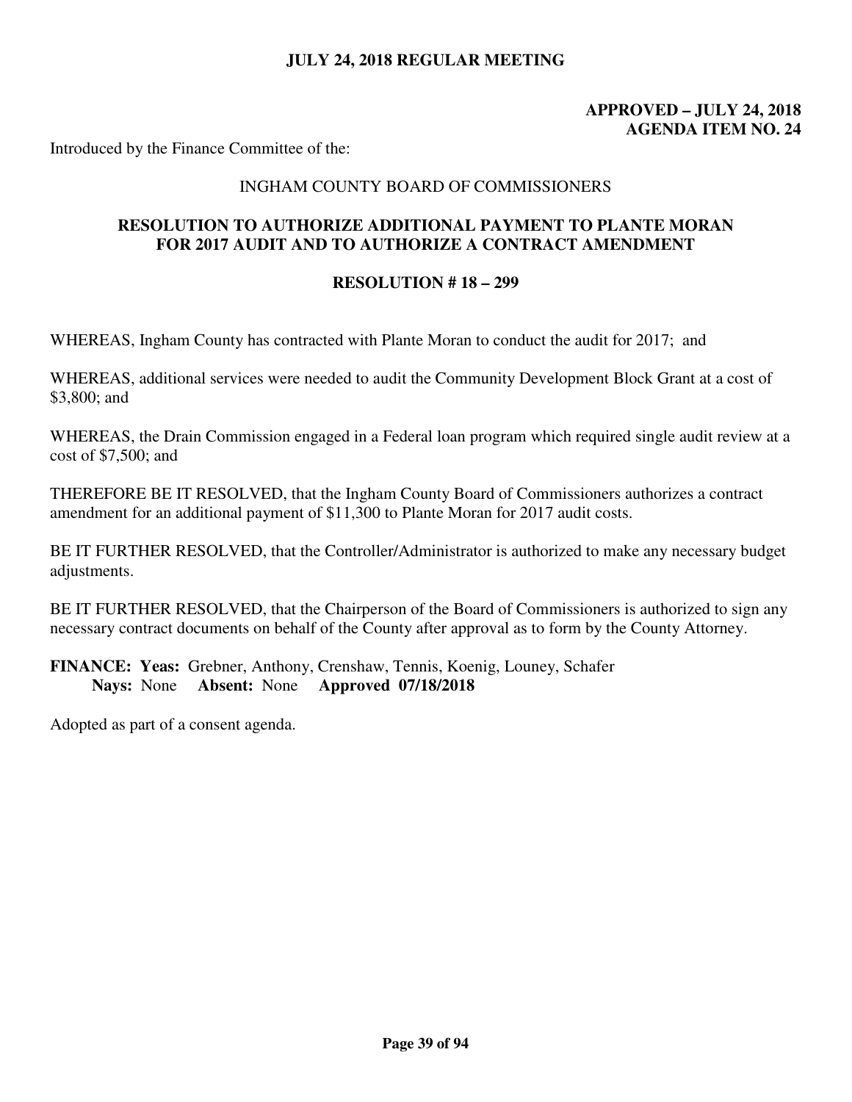# **APPROVED – JULY 24, 2018 AGENDA ITEM NO. 24**

Introduced by the Finance Committee of the:

### INGHAM COUNTY BOARD OF COMMISSIONERS

## **RESOLUTION TO AUTHORIZE ADDITIONAL PAYMENT TO PLANTE MORAN FOR 2017 AUDIT AND TO AUTHORIZE A CONTRACT AMENDMENT**

#### **RESOLUTION # 18 – 299**

WHEREAS, Ingham County has contracted with Plante Moran to conduct the audit for 2017; and

WHEREAS, additional services were needed to audit the Community Development Block Grant at a cost of \$3,800; and

WHEREAS, the Drain Commission engaged in a Federal loan program which required single audit review at a cost of \$7,500; and

THEREFORE BE IT RESOLVED, that the Ingham County Board of Commissioners authorizes a contract amendment for an additional payment of \$11,300 to Plante Moran for 2017 audit costs.

BE IT FURTHER RESOLVED, that the Controller/Administrator is authorized to make any necessary budget adjustments.

BE IT FURTHER RESOLVED, that the Chairperson of the Board of Commissioners is authorized to sign any necessary contract documents on behalf of the County after approval as to form by the County Attorney.

**FINANCE: Yeas:** Grebner, Anthony, Crenshaw, Tennis, Koenig, Louney, Schafer **Nays:** None **Absent:** None **Approved 07/18/2018**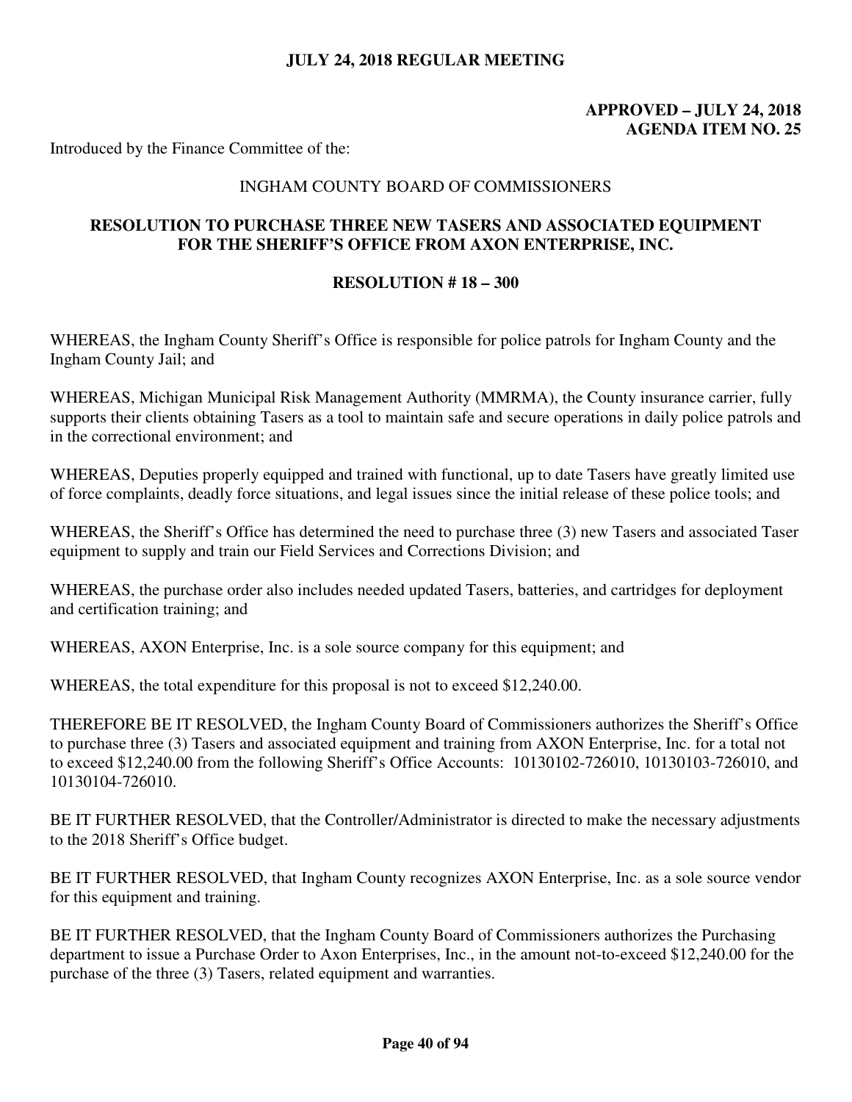# **APPROVED – JULY 24, 2018 AGENDA ITEM NO. 25**

Introduced by the Finance Committee of the:

### INGHAM COUNTY BOARD OF COMMISSIONERS

## **RESOLUTION TO PURCHASE THREE NEW TASERS AND ASSOCIATED EQUIPMENT FOR THE SHERIFF'S OFFICE FROM AXON ENTERPRISE, INC.**

#### **RESOLUTION # 18 – 300**

WHEREAS, the Ingham County Sheriff's Office is responsible for police patrols for Ingham County and the Ingham County Jail; and

WHEREAS, Michigan Municipal Risk Management Authority (MMRMA), the County insurance carrier, fully supports their clients obtaining Tasers as a tool to maintain safe and secure operations in daily police patrols and in the correctional environment; and

WHEREAS, Deputies properly equipped and trained with functional, up to date Tasers have greatly limited use of force complaints, deadly force situations, and legal issues since the initial release of these police tools; and

WHEREAS, the Sheriff's Office has determined the need to purchase three (3) new Tasers and associated Taser equipment to supply and train our Field Services and Corrections Division; and

WHEREAS, the purchase order also includes needed updated Tasers, batteries, and cartridges for deployment and certification training; and

WHEREAS, AXON Enterprise, Inc. is a sole source company for this equipment; and

WHEREAS, the total expenditure for this proposal is not to exceed \$12,240.00.

THEREFORE BE IT RESOLVED, the Ingham County Board of Commissioners authorizes the Sheriff's Office to purchase three (3) Tasers and associated equipment and training from AXON Enterprise, Inc. for a total not to exceed \$12,240.00 from the following Sheriff's Office Accounts: 10130102-726010, 10130103-726010, and 10130104-726010.

BE IT FURTHER RESOLVED, that the Controller/Administrator is directed to make the necessary adjustments to the 2018 Sheriff's Office budget.

BE IT FURTHER RESOLVED, that Ingham County recognizes AXON Enterprise, Inc. as a sole source vendor for this equipment and training.

BE IT FURTHER RESOLVED, that the Ingham County Board of Commissioners authorizes the Purchasing department to issue a Purchase Order to Axon Enterprises, Inc., in the amount not-to-exceed \$12,240.00 for the purchase of the three (3) Tasers, related equipment and warranties.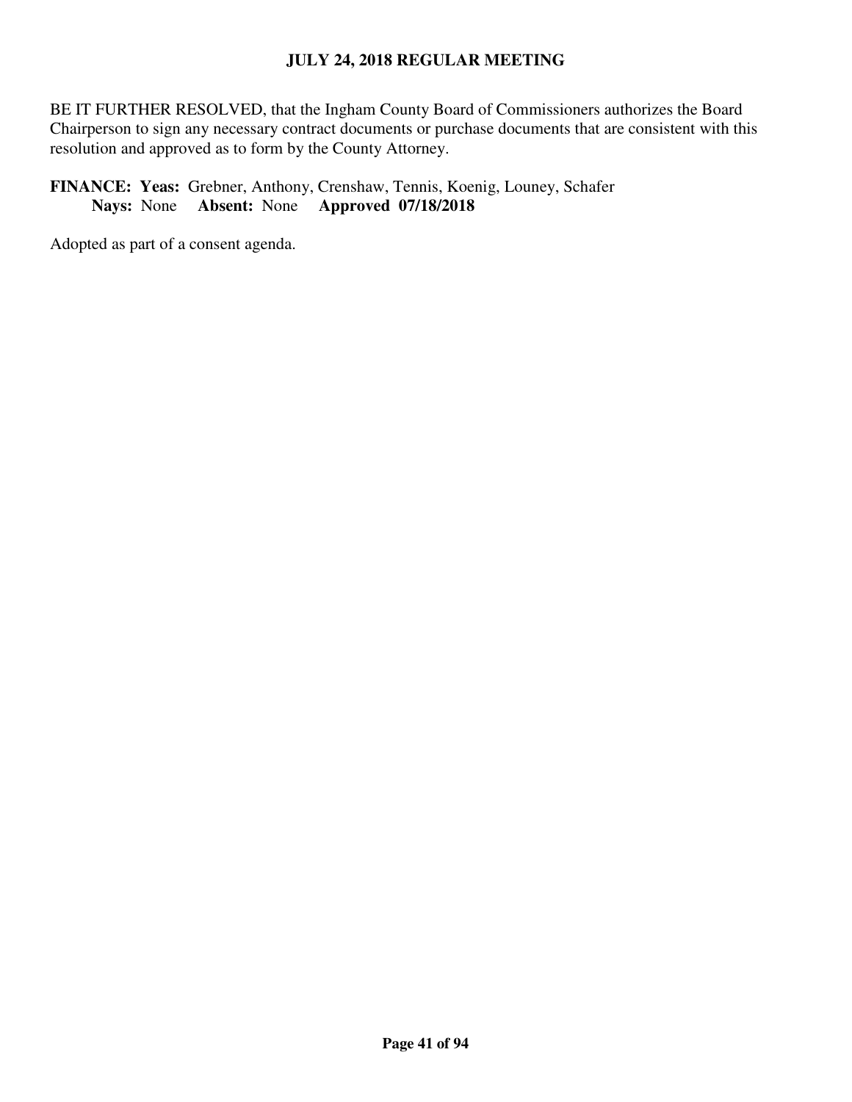BE IT FURTHER RESOLVED, that the Ingham County Board of Commissioners authorizes the Board Chairperson to sign any necessary contract documents or purchase documents that are consistent with this resolution and approved as to form by the County Attorney.

# **FINANCE: Yeas:** Grebner, Anthony, Crenshaw, Tennis, Koenig, Louney, Schafer **Nays:** None **Absent:** None **Approved 07/18/2018**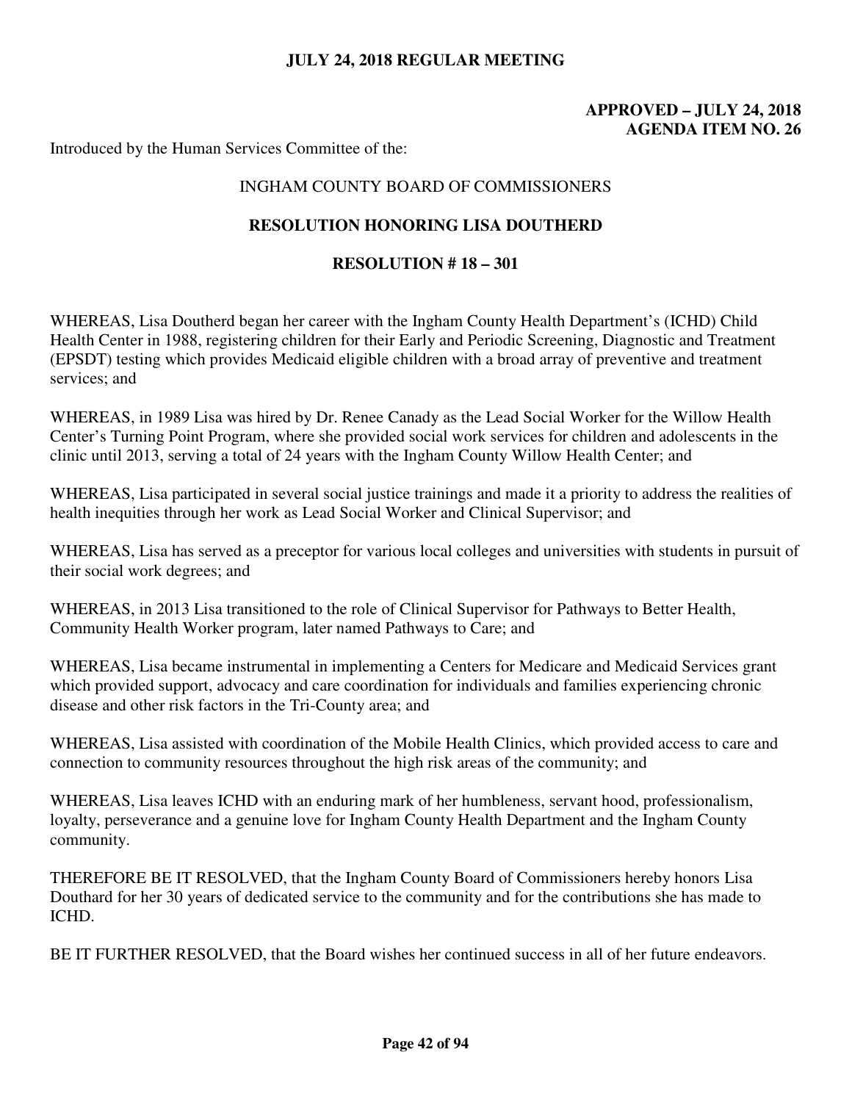# **APPROVED – JULY 24, 2018 AGENDA ITEM NO. 26**

Introduced by the Human Services Committee of the:

# INGHAM COUNTY BOARD OF COMMISSIONERS

## **RESOLUTION HONORING LISA DOUTHERD**

### **RESOLUTION # 18 – 301**

WHEREAS, Lisa Doutherd began her career with the Ingham County Health Department's (ICHD) Child Health Center in 1988, registering children for their Early and Periodic Screening, Diagnostic and Treatment (EPSDT) testing which provides Medicaid eligible children with a broad array of preventive and treatment services; and

WHEREAS, in 1989 Lisa was hired by Dr. Renee Canady as the Lead Social Worker for the Willow Health Center's Turning Point Program, where she provided social work services for children and adolescents in the clinic until 2013, serving a total of 24 years with the Ingham County Willow Health Center; and

WHEREAS, Lisa participated in several social justice trainings and made it a priority to address the realities of health inequities through her work as Lead Social Worker and Clinical Supervisor; and

WHEREAS, Lisa has served as a preceptor for various local colleges and universities with students in pursuit of their social work degrees; and

WHEREAS, in 2013 Lisa transitioned to the role of Clinical Supervisor for Pathways to Better Health, Community Health Worker program, later named Pathways to Care; and

WHEREAS, Lisa became instrumental in implementing a Centers for Medicare and Medicaid Services grant which provided support, advocacy and care coordination for individuals and families experiencing chronic disease and other risk factors in the Tri-County area; and

WHEREAS, Lisa assisted with coordination of the Mobile Health Clinics, which provided access to care and connection to community resources throughout the high risk areas of the community; and

WHEREAS, Lisa leaves ICHD with an enduring mark of her humbleness, servant hood, professionalism, loyalty, perseverance and a genuine love for Ingham County Health Department and the Ingham County community.

THEREFORE BE IT RESOLVED, that the Ingham County Board of Commissioners hereby honors Lisa Douthard for her 30 years of dedicated service to the community and for the contributions she has made to ICHD.

BE IT FURTHER RESOLVED, that the Board wishes her continued success in all of her future endeavors.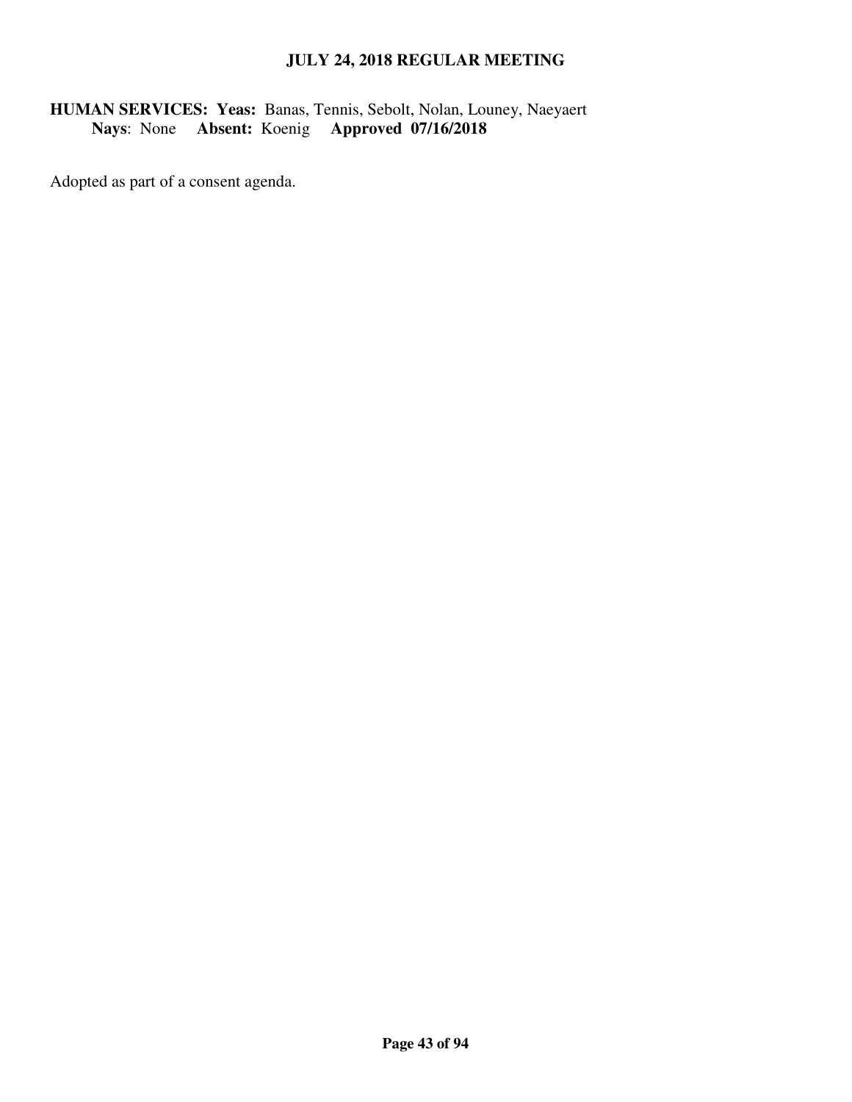# **HUMAN SERVICES: Yeas:** Banas, Tennis, Sebolt, Nolan, Louney, Naeyaert  **Nays**: None **Absent:** Koenig **Approved 07/16/2018**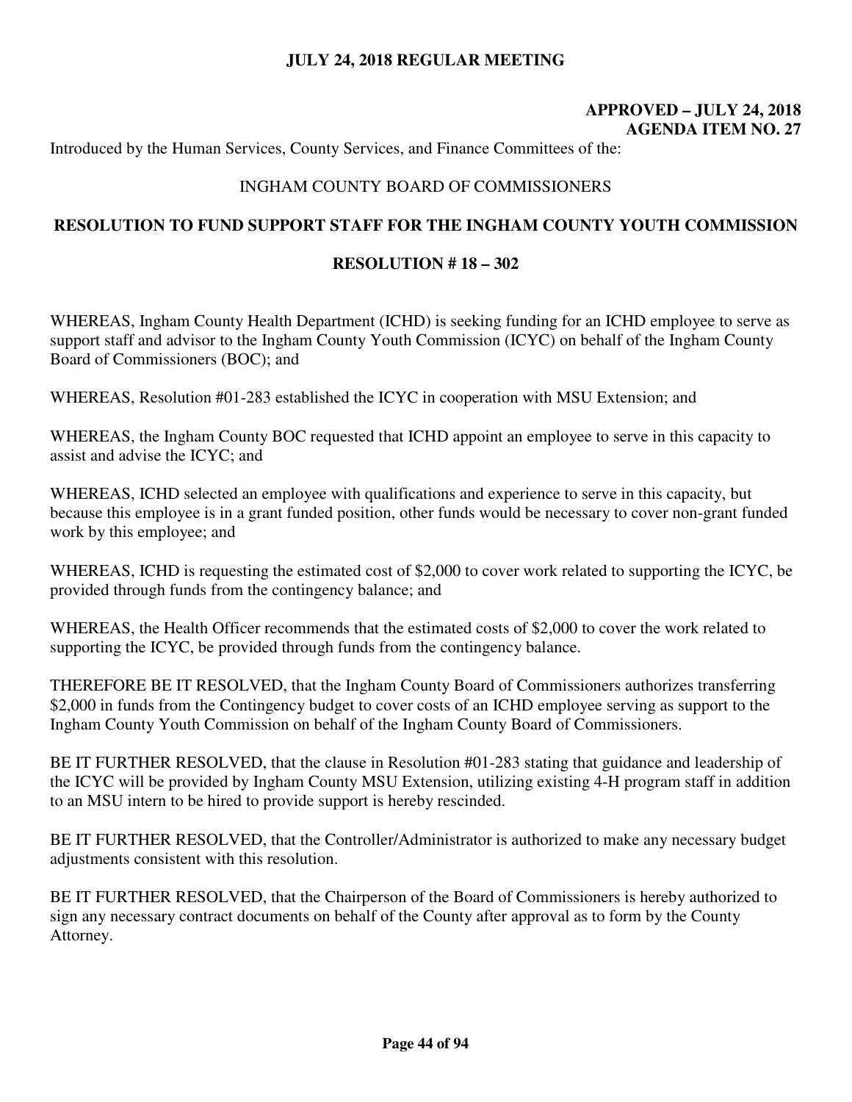## **APPROVED – JULY 24, 2018 AGENDA ITEM NO. 27**

Introduced by the Human Services, County Services, and Finance Committees of the:

## INGHAM COUNTY BOARD OF COMMISSIONERS

## **RESOLUTION TO FUND SUPPORT STAFF FOR THE INGHAM COUNTY YOUTH COMMISSION**

### **RESOLUTION # 18 – 302**

WHEREAS, Ingham County Health Department (ICHD) is seeking funding for an ICHD employee to serve as support staff and advisor to the Ingham County Youth Commission (ICYC) on behalf of the Ingham County Board of Commissioners (BOC); and

WHEREAS, Resolution #01-283 established the ICYC in cooperation with MSU Extension; and

WHEREAS, the Ingham County BOC requested that ICHD appoint an employee to serve in this capacity to assist and advise the ICYC; and

WHEREAS, ICHD selected an employee with qualifications and experience to serve in this capacity, but because this employee is in a grant funded position, other funds would be necessary to cover non-grant funded work by this employee; and

WHEREAS, ICHD is requesting the estimated cost of \$2,000 to cover work related to supporting the ICYC, be provided through funds from the contingency balance; and

WHEREAS, the Health Officer recommends that the estimated costs of \$2,000 to cover the work related to supporting the ICYC, be provided through funds from the contingency balance.

THEREFORE BE IT RESOLVED, that the Ingham County Board of Commissioners authorizes transferring \$2,000 in funds from the Contingency budget to cover costs of an ICHD employee serving as support to the Ingham County Youth Commission on behalf of the Ingham County Board of Commissioners.

BE IT FURTHER RESOLVED, that the clause in Resolution #01-283 stating that guidance and leadership of the ICYC will be provided by Ingham County MSU Extension, utilizing existing 4-H program staff in addition to an MSU intern to be hired to provide support is hereby rescinded.

BE IT FURTHER RESOLVED, that the Controller/Administrator is authorized to make any necessary budget adjustments consistent with this resolution.

BE IT FURTHER RESOLVED, that the Chairperson of the Board of Commissioners is hereby authorized to sign any necessary contract documents on behalf of the County after approval as to form by the County Attorney.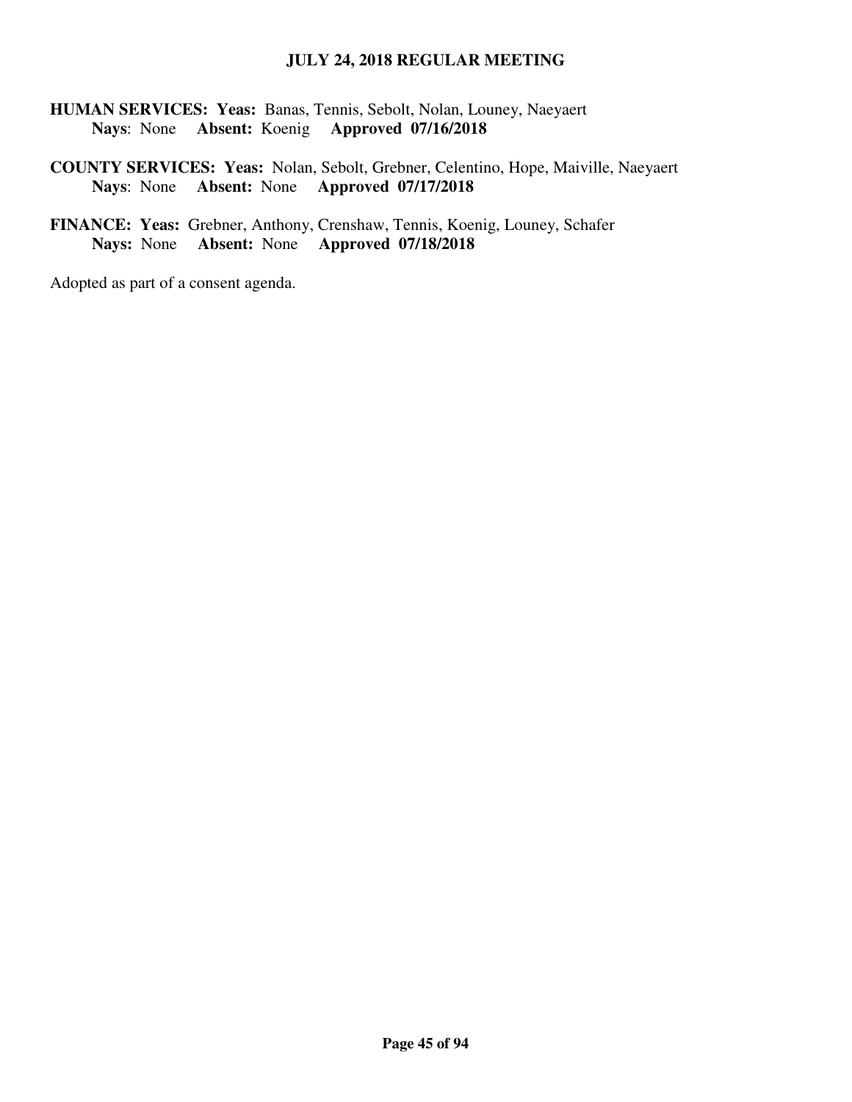**HUMAN SERVICES: Yeas:** Banas, Tennis, Sebolt, Nolan, Louney, Naeyaert  **Nays**: None **Absent:** Koenig **Approved 07/16/2018** 

## **COUNTY SERVICES: Yeas:** Nolan, Sebolt, Grebner, Celentino, Hope, Maiville, Naeyaert **Nays**: None **Absent:** None **Approved 07/17/2018**

**FINANCE: Yeas:** Grebner, Anthony, Crenshaw, Tennis, Koenig, Louney, Schafer **Nays:** None **Absent:** None **Approved 07/18/2018**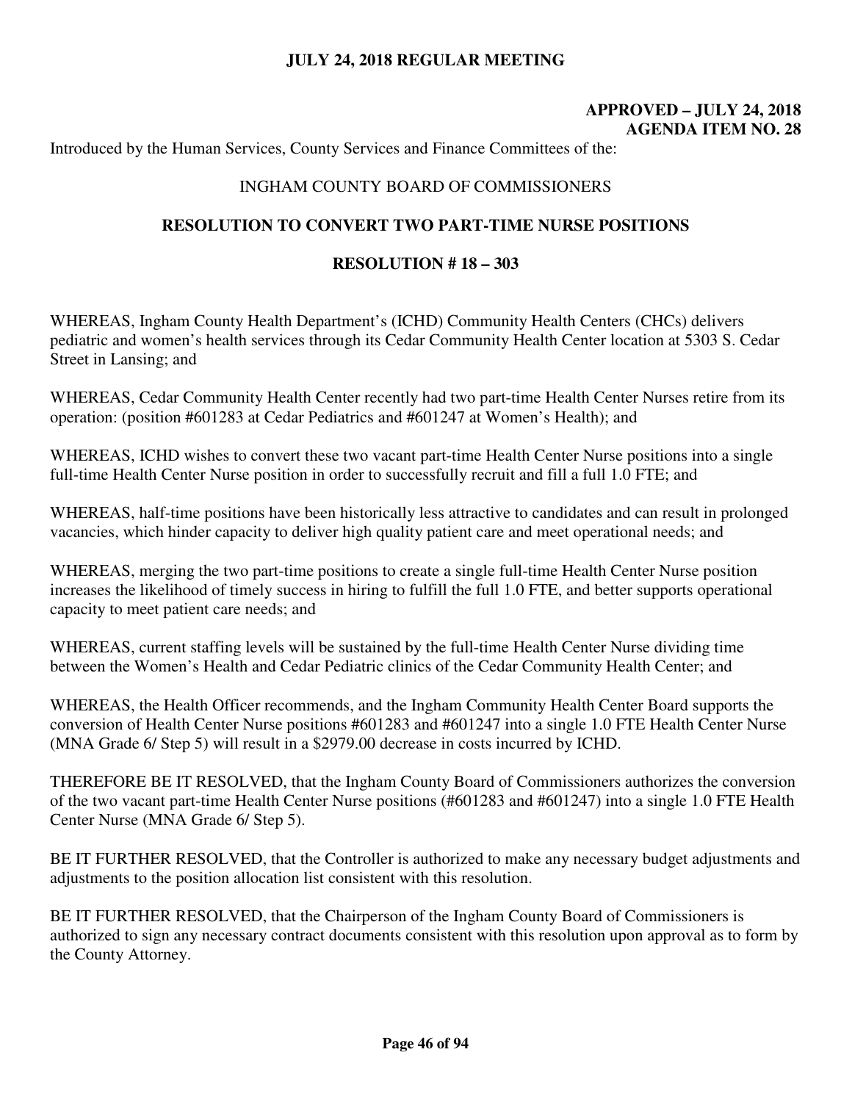# **APPROVED – JULY 24, 2018 AGENDA ITEM NO. 28**

Introduced by the Human Services, County Services and Finance Committees of the:

## INGHAM COUNTY BOARD OF COMMISSIONERS

## **RESOLUTION TO CONVERT TWO PART-TIME NURSE POSITIONS**

#### **RESOLUTION # 18 – 303**

WHEREAS, Ingham County Health Department's (ICHD) Community Health Centers (CHCs) delivers pediatric and women's health services through its Cedar Community Health Center location at 5303 S. Cedar Street in Lansing; and

WHEREAS, Cedar Community Health Center recently had two part-time Health Center Nurses retire from its operation: (position #601283 at Cedar Pediatrics and #601247 at Women's Health); and

WHEREAS, ICHD wishes to convert these two vacant part-time Health Center Nurse positions into a single full-time Health Center Nurse position in order to successfully recruit and fill a full 1.0 FTE; and

WHEREAS, half-time positions have been historically less attractive to candidates and can result in prolonged vacancies, which hinder capacity to deliver high quality patient care and meet operational needs; and

WHEREAS, merging the two part-time positions to create a single full-time Health Center Nurse position increases the likelihood of timely success in hiring to fulfill the full 1.0 FTE, and better supports operational capacity to meet patient care needs; and

WHEREAS, current staffing levels will be sustained by the full-time Health Center Nurse dividing time between the Women's Health and Cedar Pediatric clinics of the Cedar Community Health Center; and

WHEREAS, the Health Officer recommends, and the Ingham Community Health Center Board supports the conversion of Health Center Nurse positions #601283 and #601247 into a single 1.0 FTE Health Center Nurse (MNA Grade 6/ Step 5) will result in a \$2979.00 decrease in costs incurred by ICHD.

THEREFORE BE IT RESOLVED, that the Ingham County Board of Commissioners authorizes the conversion of the two vacant part-time Health Center Nurse positions (#601283 and #601247) into a single 1.0 FTE Health Center Nurse (MNA Grade 6/ Step 5).

BE IT FURTHER RESOLVED, that the Controller is authorized to make any necessary budget adjustments and adjustments to the position allocation list consistent with this resolution.

BE IT FURTHER RESOLVED, that the Chairperson of the Ingham County Board of Commissioners is authorized to sign any necessary contract documents consistent with this resolution upon approval as to form by the County Attorney.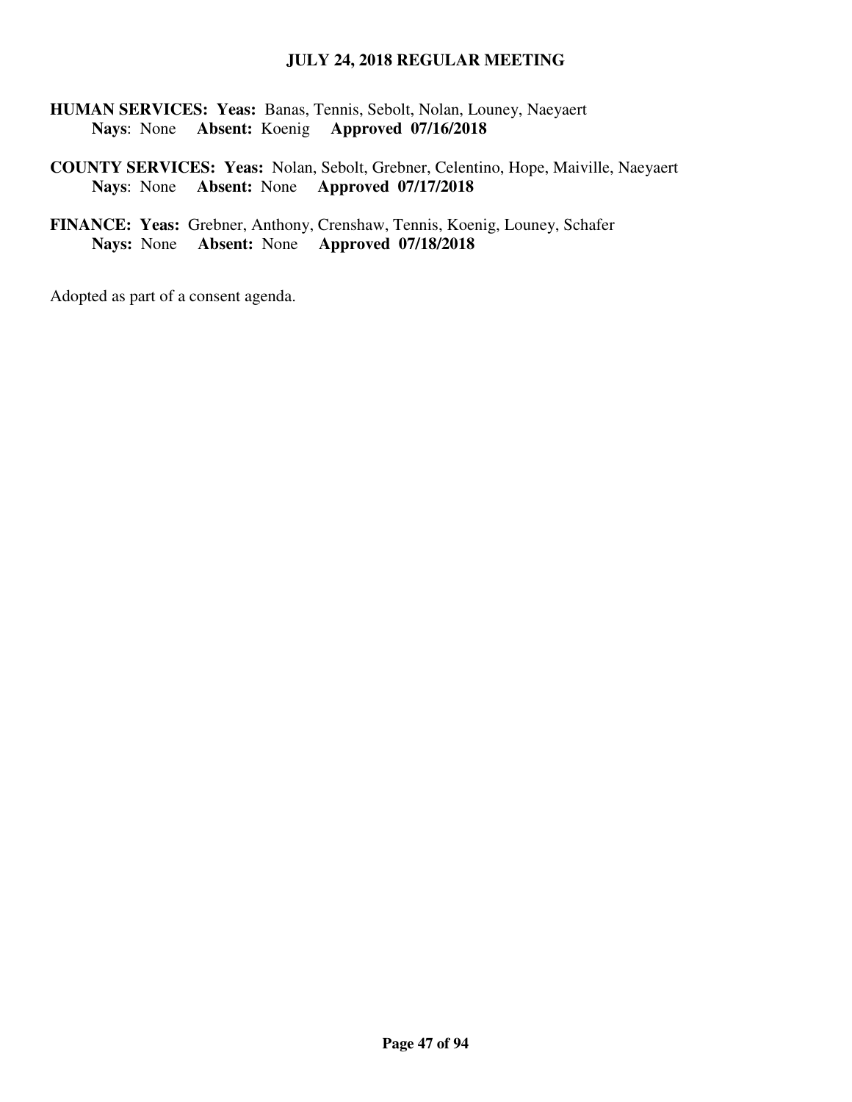**HUMAN SERVICES: Yeas:** Banas, Tennis, Sebolt, Nolan, Louney, Naeyaert  **Nays**: None **Absent:** Koenig **Approved 07/16/2018** 

**COUNTY SERVICES: Yeas:** Nolan, Sebolt, Grebner, Celentino, Hope, Maiville, Naeyaert **Nays**: None **Absent:** None **Approved 07/17/2018** 

**FINANCE: Yeas:** Grebner, Anthony, Crenshaw, Tennis, Koenig, Louney, Schafer **Nays:** None **Absent:** None **Approved 07/18/2018**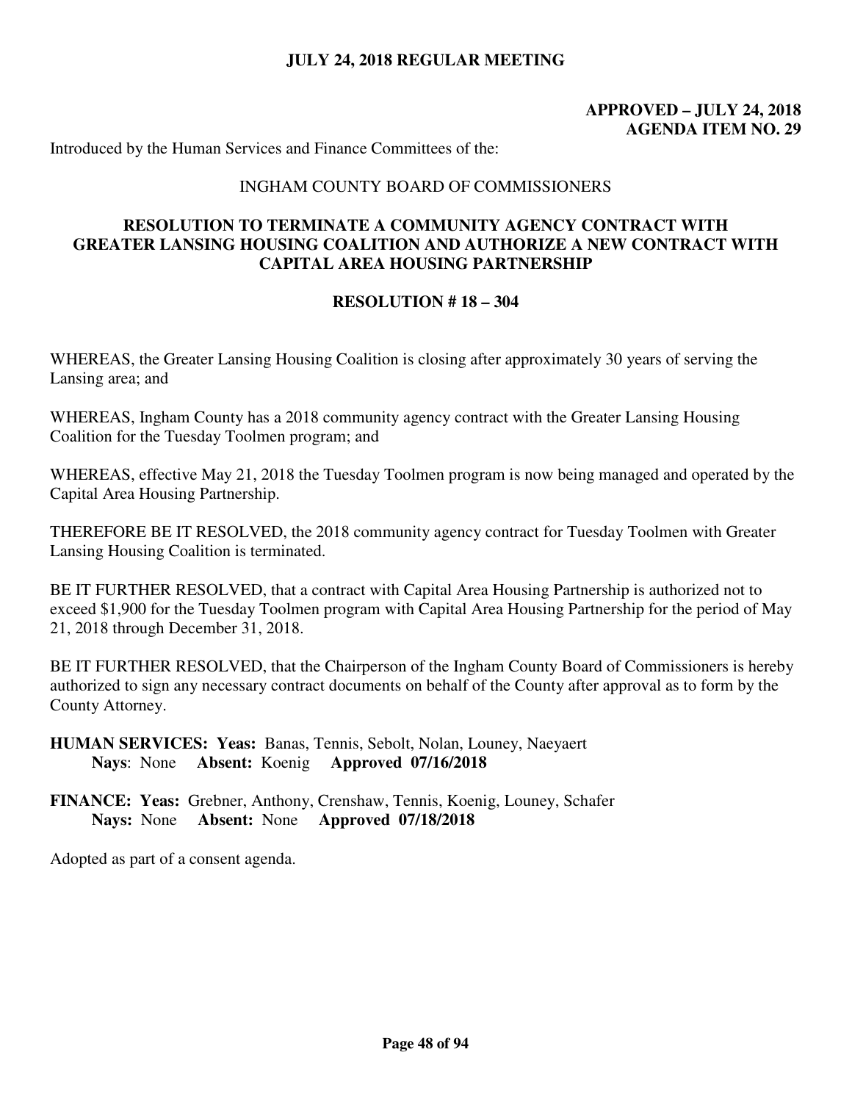# **APPROVED – JULY 24, 2018 AGENDA ITEM NO. 29**

Introduced by the Human Services and Finance Committees of the:

### INGHAM COUNTY BOARD OF COMMISSIONERS

## **RESOLUTION TO TERMINATE A COMMUNITY AGENCY CONTRACT WITH GREATER LANSING HOUSING COALITION AND AUTHORIZE A NEW CONTRACT WITH CAPITAL AREA HOUSING PARTNERSHIP**

### **RESOLUTION # 18 – 304**

WHEREAS, the Greater Lansing Housing Coalition is closing after approximately 30 years of serving the Lansing area; and

WHEREAS, Ingham County has a 2018 community agency contract with the Greater Lansing Housing Coalition for the Tuesday Toolmen program; and

WHEREAS, effective May 21, 2018 the Tuesday Toolmen program is now being managed and operated by the Capital Area Housing Partnership.

THEREFORE BE IT RESOLVED, the 2018 community agency contract for Tuesday Toolmen with Greater Lansing Housing Coalition is terminated.

BE IT FURTHER RESOLVED, that a contract with Capital Area Housing Partnership is authorized not to exceed \$1,900 for the Tuesday Toolmen program with Capital Area Housing Partnership for the period of May 21, 2018 through December 31, 2018.

BE IT FURTHER RESOLVED, that the Chairperson of the Ingham County Board of Commissioners is hereby authorized to sign any necessary contract documents on behalf of the County after approval as to form by the County Attorney.

**HUMAN SERVICES: Yeas:** Banas, Tennis, Sebolt, Nolan, Louney, Naeyaert  **Nays**: None **Absent:** Koenig **Approved 07/16/2018** 

**FINANCE: Yeas:** Grebner, Anthony, Crenshaw, Tennis, Koenig, Louney, Schafer **Nays:** None **Absent:** None **Approved 07/18/2018**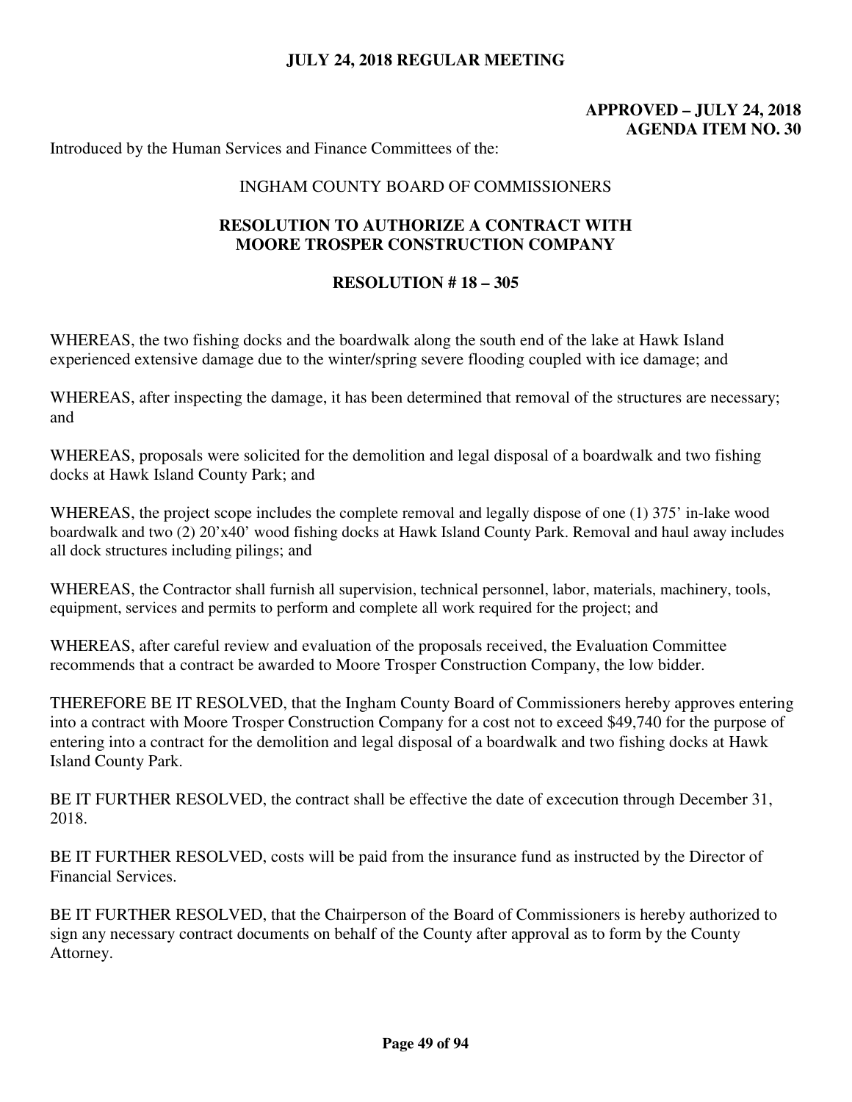# **APPROVED – JULY 24, 2018 AGENDA ITEM NO. 30**

Introduced by the Human Services and Finance Committees of the:

### INGHAM COUNTY BOARD OF COMMISSIONERS

## **RESOLUTION TO AUTHORIZE A CONTRACT WITH MOORE TROSPER CONSTRUCTION COMPANY**

### **RESOLUTION # 18 – 305**

WHEREAS, the two fishing docks and the boardwalk along the south end of the lake at Hawk Island experienced extensive damage due to the winter/spring severe flooding coupled with ice damage; and

WHEREAS, after inspecting the damage, it has been determined that removal of the structures are necessary; and

WHEREAS, proposals were solicited for the demolition and legal disposal of a boardwalk and two fishing docks at Hawk Island County Park; and

WHEREAS, the project scope includes the complete removal and legally dispose of one (1) 375' in-lake wood boardwalk and two (2) 20'x40' wood fishing docks at Hawk Island County Park. Removal and haul away includes all dock structures including pilings; and

WHEREAS, the Contractor shall furnish all supervision, technical personnel, labor, materials, machinery, tools, equipment, services and permits to perform and complete all work required for the project; and

WHEREAS, after careful review and evaluation of the proposals received, the Evaluation Committee recommends that a contract be awarded to Moore Trosper Construction Company, the low bidder.

THEREFORE BE IT RESOLVED, that the Ingham County Board of Commissioners hereby approves entering into a contract with Moore Trosper Construction Company for a cost not to exceed \$49,740 for the purpose of entering into a contract for the demolition and legal disposal of a boardwalk and two fishing docks at Hawk Island County Park.

BE IT FURTHER RESOLVED, the contract shall be effective the date of excecution through December 31, 2018.

BE IT FURTHER RESOLVED, costs will be paid from the insurance fund as instructed by the Director of Financial Services.

BE IT FURTHER RESOLVED, that the Chairperson of the Board of Commissioners is hereby authorized to sign any necessary contract documents on behalf of the County after approval as to form by the County Attorney.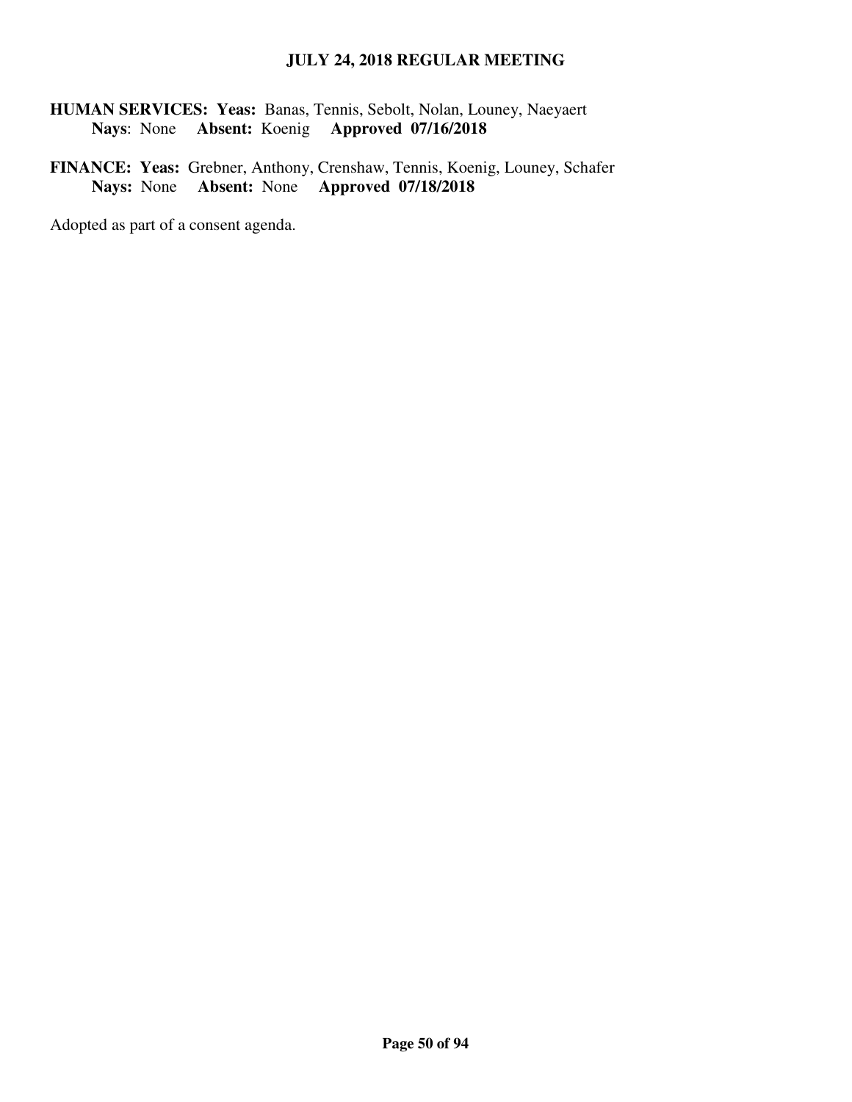**HUMAN SERVICES: Yeas:** Banas, Tennis, Sebolt, Nolan, Louney, Naeyaert  **Nays**: None **Absent:** Koenig **Approved 07/16/2018** 

**FINANCE: Yeas:** Grebner, Anthony, Crenshaw, Tennis, Koenig, Louney, Schafer **Nays:** None **Absent:** None **Approved 07/18/2018**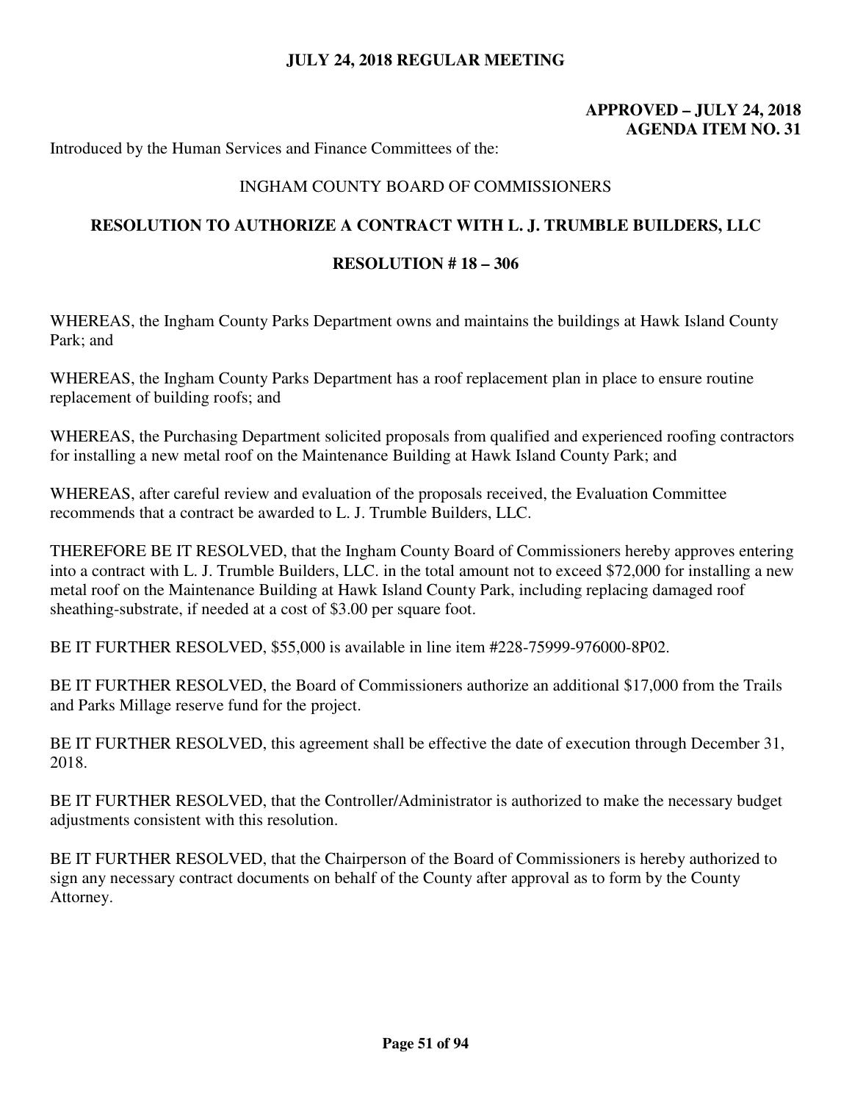# **APPROVED – JULY 24, 2018 AGENDA ITEM NO. 31**

Introduced by the Human Services and Finance Committees of the:

## INGHAM COUNTY BOARD OF COMMISSIONERS

## **RESOLUTION TO AUTHORIZE A CONTRACT WITH L. J. TRUMBLE BUILDERS, LLC**

### **RESOLUTION # 18 – 306**

WHEREAS, the Ingham County Parks Department owns and maintains the buildings at Hawk Island County Park; and

WHEREAS, the Ingham County Parks Department has a roof replacement plan in place to ensure routine replacement of building roofs; and

WHEREAS, the Purchasing Department solicited proposals from qualified and experienced roofing contractors for installing a new metal roof on the Maintenance Building at Hawk Island County Park; and

WHEREAS, after careful review and evaluation of the proposals received, the Evaluation Committee recommends that a contract be awarded to L. J. Trumble Builders, LLC.

THEREFORE BE IT RESOLVED, that the Ingham County Board of Commissioners hereby approves entering into a contract with L. J. Trumble Builders, LLC. in the total amount not to exceed \$72,000 for installing a new metal roof on the Maintenance Building at Hawk Island County Park, including replacing damaged roof sheathing-substrate, if needed at a cost of \$3.00 per square foot.

BE IT FURTHER RESOLVED, \$55,000 is available in line item #228-75999-976000-8P02.

BE IT FURTHER RESOLVED, the Board of Commissioners authorize an additional \$17,000 from the Trails and Parks Millage reserve fund for the project.

BE IT FURTHER RESOLVED, this agreement shall be effective the date of execution through December 31, 2018.

BE IT FURTHER RESOLVED, that the Controller/Administrator is authorized to make the necessary budget adjustments consistent with this resolution.

BE IT FURTHER RESOLVED, that the Chairperson of the Board of Commissioners is hereby authorized to sign any necessary contract documents on behalf of the County after approval as to form by the County Attorney.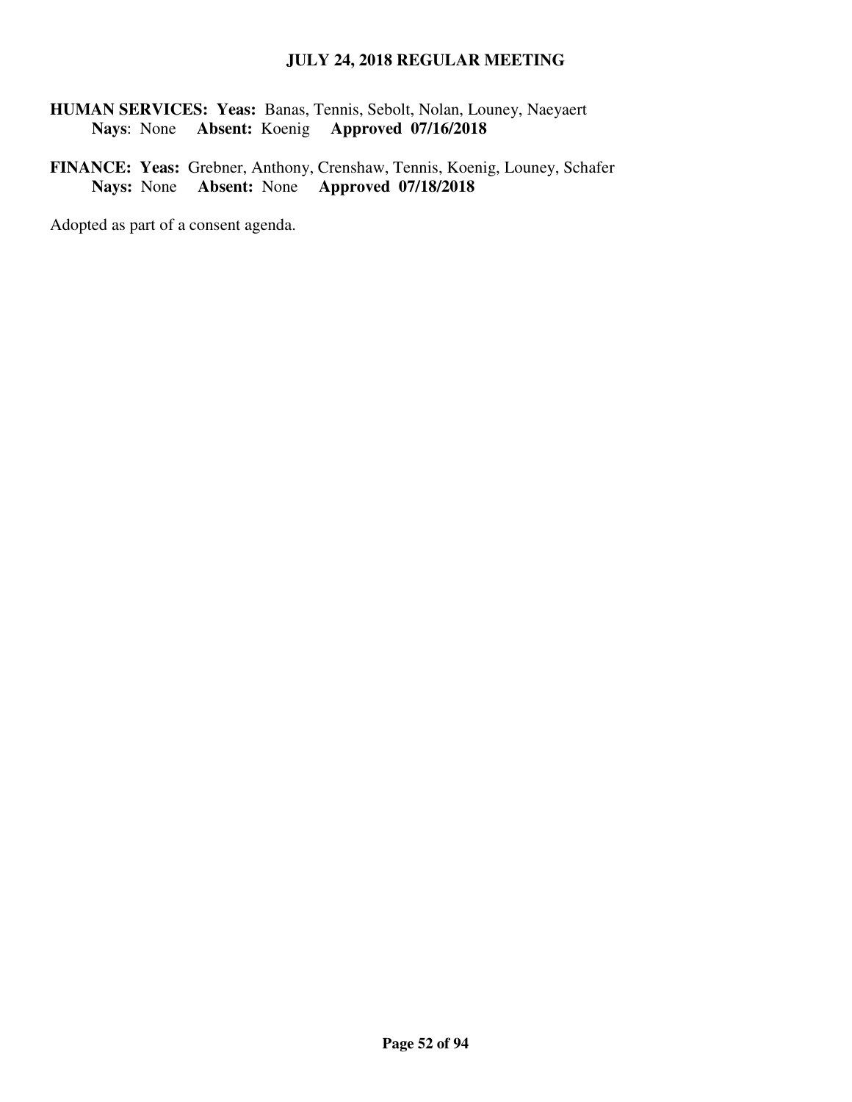**HUMAN SERVICES: Yeas:** Banas, Tennis, Sebolt, Nolan, Louney, Naeyaert  **Nays**: None **Absent:** Koenig **Approved 07/16/2018** 

**FINANCE: Yeas:** Grebner, Anthony, Crenshaw, Tennis, Koenig, Louney, Schafer **Nays:** None **Absent:** None **Approved 07/18/2018**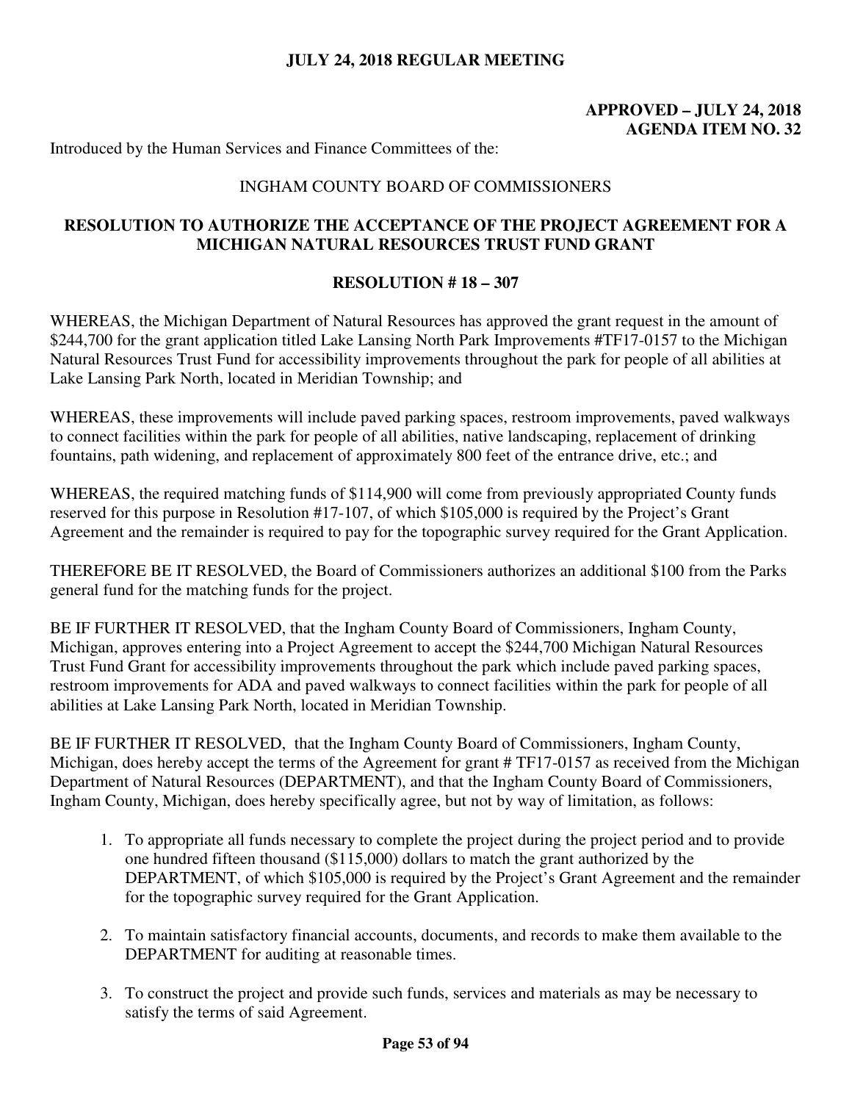# **APPROVED – JULY 24, 2018 AGENDA ITEM NO. 32**

Introduced by the Human Services and Finance Committees of the:

## INGHAM COUNTY BOARD OF COMMISSIONERS

# **RESOLUTION TO AUTHORIZE THE ACCEPTANCE OF THE PROJECT AGREEMENT FOR A MICHIGAN NATURAL RESOURCES TRUST FUND GRANT**

### **RESOLUTION # 18 – 307**

WHEREAS, the Michigan Department of Natural Resources has approved the grant request in the amount of \$244,700 for the grant application titled Lake Lansing North Park Improvements #TF17-0157 to the Michigan Natural Resources Trust Fund for accessibility improvements throughout the park for people of all abilities at Lake Lansing Park North, located in Meridian Township; and

WHEREAS, these improvements will include paved parking spaces, restroom improvements, paved walkways to connect facilities within the park for people of all abilities, native landscaping, replacement of drinking fountains, path widening, and replacement of approximately 800 feet of the entrance drive, etc.; and

WHEREAS, the required matching funds of \$114,900 will come from previously appropriated County funds reserved for this purpose in Resolution #17-107, of which \$105,000 is required by the Project's Grant Agreement and the remainder is required to pay for the topographic survey required for the Grant Application.

THEREFORE BE IT RESOLVED, the Board of Commissioners authorizes an additional \$100 from the Parks general fund for the matching funds for the project.

BE IF FURTHER IT RESOLVED, that the Ingham County Board of Commissioners, Ingham County, Michigan, approves entering into a Project Agreement to accept the \$244,700 Michigan Natural Resources Trust Fund Grant for accessibility improvements throughout the park which include paved parking spaces, restroom improvements for ADA and paved walkways to connect facilities within the park for people of all abilities at Lake Lansing Park North, located in Meridian Township.

BE IF FURTHER IT RESOLVED, that the Ingham County Board of Commissioners, Ingham County, Michigan, does hereby accept the terms of the Agreement for grant # TF17-0157 as received from the Michigan Department of Natural Resources (DEPARTMENT), and that the Ingham County Board of Commissioners, Ingham County, Michigan, does hereby specifically agree, but not by way of limitation, as follows:

- 1. To appropriate all funds necessary to complete the project during the project period and to provide one hundred fifteen thousand (\$115,000) dollars to match the grant authorized by the DEPARTMENT, of which \$105,000 is required by the Project's Grant Agreement and the remainder for the topographic survey required for the Grant Application.
- 2. To maintain satisfactory financial accounts, documents, and records to make them available to the DEPARTMENT for auditing at reasonable times.
- 3. To construct the project and provide such funds, services and materials as may be necessary to satisfy the terms of said Agreement.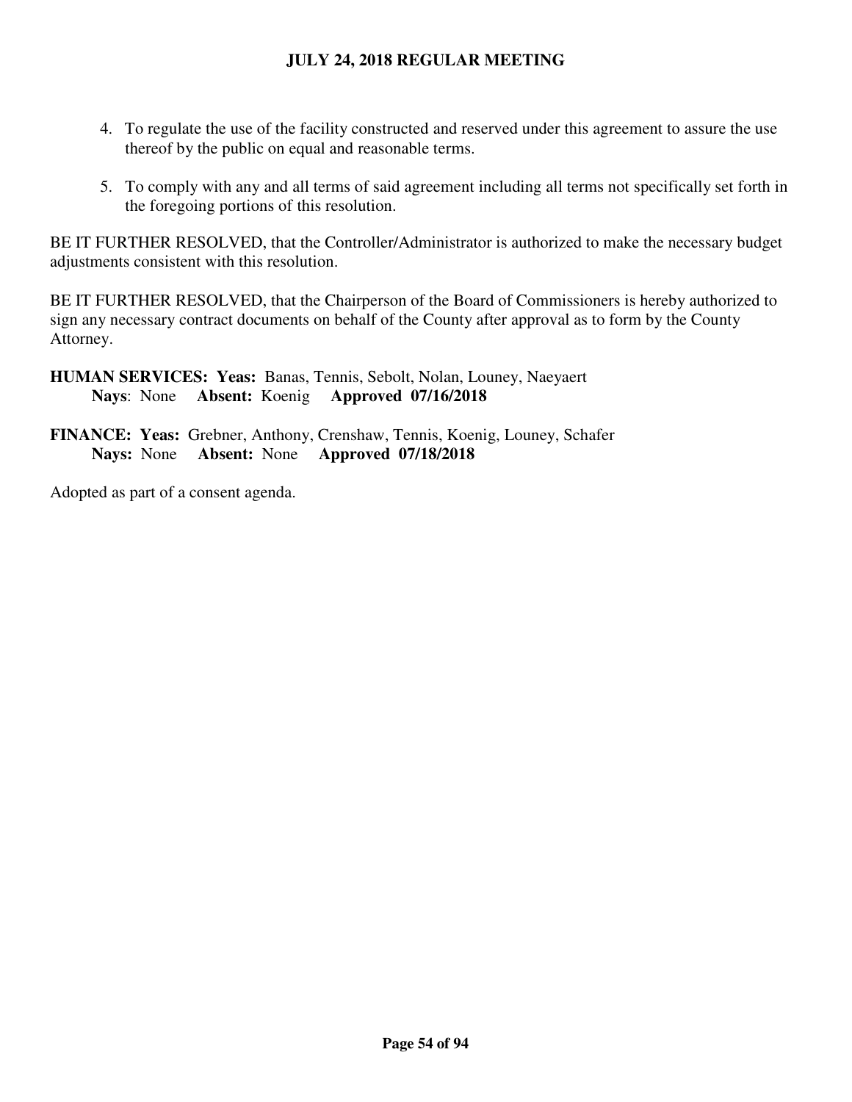- 4. To regulate the use of the facility constructed and reserved under this agreement to assure the use thereof by the public on equal and reasonable terms.
- 5. To comply with any and all terms of said agreement including all terms not specifically set forth in the foregoing portions of this resolution.

BE IT FURTHER RESOLVED, that the Controller/Administrator is authorized to make the necessary budget adjustments consistent with this resolution.

BE IT FURTHER RESOLVED, that the Chairperson of the Board of Commissioners is hereby authorized to sign any necessary contract documents on behalf of the County after approval as to form by the County Attorney.

**HUMAN SERVICES: Yeas:** Banas, Tennis, Sebolt, Nolan, Louney, Naeyaert  **Nays**: None **Absent:** Koenig **Approved 07/16/2018** 

**FINANCE: Yeas:** Grebner, Anthony, Crenshaw, Tennis, Koenig, Louney, Schafer **Nays:** None **Absent:** None **Approved 07/18/2018**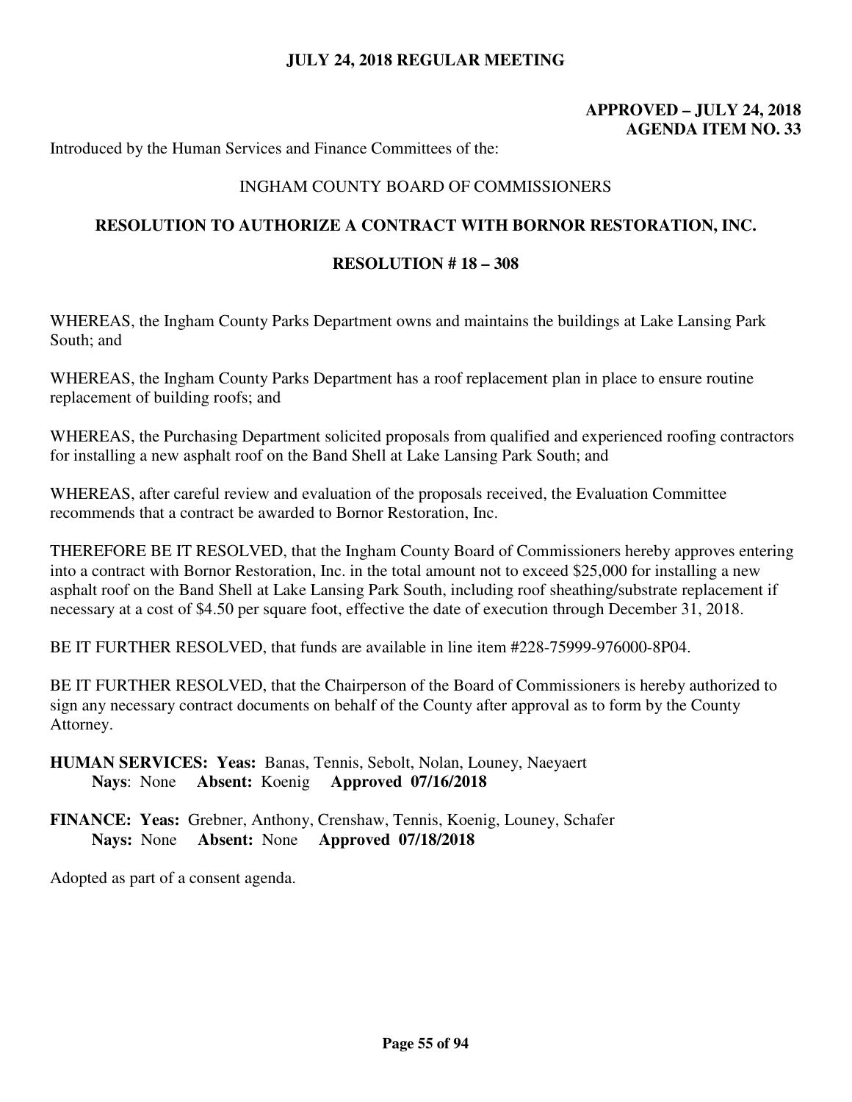# **APPROVED – JULY 24, 2018 AGENDA ITEM NO. 33**

Introduced by the Human Services and Finance Committees of the:

## INGHAM COUNTY BOARD OF COMMISSIONERS

### **RESOLUTION TO AUTHORIZE A CONTRACT WITH BORNOR RESTORATION, INC.**

## **RESOLUTION # 18 – 308**

WHEREAS, the Ingham County Parks Department owns and maintains the buildings at Lake Lansing Park South; and

WHEREAS, the Ingham County Parks Department has a roof replacement plan in place to ensure routine replacement of building roofs; and

WHEREAS, the Purchasing Department solicited proposals from qualified and experienced roofing contractors for installing a new asphalt roof on the Band Shell at Lake Lansing Park South; and

WHEREAS, after careful review and evaluation of the proposals received, the Evaluation Committee recommends that a contract be awarded to Bornor Restoration, Inc.

THEREFORE BE IT RESOLVED, that the Ingham County Board of Commissioners hereby approves entering into a contract with Bornor Restoration, Inc. in the total amount not to exceed \$25,000 for installing a new asphalt roof on the Band Shell at Lake Lansing Park South, including roof sheathing/substrate replacement if necessary at a cost of \$4.50 per square foot, effective the date of execution through December 31, 2018.

BE IT FURTHER RESOLVED, that funds are available in line item #228-75999-976000-8P04.

BE IT FURTHER RESOLVED, that the Chairperson of the Board of Commissioners is hereby authorized to sign any necessary contract documents on behalf of the County after approval as to form by the County Attorney.

**HUMAN SERVICES: Yeas:** Banas, Tennis, Sebolt, Nolan, Louney, Naeyaert  **Nays**: None **Absent:** Koenig **Approved 07/16/2018** 

**FINANCE: Yeas:** Grebner, Anthony, Crenshaw, Tennis, Koenig, Louney, Schafer **Nays:** None **Absent:** None **Approved 07/18/2018**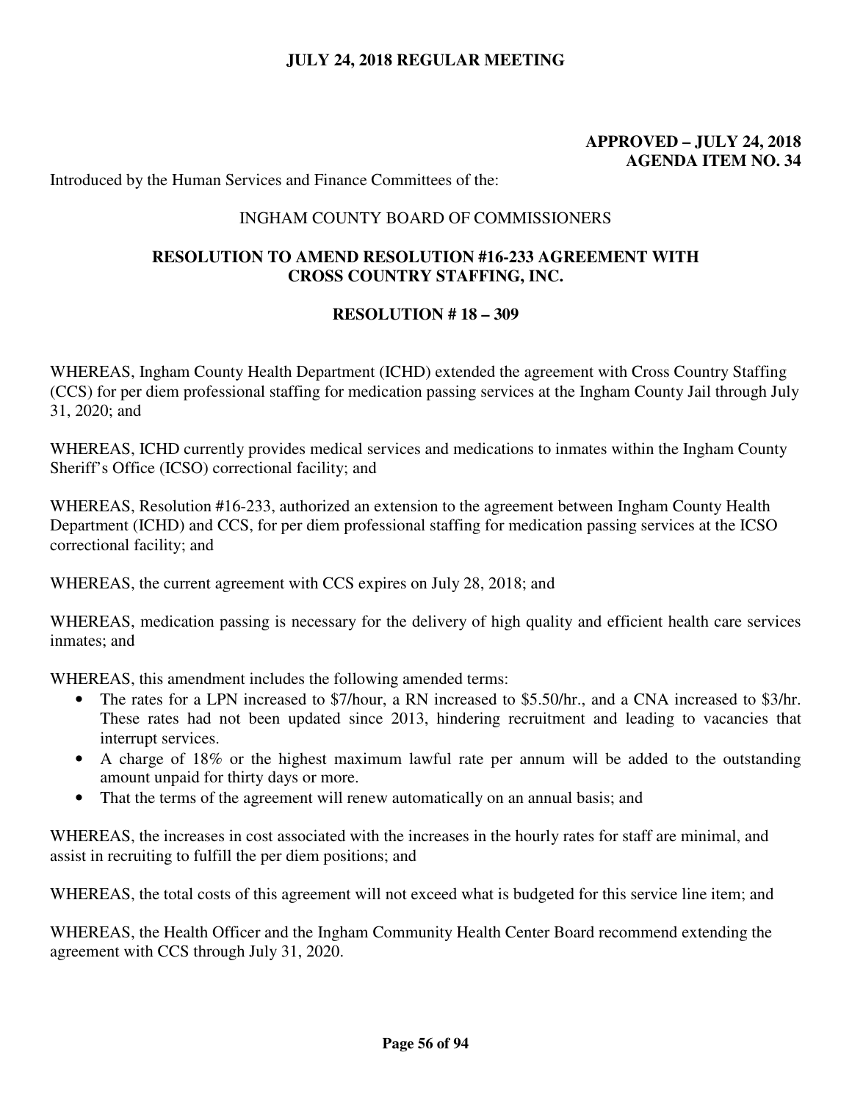## **APPROVED – JULY 24, 2018 AGENDA ITEM NO. 34**

Introduced by the Human Services and Finance Committees of the:

### INGHAM COUNTY BOARD OF COMMISSIONERS

## **RESOLUTION TO AMEND RESOLUTION #16-233 AGREEMENT WITH CROSS COUNTRY STAFFING, INC.**

### **RESOLUTION # 18 – 309**

WHEREAS, Ingham County Health Department (ICHD) extended the agreement with Cross Country Staffing (CCS) for per diem professional staffing for medication passing services at the Ingham County Jail through July 31, 2020; and

WHEREAS, ICHD currently provides medical services and medications to inmates within the Ingham County Sheriff's Office (ICSO) correctional facility; and

WHEREAS, Resolution #16-233, authorized an extension to the agreement between Ingham County Health Department (ICHD) and CCS, for per diem professional staffing for medication passing services at the ICSO correctional facility; and

WHEREAS, the current agreement with CCS expires on July 28, 2018; and

WHEREAS, medication passing is necessary for the delivery of high quality and efficient health care services inmates; and

WHEREAS, this amendment includes the following amended terms:

- The rates for a LPN increased to \$7/hour, a RN increased to \$5.50/hr., and a CNA increased to \$3/hr. These rates had not been updated since 2013, hindering recruitment and leading to vacancies that interrupt services.
- A charge of 18% or the highest maximum lawful rate per annum will be added to the outstanding amount unpaid for thirty days or more.
- That the terms of the agreement will renew automatically on an annual basis; and

WHEREAS, the increases in cost associated with the increases in the hourly rates for staff are minimal, and assist in recruiting to fulfill the per diem positions; and

WHEREAS, the total costs of this agreement will not exceed what is budgeted for this service line item; and

WHEREAS, the Health Officer and the Ingham Community Health Center Board recommend extending the agreement with CCS through July 31, 2020.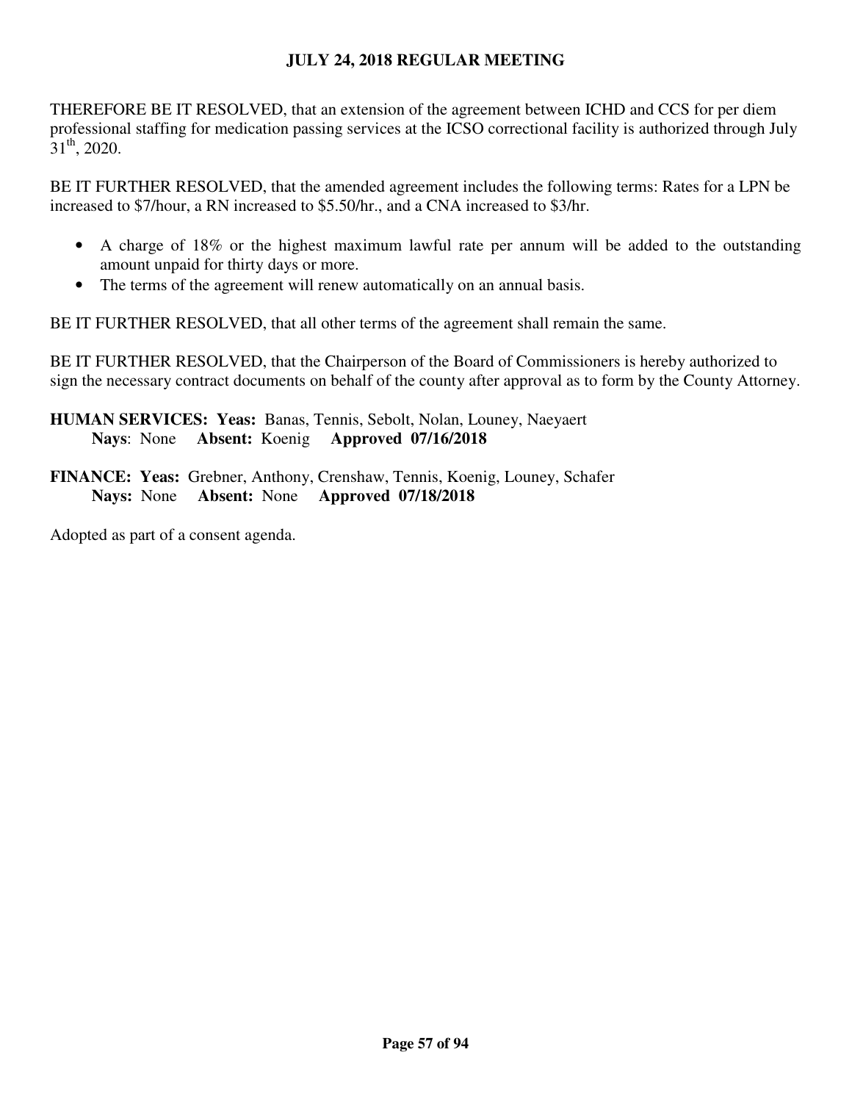THEREFORE BE IT RESOLVED, that an extension of the agreement between ICHD and CCS for per diem professional staffing for medication passing services at the ICSO correctional facility is authorized through July  $31<sup>th</sup>$ , 2020.

BE IT FURTHER RESOLVED, that the amended agreement includes the following terms: Rates for a LPN be increased to \$7/hour, a RN increased to \$5.50/hr., and a CNA increased to \$3/hr.

- A charge of 18% or the highest maximum lawful rate per annum will be added to the outstanding amount unpaid for thirty days or more.
- The terms of the agreement will renew automatically on an annual basis.

BE IT FURTHER RESOLVED, that all other terms of the agreement shall remain the same.

BE IT FURTHER RESOLVED, that the Chairperson of the Board of Commissioners is hereby authorized to sign the necessary contract documents on behalf of the county after approval as to form by the County Attorney.

**HUMAN SERVICES: Yeas:** Banas, Tennis, Sebolt, Nolan, Louney, Naeyaert  **Nays**: None **Absent:** Koenig **Approved 07/16/2018** 

**FINANCE: Yeas:** Grebner, Anthony, Crenshaw, Tennis, Koenig, Louney, Schafer **Nays:** None **Absent:** None **Approved 07/18/2018**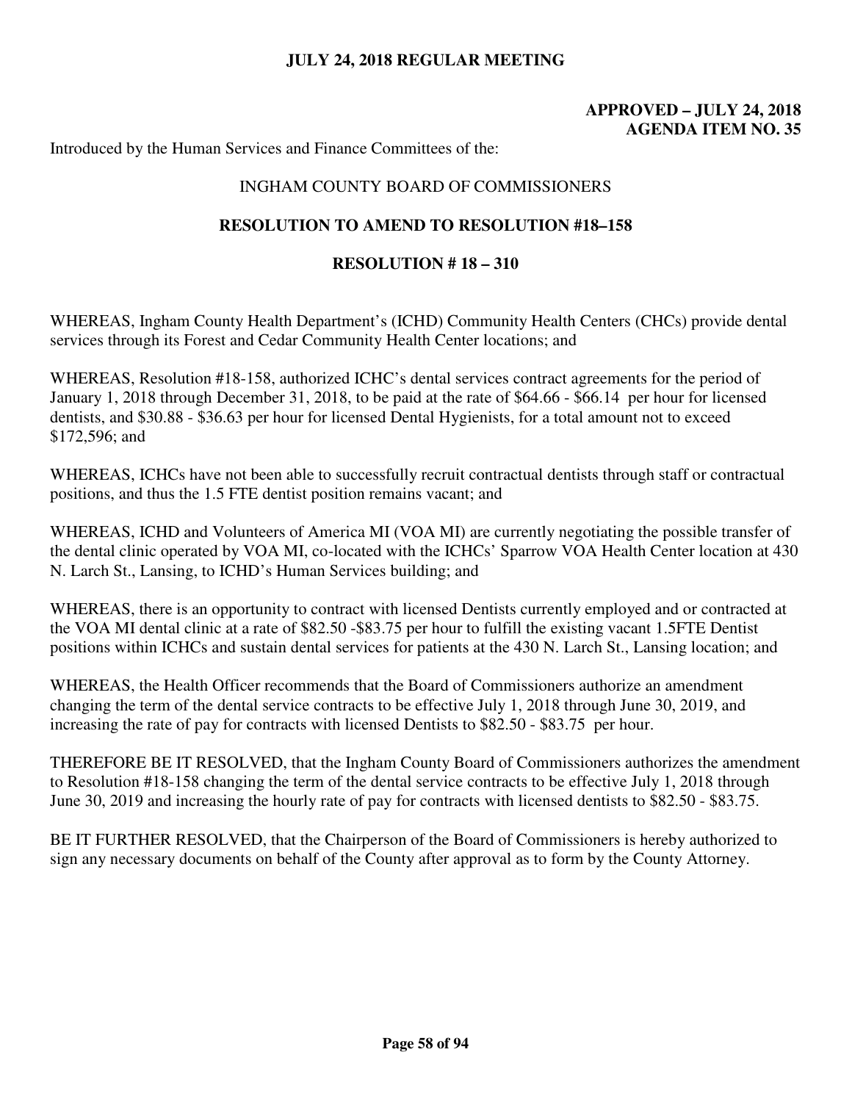# **APPROVED – JULY 24, 2018 AGENDA ITEM NO. 35**

Introduced by the Human Services and Finance Committees of the:

## INGHAM COUNTY BOARD OF COMMISSIONERS

### **RESOLUTION TO AMEND TO RESOLUTION #18–158**

#### **RESOLUTION # 18 – 310**

WHEREAS, Ingham County Health Department's (ICHD) Community Health Centers (CHCs) provide dental services through its Forest and Cedar Community Health Center locations; and

WHEREAS, Resolution #18-158, authorized ICHC's dental services contract agreements for the period of January 1, 2018 through December 31, 2018, to be paid at the rate of \$64.66 - \$66.14 per hour for licensed dentists, and \$30.88 - \$36.63 per hour for licensed Dental Hygienists, for a total amount not to exceed \$172,596; and

WHEREAS, ICHCs have not been able to successfully recruit contractual dentists through staff or contractual positions, and thus the 1.5 FTE dentist position remains vacant; and

WHEREAS, ICHD and Volunteers of America MI (VOA MI) are currently negotiating the possible transfer of the dental clinic operated by VOA MI, co-located with the ICHCs' Sparrow VOA Health Center location at 430 N. Larch St., Lansing, to ICHD's Human Services building; and

WHEREAS, there is an opportunity to contract with licensed Dentists currently employed and or contracted at the VOA MI dental clinic at a rate of \$82.50 -\$83.75 per hour to fulfill the existing vacant 1.5FTE Dentist positions within ICHCs and sustain dental services for patients at the 430 N. Larch St., Lansing location; and

WHEREAS, the Health Officer recommends that the Board of Commissioners authorize an amendment changing the term of the dental service contracts to be effective July 1, 2018 through June 30, 2019, and increasing the rate of pay for contracts with licensed Dentists to \$82.50 - \$83.75 per hour.

THEREFORE BE IT RESOLVED, that the Ingham County Board of Commissioners authorizes the amendment to Resolution #18-158 changing the term of the dental service contracts to be effective July 1, 2018 through June 30, 2019 and increasing the hourly rate of pay for contracts with licensed dentists to \$82.50 - \$83.75.

BE IT FURTHER RESOLVED, that the Chairperson of the Board of Commissioners is hereby authorized to sign any necessary documents on behalf of the County after approval as to form by the County Attorney.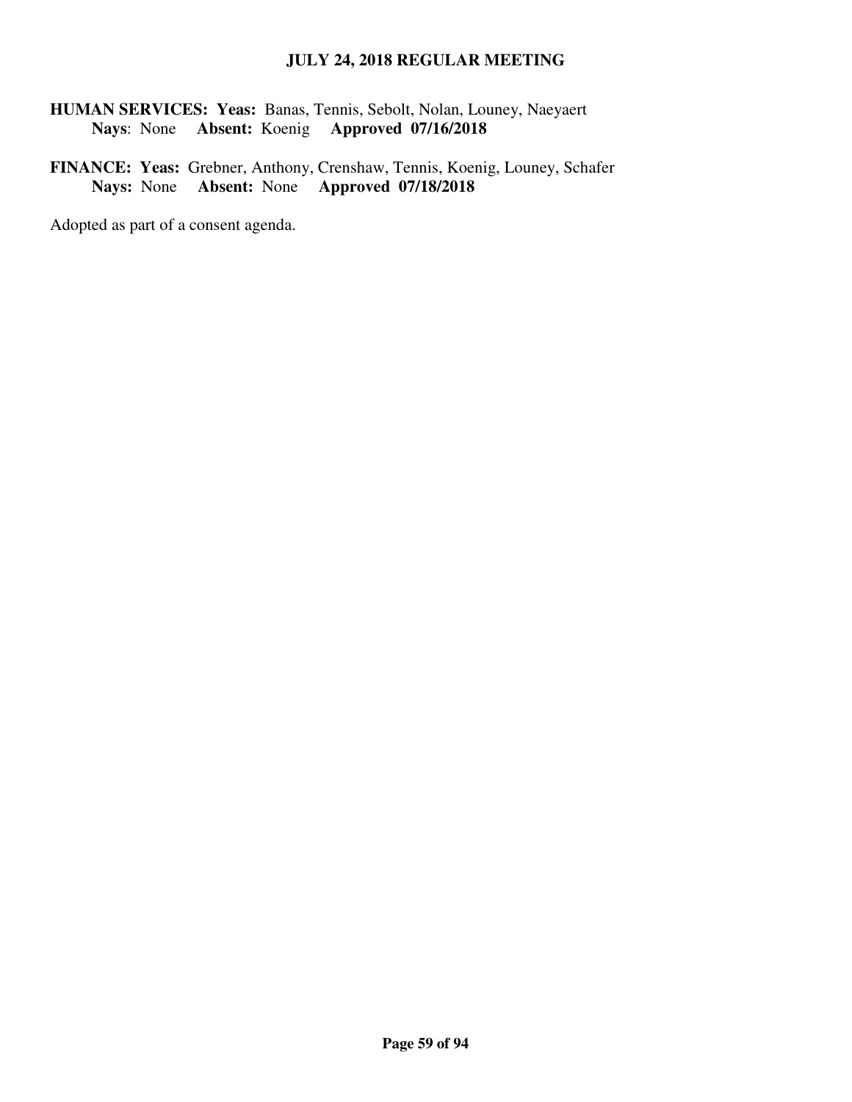**HUMAN SERVICES: Yeas:** Banas, Tennis, Sebolt, Nolan, Louney, Naeyaert  **Nays**: None **Absent:** Koenig **Approved 07/16/2018** 

**FINANCE: Yeas:** Grebner, Anthony, Crenshaw, Tennis, Koenig, Louney, Schafer **Nays:** None **Absent:** None **Approved 07/18/2018**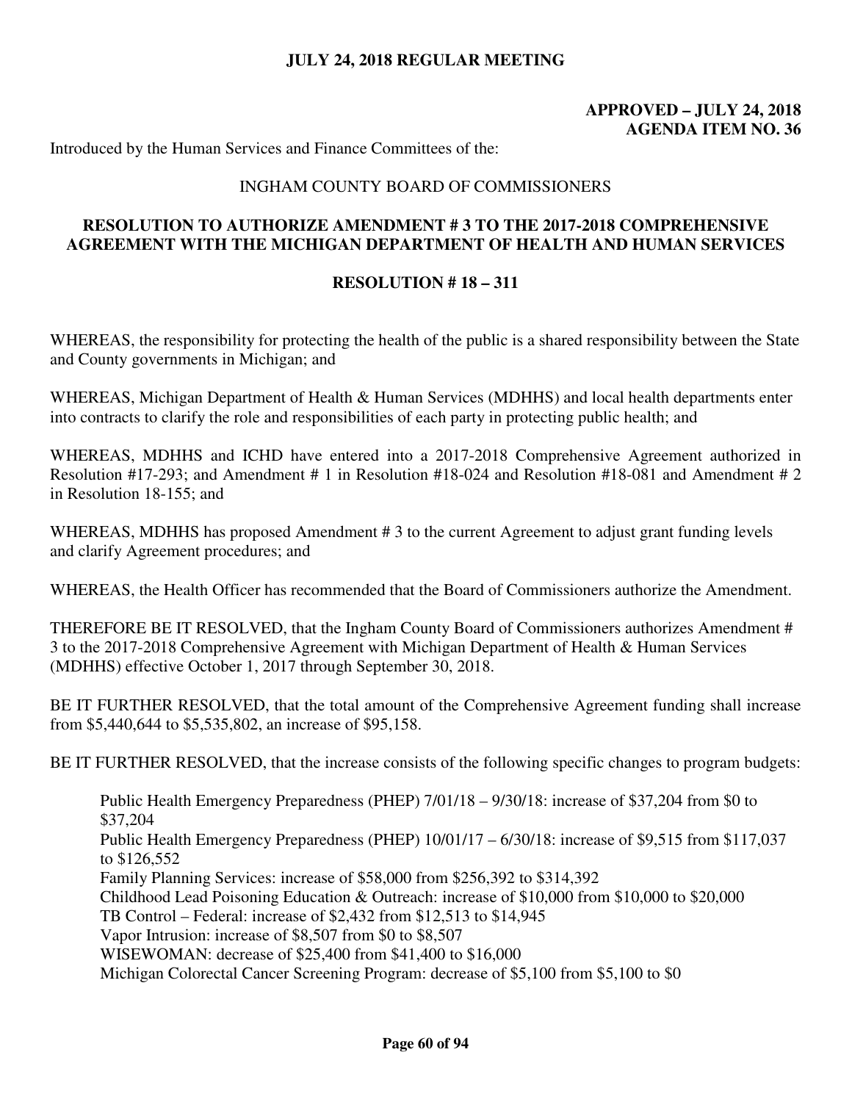# **APPROVED – JULY 24, 2018 AGENDA ITEM NO. 36**

Introduced by the Human Services and Finance Committees of the:

### INGHAM COUNTY BOARD OF COMMISSIONERS

# **RESOLUTION TO AUTHORIZE AMENDMENT # 3 TO THE 2017-2018 COMPREHENSIVE AGREEMENT WITH THE MICHIGAN DEPARTMENT OF HEALTH AND HUMAN SERVICES**

### **RESOLUTION # 18 – 311**

WHEREAS, the responsibility for protecting the health of the public is a shared responsibility between the State and County governments in Michigan; and

WHEREAS, Michigan Department of Health & Human Services (MDHHS) and local health departments enter into contracts to clarify the role and responsibilities of each party in protecting public health; and

WHEREAS, MDHHS and ICHD have entered into a 2017-2018 Comprehensive Agreement authorized in Resolution #17-293; and Amendment # 1 in Resolution #18-024 and Resolution #18-081 and Amendment # 2 in Resolution 18-155; and

WHEREAS, MDHHS has proposed Amendment #3 to the current Agreement to adjust grant funding levels and clarify Agreement procedures; and

WHEREAS, the Health Officer has recommended that the Board of Commissioners authorize the Amendment.

THEREFORE BE IT RESOLVED, that the Ingham County Board of Commissioners authorizes Amendment # 3 to the 2017-2018 Comprehensive Agreement with Michigan Department of Health & Human Services (MDHHS) effective October 1, 2017 through September 30, 2018.

BE IT FURTHER RESOLVED, that the total amount of the Comprehensive Agreement funding shall increase from \$5,440,644 to \$5,535,802, an increase of \$95,158.

BE IT FURTHER RESOLVED, that the increase consists of the following specific changes to program budgets:

Public Health Emergency Preparedness (PHEP) 7/01/18 – 9/30/18: increase of \$37,204 from \$0 to \$37,204 Public Health Emergency Preparedness (PHEP) 10/01/17 – 6/30/18: increase of \$9,515 from \$117,037 to \$126,552 Family Planning Services: increase of \$58,000 from \$256,392 to \$314,392 Childhood Lead Poisoning Education & Outreach: increase of \$10,000 from \$10,000 to \$20,000 TB Control – Federal: increase of \$2,432 from \$12,513 to \$14,945 Vapor Intrusion: increase of \$8,507 from \$0 to \$8,507 WISEWOMAN: decrease of \$25,400 from \$41,400 to \$16,000 Michigan Colorectal Cancer Screening Program: decrease of \$5,100 from \$5,100 to \$0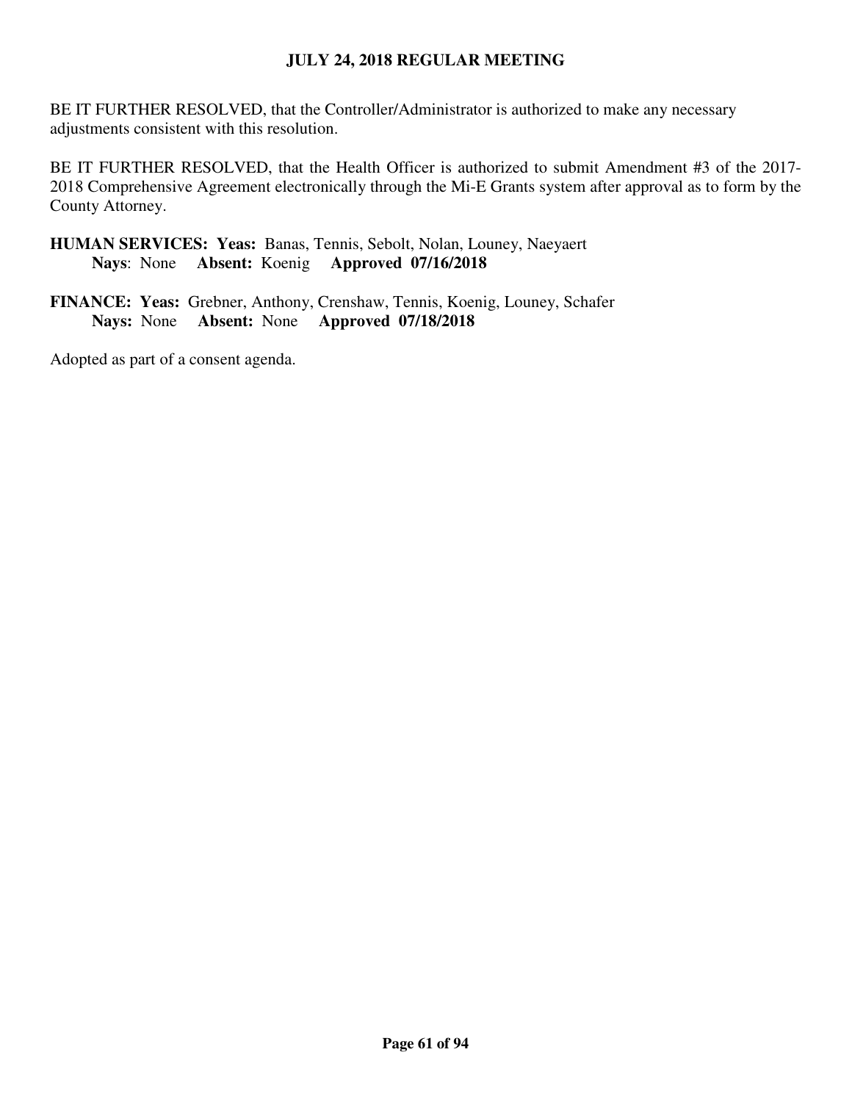BE IT FURTHER RESOLVED, that the Controller/Administrator is authorized to make any necessary adjustments consistent with this resolution.

BE IT FURTHER RESOLVED, that the Health Officer is authorized to submit Amendment #3 of the 2017- 2018 Comprehensive Agreement electronically through the Mi-E Grants system after approval as to form by the County Attorney.

**HUMAN SERVICES: Yeas:** Banas, Tennis, Sebolt, Nolan, Louney, Naeyaert  **Nays**: None **Absent:** Koenig **Approved 07/16/2018** 

**FINANCE: Yeas:** Grebner, Anthony, Crenshaw, Tennis, Koenig, Louney, Schafer **Nays:** None **Absent:** None **Approved 07/18/2018**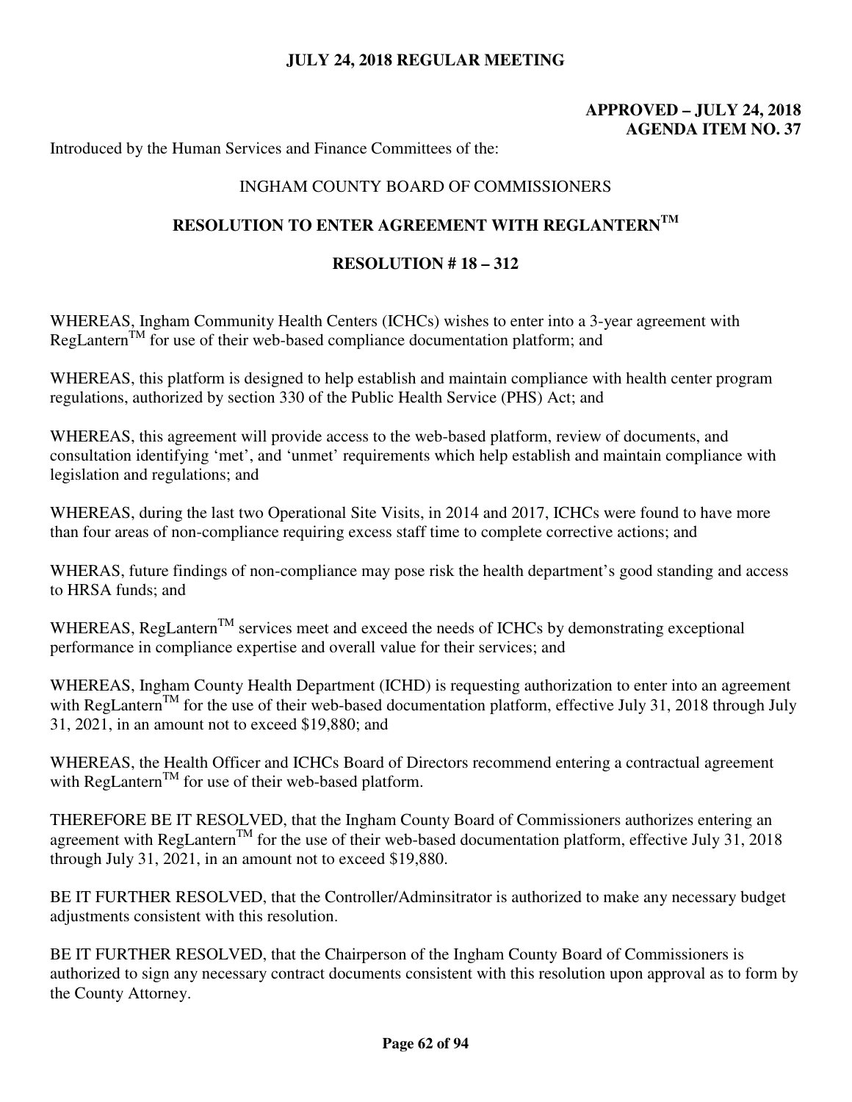# **APPROVED – JULY 24, 2018 AGENDA ITEM NO. 37**

Introduced by the Human Services and Finance Committees of the:

# INGHAM COUNTY BOARD OF COMMISSIONERS

# **RESOLUTION TO ENTER AGREEMENT WITH REGLANTERNTM**

### **RESOLUTION # 18 – 312**

WHEREAS, Ingham Community Health Centers (ICHCs) wishes to enter into a 3-year agreement with RegLantern<sup>TM</sup> for use of their web-based compliance documentation platform; and

WHEREAS, this platform is designed to help establish and maintain compliance with health center program regulations, authorized by section 330 of the Public Health Service (PHS) Act; and

WHEREAS, this agreement will provide access to the web-based platform, review of documents, and consultation identifying 'met', and 'unmet' requirements which help establish and maintain compliance with legislation and regulations; and

WHEREAS, during the last two Operational Site Visits, in 2014 and 2017, ICHCs were found to have more than four areas of non-compliance requiring excess staff time to complete corrective actions; and

WHERAS, future findings of non-compliance may pose risk the health department's good standing and access to HRSA funds; and

WHEREAS, RegLantern<sup>TM</sup> services meet and exceed the needs of ICHCs by demonstrating exceptional performance in compliance expertise and overall value for their services; and

WHEREAS, Ingham County Health Department (ICHD) is requesting authorization to enter into an agreement with RegLantern<sup>TM</sup> for the use of their web-based documentation platform, effective July 31, 2018 through July 31, 2021, in an amount not to exceed \$19,880; and

WHEREAS, the Health Officer and ICHCs Board of Directors recommend entering a contractual agreement with RegLantern<sup>TM</sup> for use of their web-based platform.

THEREFORE BE IT RESOLVED, that the Ingham County Board of Commissioners authorizes entering an agreement with RegLantern<sup>TM</sup> for the use of their web-based documentation platform, effective July 31, 2018 through July 31, 2021, in an amount not to exceed \$19,880.

BE IT FURTHER RESOLVED, that the Controller/Adminsitrator is authorized to make any necessary budget adjustments consistent with this resolution.

BE IT FURTHER RESOLVED, that the Chairperson of the Ingham County Board of Commissioners is authorized to sign any necessary contract documents consistent with this resolution upon approval as to form by the County Attorney.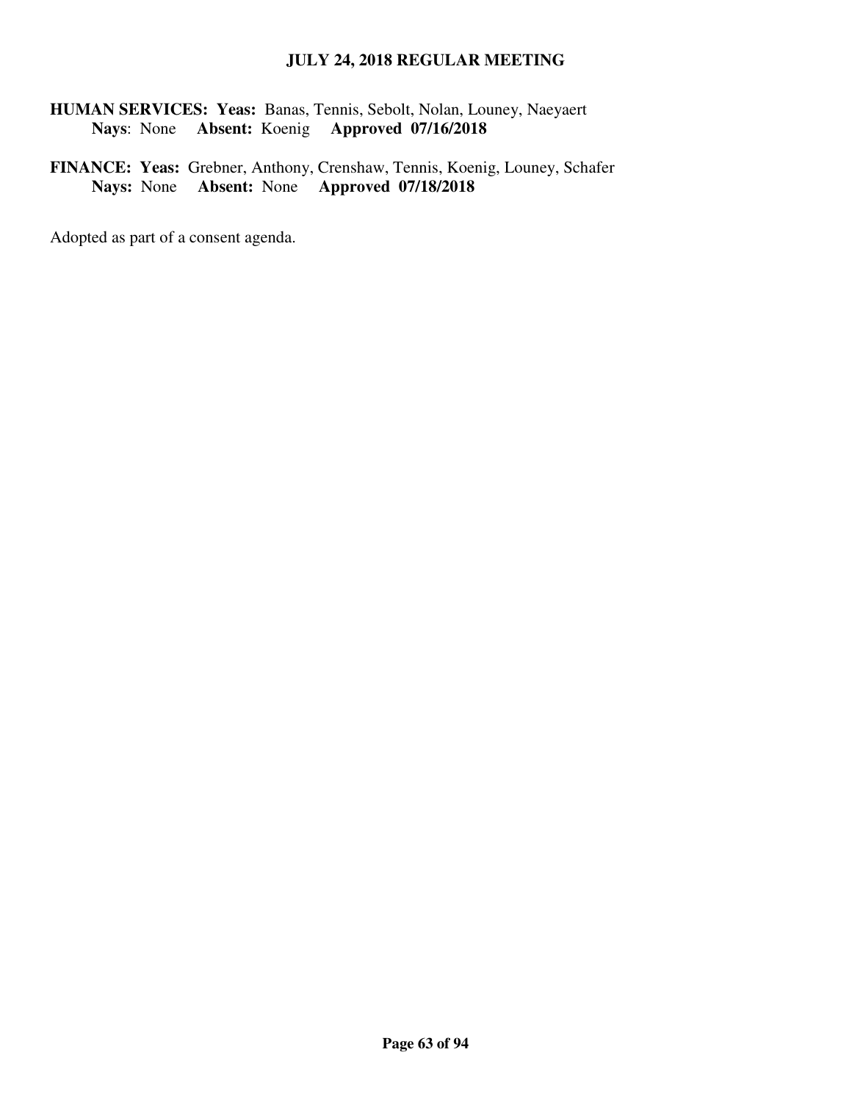**HUMAN SERVICES: Yeas:** Banas, Tennis, Sebolt, Nolan, Louney, Naeyaert  **Nays**: None **Absent:** Koenig **Approved 07/16/2018** 

**FINANCE: Yeas:** Grebner, Anthony, Crenshaw, Tennis, Koenig, Louney, Schafer **Nays:** None **Absent:** None **Approved 07/18/2018**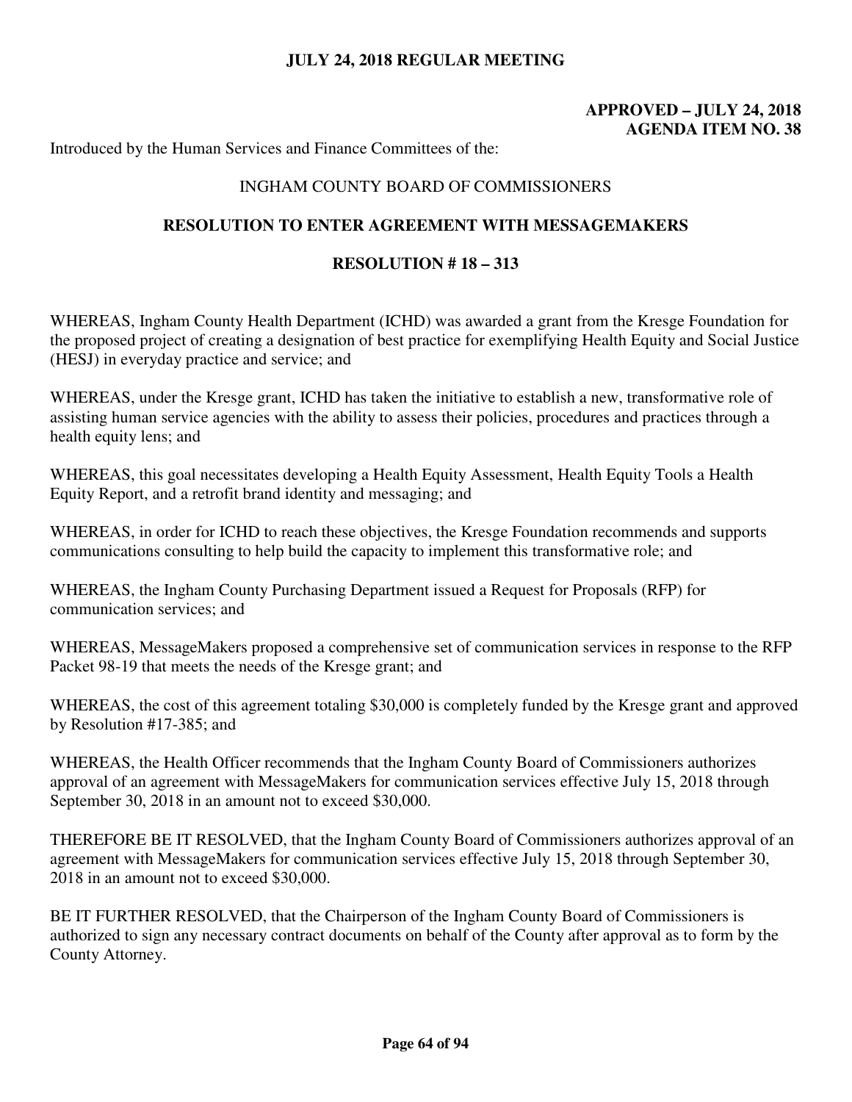# **APPROVED – JULY 24, 2018 AGENDA ITEM NO. 38**

Introduced by the Human Services and Finance Committees of the:

## INGHAM COUNTY BOARD OF COMMISSIONERS

#### **RESOLUTION TO ENTER AGREEMENT WITH MESSAGEMAKERS**

#### **RESOLUTION # 18 – 313**

WHEREAS, Ingham County Health Department (ICHD) was awarded a grant from the Kresge Foundation for the proposed project of creating a designation of best practice for exemplifying Health Equity and Social Justice (HESJ) in everyday practice and service; and

WHEREAS, under the Kresge grant, ICHD has taken the initiative to establish a new, transformative role of assisting human service agencies with the ability to assess their policies, procedures and practices through a health equity lens; and

WHEREAS, this goal necessitates developing a Health Equity Assessment, Health Equity Tools a Health Equity Report, and a retrofit brand identity and messaging; and

WHEREAS, in order for ICHD to reach these objectives, the Kresge Foundation recommends and supports communications consulting to help build the capacity to implement this transformative role; and

WHEREAS, the Ingham County Purchasing Department issued a Request for Proposals (RFP) for communication services; and

WHEREAS, MessageMakers proposed a comprehensive set of communication services in response to the RFP Packet 98-19 that meets the needs of the Kresge grant; and

WHEREAS, the cost of this agreement totaling \$30,000 is completely funded by the Kresge grant and approved by Resolution #17-385; and

WHEREAS, the Health Officer recommends that the Ingham County Board of Commissioners authorizes approval of an agreement with MessageMakers for communication services effective July 15, 2018 through September 30, 2018 in an amount not to exceed \$30,000.

THEREFORE BE IT RESOLVED, that the Ingham County Board of Commissioners authorizes approval of an agreement with MessageMakers for communication services effective July 15, 2018 through September 30, 2018 in an amount not to exceed \$30,000.

BE IT FURTHER RESOLVED, that the Chairperson of the Ingham County Board of Commissioners is authorized to sign any necessary contract documents on behalf of the County after approval as to form by the County Attorney.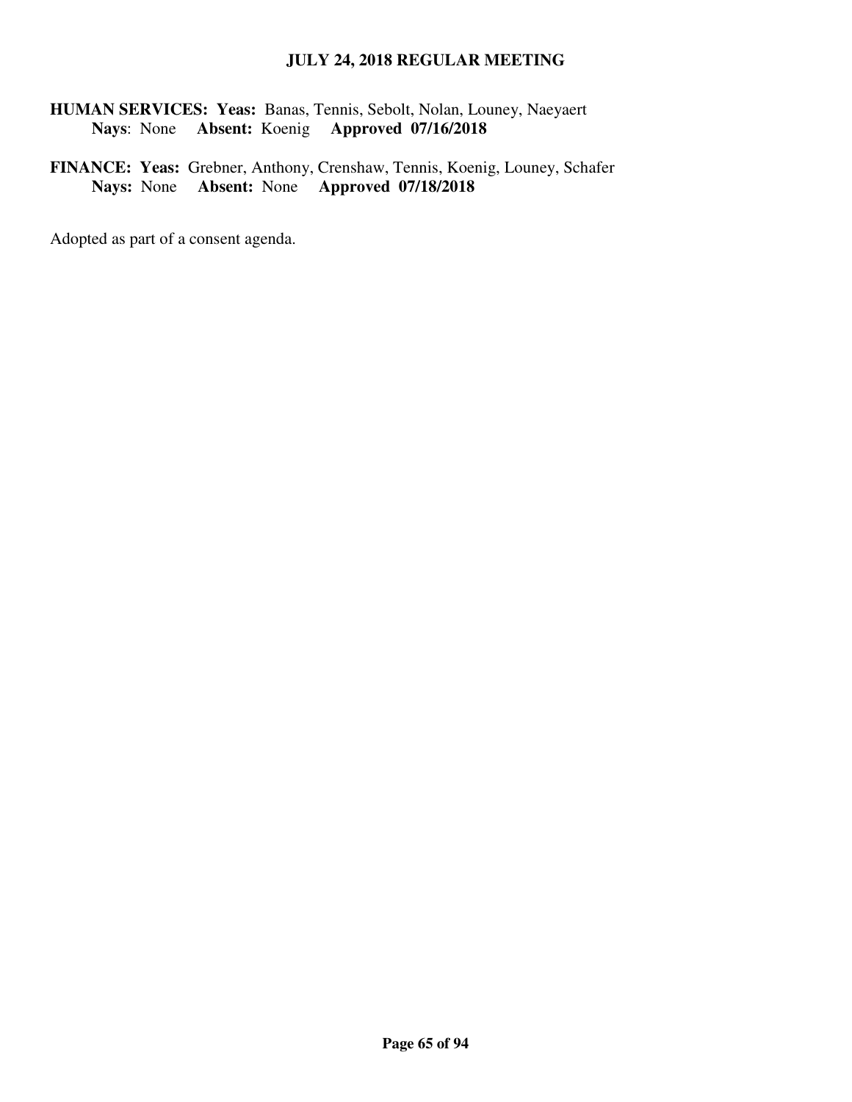**HUMAN SERVICES: Yeas:** Banas, Tennis, Sebolt, Nolan, Louney, Naeyaert  **Nays**: None **Absent:** Koenig **Approved 07/16/2018** 

**FINANCE: Yeas:** Grebner, Anthony, Crenshaw, Tennis, Koenig, Louney, Schafer **Nays:** None **Absent:** None **Approved 07/18/2018**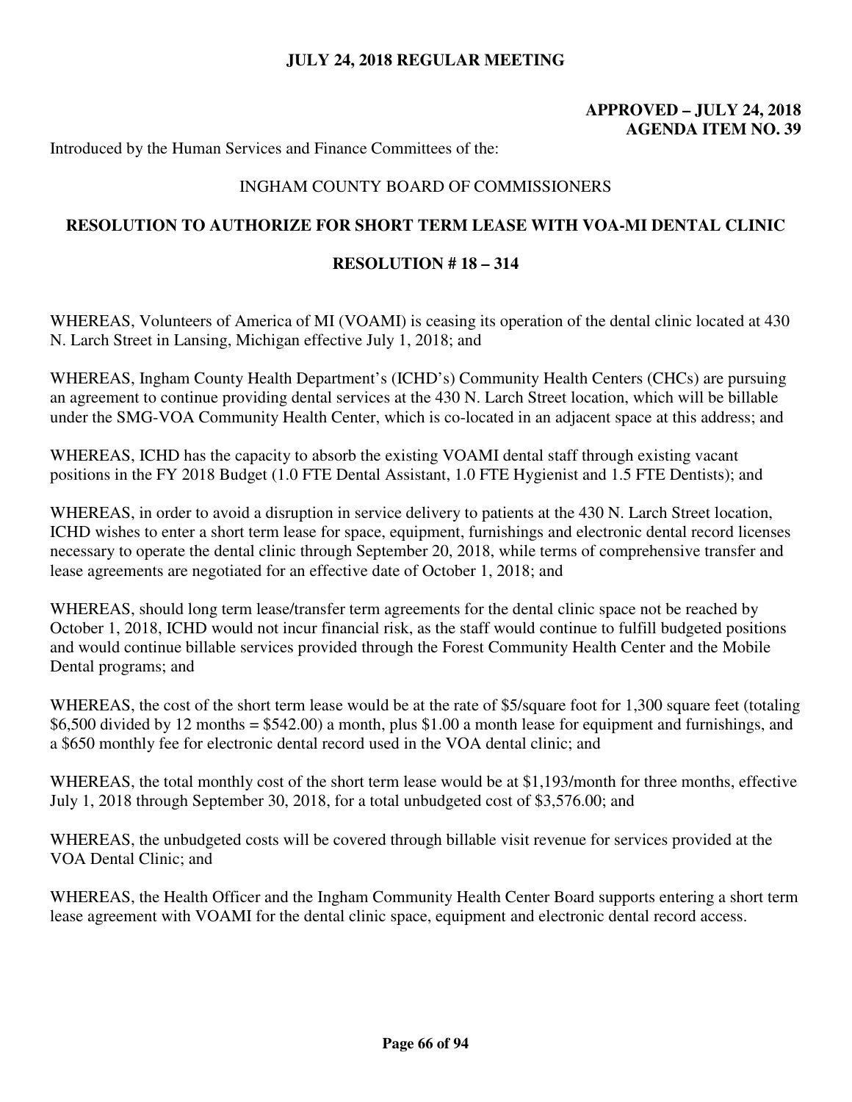# **APPROVED – JULY 24, 2018 AGENDA ITEM NO. 39**

Introduced by the Human Services and Finance Committees of the:

## INGHAM COUNTY BOARD OF COMMISSIONERS

# **RESOLUTION TO AUTHORIZE FOR SHORT TERM LEASE WITH VOA-MI DENTAL CLINIC**

#### **RESOLUTION # 18 – 314**

WHEREAS, Volunteers of America of MI (VOAMI) is ceasing its operation of the dental clinic located at 430 N. Larch Street in Lansing, Michigan effective July 1, 2018; and

WHEREAS, Ingham County Health Department's (ICHD's) Community Health Centers (CHCs) are pursuing an agreement to continue providing dental services at the 430 N. Larch Street location, which will be billable under the SMG-VOA Community Health Center, which is co-located in an adjacent space at this address; and

WHEREAS, ICHD has the capacity to absorb the existing VOAMI dental staff through existing vacant positions in the FY 2018 Budget (1.0 FTE Dental Assistant, 1.0 FTE Hygienist and 1.5 FTE Dentists); and

WHEREAS, in order to avoid a disruption in service delivery to patients at the 430 N. Larch Street location, ICHD wishes to enter a short term lease for space, equipment, furnishings and electronic dental record licenses necessary to operate the dental clinic through September 20, 2018, while terms of comprehensive transfer and lease agreements are negotiated for an effective date of October 1, 2018; and

WHEREAS, should long term lease/transfer term agreements for the dental clinic space not be reached by October 1, 2018, ICHD would not incur financial risk, as the staff would continue to fulfill budgeted positions and would continue billable services provided through the Forest Community Health Center and the Mobile Dental programs; and

WHEREAS, the cost of the short term lease would be at the rate of \$5/square foot for 1,300 square feet (totaling \$6,500 divided by 12 months = \$542.00) a month, plus \$1.00 a month lease for equipment and furnishings, and a \$650 monthly fee for electronic dental record used in the VOA dental clinic; and

WHEREAS, the total monthly cost of the short term lease would be at \$1,193/month for three months, effective July 1, 2018 through September 30, 2018, for a total unbudgeted cost of \$3,576.00; and

WHEREAS, the unbudgeted costs will be covered through billable visit revenue for services provided at the VOA Dental Clinic; and

WHEREAS, the Health Officer and the Ingham Community Health Center Board supports entering a short term lease agreement with VOAMI for the dental clinic space, equipment and electronic dental record access.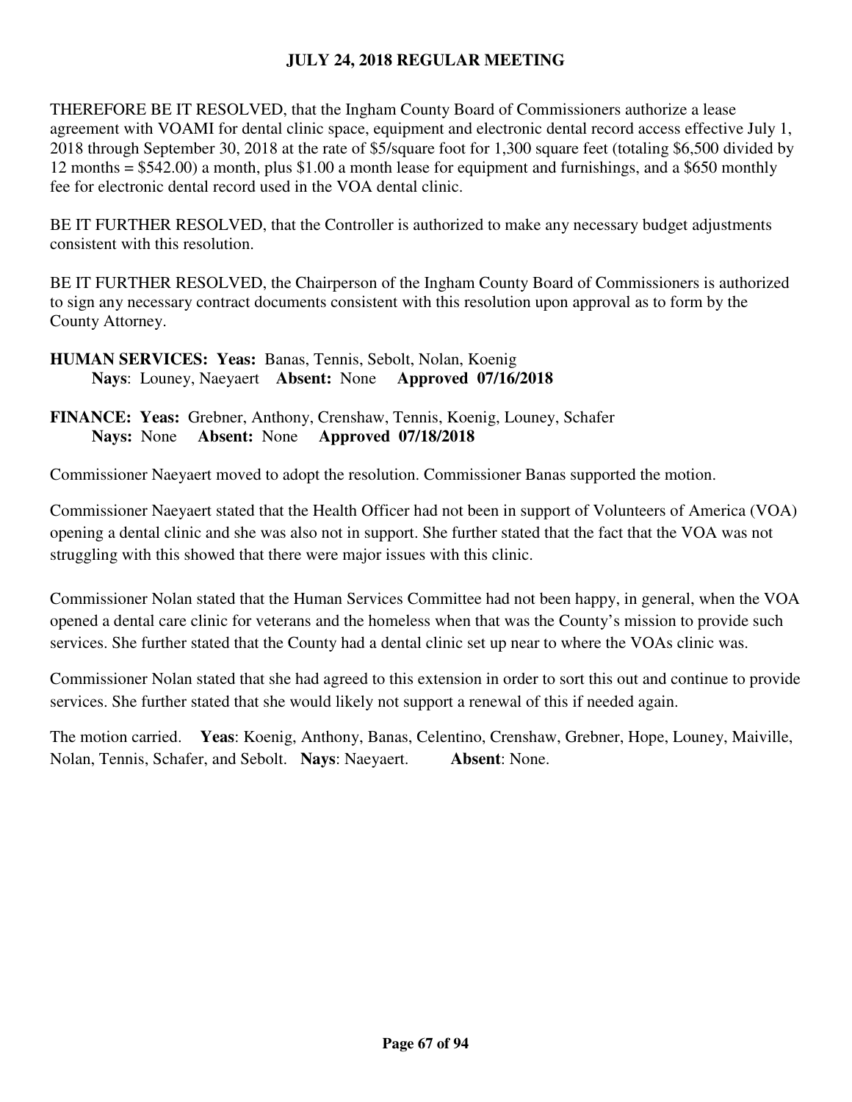THEREFORE BE IT RESOLVED, that the Ingham County Board of Commissioners authorize a lease agreement with VOAMI for dental clinic space, equipment and electronic dental record access effective July 1, 2018 through September 30, 2018 at the rate of \$5/square foot for 1,300 square feet (totaling \$6,500 divided by 12 months = \$542.00) a month, plus \$1.00 a month lease for equipment and furnishings, and a \$650 monthly fee for electronic dental record used in the VOA dental clinic.

BE IT FURTHER RESOLVED, that the Controller is authorized to make any necessary budget adjustments consistent with this resolution.

BE IT FURTHER RESOLVED, the Chairperson of the Ingham County Board of Commissioners is authorized to sign any necessary contract documents consistent with this resolution upon approval as to form by the County Attorney.

**HUMAN SERVICES: Yeas:** Banas, Tennis, Sebolt, Nolan, Koenig  **Nays**: Louney, Naeyaert **Absent:** None **Approved 07/16/2018** 

**FINANCE: Yeas:** Grebner, Anthony, Crenshaw, Tennis, Koenig, Louney, Schafer **Nays:** None **Absent:** None **Approved 07/18/2018** 

Commissioner Naeyaert moved to adopt the resolution. Commissioner Banas supported the motion.

Commissioner Naeyaert stated that the Health Officer had not been in support of Volunteers of America (VOA) opening a dental clinic and she was also not in support. She further stated that the fact that the VOA was not struggling with this showed that there were major issues with this clinic.

Commissioner Nolan stated that the Human Services Committee had not been happy, in general, when the VOA opened a dental care clinic for veterans and the homeless when that was the County's mission to provide such services. She further stated that the County had a dental clinic set up near to where the VOAs clinic was.

Commissioner Nolan stated that she had agreed to this extension in order to sort this out and continue to provide services. She further stated that she would likely not support a renewal of this if needed again.

The motion carried. **Yeas**: Koenig, Anthony, Banas, Celentino, Crenshaw, Grebner, Hope, Louney, Maiville, Nolan, Tennis, Schafer, and Sebolt. **Nays**: Naeyaert. **Absent**: None.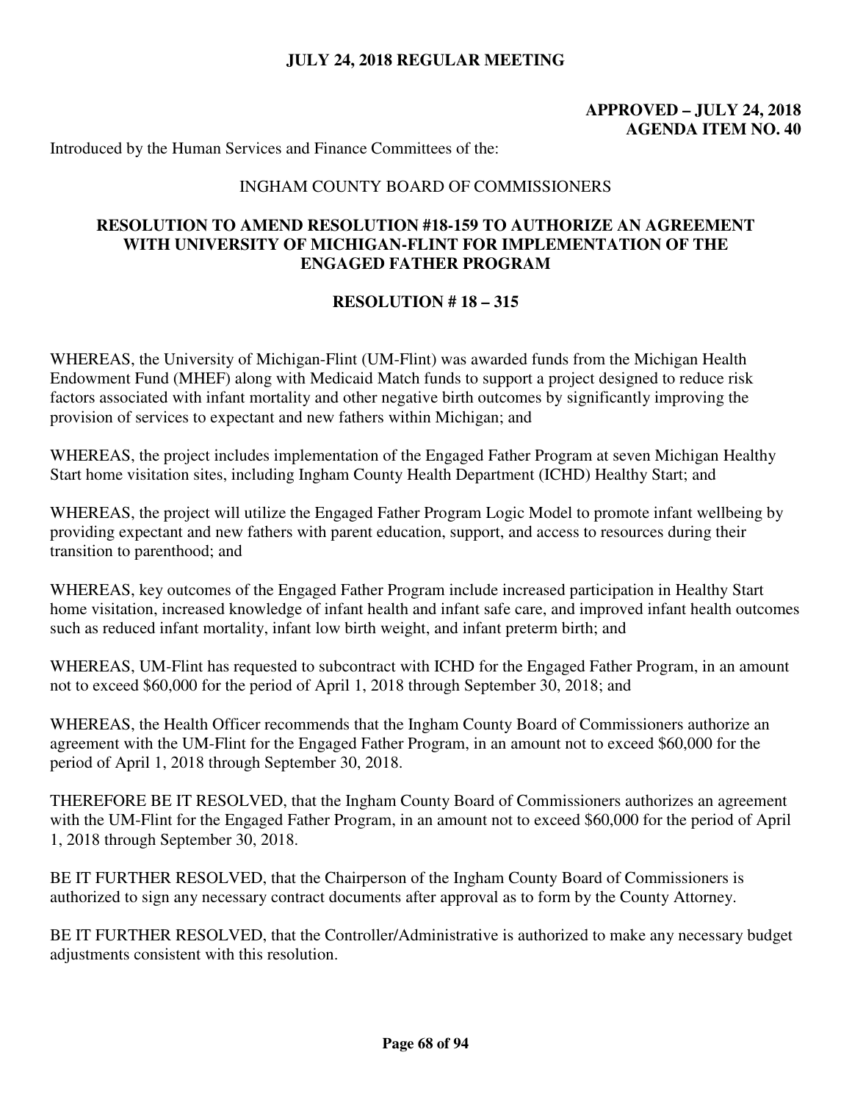# **APPROVED – JULY 24, 2018 AGENDA ITEM NO. 40**

Introduced by the Human Services and Finance Committees of the:

### INGHAM COUNTY BOARD OF COMMISSIONERS

## **RESOLUTION TO AMEND RESOLUTION #18-159 TO AUTHORIZE AN AGREEMENT WITH UNIVERSITY OF MICHIGAN-FLINT FOR IMPLEMENTATION OF THE ENGAGED FATHER PROGRAM**

### **RESOLUTION # 18 – 315**

WHEREAS, the University of Michigan-Flint (UM-Flint) was awarded funds from the Michigan Health Endowment Fund (MHEF) along with Medicaid Match funds to support a project designed to reduce risk factors associated with infant mortality and other negative birth outcomes by significantly improving the provision of services to expectant and new fathers within Michigan; and

WHEREAS, the project includes implementation of the Engaged Father Program at seven Michigan Healthy Start home visitation sites, including Ingham County Health Department (ICHD) Healthy Start; and

WHEREAS, the project will utilize the Engaged Father Program Logic Model to promote infant wellbeing by providing expectant and new fathers with parent education, support, and access to resources during their transition to parenthood; and

WHEREAS, key outcomes of the Engaged Father Program include increased participation in Healthy Start home visitation, increased knowledge of infant health and infant safe care, and improved infant health outcomes such as reduced infant mortality, infant low birth weight, and infant preterm birth; and

WHEREAS, UM-Flint has requested to subcontract with ICHD for the Engaged Father Program, in an amount not to exceed \$60,000 for the period of April 1, 2018 through September 30, 2018; and

WHEREAS, the Health Officer recommends that the Ingham County Board of Commissioners authorize an agreement with the UM-Flint for the Engaged Father Program, in an amount not to exceed \$60,000 for the period of April 1, 2018 through September 30, 2018.

THEREFORE BE IT RESOLVED, that the Ingham County Board of Commissioners authorizes an agreement with the UM-Flint for the Engaged Father Program, in an amount not to exceed \$60,000 for the period of April 1, 2018 through September 30, 2018.

BE IT FURTHER RESOLVED, that the Chairperson of the Ingham County Board of Commissioners is authorized to sign any necessary contract documents after approval as to form by the County Attorney.

BE IT FURTHER RESOLVED, that the Controller/Administrative is authorized to make any necessary budget adjustments consistent with this resolution.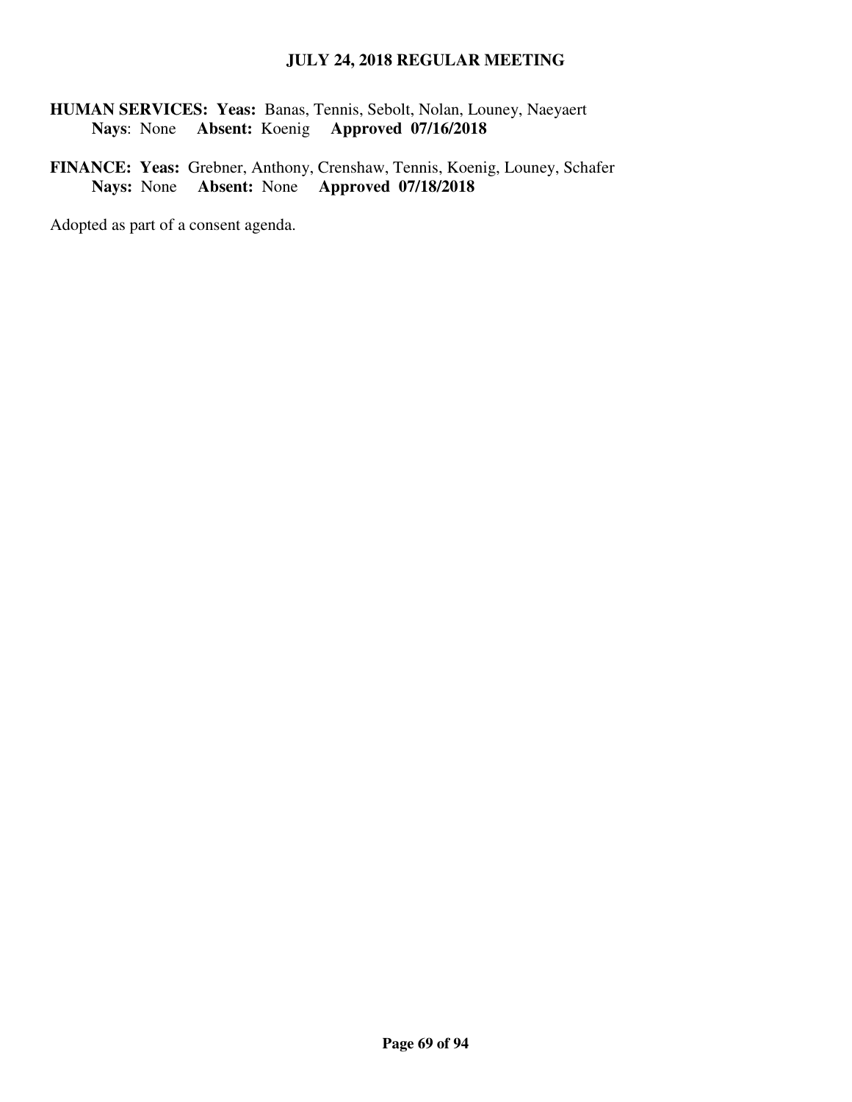**HUMAN SERVICES: Yeas:** Banas, Tennis, Sebolt, Nolan, Louney, Naeyaert  **Nays**: None **Absent:** Koenig **Approved 07/16/2018** 

**FINANCE: Yeas:** Grebner, Anthony, Crenshaw, Tennis, Koenig, Louney, Schafer **Nays:** None **Absent:** None **Approved 07/18/2018**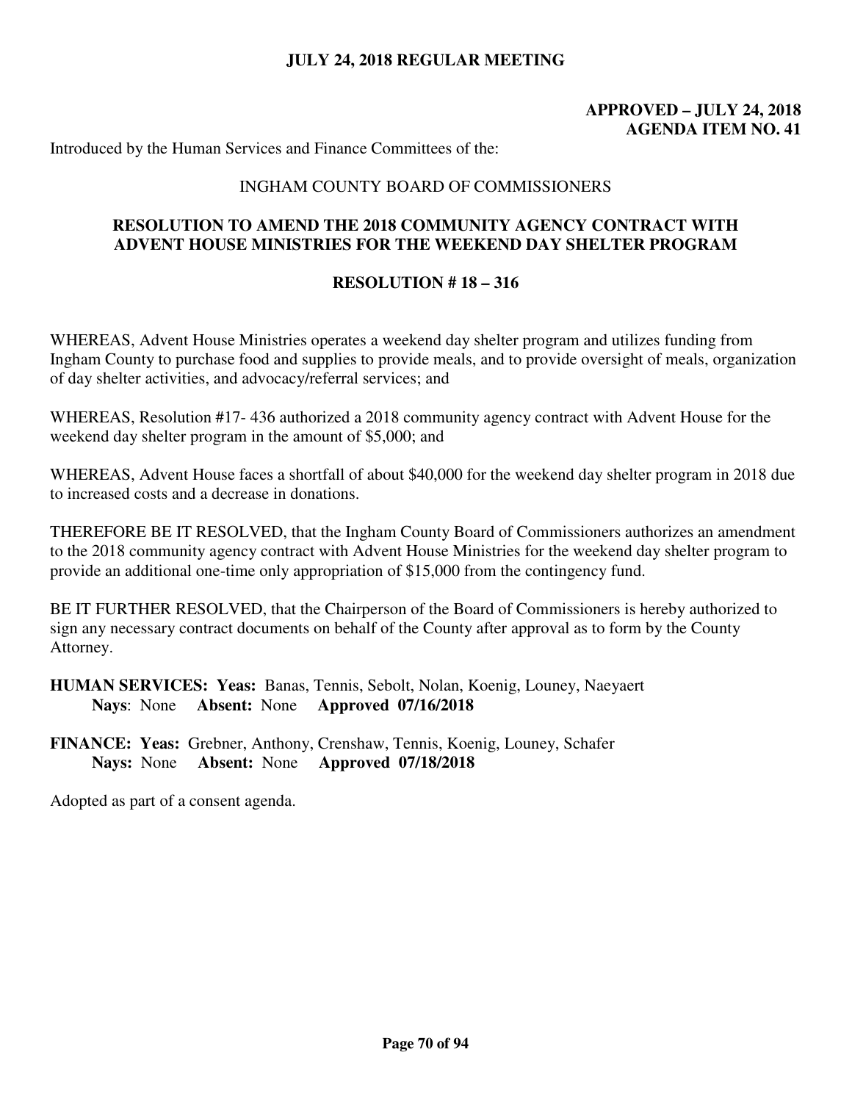# **APPROVED – JULY 24, 2018 AGENDA ITEM NO. 41**

Introduced by the Human Services and Finance Committees of the:

### INGHAM COUNTY BOARD OF COMMISSIONERS

# **RESOLUTION TO AMEND THE 2018 COMMUNITY AGENCY CONTRACT WITH ADVENT HOUSE MINISTRIES FOR THE WEEKEND DAY SHELTER PROGRAM**

### **RESOLUTION # 18 – 316**

WHEREAS, Advent House Ministries operates a weekend day shelter program and utilizes funding from Ingham County to purchase food and supplies to provide meals, and to provide oversight of meals, organization of day shelter activities, and advocacy/referral services; and

WHEREAS, Resolution #17- 436 authorized a 2018 community agency contract with Advent House for the weekend day shelter program in the amount of \$5,000; and

WHEREAS, Advent House faces a shortfall of about \$40,000 for the weekend day shelter program in 2018 due to increased costs and a decrease in donations.

THEREFORE BE IT RESOLVED, that the Ingham County Board of Commissioners authorizes an amendment to the 2018 community agency contract with Advent House Ministries for the weekend day shelter program to provide an additional one-time only appropriation of \$15,000 from the contingency fund.

BE IT FURTHER RESOLVED, that the Chairperson of the Board of Commissioners is hereby authorized to sign any necessary contract documents on behalf of the County after approval as to form by the County Attorney.

**HUMAN SERVICES: Yeas:** Banas, Tennis, Sebolt, Nolan, Koenig, Louney, Naeyaert  **Nays**: None **Absent:** None **Approved 07/16/2018** 

**FINANCE: Yeas:** Grebner, Anthony, Crenshaw, Tennis, Koenig, Louney, Schafer **Nays:** None **Absent:** None **Approved 07/18/2018**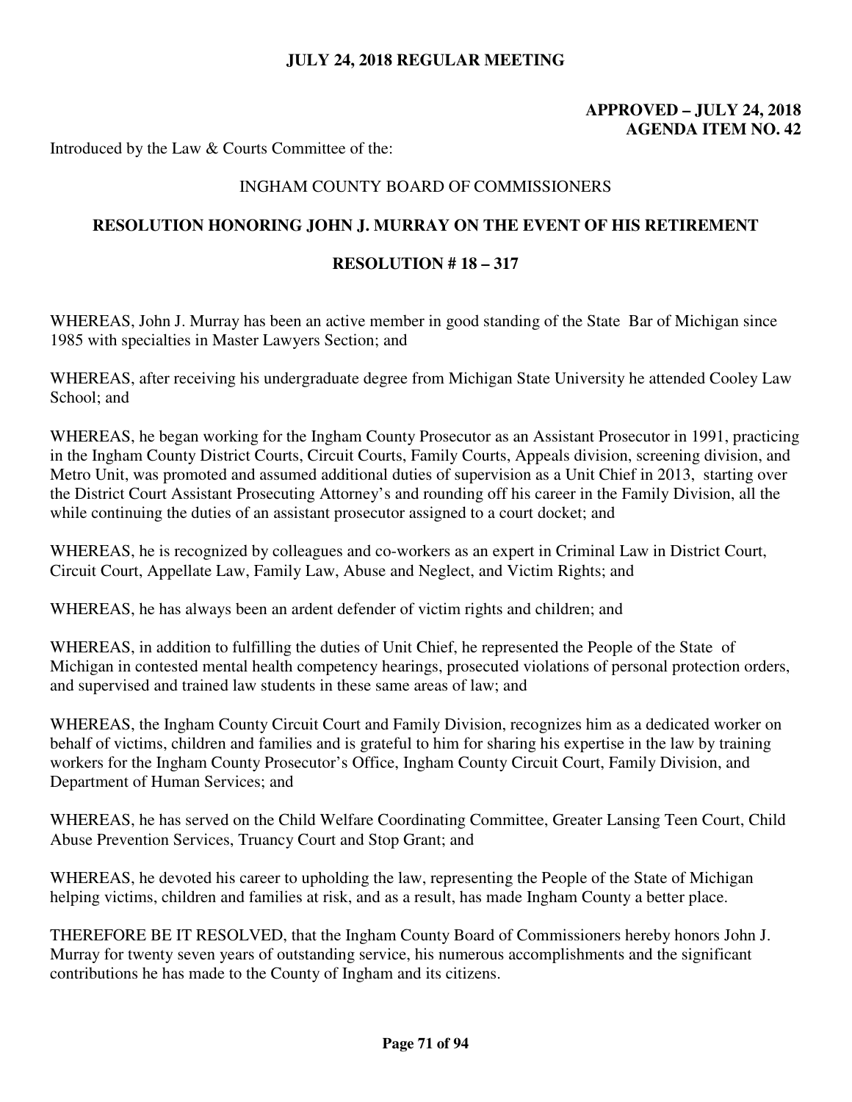# **APPROVED – JULY 24, 2018 AGENDA ITEM NO. 42**

Introduced by the Law & Courts Committee of the:

## INGHAM COUNTY BOARD OF COMMISSIONERS

## **RESOLUTION HONORING JOHN J. MURRAY ON THE EVENT OF HIS RETIREMENT**

## **RESOLUTION # 18 – 317**

WHEREAS, John J. Murray has been an active member in good standing of the State Bar of Michigan since 1985 with specialties in Master Lawyers Section; and

WHEREAS, after receiving his undergraduate degree from Michigan State University he attended Cooley Law School; and

WHEREAS, he began working for the Ingham County Prosecutor as an Assistant Prosecutor in 1991, practicing in the Ingham County District Courts, Circuit Courts, Family Courts, Appeals division, screening division, and Metro Unit, was promoted and assumed additional duties of supervision as a Unit Chief in 2013, starting over the District Court Assistant Prosecuting Attorney's and rounding off his career in the Family Division, all the while continuing the duties of an assistant prosecutor assigned to a court docket; and

WHEREAS, he is recognized by colleagues and co-workers as an expert in Criminal Law in District Court, Circuit Court, Appellate Law, Family Law, Abuse and Neglect, and Victim Rights; and

WHEREAS, he has always been an ardent defender of victim rights and children; and

WHEREAS, in addition to fulfilling the duties of Unit Chief, he represented the People of the State of Michigan in contested mental health competency hearings, prosecuted violations of personal protection orders, and supervised and trained law students in these same areas of law; and

WHEREAS, the Ingham County Circuit Court and Family Division, recognizes him as a dedicated worker on behalf of victims, children and families and is grateful to him for sharing his expertise in the law by training workers for the Ingham County Prosecutor's Office, Ingham County Circuit Court, Family Division, and Department of Human Services; and

WHEREAS, he has served on the Child Welfare Coordinating Committee, Greater Lansing Teen Court, Child Abuse Prevention Services, Truancy Court and Stop Grant; and

WHEREAS, he devoted his career to upholding the law, representing the People of the State of Michigan helping victims, children and families at risk, and as a result, has made Ingham County a better place.

THEREFORE BE IT RESOLVED, that the Ingham County Board of Commissioners hereby honors John J. Murray for twenty seven years of outstanding service, his numerous accomplishments and the significant contributions he has made to the County of Ingham and its citizens.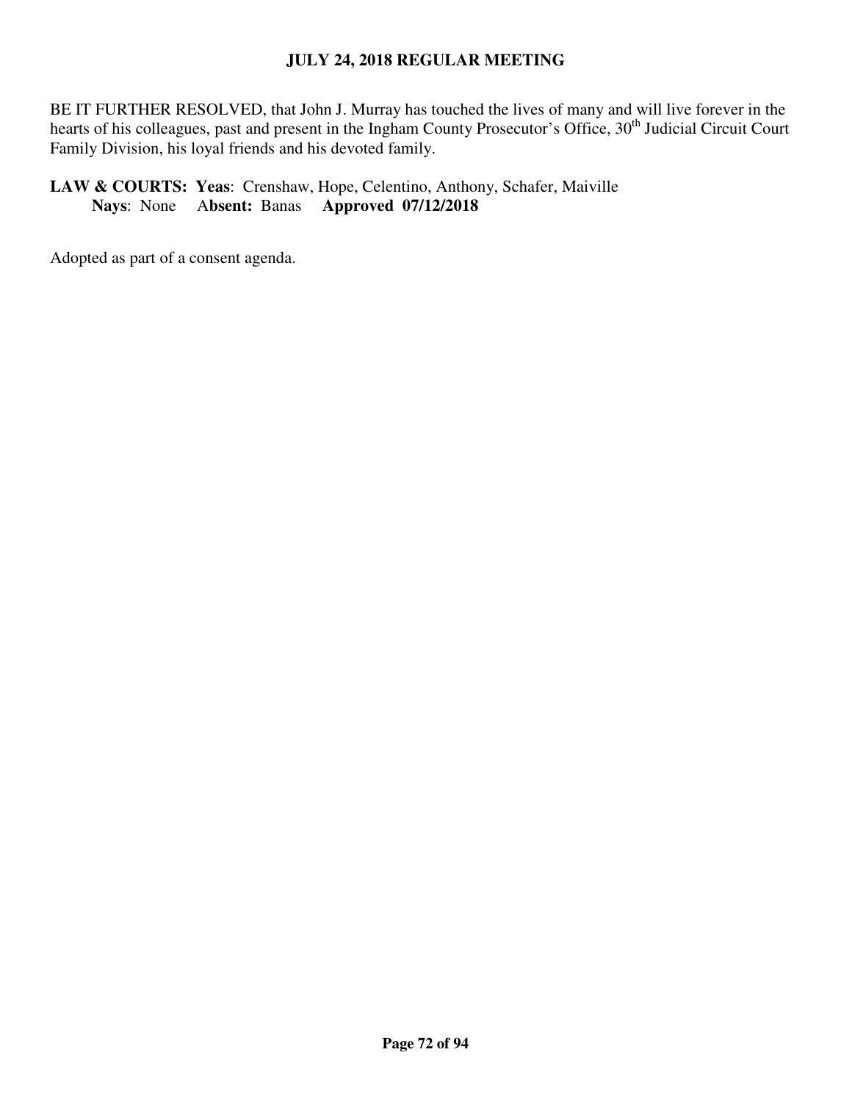BE IT FURTHER RESOLVED, that John J. Murray has touched the lives of many and will live forever in the hearts of his colleagues, past and present in the Ingham County Prosecutor's Office, 30<sup>th</sup> Judicial Circuit Court Family Division, his loyal friends and his devoted family.

# **LAW & COURTS: Yeas**: Crenshaw, Hope, Celentino, Anthony, Schafer, Maiville  **Nays**: None A**bsent:** Banas **Approved 07/12/2018**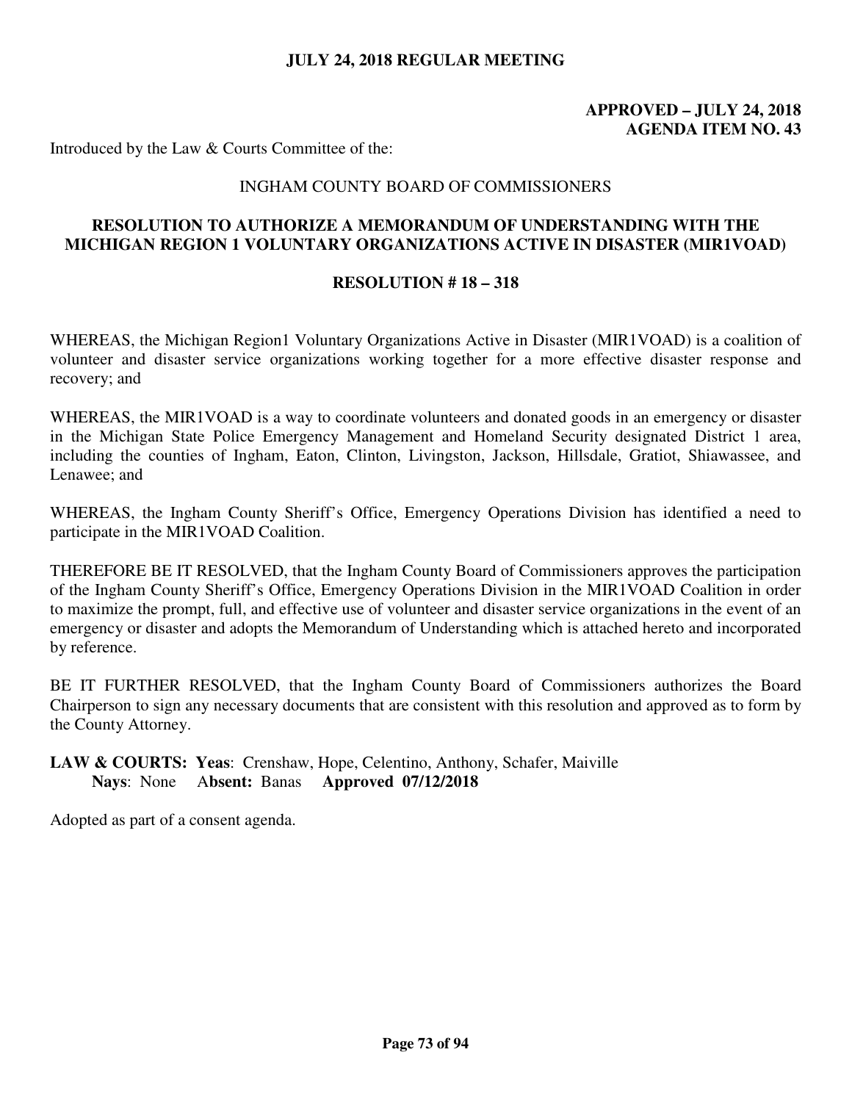### **APPROVED – JULY 24, 2018 AGENDA ITEM NO. 43**

Introduced by the Law & Courts Committee of the:

#### INGHAM COUNTY BOARD OF COMMISSIONERS

### **RESOLUTION TO AUTHORIZE A MEMORANDUM OF UNDERSTANDING WITH THE MICHIGAN REGION 1 VOLUNTARY ORGANIZATIONS ACTIVE IN DISASTER (MIR1VOAD)**

#### **RESOLUTION # 18 – 318**

WHEREAS, the Michigan Region1 Voluntary Organizations Active in Disaster (MIR1VOAD) is a coalition of volunteer and disaster service organizations working together for a more effective disaster response and recovery; and

WHEREAS, the MIR1VOAD is a way to coordinate volunteers and donated goods in an emergency or disaster in the Michigan State Police Emergency Management and Homeland Security designated District 1 area, including the counties of Ingham, Eaton, Clinton, Livingston, Jackson, Hillsdale, Gratiot, Shiawassee, and Lenawee; and

WHEREAS, the Ingham County Sheriff's Office, Emergency Operations Division has identified a need to participate in the MIR1VOAD Coalition.

THEREFORE BE IT RESOLVED, that the Ingham County Board of Commissioners approves the participation of the Ingham County Sheriff's Office, Emergency Operations Division in the MIR1VOAD Coalition in order to maximize the prompt, full, and effective use of volunteer and disaster service organizations in the event of an emergency or disaster and adopts the Memorandum of Understanding which is attached hereto and incorporated by reference.

BE IT FURTHER RESOLVED, that the Ingham County Board of Commissioners authorizes the Board Chairperson to sign any necessary documents that are consistent with this resolution and approved as to form by the County Attorney.

#### **LAW & COURTS: Yeas**: Crenshaw, Hope, Celentino, Anthony, Schafer, Maiville  **Nays**: None A**bsent:** Banas **Approved 07/12/2018**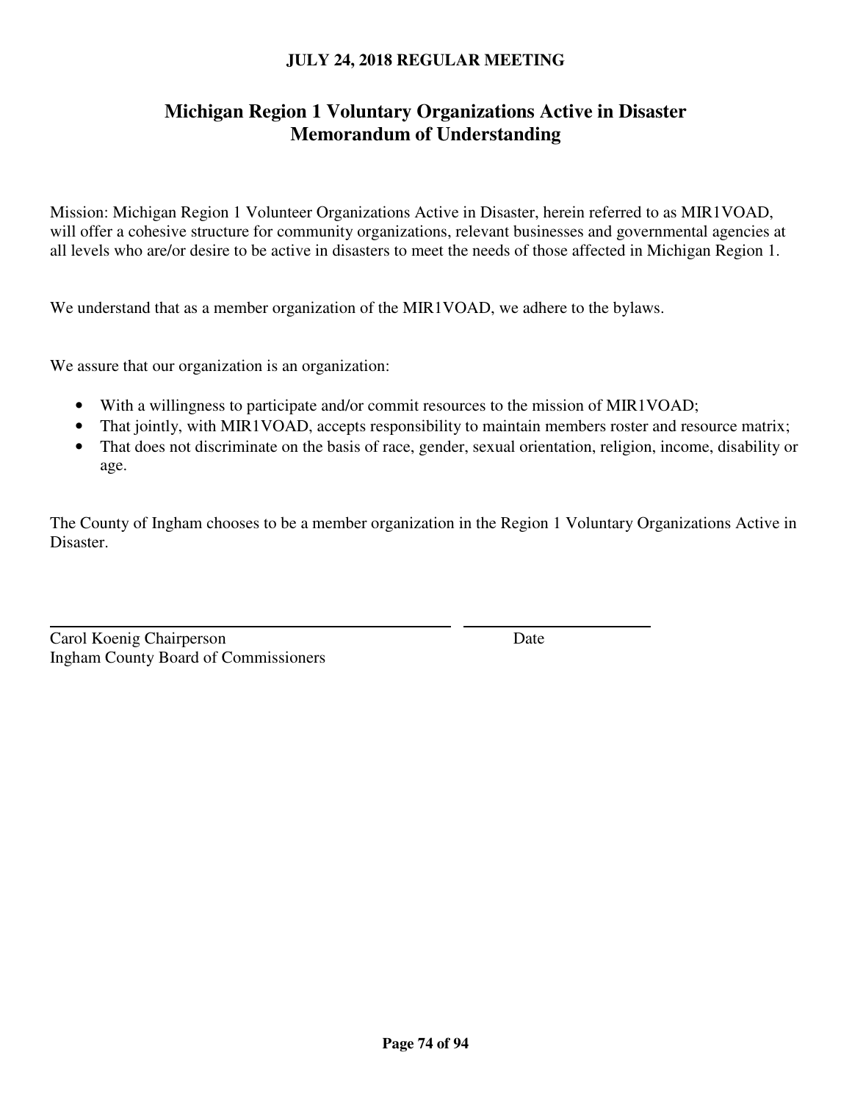# **Michigan Region 1 Voluntary Organizations Active in Disaster Memorandum of Understanding**

Mission: Michigan Region 1 Volunteer Organizations Active in Disaster, herein referred to as MIR1VOAD, will offer a cohesive structure for community organizations, relevant businesses and governmental agencies at all levels who are/or desire to be active in disasters to meet the needs of those affected in Michigan Region 1.

We understand that as a member organization of the MIR1VOAD, we adhere to the bylaws.

We assure that our organization is an organization:

- With a willingness to participate and/or commit resources to the mission of MIR1VOAD;
- That jointly, with MIR1VOAD, accepts responsibility to maintain members roster and resource matrix;
- That does not discriminate on the basis of race, gender, sexual orientation, religion, income, disability or age.

The County of Ingham chooses to be a member organization in the Region 1 Voluntary Organizations Active in Disaster.

| Carol Koenig Chairperson                    | Date |
|---------------------------------------------|------|
| <b>Ingham County Board of Commissioners</b> |      |

 $\overline{a}$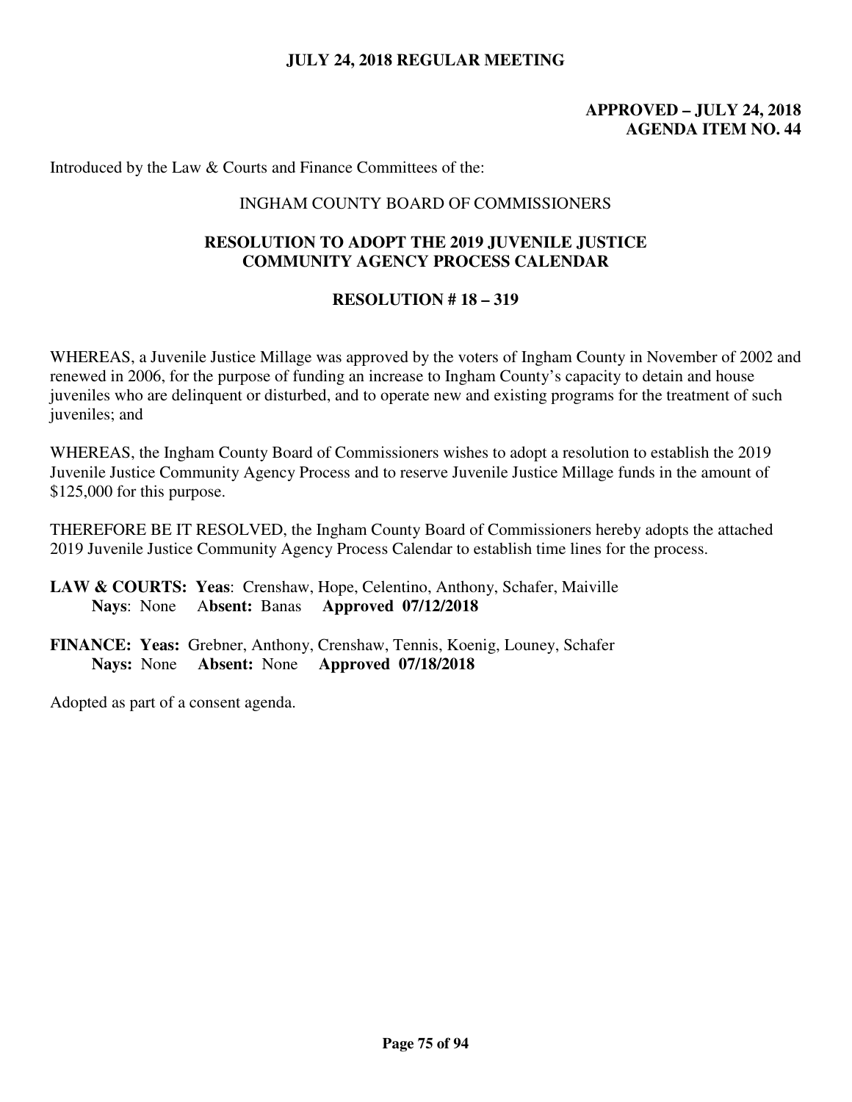### **APPROVED – JULY 24, 2018 AGENDA ITEM NO. 44**

Introduced by the Law & Courts and Finance Committees of the:

#### INGHAM COUNTY BOARD OF COMMISSIONERS

### **RESOLUTION TO ADOPT THE 2019 JUVENILE JUSTICE COMMUNITY AGENCY PROCESS CALENDAR**

#### **RESOLUTION # 18 – 319**

WHEREAS, a Juvenile Justice Millage was approved by the voters of Ingham County in November of 2002 and renewed in 2006, for the purpose of funding an increase to Ingham County's capacity to detain and house juveniles who are delinquent or disturbed, and to operate new and existing programs for the treatment of such juveniles; and

WHEREAS, the Ingham County Board of Commissioners wishes to adopt a resolution to establish the 2019 Juvenile Justice Community Agency Process and to reserve Juvenile Justice Millage funds in the amount of \$125,000 for this purpose.

THEREFORE BE IT RESOLVED, the Ingham County Board of Commissioners hereby adopts the attached 2019 Juvenile Justice Community Agency Process Calendar to establish time lines for the process.

**LAW & COURTS: Yeas**: Crenshaw, Hope, Celentino, Anthony, Schafer, Maiville  **Nays**: None A**bsent:** Banas **Approved 07/12/2018**

**FINANCE: Yeas:** Grebner, Anthony, Crenshaw, Tennis, Koenig, Louney, Schafer **Nays:** None **Absent:** None **Approved 07/18/2018**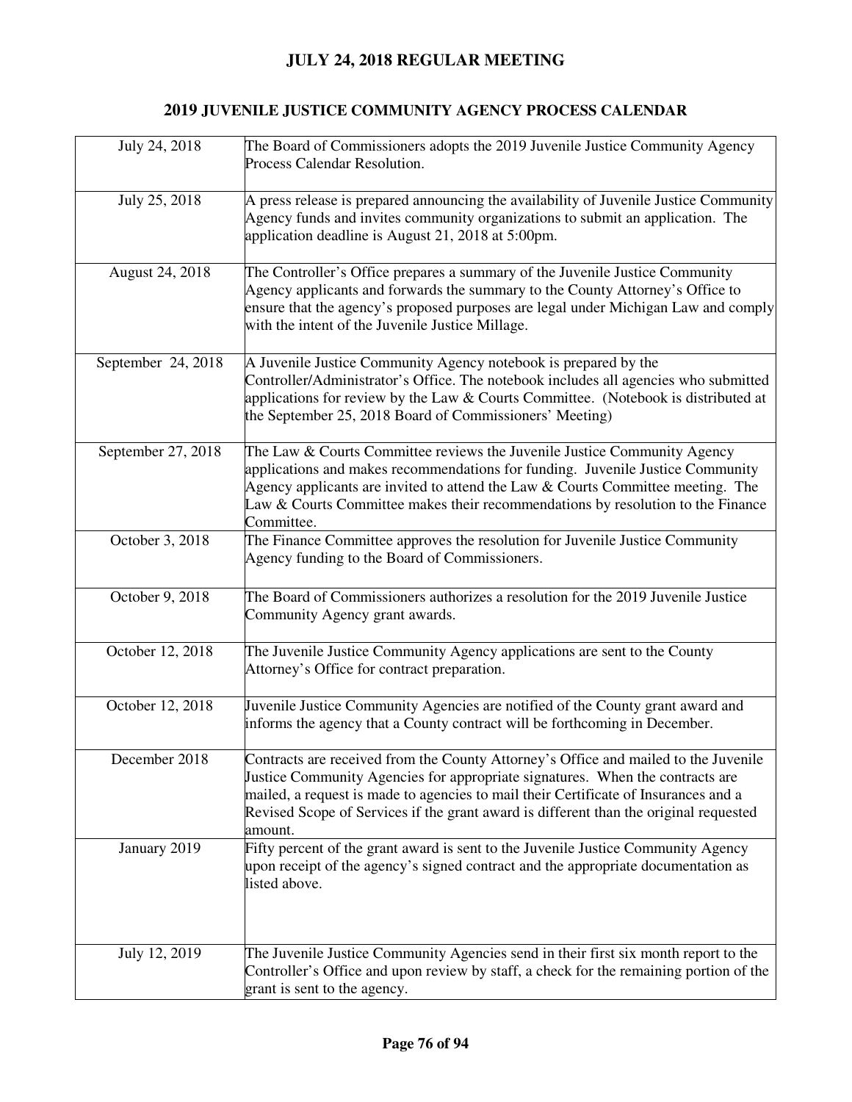# **2019 JUVENILE JUSTICE COMMUNITY AGENCY PROCESS CALENDAR**

| July 24, 2018      | The Board of Commissioners adopts the 2019 Juvenile Justice Community Agency<br>Process Calendar Resolution.                                                                                                                                                                                                                                                    |
|--------------------|-----------------------------------------------------------------------------------------------------------------------------------------------------------------------------------------------------------------------------------------------------------------------------------------------------------------------------------------------------------------|
| July 25, 2018      | A press release is prepared announcing the availability of Juvenile Justice Community<br>Agency funds and invites community organizations to submit an application. The<br>application deadline is August 21, 2018 at 5:00pm.                                                                                                                                   |
| August 24, 2018    | The Controller's Office prepares a summary of the Juvenile Justice Community<br>Agency applicants and forwards the summary to the County Attorney's Office to<br>ensure that the agency's proposed purposes are legal under Michigan Law and comply<br>with the intent of the Juvenile Justice Millage.                                                         |
| September 24, 2018 | A Juvenile Justice Community Agency notebook is prepared by the<br>Controller/Administrator's Office. The notebook includes all agencies who submitted<br>applications for review by the Law & Courts Committee. (Notebook is distributed at<br>the September 25, 2018 Board of Commissioners' Meeting)                                                         |
| September 27, 2018 | The Law & Courts Committee reviews the Juvenile Justice Community Agency<br>applications and makes recommendations for funding. Juvenile Justice Community<br>Agency applicants are invited to attend the Law $&$ Courts Committee meeting. The<br>Law & Courts Committee makes their recommendations by resolution to the Finance<br>Committee.                |
| October 3, 2018    | The Finance Committee approves the resolution for Juvenile Justice Community<br>Agency funding to the Board of Commissioners.                                                                                                                                                                                                                                   |
| October 9, 2018    | The Board of Commissioners authorizes a resolution for the 2019 Juvenile Justice<br>Community Agency grant awards.                                                                                                                                                                                                                                              |
| October 12, 2018   | The Juvenile Justice Community Agency applications are sent to the County<br>Attorney's Office for contract preparation.                                                                                                                                                                                                                                        |
| October 12, 2018   | Juvenile Justice Community Agencies are notified of the County grant award and<br>informs the agency that a County contract will be forthcoming in December.                                                                                                                                                                                                    |
| December 2018      | Contracts are received from the County Attorney's Office and mailed to the Juvenile<br>Justice Community Agencies for appropriate signatures. When the contracts are<br>mailed, a request is made to agencies to mail their Certificate of Insurances and a<br>Revised Scope of Services if the grant award is different than the original requested<br>amount. |
| January 2019       | Fifty percent of the grant award is sent to the Juvenile Justice Community Agency<br>upon receipt of the agency's signed contract and the appropriate documentation as<br>listed above.                                                                                                                                                                         |
| July 12, 2019      | The Juvenile Justice Community Agencies send in their first six month report to the<br>Controller's Office and upon review by staff, a check for the remaining portion of the<br>grant is sent to the agency.                                                                                                                                                   |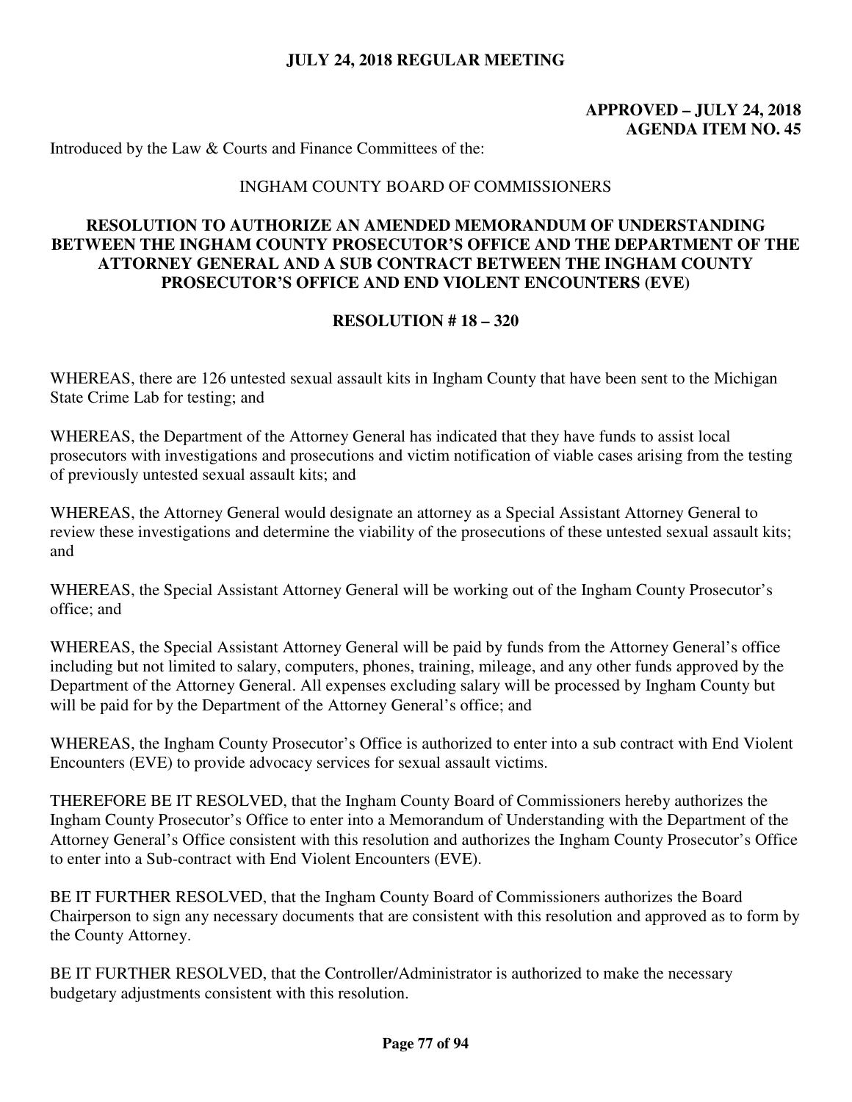### **APPROVED – JULY 24, 2018 AGENDA ITEM NO. 45**

Introduced by the Law & Courts and Finance Committees of the:

#### INGHAM COUNTY BOARD OF COMMISSIONERS

### **RESOLUTION TO AUTHORIZE AN AMENDED MEMORANDUM OF UNDERSTANDING BETWEEN THE INGHAM COUNTY PROSECUTOR'S OFFICE AND THE DEPARTMENT OF THE ATTORNEY GENERAL AND A SUB CONTRACT BETWEEN THE INGHAM COUNTY PROSECUTOR'S OFFICE AND END VIOLENT ENCOUNTERS (EVE)**

#### **RESOLUTION # 18 – 320**

WHEREAS, there are 126 untested sexual assault kits in Ingham County that have been sent to the Michigan State Crime Lab for testing; and

WHEREAS, the Department of the Attorney General has indicated that they have funds to assist local prosecutors with investigations and prosecutions and victim notification of viable cases arising from the testing of previously untested sexual assault kits; and

WHEREAS, the Attorney General would designate an attorney as a Special Assistant Attorney General to review these investigations and determine the viability of the prosecutions of these untested sexual assault kits; and

WHEREAS, the Special Assistant Attorney General will be working out of the Ingham County Prosecutor's office; and

WHEREAS, the Special Assistant Attorney General will be paid by funds from the Attorney General's office including but not limited to salary, computers, phones, training, mileage, and any other funds approved by the Department of the Attorney General. All expenses excluding salary will be processed by Ingham County but will be paid for by the Department of the Attorney General's office; and

WHEREAS, the Ingham County Prosecutor's Office is authorized to enter into a sub contract with End Violent Encounters (EVE) to provide advocacy services for sexual assault victims.

THEREFORE BE IT RESOLVED, that the Ingham County Board of Commissioners hereby authorizes the Ingham County Prosecutor's Office to enter into a Memorandum of Understanding with the Department of the Attorney General's Office consistent with this resolution and authorizes the Ingham County Prosecutor's Office to enter into a Sub-contract with End Violent Encounters (EVE).

BE IT FURTHER RESOLVED, that the Ingham County Board of Commissioners authorizes the Board Chairperson to sign any necessary documents that are consistent with this resolution and approved as to form by the County Attorney.

BE IT FURTHER RESOLVED, that the Controller/Administrator is authorized to make the necessary budgetary adjustments consistent with this resolution.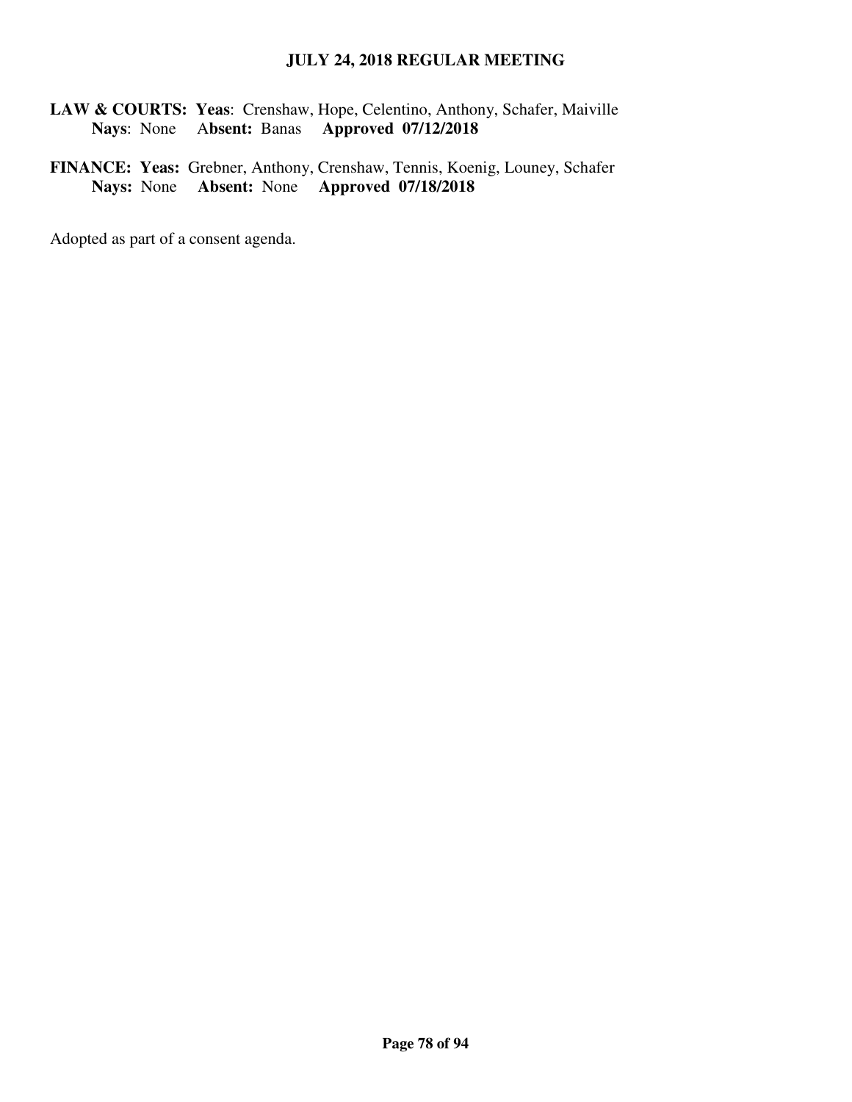**LAW & COURTS: Yeas**: Crenshaw, Hope, Celentino, Anthony, Schafer, Maiville  **Nays**: None A**bsent:** Banas **Approved 07/12/2018**

**FINANCE: Yeas:** Grebner, Anthony, Crenshaw, Tennis, Koenig, Louney, Schafer **Nays:** None **Absent:** None **Approved 07/18/2018**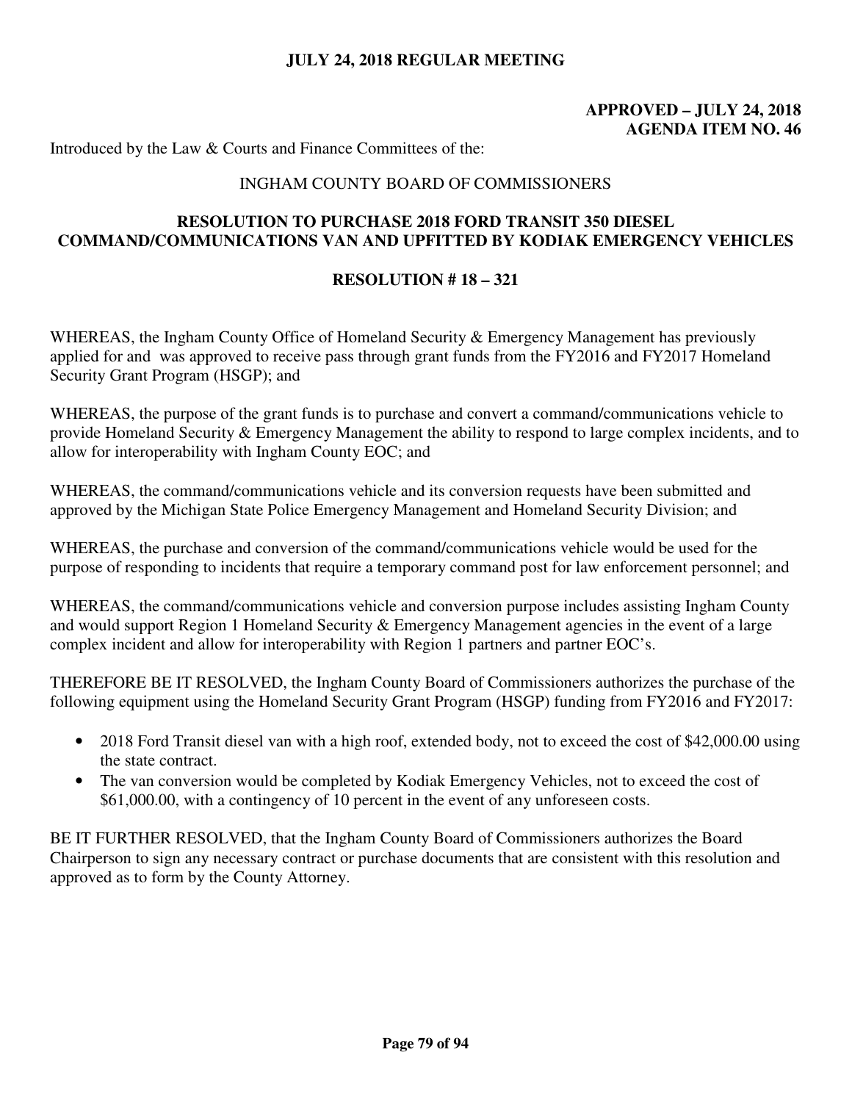## **APPROVED – JULY 24, 2018 AGENDA ITEM NO. 46**

Introduced by the Law & Courts and Finance Committees of the:

#### INGHAM COUNTY BOARD OF COMMISSIONERS

#### **RESOLUTION TO PURCHASE 2018 FORD TRANSIT 350 DIESEL COMMAND/COMMUNICATIONS VAN AND UPFITTED BY KODIAK EMERGENCY VEHICLES**

#### **RESOLUTION # 18 – 321**

WHEREAS, the Ingham County Office of Homeland Security & Emergency Management has previously applied for and was approved to receive pass through grant funds from the FY2016 and FY2017 Homeland Security Grant Program (HSGP); and

WHEREAS, the purpose of the grant funds is to purchase and convert a command/communications vehicle to provide Homeland Security & Emergency Management the ability to respond to large complex incidents, and to allow for interoperability with Ingham County EOC; and

WHEREAS, the command/communications vehicle and its conversion requests have been submitted and approved by the Michigan State Police Emergency Management and Homeland Security Division; and

WHEREAS, the purchase and conversion of the command/communications vehicle would be used for the purpose of responding to incidents that require a temporary command post for law enforcement personnel; and

WHEREAS, the command/communications vehicle and conversion purpose includes assisting Ingham County and would support Region 1 Homeland Security & Emergency Management agencies in the event of a large complex incident and allow for interoperability with Region 1 partners and partner EOC's.

THEREFORE BE IT RESOLVED, the Ingham County Board of Commissioners authorizes the purchase of the following equipment using the Homeland Security Grant Program (HSGP) funding from FY2016 and FY2017:

- 2018 Ford Transit diesel van with a high roof, extended body, not to exceed the cost of \$42,000.00 using the state contract.
- The van conversion would be completed by Kodiak Emergency Vehicles, not to exceed the cost of \$61,000.00, with a contingency of 10 percent in the event of any unforeseen costs.

BE IT FURTHER RESOLVED, that the Ingham County Board of Commissioners authorizes the Board Chairperson to sign any necessary contract or purchase documents that are consistent with this resolution and approved as to form by the County Attorney.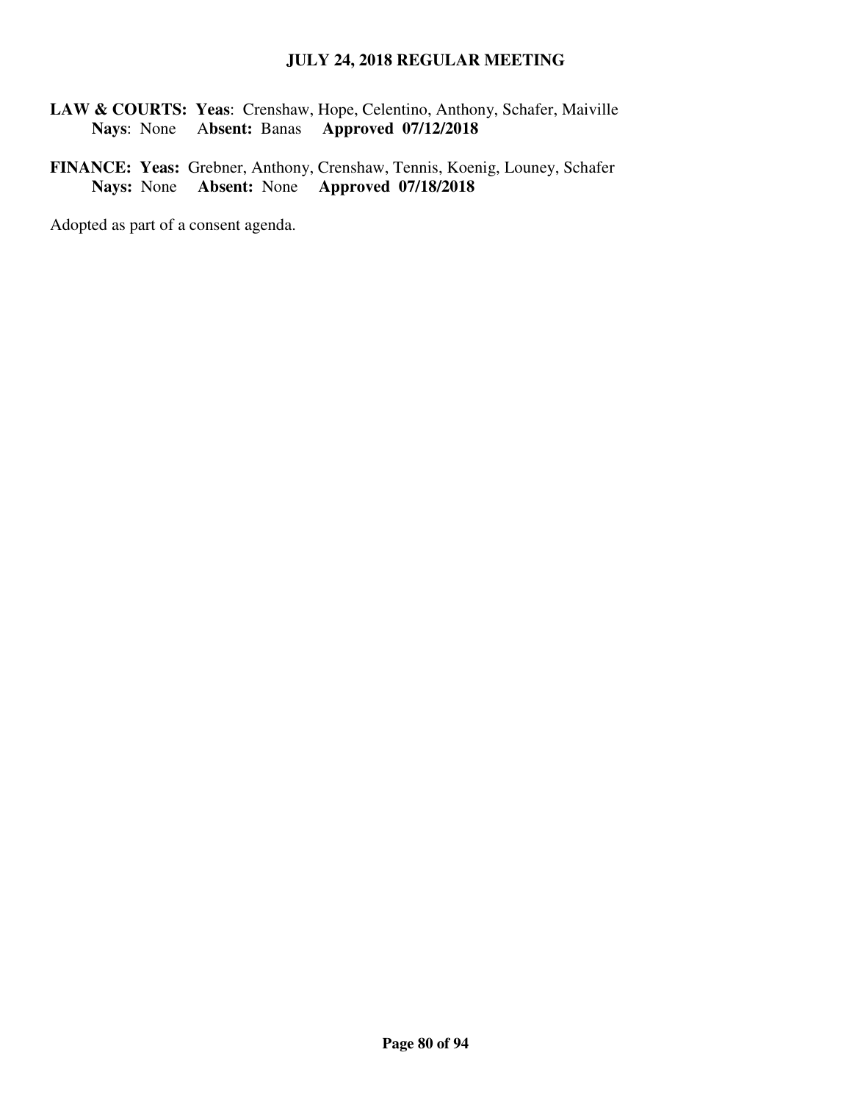**LAW & COURTS: Yeas**: Crenshaw, Hope, Celentino, Anthony, Schafer, Maiville  **Nays**: None A**bsent:** Banas **Approved 07/12/2018**

**FINANCE: Yeas:** Grebner, Anthony, Crenshaw, Tennis, Koenig, Louney, Schafer **Nays:** None **Absent:** None **Approved 07/18/2018**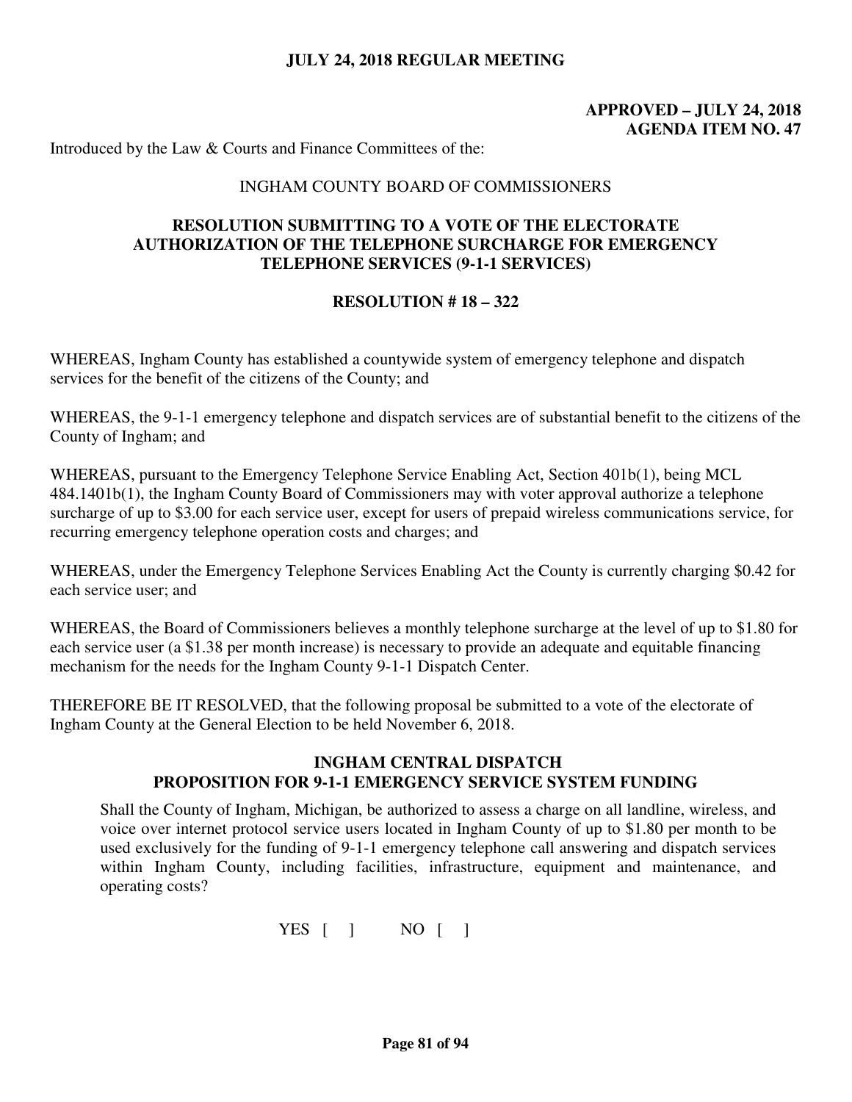## **APPROVED – JULY 24, 2018 AGENDA ITEM NO. 47**

Introduced by the Law & Courts and Finance Committees of the:

#### INGHAM COUNTY BOARD OF COMMISSIONERS

### **RESOLUTION SUBMITTING TO A VOTE OF THE ELECTORATE AUTHORIZATION OF THE TELEPHONE SURCHARGE FOR EMERGENCY TELEPHONE SERVICES (9-1-1 SERVICES)**

#### **RESOLUTION # 18 – 322**

WHEREAS, Ingham County has established a countywide system of emergency telephone and dispatch services for the benefit of the citizens of the County; and

WHEREAS, the 9-1-1 emergency telephone and dispatch services are of substantial benefit to the citizens of the County of Ingham; and

WHEREAS, pursuant to the Emergency Telephone Service Enabling Act, Section 401b(1), being MCL 484.1401b(1), the Ingham County Board of Commissioners may with voter approval authorize a telephone surcharge of up to \$3.00 for each service user, except for users of prepaid wireless communications service, for recurring emergency telephone operation costs and charges; and

WHEREAS, under the Emergency Telephone Services Enabling Act the County is currently charging \$0.42 for each service user; and

WHEREAS, the Board of Commissioners believes a monthly telephone surcharge at the level of up to \$1.80 for each service user (a \$1.38 per month increase) is necessary to provide an adequate and equitable financing mechanism for the needs for the Ingham County 9-1-1 Dispatch Center.

THEREFORE BE IT RESOLVED, that the following proposal be submitted to a vote of the electorate of Ingham County at the General Election to be held November 6, 2018.

#### **INGHAM CENTRAL DISPATCH PROPOSITION FOR 9-1-1 EMERGENCY SERVICE SYSTEM FUNDING**

Shall the County of Ingham, Michigan, be authorized to assess a charge on all landline, wireless, and voice over internet protocol service users located in Ingham County of up to \$1.80 per month to be used exclusively for the funding of 9-1-1 emergency telephone call answering and dispatch services within Ingham County, including facilities, infrastructure, equipment and maintenance, and operating costs?

YES [ ] NO [ ]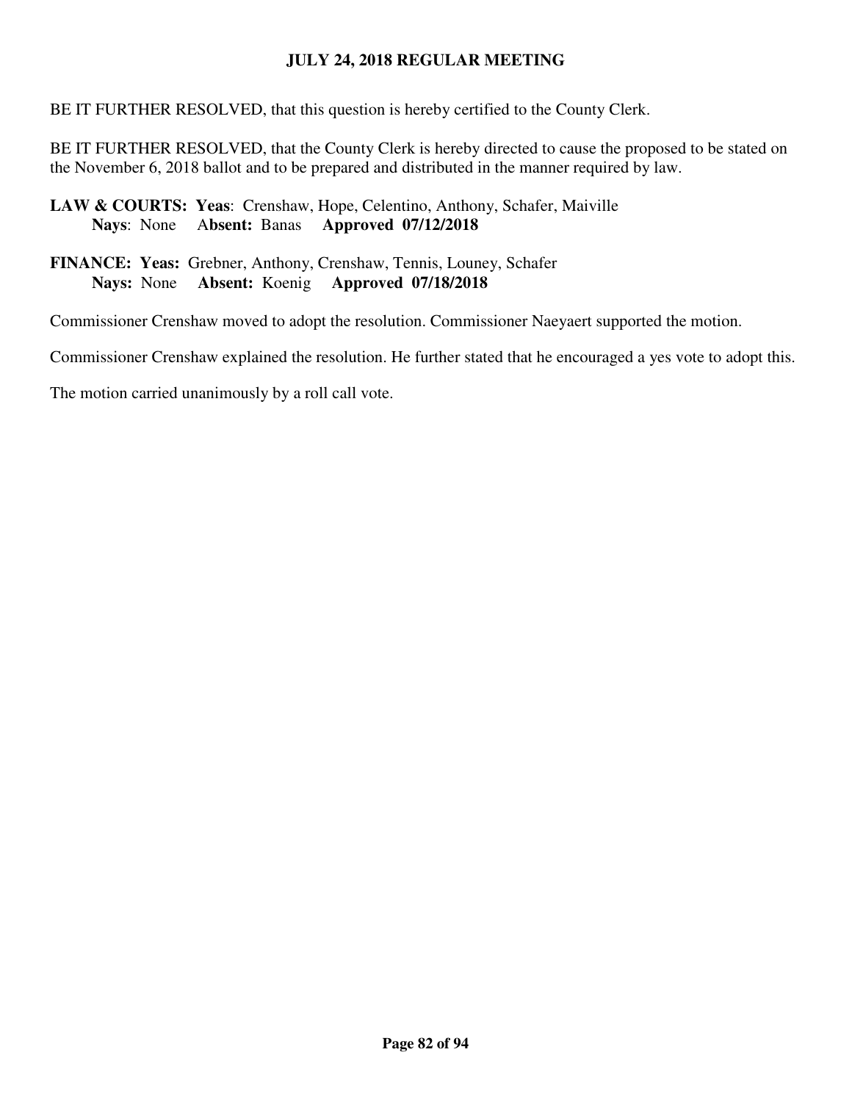BE IT FURTHER RESOLVED, that this question is hereby certified to the County Clerk.

BE IT FURTHER RESOLVED, that the County Clerk is hereby directed to cause the proposed to be stated on the November 6, 2018 ballot and to be prepared and distributed in the manner required by law.

### **LAW & COURTS: Yeas**: Crenshaw, Hope, Celentino, Anthony, Schafer, Maiville  **Nays**: None A**bsent:** Banas **Approved 07/12/2018**

**FINANCE: Yeas:** Grebner, Anthony, Crenshaw, Tennis, Louney, Schafer **Nays:** None **Absent:** Koenig **Approved 07/18/2018** 

Commissioner Crenshaw moved to adopt the resolution. Commissioner Naeyaert supported the motion.

Commissioner Crenshaw explained the resolution. He further stated that he encouraged a yes vote to adopt this.

The motion carried unanimously by a roll call vote.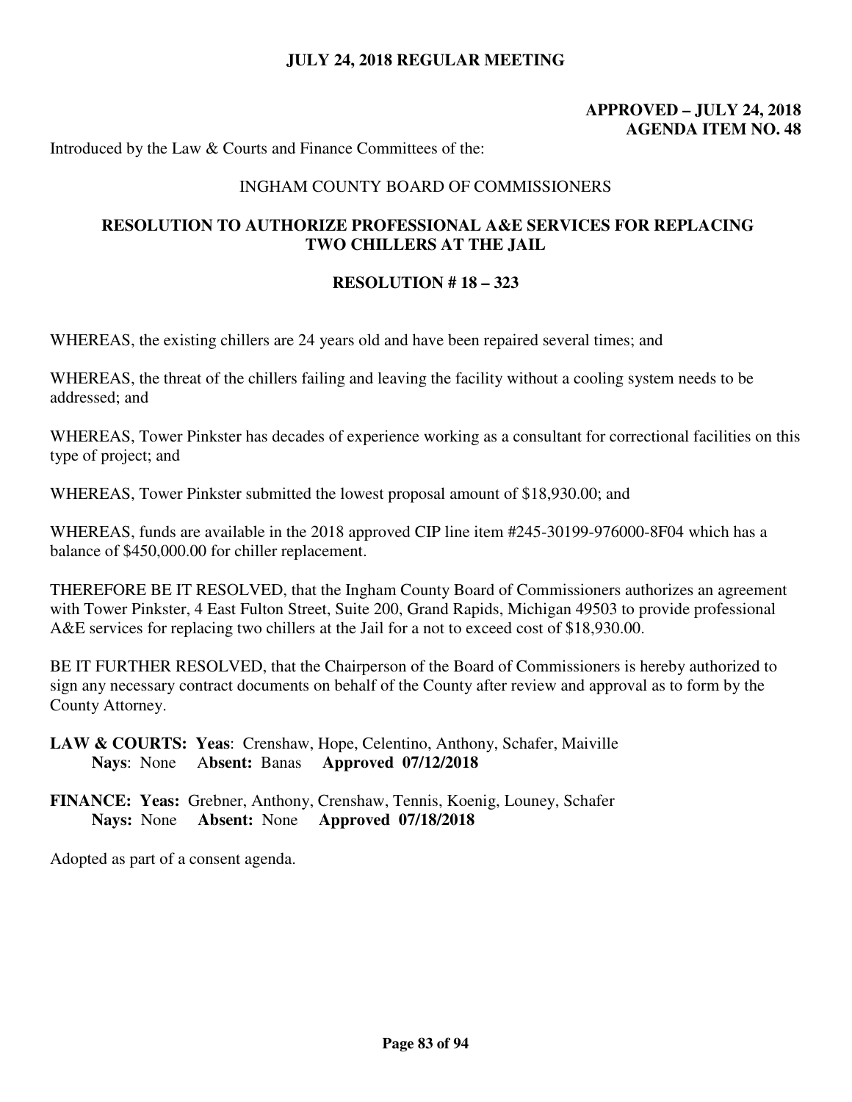### **APPROVED – JULY 24, 2018 AGENDA ITEM NO. 48**

Introduced by the Law & Courts and Finance Committees of the:

#### INGHAM COUNTY BOARD OF COMMISSIONERS

### **RESOLUTION TO AUTHORIZE PROFESSIONAL A&E SERVICES FOR REPLACING TWO CHILLERS AT THE JAIL**

#### **RESOLUTION # 18 – 323**

WHEREAS, the existing chillers are 24 years old and have been repaired several times; and

WHEREAS, the threat of the chillers failing and leaving the facility without a cooling system needs to be addressed; and

WHEREAS, Tower Pinkster has decades of experience working as a consultant for correctional facilities on this type of project; and

WHEREAS, Tower Pinkster submitted the lowest proposal amount of \$18,930.00; and

WHEREAS, funds are available in the 2018 approved CIP line item #245-30199-976000-8F04 which has a balance of \$450,000.00 for chiller replacement.

THEREFORE BE IT RESOLVED, that the Ingham County Board of Commissioners authorizes an agreement with Tower Pinkster, 4 East Fulton Street, Suite 200, Grand Rapids, Michigan 49503 to provide professional A&E services for replacing two chillers at the Jail for a not to exceed cost of \$18,930.00.

BE IT FURTHER RESOLVED, that the Chairperson of the Board of Commissioners is hereby authorized to sign any necessary contract documents on behalf of the County after review and approval as to form by the County Attorney.

**LAW & COURTS: Yeas**: Crenshaw, Hope, Celentino, Anthony, Schafer, Maiville  **Nays**: None A**bsent:** Banas **Approved 07/12/2018**

**FINANCE: Yeas:** Grebner, Anthony, Crenshaw, Tennis, Koenig, Louney, Schafer **Nays:** None **Absent:** None **Approved 07/18/2018**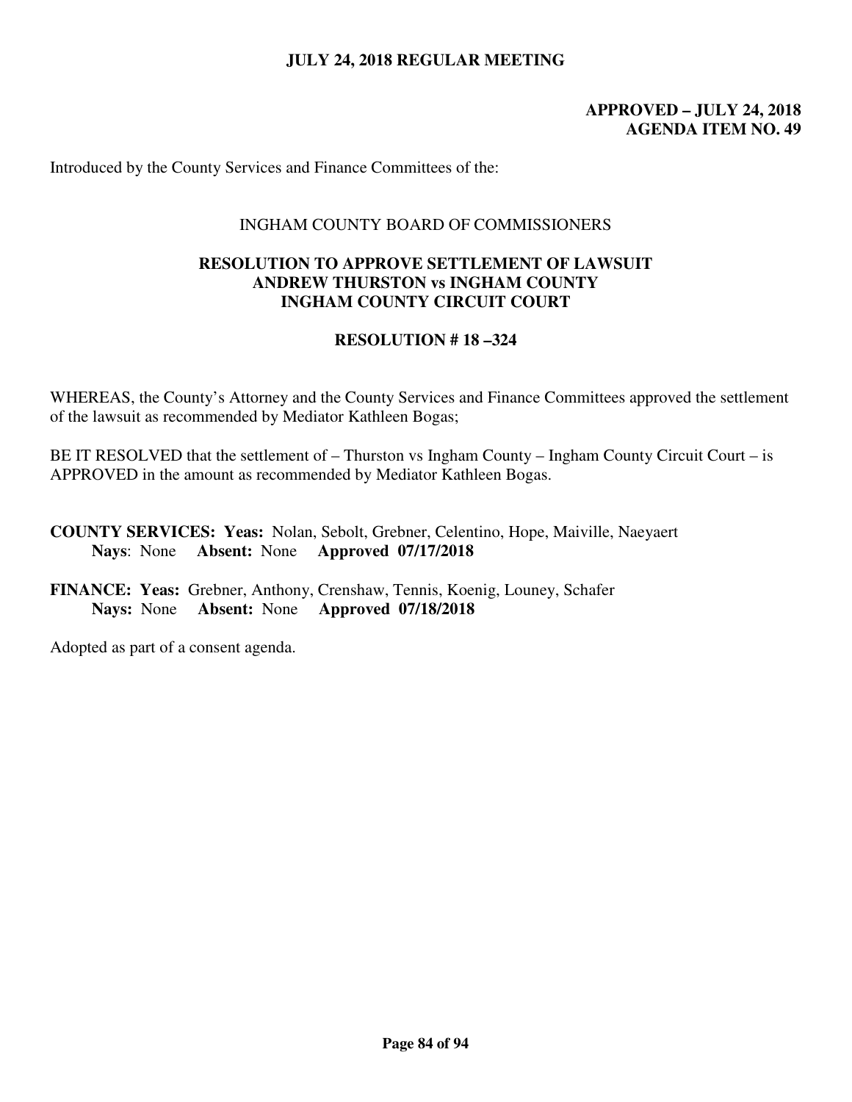### **APPROVED – JULY 24, 2018 AGENDA ITEM NO. 49**

Introduced by the County Services and Finance Committees of the:

#### INGHAM COUNTY BOARD OF COMMISSIONERS

#### **RESOLUTION TO APPROVE SETTLEMENT OF LAWSUIT ANDREW THURSTON vs INGHAM COUNTY INGHAM COUNTY CIRCUIT COURT**

### **RESOLUTION # 18 –324**

WHEREAS, the County's Attorney and the County Services and Finance Committees approved the settlement of the lawsuit as recommended by Mediator Kathleen Bogas;

BE IT RESOLVED that the settlement of – Thurston vs Ingham County – Ingham County Circuit Court – is APPROVED in the amount as recommended by Mediator Kathleen Bogas.

**COUNTY SERVICES: Yeas:** Nolan, Sebolt, Grebner, Celentino, Hope, Maiville, Naeyaert **Nays**: None **Absent:** None **Approved 07/17/2018** 

**FINANCE: Yeas:** Grebner, Anthony, Crenshaw, Tennis, Koenig, Louney, Schafer **Nays:** None **Absent:** None **Approved 07/18/2018**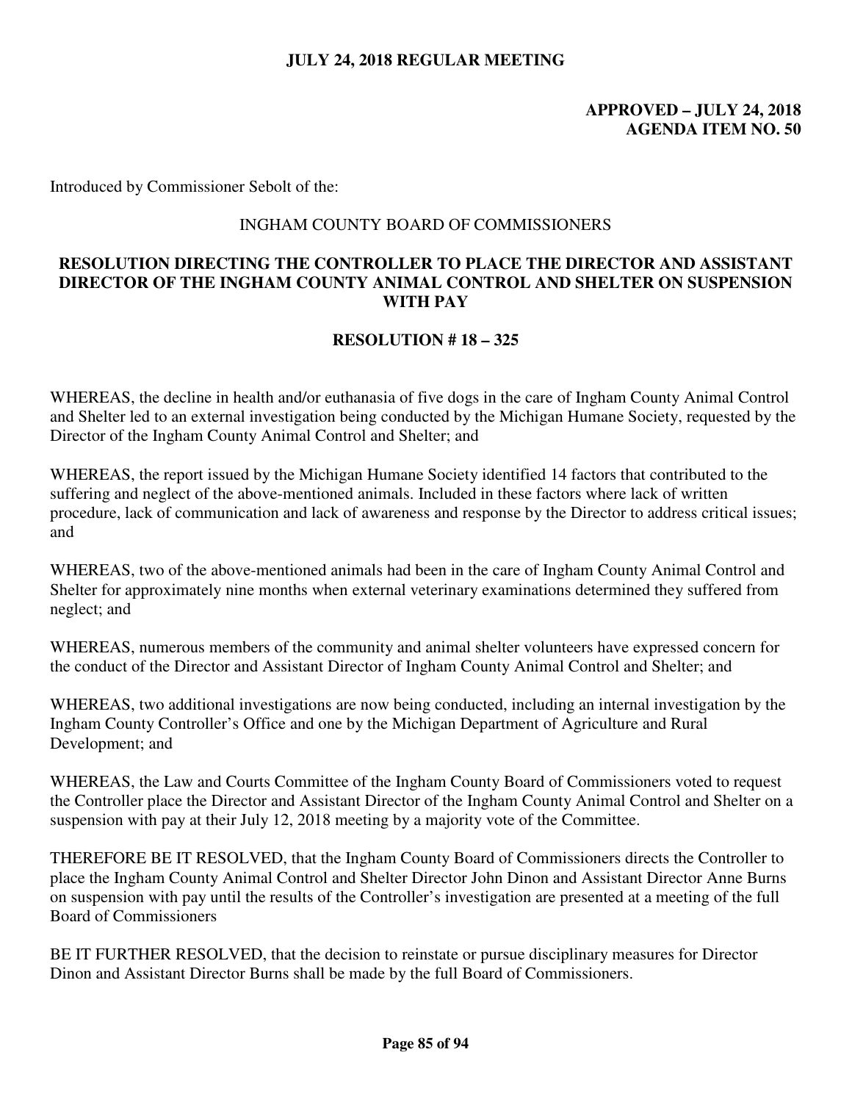### **APPROVED – JULY 24, 2018 AGENDA ITEM NO. 50**

Introduced by Commissioner Sebolt of the:

#### INGHAM COUNTY BOARD OF COMMISSIONERS

### **RESOLUTION DIRECTING THE CONTROLLER TO PLACE THE DIRECTOR AND ASSISTANT DIRECTOR OF THE INGHAM COUNTY ANIMAL CONTROL AND SHELTER ON SUSPENSION WITH PAY**

### **RESOLUTION # 18 – 325**

WHEREAS, the decline in health and/or euthanasia of five dogs in the care of Ingham County Animal Control and Shelter led to an external investigation being conducted by the Michigan Humane Society, requested by the Director of the Ingham County Animal Control and Shelter; and

WHEREAS, the report issued by the Michigan Humane Society identified 14 factors that contributed to the suffering and neglect of the above-mentioned animals. Included in these factors where lack of written procedure, lack of communication and lack of awareness and response by the Director to address critical issues; and

WHEREAS, two of the above-mentioned animals had been in the care of Ingham County Animal Control and Shelter for approximately nine months when external veterinary examinations determined they suffered from neglect; and

WHEREAS, numerous members of the community and animal shelter volunteers have expressed concern for the conduct of the Director and Assistant Director of Ingham County Animal Control and Shelter; and

WHEREAS, two additional investigations are now being conducted, including an internal investigation by the Ingham County Controller's Office and one by the Michigan Department of Agriculture and Rural Development; and

WHEREAS, the Law and Courts Committee of the Ingham County Board of Commissioners voted to request the Controller place the Director and Assistant Director of the Ingham County Animal Control and Shelter on a suspension with pay at their July 12, 2018 meeting by a majority vote of the Committee.

THEREFORE BE IT RESOLVED, that the Ingham County Board of Commissioners directs the Controller to place the Ingham County Animal Control and Shelter Director John Dinon and Assistant Director Anne Burns on suspension with pay until the results of the Controller's investigation are presented at a meeting of the full Board of Commissioners

BE IT FURTHER RESOLVED, that the decision to reinstate or pursue disciplinary measures for Director Dinon and Assistant Director Burns shall be made by the full Board of Commissioners.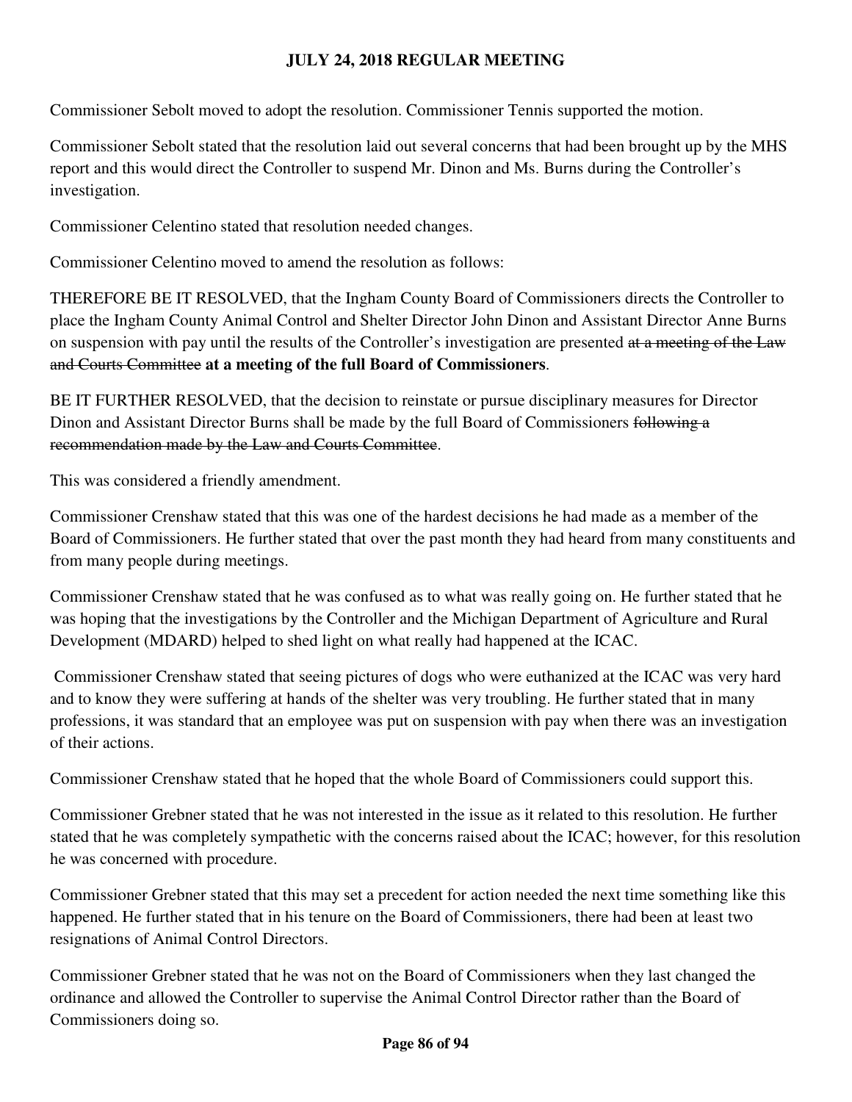Commissioner Sebolt moved to adopt the resolution. Commissioner Tennis supported the motion.

Commissioner Sebolt stated that the resolution laid out several concerns that had been brought up by the MHS report and this would direct the Controller to suspend Mr. Dinon and Ms. Burns during the Controller's investigation.

Commissioner Celentino stated that resolution needed changes.

Commissioner Celentino moved to amend the resolution as follows:

THEREFORE BE IT RESOLVED, that the Ingham County Board of Commissioners directs the Controller to place the Ingham County Animal Control and Shelter Director John Dinon and Assistant Director Anne Burns on suspension with pay until the results of the Controller's investigation are presented at a meeting of the Law and Courts Committee **at a meeting of the full Board of Commissioners**.

BE IT FURTHER RESOLVED, that the decision to reinstate or pursue disciplinary measures for Director Dinon and Assistant Director Burns shall be made by the full Board of Commissioners following a recommendation made by the Law and Courts Committee.

This was considered a friendly amendment.

Commissioner Crenshaw stated that this was one of the hardest decisions he had made as a member of the Board of Commissioners. He further stated that over the past month they had heard from many constituents and from many people during meetings.

Commissioner Crenshaw stated that he was confused as to what was really going on. He further stated that he was hoping that the investigations by the Controller and the Michigan Department of Agriculture and Rural Development (MDARD) helped to shed light on what really had happened at the ICAC.

 Commissioner Crenshaw stated that seeing pictures of dogs who were euthanized at the ICAC was very hard and to know they were suffering at hands of the shelter was very troubling. He further stated that in many professions, it was standard that an employee was put on suspension with pay when there was an investigation of their actions.

Commissioner Crenshaw stated that he hoped that the whole Board of Commissioners could support this.

Commissioner Grebner stated that he was not interested in the issue as it related to this resolution. He further stated that he was completely sympathetic with the concerns raised about the ICAC; however, for this resolution he was concerned with procedure.

Commissioner Grebner stated that this may set a precedent for action needed the next time something like this happened. He further stated that in his tenure on the Board of Commissioners, there had been at least two resignations of Animal Control Directors.

Commissioner Grebner stated that he was not on the Board of Commissioners when they last changed the ordinance and allowed the Controller to supervise the Animal Control Director rather than the Board of Commissioners doing so.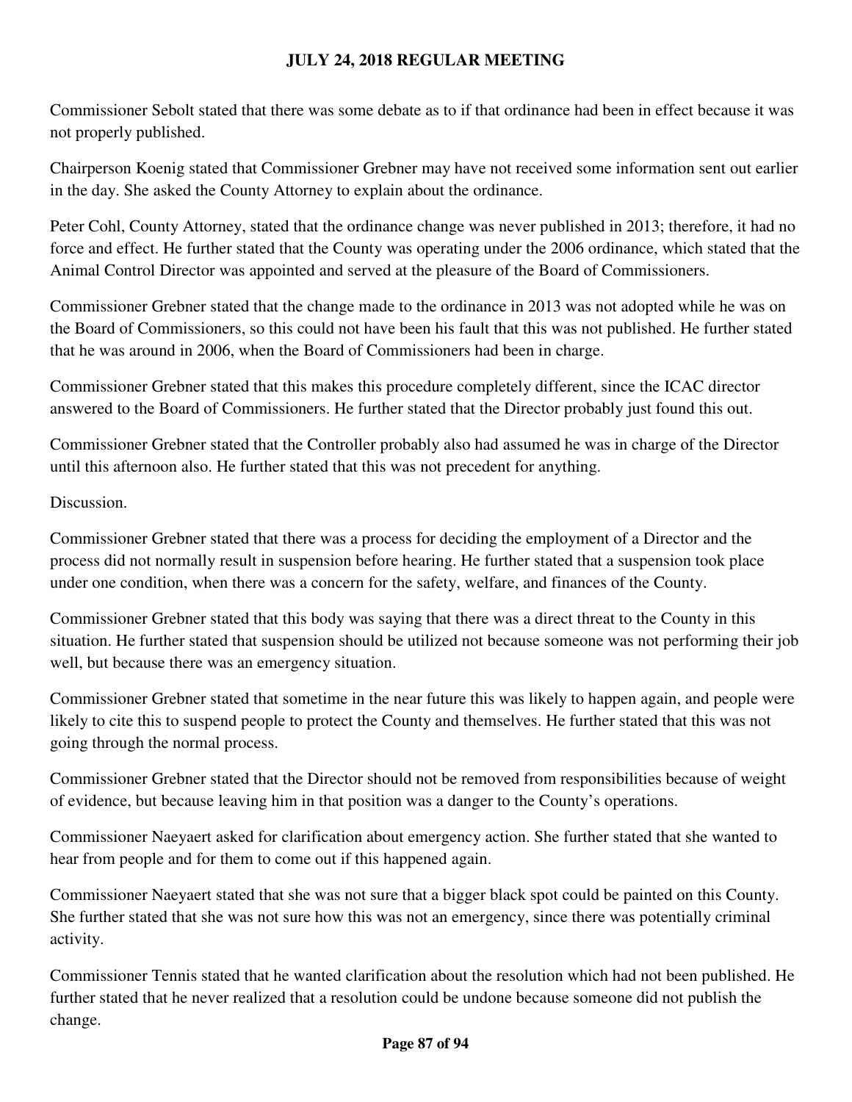Commissioner Sebolt stated that there was some debate as to if that ordinance had been in effect because it was not properly published.

Chairperson Koenig stated that Commissioner Grebner may have not received some information sent out earlier in the day. She asked the County Attorney to explain about the ordinance.

Peter Cohl, County Attorney, stated that the ordinance change was never published in 2013; therefore, it had no force and effect. He further stated that the County was operating under the 2006 ordinance, which stated that the Animal Control Director was appointed and served at the pleasure of the Board of Commissioners.

Commissioner Grebner stated that the change made to the ordinance in 2013 was not adopted while he was on the Board of Commissioners, so this could not have been his fault that this was not published. He further stated that he was around in 2006, when the Board of Commissioners had been in charge.

Commissioner Grebner stated that this makes this procedure completely different, since the ICAC director answered to the Board of Commissioners. He further stated that the Director probably just found this out.

Commissioner Grebner stated that the Controller probably also had assumed he was in charge of the Director until this afternoon also. He further stated that this was not precedent for anything.

## Discussion.

Commissioner Grebner stated that there was a process for deciding the employment of a Director and the process did not normally result in suspension before hearing. He further stated that a suspension took place under one condition, when there was a concern for the safety, welfare, and finances of the County.

Commissioner Grebner stated that this body was saying that there was a direct threat to the County in this situation. He further stated that suspension should be utilized not because someone was not performing their job well, but because there was an emergency situation.

Commissioner Grebner stated that sometime in the near future this was likely to happen again, and people were likely to cite this to suspend people to protect the County and themselves. He further stated that this was not going through the normal process.

Commissioner Grebner stated that the Director should not be removed from responsibilities because of weight of evidence, but because leaving him in that position was a danger to the County's operations.

Commissioner Naeyaert asked for clarification about emergency action. She further stated that she wanted to hear from people and for them to come out if this happened again.

Commissioner Naeyaert stated that she was not sure that a bigger black spot could be painted on this County. She further stated that she was not sure how this was not an emergency, since there was potentially criminal activity.

Commissioner Tennis stated that he wanted clarification about the resolution which had not been published. He further stated that he never realized that a resolution could be undone because someone did not publish the change.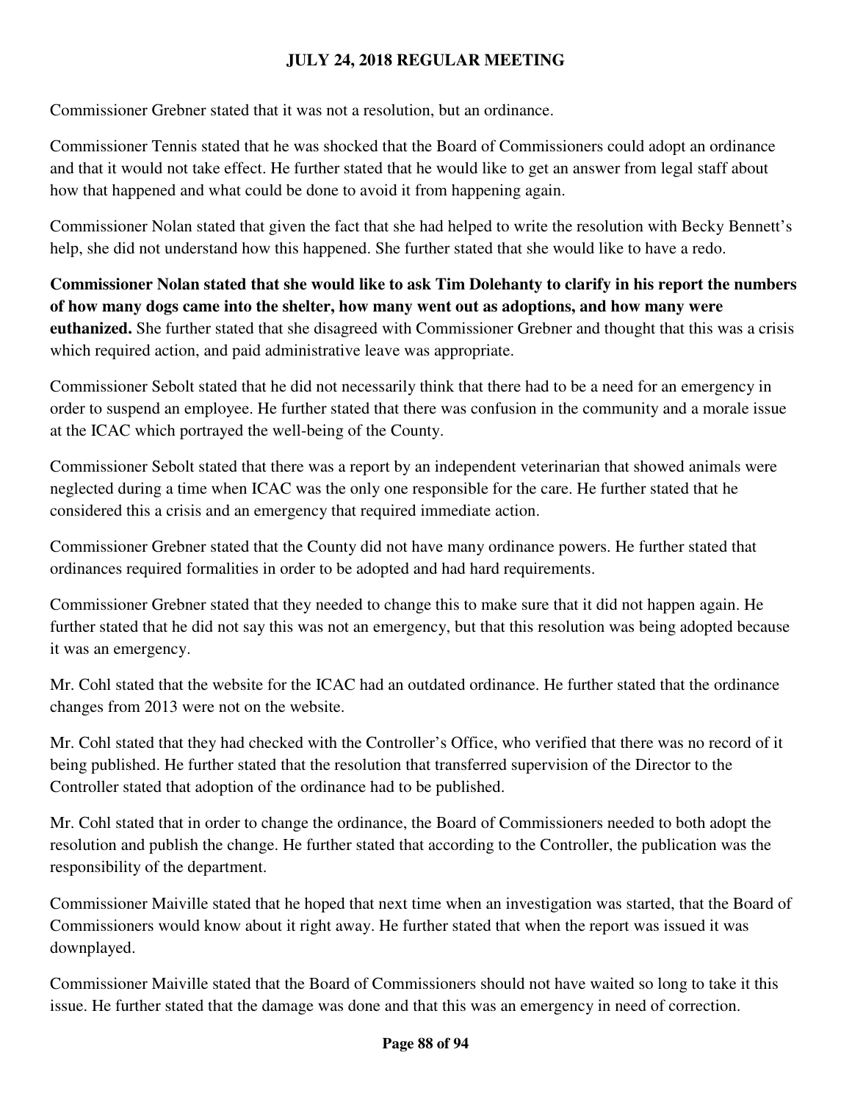Commissioner Grebner stated that it was not a resolution, but an ordinance.

Commissioner Tennis stated that he was shocked that the Board of Commissioners could adopt an ordinance and that it would not take effect. He further stated that he would like to get an answer from legal staff about how that happened and what could be done to avoid it from happening again.

Commissioner Nolan stated that given the fact that she had helped to write the resolution with Becky Bennett's help, she did not understand how this happened. She further stated that she would like to have a redo.

**Commissioner Nolan stated that she would like to ask Tim Dolehanty to clarify in his report the numbers of how many dogs came into the shelter, how many went out as adoptions, and how many were euthanized.** She further stated that she disagreed with Commissioner Grebner and thought that this was a crisis which required action, and paid administrative leave was appropriate.

Commissioner Sebolt stated that he did not necessarily think that there had to be a need for an emergency in order to suspend an employee. He further stated that there was confusion in the community and a morale issue at the ICAC which portrayed the well-being of the County.

Commissioner Sebolt stated that there was a report by an independent veterinarian that showed animals were neglected during a time when ICAC was the only one responsible for the care. He further stated that he considered this a crisis and an emergency that required immediate action.

Commissioner Grebner stated that the County did not have many ordinance powers. He further stated that ordinances required formalities in order to be adopted and had hard requirements.

Commissioner Grebner stated that they needed to change this to make sure that it did not happen again. He further stated that he did not say this was not an emergency, but that this resolution was being adopted because it was an emergency.

Mr. Cohl stated that the website for the ICAC had an outdated ordinance. He further stated that the ordinance changes from 2013 were not on the website.

Mr. Cohl stated that they had checked with the Controller's Office, who verified that there was no record of it being published. He further stated that the resolution that transferred supervision of the Director to the Controller stated that adoption of the ordinance had to be published.

Mr. Cohl stated that in order to change the ordinance, the Board of Commissioners needed to both adopt the resolution and publish the change. He further stated that according to the Controller, the publication was the responsibility of the department.

Commissioner Maiville stated that he hoped that next time when an investigation was started, that the Board of Commissioners would know about it right away. He further stated that when the report was issued it was downplayed.

Commissioner Maiville stated that the Board of Commissioners should not have waited so long to take it this issue. He further stated that the damage was done and that this was an emergency in need of correction.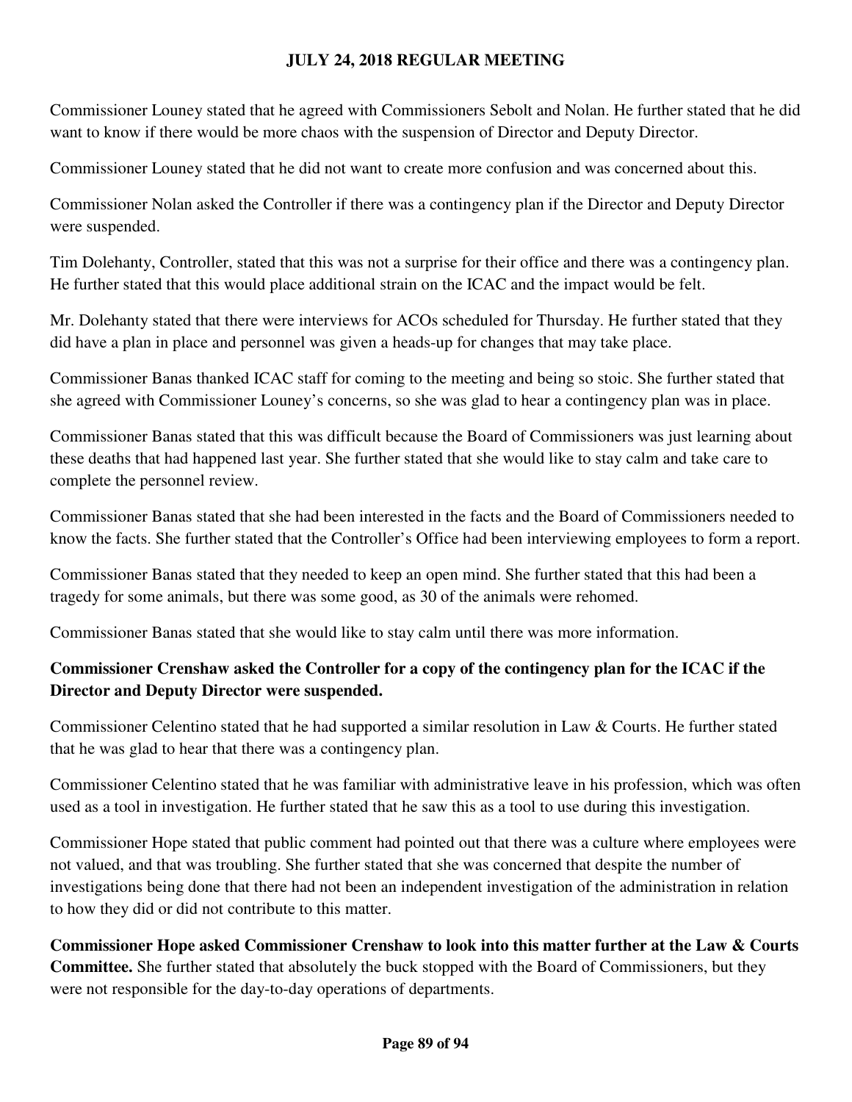Commissioner Louney stated that he agreed with Commissioners Sebolt and Nolan. He further stated that he did want to know if there would be more chaos with the suspension of Director and Deputy Director.

Commissioner Louney stated that he did not want to create more confusion and was concerned about this.

Commissioner Nolan asked the Controller if there was a contingency plan if the Director and Deputy Director were suspended.

Tim Dolehanty, Controller, stated that this was not a surprise for their office and there was a contingency plan. He further stated that this would place additional strain on the ICAC and the impact would be felt.

Mr. Dolehanty stated that there were interviews for ACOs scheduled for Thursday. He further stated that they did have a plan in place and personnel was given a heads-up for changes that may take place.

Commissioner Banas thanked ICAC staff for coming to the meeting and being so stoic. She further stated that she agreed with Commissioner Louney's concerns, so she was glad to hear a contingency plan was in place.

Commissioner Banas stated that this was difficult because the Board of Commissioners was just learning about these deaths that had happened last year. She further stated that she would like to stay calm and take care to complete the personnel review.

Commissioner Banas stated that she had been interested in the facts and the Board of Commissioners needed to know the facts. She further stated that the Controller's Office had been interviewing employees to form a report.

Commissioner Banas stated that they needed to keep an open mind. She further stated that this had been a tragedy for some animals, but there was some good, as 30 of the animals were rehomed.

Commissioner Banas stated that she would like to stay calm until there was more information.

# **Commissioner Crenshaw asked the Controller for a copy of the contingency plan for the ICAC if the Director and Deputy Director were suspended.**

Commissioner Celentino stated that he had supported a similar resolution in Law & Courts. He further stated that he was glad to hear that there was a contingency plan.

Commissioner Celentino stated that he was familiar with administrative leave in his profession, which was often used as a tool in investigation. He further stated that he saw this as a tool to use during this investigation.

Commissioner Hope stated that public comment had pointed out that there was a culture where employees were not valued, and that was troubling. She further stated that she was concerned that despite the number of investigations being done that there had not been an independent investigation of the administration in relation to how they did or did not contribute to this matter.

**Commissioner Hope asked Commissioner Crenshaw to look into this matter further at the Law & Courts Committee.** She further stated that absolutely the buck stopped with the Board of Commissioners, but they were not responsible for the day-to-day operations of departments.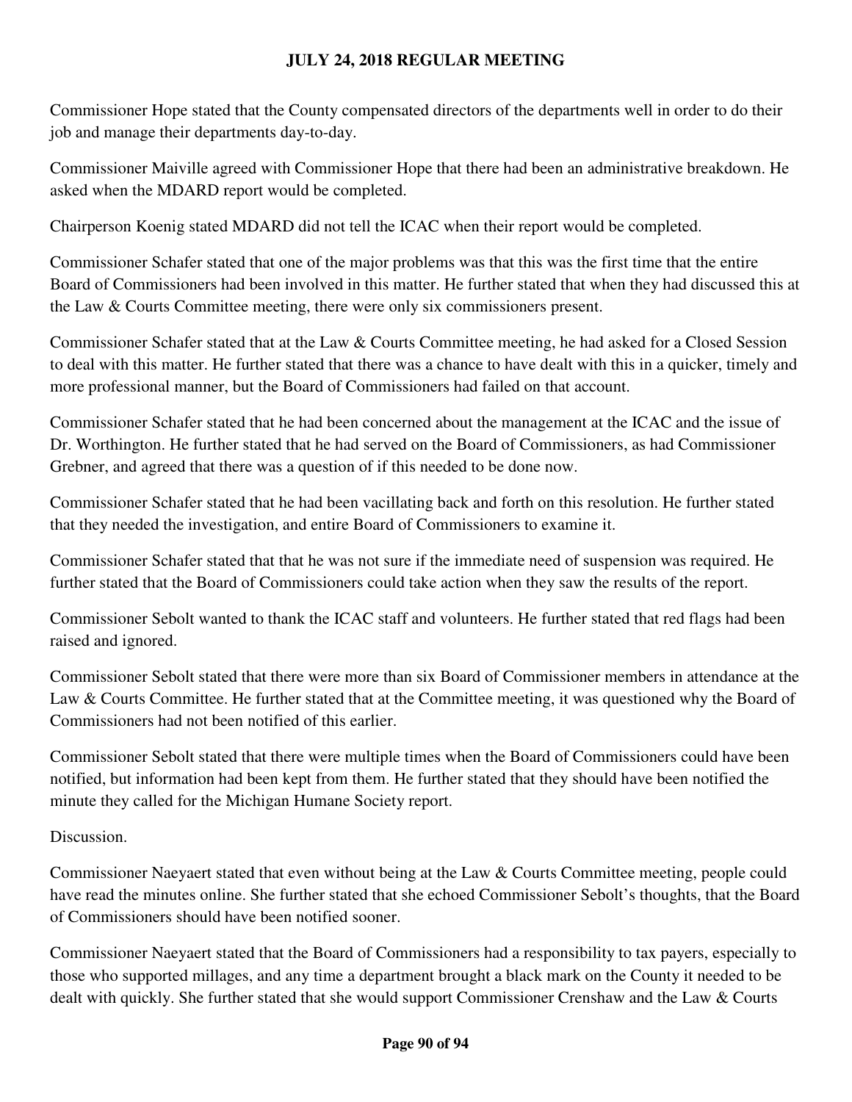Commissioner Hope stated that the County compensated directors of the departments well in order to do their job and manage their departments day-to-day.

Commissioner Maiville agreed with Commissioner Hope that there had been an administrative breakdown. He asked when the MDARD report would be completed.

Chairperson Koenig stated MDARD did not tell the ICAC when their report would be completed.

Commissioner Schafer stated that one of the major problems was that this was the first time that the entire Board of Commissioners had been involved in this matter. He further stated that when they had discussed this at the Law & Courts Committee meeting, there were only six commissioners present.

Commissioner Schafer stated that at the Law & Courts Committee meeting, he had asked for a Closed Session to deal with this matter. He further stated that there was a chance to have dealt with this in a quicker, timely and more professional manner, but the Board of Commissioners had failed on that account.

Commissioner Schafer stated that he had been concerned about the management at the ICAC and the issue of Dr. Worthington. He further stated that he had served on the Board of Commissioners, as had Commissioner Grebner, and agreed that there was a question of if this needed to be done now.

Commissioner Schafer stated that he had been vacillating back and forth on this resolution. He further stated that they needed the investigation, and entire Board of Commissioners to examine it.

Commissioner Schafer stated that that he was not sure if the immediate need of suspension was required. He further stated that the Board of Commissioners could take action when they saw the results of the report.

Commissioner Sebolt wanted to thank the ICAC staff and volunteers. He further stated that red flags had been raised and ignored.

Commissioner Sebolt stated that there were more than six Board of Commissioner members in attendance at the Law & Courts Committee. He further stated that at the Committee meeting, it was questioned why the Board of Commissioners had not been notified of this earlier.

Commissioner Sebolt stated that there were multiple times when the Board of Commissioners could have been notified, but information had been kept from them. He further stated that they should have been notified the minute they called for the Michigan Humane Society report.

Discussion.

Commissioner Naeyaert stated that even without being at the Law & Courts Committee meeting, people could have read the minutes online. She further stated that she echoed Commissioner Sebolt's thoughts, that the Board of Commissioners should have been notified sooner.

Commissioner Naeyaert stated that the Board of Commissioners had a responsibility to tax payers, especially to those who supported millages, and any time a department brought a black mark on the County it needed to be dealt with quickly. She further stated that she would support Commissioner Crenshaw and the Law & Courts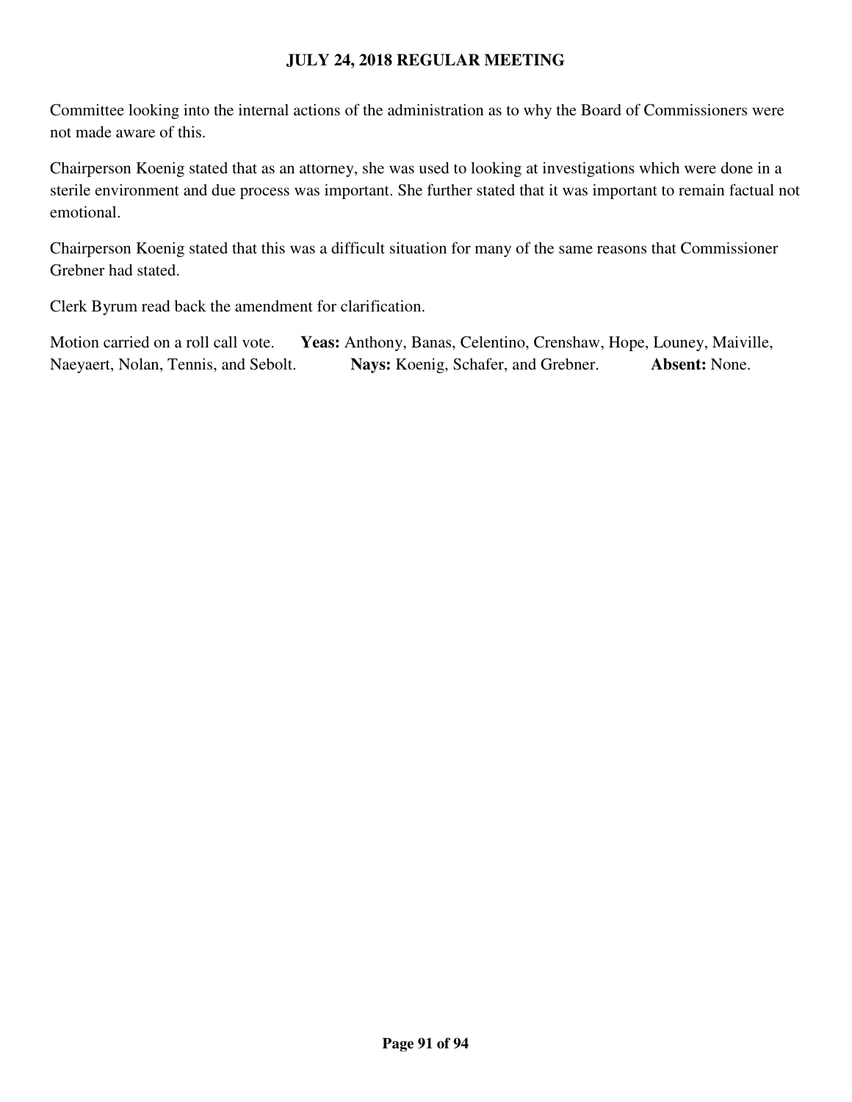Committee looking into the internal actions of the administration as to why the Board of Commissioners were not made aware of this.

Chairperson Koenig stated that as an attorney, she was used to looking at investigations which were done in a sterile environment and due process was important. She further stated that it was important to remain factual not emotional.

Chairperson Koenig stated that this was a difficult situation for many of the same reasons that Commissioner Grebner had stated.

Clerk Byrum read back the amendment for clarification.

Motion carried on a roll call vote. **Yeas:** Anthony, Banas, Celentino, Crenshaw, Hope, Louney, Maiville, Naeyaert, Nolan, Tennis, and Sebolt. **Nays:** Koenig, Schafer, and Grebner. **Absent:** None.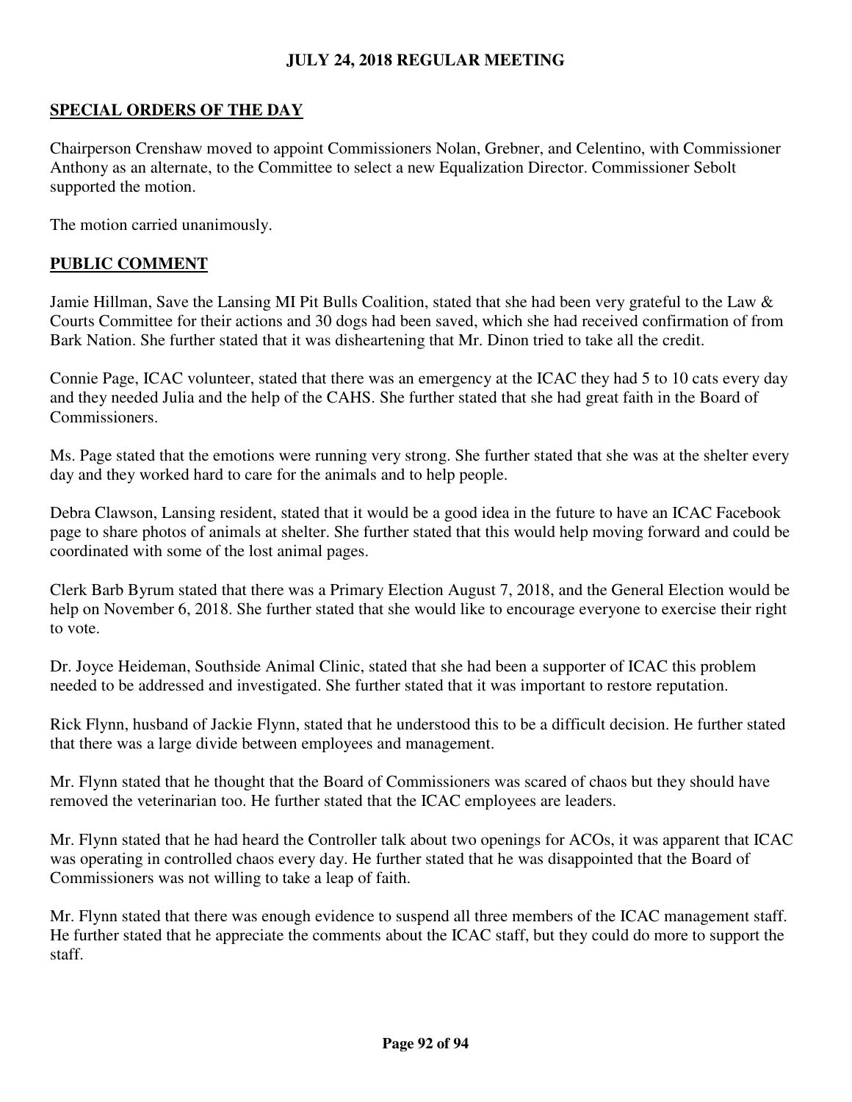# **SPECIAL ORDERS OF THE DAY**

Chairperson Crenshaw moved to appoint Commissioners Nolan, Grebner, and Celentino, with Commissioner Anthony as an alternate, to the Committee to select a new Equalization Director. Commissioner Sebolt supported the motion.

The motion carried unanimously.

# **PUBLIC COMMENT**

Jamie Hillman, Save the Lansing MI Pit Bulls Coalition, stated that she had been very grateful to the Law & Courts Committee for their actions and 30 dogs had been saved, which she had received confirmation of from Bark Nation. She further stated that it was disheartening that Mr. Dinon tried to take all the credit.

Connie Page, ICAC volunteer, stated that there was an emergency at the ICAC they had 5 to 10 cats every day and they needed Julia and the help of the CAHS. She further stated that she had great faith in the Board of Commissioners.

Ms. Page stated that the emotions were running very strong. She further stated that she was at the shelter every day and they worked hard to care for the animals and to help people.

Debra Clawson, Lansing resident, stated that it would be a good idea in the future to have an ICAC Facebook page to share photos of animals at shelter. She further stated that this would help moving forward and could be coordinated with some of the lost animal pages.

Clerk Barb Byrum stated that there was a Primary Election August 7, 2018, and the General Election would be help on November 6, 2018. She further stated that she would like to encourage everyone to exercise their right to vote.

Dr. Joyce Heideman, Southside Animal Clinic, stated that she had been a supporter of ICAC this problem needed to be addressed and investigated. She further stated that it was important to restore reputation.

Rick Flynn, husband of Jackie Flynn, stated that he understood this to be a difficult decision. He further stated that there was a large divide between employees and management.

Mr. Flynn stated that he thought that the Board of Commissioners was scared of chaos but they should have removed the veterinarian too. He further stated that the ICAC employees are leaders.

Mr. Flynn stated that he had heard the Controller talk about two openings for ACOs, it was apparent that ICAC was operating in controlled chaos every day. He further stated that he was disappointed that the Board of Commissioners was not willing to take a leap of faith.

Mr. Flynn stated that there was enough evidence to suspend all three members of the ICAC management staff. He further stated that he appreciate the comments about the ICAC staff, but they could do more to support the staff.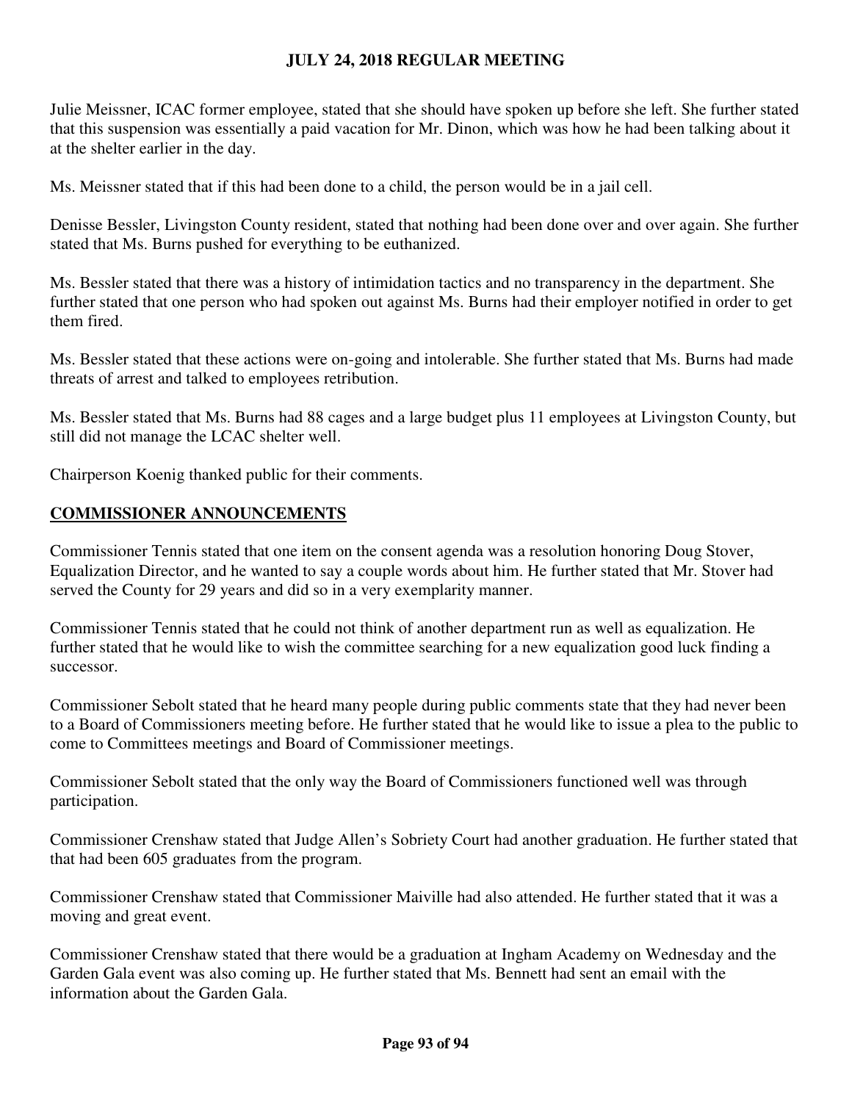Julie Meissner, ICAC former employee, stated that she should have spoken up before she left. She further stated that this suspension was essentially a paid vacation for Mr. Dinon, which was how he had been talking about it at the shelter earlier in the day.

Ms. Meissner stated that if this had been done to a child, the person would be in a jail cell.

Denisse Bessler, Livingston County resident, stated that nothing had been done over and over again. She further stated that Ms. Burns pushed for everything to be euthanized.

Ms. Bessler stated that there was a history of intimidation tactics and no transparency in the department. She further stated that one person who had spoken out against Ms. Burns had their employer notified in order to get them fired.

Ms. Bessler stated that these actions were on-going and intolerable. She further stated that Ms. Burns had made threats of arrest and talked to employees retribution.

Ms. Bessler stated that Ms. Burns had 88 cages and a large budget plus 11 employees at Livingston County, but still did not manage the LCAC shelter well.

Chairperson Koenig thanked public for their comments.

## **COMMISSIONER ANNOUNCEMENTS**

Commissioner Tennis stated that one item on the consent agenda was a resolution honoring Doug Stover, Equalization Director, and he wanted to say a couple words about him. He further stated that Mr. Stover had served the County for 29 years and did so in a very exemplarity manner.

Commissioner Tennis stated that he could not think of another department run as well as equalization. He further stated that he would like to wish the committee searching for a new equalization good luck finding a successor.

Commissioner Sebolt stated that he heard many people during public comments state that they had never been to a Board of Commissioners meeting before. He further stated that he would like to issue a plea to the public to come to Committees meetings and Board of Commissioner meetings.

Commissioner Sebolt stated that the only way the Board of Commissioners functioned well was through participation.

Commissioner Crenshaw stated that Judge Allen's Sobriety Court had another graduation. He further stated that that had been 605 graduates from the program.

Commissioner Crenshaw stated that Commissioner Maiville had also attended. He further stated that it was a moving and great event.

Commissioner Crenshaw stated that there would be a graduation at Ingham Academy on Wednesday and the Garden Gala event was also coming up. He further stated that Ms. Bennett had sent an email with the information about the Garden Gala.